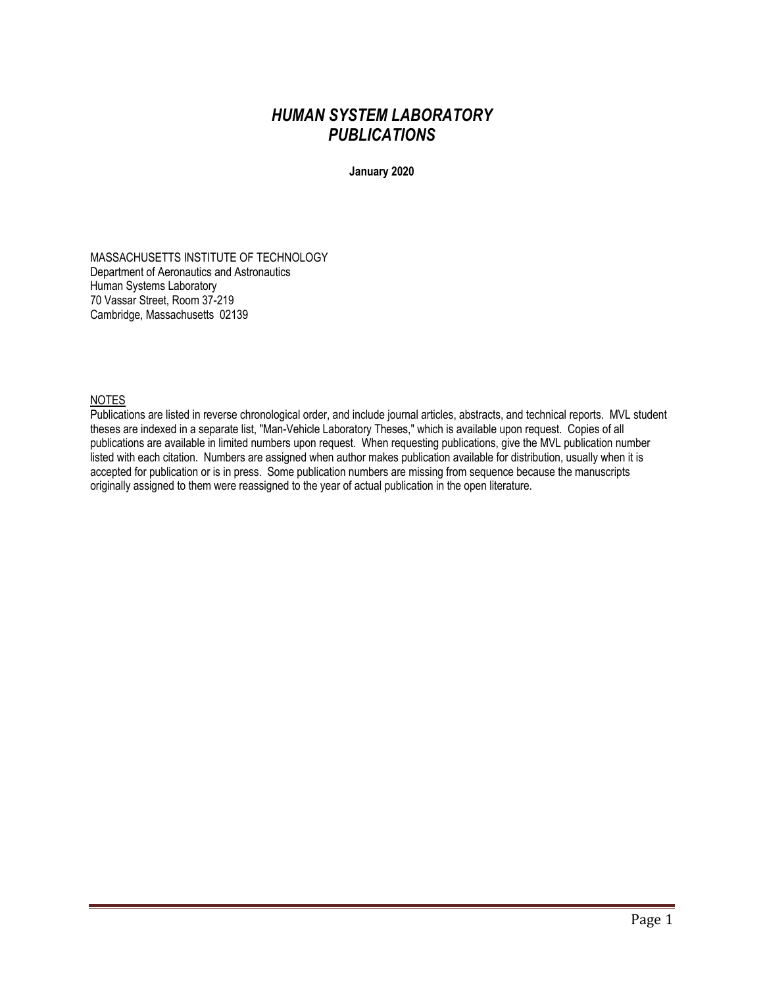# *HUMAN SYSTEM LABORATORY PUBLICATIONS*

**January 2020**

MASSACHUSETTS INSTITUTE OF TECHNOLOGY Department of Aeronautics and Astronautics Human Systems Laboratory 70 Vassar Street, Room 37-219 Cambridge, Massachusetts 02139

# NOTES

Publications are listed in reverse chronological order, and include journal articles, abstracts, and technical reports. MVL student theses are indexed in a separate list, "Man-Vehicle Laboratory Theses," which is available upon request. Copies of all publications are available in limited numbers upon request. When requesting publications, give the MVL publication number listed with each citation. Numbers are assigned when author makes publication available for distribution, usually when it is accepted for publication or is in press. Some publication numbers are missing from sequence because the manuscripts originally assigned to them were reassigned to the year of actual publication in the open literature.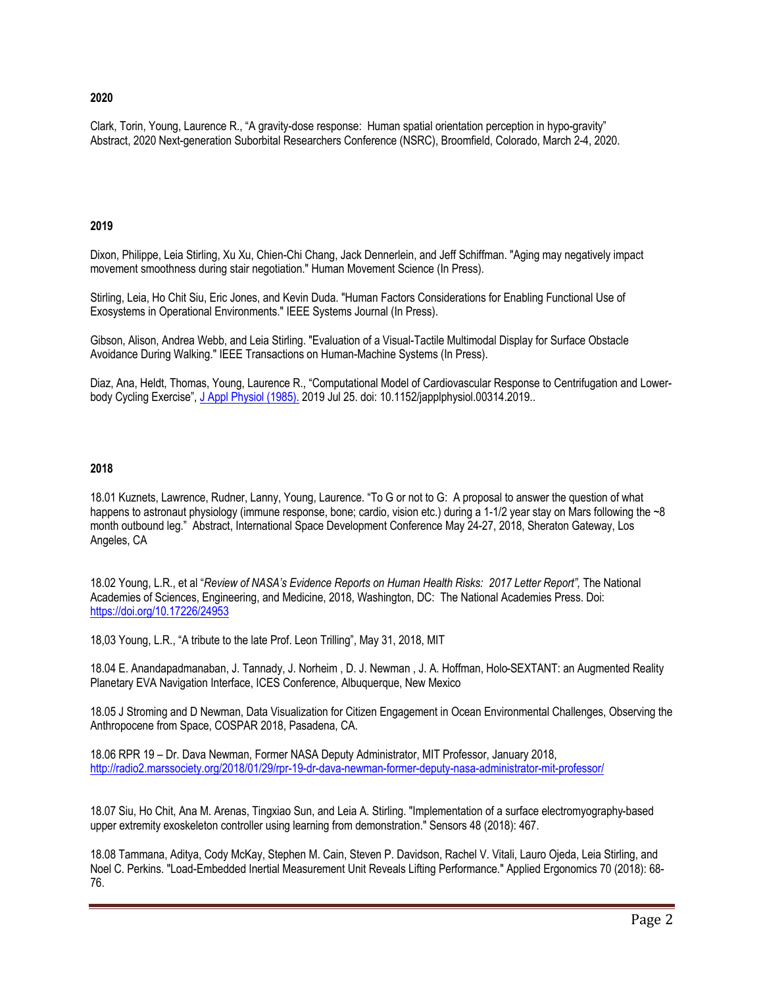### **2020**

Clark, Torin, Young, Laurence R., "A gravity-dose response: Human spatial orientation perception in hypo-gravity" Abstract, 2020 Next-generation Suborbital Researchers Conference (NSRC), Broomfield, Colorado, March 2-4, 2020.

#### **2019**

Dixon, Philippe, Leia Stirling, Xu Xu, Chien-Chi Chang, Jack Dennerlein, and Jeff Schiffman. "Aging may negatively impact movement smoothness during stair negotiation." Human Movement Science (In Press).

Stirling, Leia, Ho Chit Siu, Eric Jones, and Kevin Duda. "Human Factors Considerations for Enabling Functional Use of Exosystems in Operational Environments." IEEE Systems Journal (In Press).

Gibson, Alison, Andrea Webb, and Leia Stirling. "Evaluation of a Visual-Tactile Multimodal Display for Surface Obstacle Avoidance During Walking." IEEE Transactions on Human-Machine Systems (In Press).

Diaz, Ana, Heldt, Thomas, Young, Laurence R., "Computational Model of Cardiovascular Response to Centrifugation and Lowerbody Cycling Exercise", J Appl Physiol (1985). 2019 Jul 25. doi: 10.1152/japplphysiol.00314.2019..

# **2018**

18.01 Kuznets, Lawrence, Rudner, Lanny, Young, Laurence. "To G or not to G: A proposal to answer the question of what happens to astronaut physiology (immune response, bone; cardio, vision etc.) during a 1-1/2 year stay on Mars following the ~8 month outbound leg." Abstract, International Space Development Conference May 24-27, 2018, Sheraton Gateway, Los Angeles, CA

18.02 Young, L.R., et al "*Review of NASA's Evidence Reports on Human Health Risks: 2017 Letter Report",* The National Academies of Sciences, Engineering, and Medicine, 2018, Washington, DC: The National Academies Press. Doi: https://doi.org/10.17226/24953

18,03 Young, L.R., "A tribute to the late Prof. Leon Trilling", May 31, 2018, MIT

18.04 E. Anandapadmanaban, J. Tannady, J. Norheim , D. J. Newman , J. A. Hoffman, Holo-SEXTANT: an Augmented Reality Planetary EVA Navigation Interface, ICES Conference, Albuquerque, New Mexico

18.05 J Stroming and D Newman, Data Visualization for Citizen Engagement in Ocean Environmental Challenges, Observing the Anthropocene from Space, COSPAR 2018, Pasadena, CA.

18.06 RPR 19 – Dr. Dava Newman, Former NASA Deputy Administrator, MIT Professor, January 2018, http://radio2.marssociety.org/2018/01/29/rpr-19-dr-dava-newman-former-deputy-nasa-administrator-mit-professor/

18.07 Siu, Ho Chit, Ana M. Arenas, Tingxiao Sun, and Leia A. Stirling. "Implementation of a surface electromyography-based upper extremity exoskeleton controller using learning from demonstration." Sensors 48 (2018): 467.

18.08 Tammana, Aditya, Cody McKay, Stephen M. Cain, Steven P. Davidson, Rachel V. Vitali, Lauro Ojeda, Leia Stirling, and Noel C. Perkins. "Load-Embedded Inertial Measurement Unit Reveals Lifting Performance." Applied Ergonomics 70 (2018): 68- 76.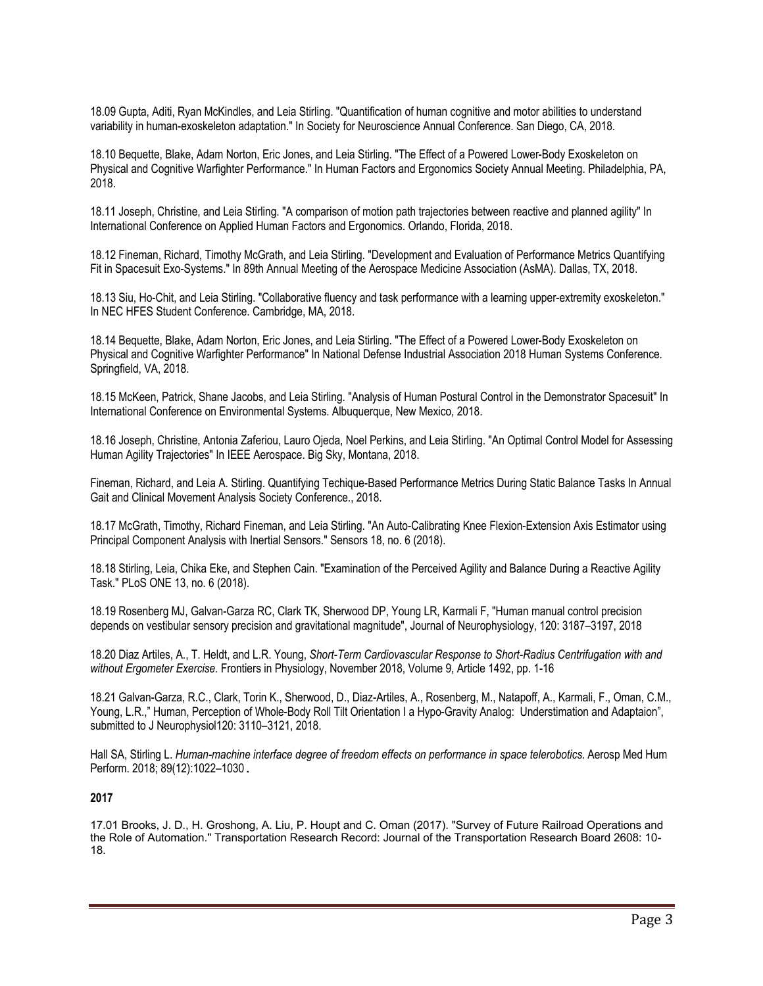18.09 Gupta, Aditi, Ryan McKindles, and Leia Stirling. "Quantification of human cognitive and motor abilities to understand variability in human-exoskeleton adaptation." In Society for Neuroscience Annual Conference. San Diego, CA, 2018.

18.10 Bequette, Blake, Adam Norton, Eric Jones, and Leia Stirling. "The Effect of a Powered Lower-Body Exoskeleton on Physical and Cognitive Warfighter Performance." In Human Factors and Ergonomics Society Annual Meeting. Philadelphia, PA, 2018.

18.11 Joseph, Christine, and Leia Stirling. "A comparison of motion path trajectories between reactive and planned agility" In International Conference on Applied Human Factors and Ergonomics. Orlando, Florida, 2018.

18.12 Fineman, Richard, Timothy McGrath, and Leia Stirling. "Development and Evaluation of Performance Metrics Quantifying Fit in Spacesuit Exo-Systems." In 89th Annual Meeting of the Aerospace Medicine Association (AsMA). Dallas, TX, 2018.

18.13 Siu, Ho-Chit, and Leia Stirling. "Collaborative fluency and task performance with a learning upper-extremity exoskeleton." In NEC HFES Student Conference. Cambridge, MA, 2018.

18.14 Bequette, Blake, Adam Norton, Eric Jones, and Leia Stirling. "The Effect of a Powered Lower-Body Exoskeleton on Physical and Cognitive Warfighter Performance" In National Defense Industrial Association 2018 Human Systems Conference. Springfield, VA, 2018.

18.15 McKeen, Patrick, Shane Jacobs, and Leia Stirling. "Analysis of Human Postural Control in the Demonstrator Spacesuit" In International Conference on Environmental Systems. Albuquerque, New Mexico, 2018.

18.16 Joseph, Christine, Antonia Zaferiou, Lauro Ojeda, Noel Perkins, and Leia Stirling. "An Optimal Control Model for Assessing Human Agility Trajectories" In IEEE Aerospace. Big Sky, Montana, 2018.

Fineman, Richard, and Leia A. Stirling. Quantifying Techique-Based Performance Metrics During Static Balance Tasks In Annual Gait and Clinical Movement Analysis Society Conference., 2018.

18.17 McGrath, Timothy, Richard Fineman, and Leia Stirling. "An Auto-Calibrating Knee Flexion-Extension Axis Estimator using Principal Component Analysis with Inertial Sensors." Sensors 18, no. 6 (2018).

18.18 Stirling, Leia, Chika Eke, and Stephen Cain. "Examination of the Perceived Agility and Balance During a Reactive Agility Task." PLoS ONE 13, no. 6 (2018).

18.19 Rosenberg MJ, Galvan-Garza RC, Clark TK, Sherwood DP, Young LR, Karmali F, "Human manual control precision depends on vestibular sensory precision and gravitational magnitude", Journal of Neurophysiology, 120: 3187–3197, 2018

18.20 Diaz Artiles, A., T. Heldt, and L.R. Young, *Short-Term Cardiovascular Response to Short-Radius Centrifugation with and without Ergometer Exercise.* Frontiers in Physiology, November 2018, Volume 9, Article 1492, pp. 1-16

18.21 Galvan-Garza, R.C., Clark, Torin K., Sherwood, D., Diaz-Artiles, A., Rosenberg, M., Natapoff, A., Karmali, F., Oman, C.M., Young, L.R.," Human, Perception of Whole-Body Roll Tilt Orientation I a Hypo-Gravity Analog: Understimation and Adaptaion", submitted to J Neurophysiol120: 3110–3121, 2018.

Hall SA, Stirling L. *Human-machine interface degree of freedom effects on performance in space telerobotics*. Aerosp Med Hum Perform. 2018; 89(12):1022–1030**.**

### **2017**

17.01 Brooks, J. D., H. Groshong, A. Liu, P. Houpt and C. Oman (2017). "Survey of Future Railroad Operations and the Role of Automation." Transportation Research Record: Journal of the Transportation Research Board 2608: 10- 18.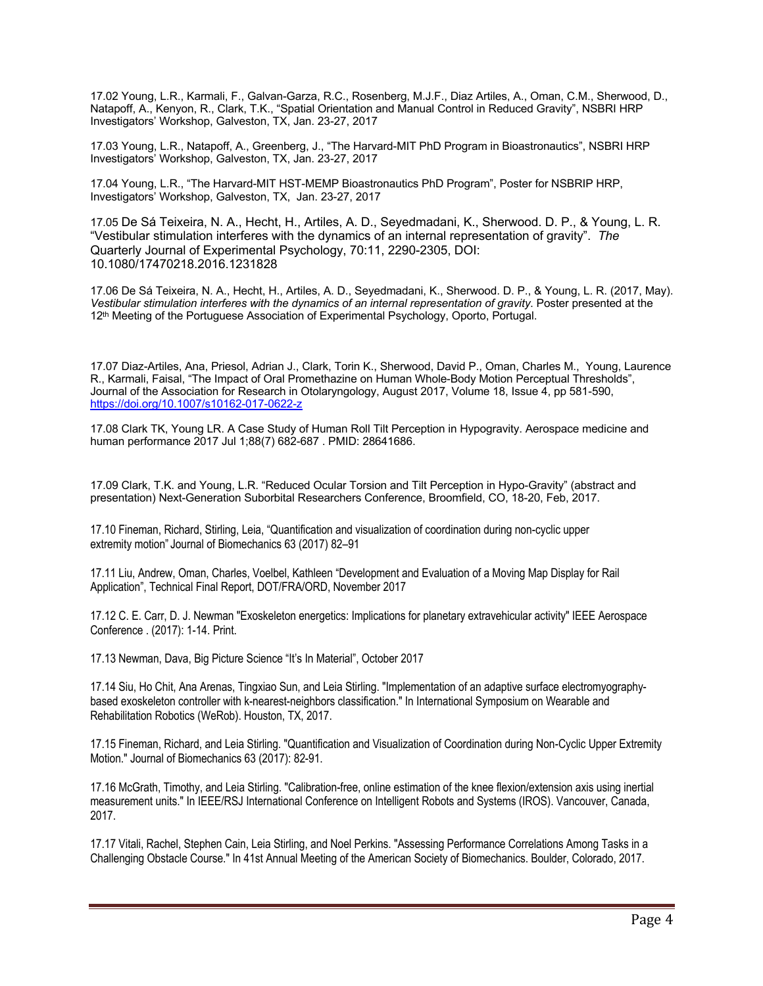17.02 Young, L.R., Karmali, F., Galvan-Garza, R.C., Rosenberg, M.J.F., Diaz Artiles, A., Oman, C.M., Sherwood, D., Natapoff, A., Kenyon, R., Clark, T.K., "Spatial Orientation and Manual Control in Reduced Gravity", NSBRI HRP Investigators' Workshop, Galveston, TX, Jan. 23-27, 2017

17.03 Young, L.R., Natapoff, A., Greenberg, J., "The Harvard-MIT PhD Program in Bioastronautics", NSBRI HRP Investigators' Workshop, Galveston, TX, Jan. 23-27, 2017

17.04 Young, L.R., "The Harvard-MIT HST-MEMP Bioastronautics PhD Program", Poster for NSBRIP HRP, Investigators' Workshop, Galveston, TX, Jan. 23-27, 2017

17.05 De Sá Teixeira, N. A., Hecht, H., Artiles, A. D., Seyedmadani, K., Sherwood. D. P., & Young, L. R. "Vestibular stimulation interferes with the dynamics of an internal representation of gravity". *The*  Quarterly Journal of Experimental Psychology, 70:11, 2290-2305, DOI: 10.1080/17470218.2016.1231828

17.06 De Sá Teixeira, N. A., Hecht, H., Artiles, A. D., Seyedmadani, K., Sherwood. D. P., & Young, L. R. (2017, May). *Vestibular stimulation interferes with the dynamics of an internal representation of gravity*. Poster presented at the 12th Meeting of the Portuguese Association of Experimental Psychology, Oporto, Portugal.

17.07 Diaz-Artiles, Ana, Priesol, Adrian J., Clark, Torin K., Sherwood, David P., Oman, Charles M., Young, Laurence R., Karmali, Faisal, "The Impact of Oral Promethazine on Human Whole-Body Motion Perceptual Thresholds", Journal of the Association for Research in Otolaryngology, August 2017, Volume 18, Issue 4, pp 581-590, https://doi.org/10.1007/s10162-017-0622-z

17.08 Clark TK, Young LR. A Case Study of Human Roll Tilt Perception in Hypogravity. Aerospace medicine and human performance 2017 Jul 1;88(7) 682-687 . PMID: 28641686.

17.09 Clark, T.K. and Young, L.R. "Reduced Ocular Torsion and Tilt Perception in Hypo-Gravity" (abstract and presentation) Next-Generation Suborbital Researchers Conference, Broomfield, CO, 18-20, Feb, 2017.

17.10 Fineman, Richard, Stirling, Leia, "Quantification and visualization of coordination during non-cyclic upper extremity motion" Journal of Biomechanics 63 (2017) 82–91

17.11 Liu, Andrew, Oman, Charles, Voelbel, Kathleen "Development and Evaluation of a Moving Map Display for Rail Application", Technical Final Report, DOT/FRA/ORD, November 2017

17.12 C. E. Carr, D. J. Newman "Exoskeleton energetics: Implications for planetary extravehicular activity" IEEE Aerospace Conference . (2017): 1-14. Print.

17.13 Newman, Dava, Big Picture Science "It's In Material", October 2017

17.14 Siu, Ho Chit, Ana Arenas, Tingxiao Sun, and Leia Stirling. "Implementation of an adaptive surface electromyographybased exoskeleton controller with k-nearest-neighbors classification." In International Symposium on Wearable and Rehabilitation Robotics (WeRob). Houston, TX, 2017.

17.15 Fineman, Richard, and Leia Stirling. "Quantification and Visualization of Coordination during Non-Cyclic Upper Extremity Motion." Journal of Biomechanics 63 (2017): 82-91.

17.16 McGrath, Timothy, and Leia Stirling. "Calibration-free, online estimation of the knee flexion/extension axis using inertial measurement units." In IEEE/RSJ International Conference on Intelligent Robots and Systems (IROS). Vancouver, Canada, 2017.

17.17 Vitali, Rachel, Stephen Cain, Leia Stirling, and Noel Perkins. "Assessing Performance Correlations Among Tasks in a Challenging Obstacle Course." In 41st Annual Meeting of the American Society of Biomechanics. Boulder, Colorado, 2017.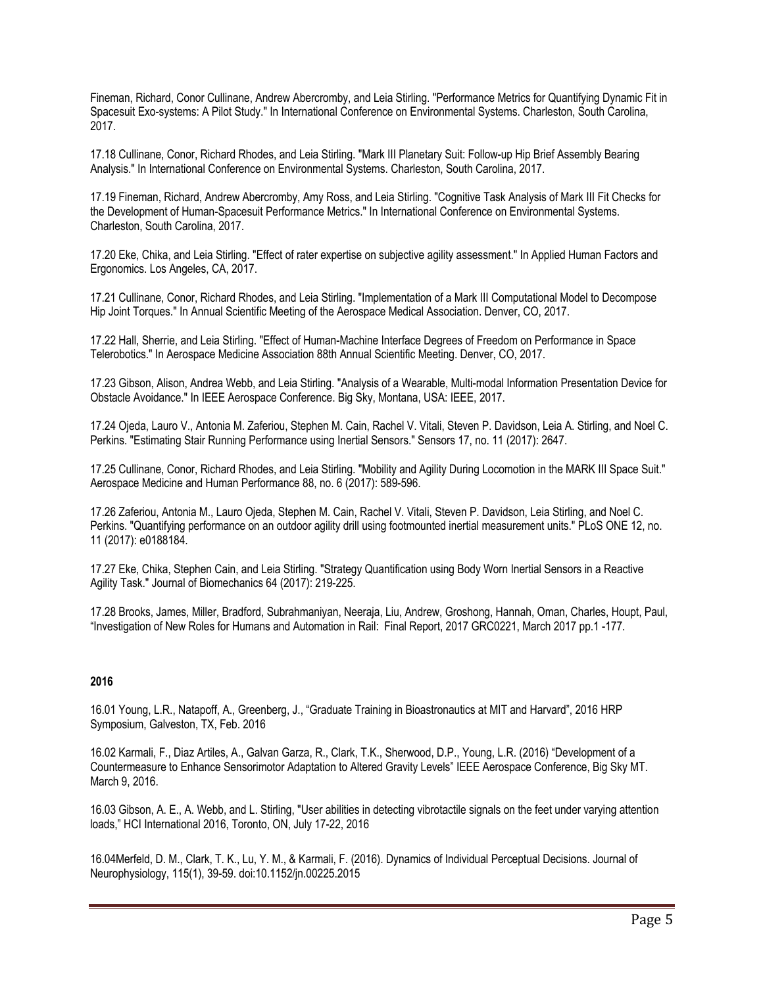Fineman, Richard, Conor Cullinane, Andrew Abercromby, and Leia Stirling. "Performance Metrics for Quantifying Dynamic Fit in Spacesuit Exo-systems: A Pilot Study." In International Conference on Environmental Systems. Charleston, South Carolina, 2017.

17.18 Cullinane, Conor, Richard Rhodes, and Leia Stirling. "Mark III Planetary Suit: Follow-up Hip Brief Assembly Bearing Analysis." In International Conference on Environmental Systems. Charleston, South Carolina, 2017.

17.19 Fineman, Richard, Andrew Abercromby, Amy Ross, and Leia Stirling. "Cognitive Task Analysis of Mark III Fit Checks for the Development of Human-Spacesuit Performance Metrics." In International Conference on Environmental Systems. Charleston, South Carolina, 2017.

17.20 Eke, Chika, and Leia Stirling. "Effect of rater expertise on subjective agility assessment." In Applied Human Factors and Ergonomics. Los Angeles, CA, 2017.

17.21 Cullinane, Conor, Richard Rhodes, and Leia Stirling. "Implementation of a Mark III Computational Model to Decompose Hip Joint Torques." In Annual Scientific Meeting of the Aerospace Medical Association. Denver, CO, 2017.

17.22 Hall, Sherrie, and Leia Stirling. "Effect of Human-Machine Interface Degrees of Freedom on Performance in Space Telerobotics." In Aerospace Medicine Association 88th Annual Scientific Meeting. Denver, CO, 2017.

17.23 Gibson, Alison, Andrea Webb, and Leia Stirling. "Analysis of a Wearable, Multi-modal Information Presentation Device for Obstacle Avoidance." In IEEE Aerospace Conference. Big Sky, Montana, USA: IEEE, 2017.

17.24 Ojeda, Lauro V., Antonia M. Zaferiou, Stephen M. Cain, Rachel V. Vitali, Steven P. Davidson, Leia A. Stirling, and Noel C. Perkins. "Estimating Stair Running Performance using Inertial Sensors." Sensors 17, no. 11 (2017): 2647.

17.25 Cullinane, Conor, Richard Rhodes, and Leia Stirling. "Mobility and Agility During Locomotion in the MARK III Space Suit." Aerospace Medicine and Human Performance 88, no. 6 (2017): 589-596.

17.26 Zaferiou, Antonia M., Lauro Ojeda, Stephen M. Cain, Rachel V. Vitali, Steven P. Davidson, Leia Stirling, and Noel C. Perkins. "Quantifying performance on an outdoor agility drill using footmounted inertial measurement units." PLoS ONE 12, no. 11 (2017): e0188184.

17.27 Eke, Chika, Stephen Cain, and Leia Stirling. "Strategy Quantification using Body Worn Inertial Sensors in a Reactive Agility Task." Journal of Biomechanics 64 (2017): 219-225.

17.28 Brooks, James, Miller, Bradford, Subrahmaniyan, Neeraja, Liu, Andrew, Groshong, Hannah, Oman, Charles, Houpt, Paul, "Investigation of New Roles for Humans and Automation in Rail: Final Report, 2017 GRC0221, March 2017 pp.1 -177.

### **2016**

16.01 Young, L.R., Natapoff, A., Greenberg, J., "Graduate Training in Bioastronautics at MIT and Harvard", 2016 HRP Symposium, Galveston, TX, Feb. 2016

16.02 Karmali, F., Diaz Artiles, A., Galvan Garza, R., Clark, T.K., Sherwood, D.P., Young, L.R. (2016) "Development of a Countermeasure to Enhance Sensorimotor Adaptation to Altered Gravity Levels" IEEE Aerospace Conference, Big Sky MT. March 9, 2016.

16.03 Gibson, A. E., A. Webb, and L. Stirling, "User abilities in detecting vibrotactile signals on the feet under varying attention loads," HCI International 2016, Toronto, ON, July 17-22, 2016

16.04Merfeld, D. M., Clark, T. K., Lu, Y. M., & Karmali, F. (2016). Dynamics of Individual Perceptual Decisions. Journal of Neurophysiology, 115(1), 39-59. doi:10.1152/jn.00225.2015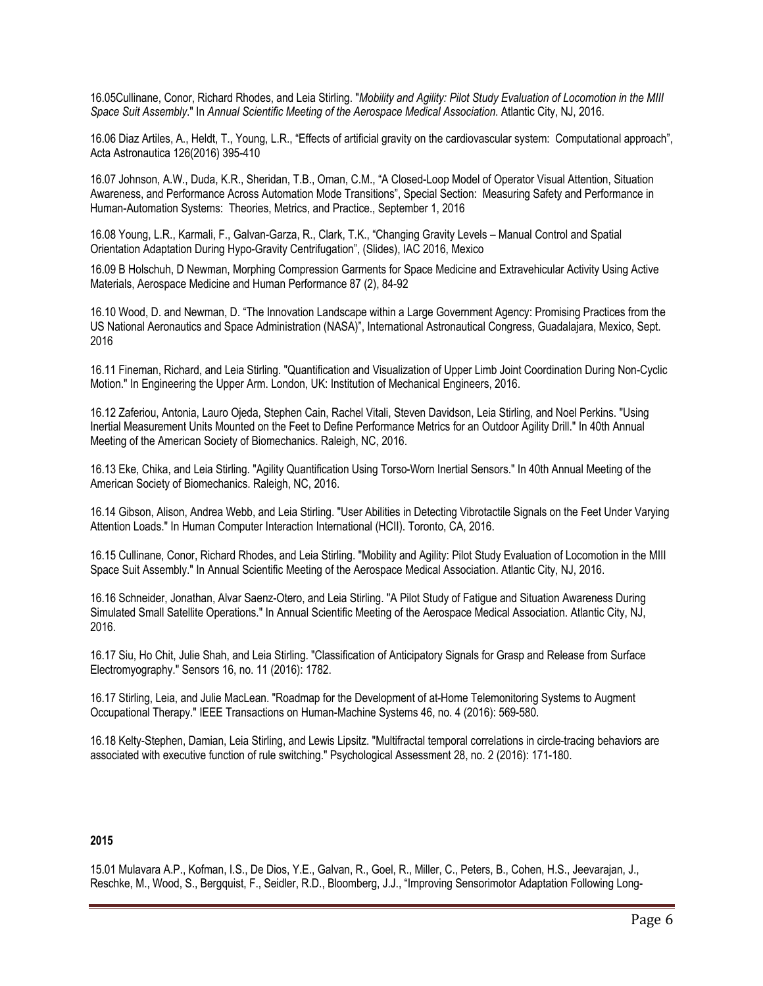16.05Cullinane, Conor, Richard Rhodes, and Leia Stirling. "*Mobility and Agility: Pilot Study Evaluation of Locomotion in the MIII Space Suit Assembly*." In *Annual Scientific Meeting of the Aerospace Medical Association*. Atlantic City, NJ, 2016.

16.06 Diaz Artiles, A., Heldt, T., Young, L.R., "Effects of artificial gravity on the cardiovascular system: Computational approach", Acta Astronautica 126(2016) 395-410

16.07 Johnson, A.W., Duda, K.R., Sheridan, T.B., Oman, C.M., "A Closed-Loop Model of Operator Visual Attention, Situation Awareness, and Performance Across Automation Mode Transitions", Special Section: Measuring Safety and Performance in Human-Automation Systems: Theories, Metrics, and Practice., September 1, 2016

16.08 Young, L.R., Karmali, F., Galvan-Garza, R., Clark, T.K., "Changing Gravity Levels – Manual Control and Spatial Orientation Adaptation During Hypo-Gravity Centrifugation", (Slides), IAC 2016, Mexico

16.09 B Holschuh, D Newman, Morphing Compression Garments for Space Medicine and Extravehicular Activity Using Active Materials, Aerospace Medicine and Human Performance 87 (2), 84-92

16.10 Wood, D. and Newman, D. "The Innovation Landscape within a Large Government Agency: Promising Practices from the US National Aeronautics and Space Administration (NASA)", International Astronautical Congress, Guadalajara, Mexico, Sept. 2016

16.11 Fineman, Richard, and Leia Stirling. "Quantification and Visualization of Upper Limb Joint Coordination During Non-Cyclic Motion." In Engineering the Upper Arm. London, UK: Institution of Mechanical Engineers, 2016.

16.12 Zaferiou, Antonia, Lauro Ojeda, Stephen Cain, Rachel Vitali, Steven Davidson, Leia Stirling, and Noel Perkins. "Using Inertial Measurement Units Mounted on the Feet to Define Performance Metrics for an Outdoor Agility Drill." In 40th Annual Meeting of the American Society of Biomechanics. Raleigh, NC, 2016.

16.13 Eke, Chika, and Leia Stirling. "Agility Quantification Using Torso-Worn Inertial Sensors." In 40th Annual Meeting of the American Society of Biomechanics. Raleigh, NC, 2016.

16.14 Gibson, Alison, Andrea Webb, and Leia Stirling. "User Abilities in Detecting Vibrotactile Signals on the Feet Under Varying Attention Loads." In Human Computer Interaction International (HCII). Toronto, CA, 2016.

16.15 Cullinane, Conor, Richard Rhodes, and Leia Stirling. "Mobility and Agility: Pilot Study Evaluation of Locomotion in the MIII Space Suit Assembly." In Annual Scientific Meeting of the Aerospace Medical Association. Atlantic City, NJ, 2016.

16.16 Schneider, Jonathan, Alvar Saenz-Otero, and Leia Stirling. "A Pilot Study of Fatigue and Situation Awareness During Simulated Small Satellite Operations." In Annual Scientific Meeting of the Aerospace Medical Association. Atlantic City, NJ, 2016.

16.17 Siu, Ho Chit, Julie Shah, and Leia Stirling. "Classification of Anticipatory Signals for Grasp and Release from Surface Electromyography." Sensors 16, no. 11 (2016): 1782.

16.17 Stirling, Leia, and Julie MacLean. "Roadmap for the Development of at-Home Telemonitoring Systems to Augment Occupational Therapy." IEEE Transactions on Human-Machine Systems 46, no. 4 (2016): 569-580.

16.18 Kelty-Stephen, Damian, Leia Stirling, and Lewis Lipsitz. "Multifractal temporal correlations in circle-tracing behaviors are associated with executive function of rule switching." Psychological Assessment 28, no. 2 (2016): 171-180.

#### **2015**

15.01 Mulavara A.P., Kofman, I.S., De Dios, Y.E., Galvan, R., Goel, R., Miller, C., Peters, B., Cohen, H.S., Jeevarajan, J., Reschke, M., Wood, S., Bergquist, F., Seidler, R.D., Bloomberg, J.J., "Improving Sensorimotor Adaptation Following Long-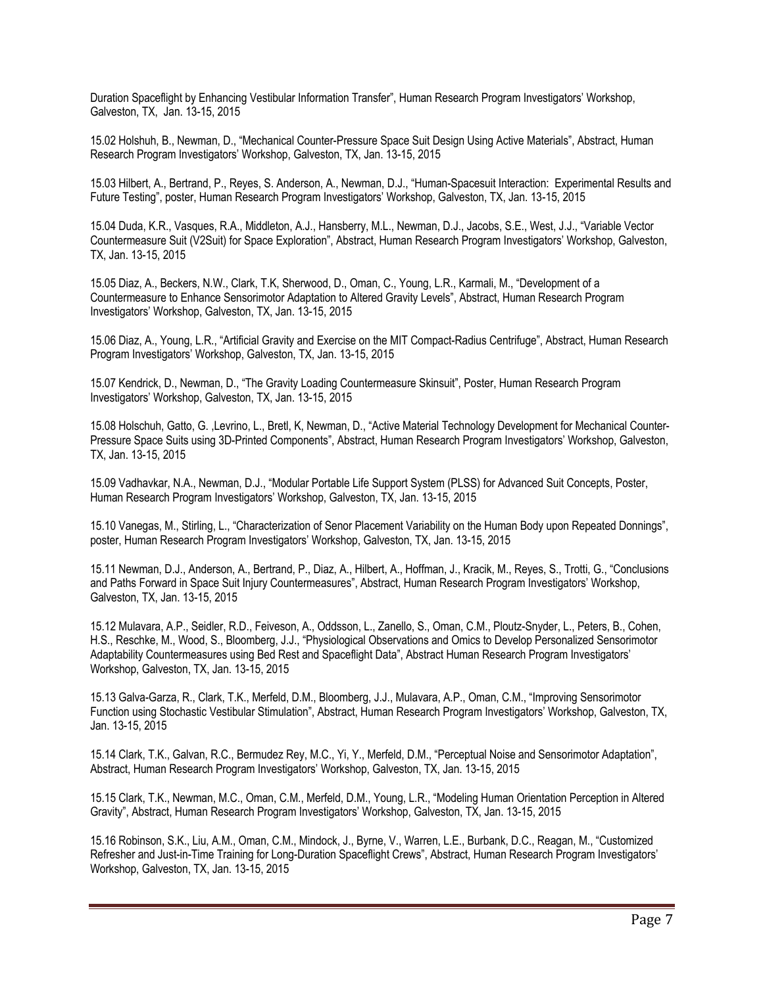Duration Spaceflight by Enhancing Vestibular Information Transfer", Human Research Program Investigators' Workshop, Galveston, TX, Jan. 13-15, 2015

15.02 Holshuh, B., Newman, D., "Mechanical Counter-Pressure Space Suit Design Using Active Materials", Abstract, Human Research Program Investigators' Workshop, Galveston, TX, Jan. 13-15, 2015

15.03 Hilbert, A., Bertrand, P., Reyes, S. Anderson, A., Newman, D.J., "Human-Spacesuit Interaction: Experimental Results and Future Testing", poster, Human Research Program Investigators' Workshop, Galveston, TX, Jan. 13-15, 2015

15.04 Duda, K.R., Vasques, R.A., Middleton, A.J., Hansberry, M.L., Newman, D.J., Jacobs, S.E., West, J.J., "Variable Vector Countermeasure Suit (V2Suit) for Space Exploration", Abstract, Human Research Program Investigators' Workshop, Galveston, TX, Jan. 13-15, 2015

15.05 Diaz, A., Beckers, N.W., Clark, T.K, Sherwood, D., Oman, C., Young, L.R., Karmali, M., "Development of a Countermeasure to Enhance Sensorimotor Adaptation to Altered Gravity Levels", Abstract, Human Research Program Investigators' Workshop, Galveston, TX, Jan. 13-15, 2015

15.06 Diaz, A., Young, L.R., "Artificial Gravity and Exercise on the MIT Compact-Radius Centrifuge", Abstract, Human Research Program Investigators' Workshop, Galveston, TX, Jan. 13-15, 2015

15.07 Kendrick, D., Newman, D., "The Gravity Loading Countermeasure Skinsuit", Poster, Human Research Program Investigators' Workshop, Galveston, TX, Jan. 13-15, 2015

15.08 Holschuh, Gatto, G. ,Levrino, L., Bretl, K, Newman, D., "Active Material Technology Development for Mechanical Counter-Pressure Space Suits using 3D-Printed Components", Abstract, Human Research Program Investigators' Workshop, Galveston, TX, Jan. 13-15, 2015

15.09 Vadhavkar, N.A., Newman, D.J., "Modular Portable Life Support System (PLSS) for Advanced Suit Concepts, Poster, Human Research Program Investigators' Workshop, Galveston, TX, Jan. 13-15, 2015

15.10 Vanegas, M., Stirling, L., "Characterization of Senor Placement Variability on the Human Body upon Repeated Donnings", poster, Human Research Program Investigators' Workshop, Galveston, TX, Jan. 13-15, 2015

15.11 Newman, D.J., Anderson, A., Bertrand, P., Diaz, A., Hilbert, A., Hoffman, J., Kracik, M., Reyes, S., Trotti, G., "Conclusions and Paths Forward in Space Suit Injury Countermeasures", Abstract, Human Research Program Investigators' Workshop, Galveston, TX, Jan. 13-15, 2015

15.12 Mulavara, A.P., Seidler, R.D., Feiveson, A., Oddsson, L., Zanello, S., Oman, C.M., Ploutz-Snyder, L., Peters, B., Cohen, H.S., Reschke, M., Wood, S., Bloomberg, J.J., "Physiological Observations and Omics to Develop Personalized Sensorimotor Adaptability Countermeasures using Bed Rest and Spaceflight Data", Abstract Human Research Program Investigators' Workshop, Galveston, TX, Jan. 13-15, 2015

15.13 Galva-Garza, R., Clark, T.K., Merfeld, D.M., Bloomberg, J.J., Mulavara, A.P., Oman, C.M., "Improving Sensorimotor Function using Stochastic Vestibular Stimulation", Abstract, Human Research Program Investigators' Workshop, Galveston, TX, Jan. 13-15, 2015

15.14 Clark, T.K., Galvan, R.C., Bermudez Rey, M.C., Yi, Y., Merfeld, D.M., "Perceptual Noise and Sensorimotor Adaptation", Abstract, Human Research Program Investigators' Workshop, Galveston, TX, Jan. 13-15, 2015

15.15 Clark, T.K., Newman, M.C., Oman, C.M., Merfeld, D.M., Young, L.R., "Modeling Human Orientation Perception in Altered Gravity", Abstract, Human Research Program Investigators' Workshop, Galveston, TX, Jan. 13-15, 2015

15.16 Robinson, S.K., Liu, A.M., Oman, C.M., Mindock, J., Byrne, V., Warren, L.E., Burbank, D.C., Reagan, M., "Customized Refresher and Just-in-Time Training for Long-Duration Spaceflight Crews", Abstract, Human Research Program Investigators' Workshop, Galveston, TX, Jan. 13-15, 2015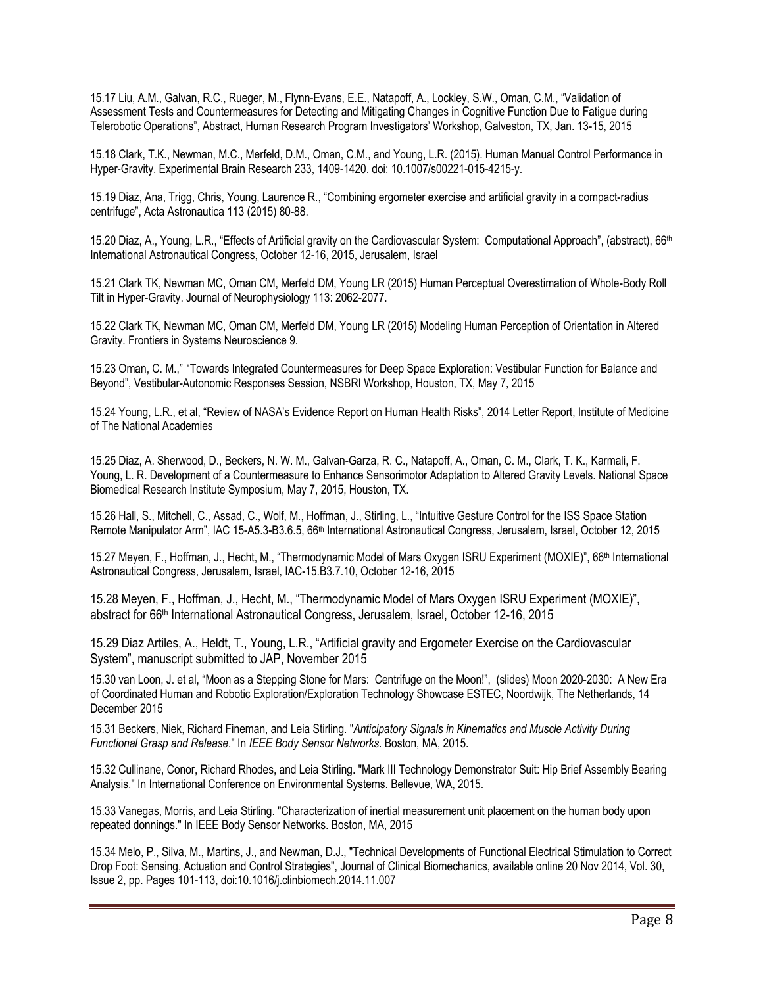15.17 Liu, A.M., Galvan, R.C., Rueger, M., Flynn-Evans, E.E., Natapoff, A., Lockley, S.W., Oman, C.M., "Validation of Assessment Tests and Countermeasures for Detecting and Mitigating Changes in Cognitive Function Due to Fatigue during Telerobotic Operations", Abstract, Human Research Program Investigators' Workshop, Galveston, TX, Jan. 13-15, 2015

15.18 Clark, T.K., Newman, M.C., Merfeld, D.M., Oman, C.M., and Young, L.R. (2015). Human Manual Control Performance in Hyper-Gravity. Experimental Brain Research 233, 1409-1420. doi: 10.1007/s00221-015-4215-y.

15.19 Diaz, Ana, Trigg, Chris, Young, Laurence R., "Combining ergometer exercise and artificial gravity in a compact-radius centrifuge", Acta Astronautica 113 (2015) 80-88.

15.20 Diaz, A., Young, L.R., "Effects of Artificial gravity on the Cardiovascular System: Computational Approach", (abstract), 66th International Astronautical Congress, October 12-16, 2015, Jerusalem, Israel

15.21 Clark TK, Newman MC, Oman CM, Merfeld DM, Young LR (2015) Human Perceptual Overestimation of Whole-Body Roll Tilt in Hyper-Gravity. Journal of Neurophysiology 113: 2062-2077.

15.22 Clark TK, Newman MC, Oman CM, Merfeld DM, Young LR (2015) Modeling Human Perception of Orientation in Altered Gravity. Frontiers in Systems Neuroscience 9.

15.23 Oman, C. M.," "Towards Integrated Countermeasures for Deep Space Exploration: Vestibular Function for Balance and Beyond", Vestibular-Autonomic Responses Session, NSBRI Workshop, Houston, TX, May 7, 2015

15.24 Young, L.R., et al, "Review of NASA's Evidence Report on Human Health Risks", 2014 Letter Report, Institute of Medicine of The National Academies

15.25 Diaz, A. Sherwood, D., Beckers, N. W. M., Galvan-Garza, R. C., Natapoff, A., Oman, C. M., Clark, T. K., Karmali, F. Young, L. R. Development of a Countermeasure to Enhance Sensorimotor Adaptation to Altered Gravity Levels. National Space Biomedical Research Institute Symposium, May 7, 2015, Houston, TX.

15.26 Hall, S., Mitchell, C., Assad, C., Wolf, M., Hoffman, J., Stirling, L., "Intuitive Gesture Control for the ISS Space Station Remote Manipulator Arm", IAC 15-A5.3-B3.6.5, 66<sup>th</sup> International Astronautical Congress, Jerusalem, Israel, October 12, 2015

15.27 Meyen, F., Hoffman, J., Hecht, M., "Thermodynamic Model of Mars Oxygen ISRU Experiment (MOXIE)", 66th International Astronautical Congress, Jerusalem, Israel, IAC-15.B3.7.10, October 12-16, 2015

15.28 Meyen, F., Hoffman, J., Hecht, M., "Thermodynamic Model of Mars Oxygen ISRU Experiment (MOXIE)", abstract for 66<sup>th</sup> International Astronautical Congress, Jerusalem, Israel, October 12-16, 2015

15.29 Diaz Artiles, A., Heldt, T., Young, L.R., "Artificial gravity and Ergometer Exercise on the Cardiovascular System", manuscript submitted to JAP, November 2015

15.30 van Loon, J. et al, "Moon as a Stepping Stone for Mars: Centrifuge on the Moon!", (slides) Moon 2020-2030: A New Era of Coordinated Human and Robotic Exploration/Exploration Technology Showcase ESTEC, Noordwijk, The Netherlands, 14 December 2015

15.31 Beckers, Niek, Richard Fineman, and Leia Stirling. "*Anticipatory Signals in Kinematics and Muscle Activity During Functional Grasp and Release*." In *IEEE Body Sensor Networks*. Boston, MA, 2015.

15.32 Cullinane, Conor, Richard Rhodes, and Leia Stirling. "Mark III Technology Demonstrator Suit: Hip Brief Assembly Bearing Analysis." In International Conference on Environmental Systems. Bellevue, WA, 2015.

15.33 Vanegas, Morris, and Leia Stirling. "Characterization of inertial measurement unit placement on the human body upon repeated donnings." In IEEE Body Sensor Networks. Boston, MA, 2015

15.34 Melo, P., Silva, M., Martins, J., and Newman, D.J., "Technical Developments of Functional Electrical Stimulation to Correct Drop Foot: Sensing, Actuation and Control Strategies", Journal of Clinical Biomechanics, available online 20 Nov 2014, Vol. 30, Issue 2, pp. Pages 101-113, doi:10.1016/j.clinbiomech.2014.11.007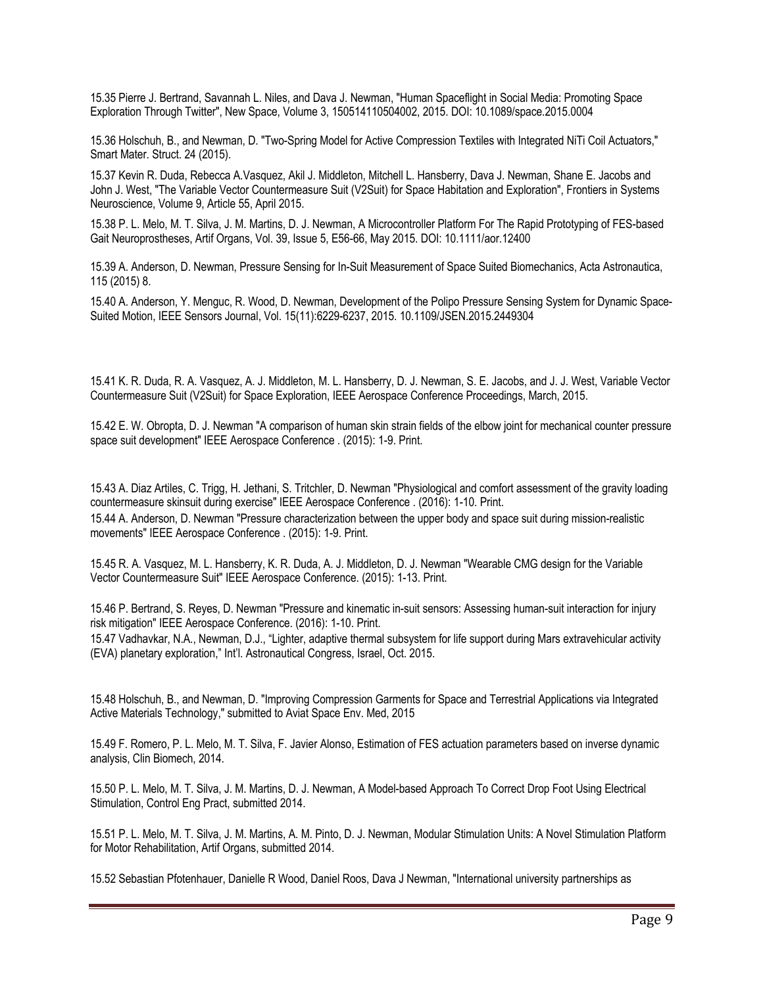15.35 Pierre J. Bertrand, Savannah L. Niles, and Dava J. Newman, "Human Spaceflight in Social Media: Promoting Space Exploration Through Twitter", New Space, Volume 3, 150514110504002, 2015. DOI: 10.1089/space.2015.0004

15.36 Holschuh, B., and Newman, D. "Two-Spring Model for Active Compression Textiles with Integrated NiTi Coil Actuators," Smart Mater. Struct. 24 (2015).

15.37 Kevin R. Duda, Rebecca A.Vasquez, Akil J. Middleton, Mitchell L. Hansberry, Dava J. Newman, Shane E. Jacobs and John J. West, "The Variable Vector Countermeasure Suit (V2Suit) for Space Habitation and Exploration", Frontiers in Systems Neuroscience, Volume 9, Article 55, April 2015.

15.38 P. L. Melo, M. T. Silva, J. M. Martins, D. J. Newman, A Microcontroller Platform For The Rapid Prototyping of FES-based Gait Neuroprostheses, Artif Organs, Vol. 39, Issue 5, E56-66, May 2015. DOI: 10.1111/aor.12400

15.39 A. Anderson, D. Newman, Pressure Sensing for In-Suit Measurement of Space Suited Biomechanics, Acta Astronautica, 115 (2015) 8.

15.40 A. Anderson, Y. Menguc, R. Wood, D. Newman, Development of the Polipo Pressure Sensing System for Dynamic Space-Suited Motion, IEEE Sensors Journal, Vol. 15(11):6229-6237, 2015. 10.1109/JSEN.2015.2449304

15.41 K. R. Duda, R. A. Vasquez, A. J. Middleton, M. L. Hansberry, D. J. Newman, S. E. Jacobs, and J. J. West, Variable Vector Countermeasure Suit (V2Suit) for Space Exploration, IEEE Aerospace Conference Proceedings, March, 2015.

15.42 E. W. Obropta, D. J. Newman "A comparison of human skin strain fields of the elbow joint for mechanical counter pressure space suit development" IEEE Aerospace Conference . (2015): 1-9. Print.

15.43 A. Diaz Artiles, C. Trigg, H. Jethani, S. Tritchler, D. Newman "Physiological and comfort assessment of the gravity loading countermeasure skinsuit during exercise" IEEE Aerospace Conference . (2016): 1-10. Print. 15.44 A. Anderson, D. Newman "Pressure characterization between the upper body and space suit during mission-realistic movements" IEEE Aerospace Conference . (2015): 1-9. Print.

15.45 R. A. Vasquez, M. L. Hansberry, K. R. Duda, A. J. Middleton, D. J. Newman "Wearable CMG design for the Variable Vector Countermeasure Suit" IEEE Aerospace Conference. (2015): 1-13. Print.

15.46 P. Bertrand, S. Reyes, D. Newman "Pressure and kinematic in-suit sensors: Assessing human-suit interaction for injury risk mitigation" IEEE Aerospace Conference. (2016): 1-10. Print.

15.47 Vadhavkar, N.A., Newman, D.J., "Lighter, adaptive thermal subsystem for life support during Mars extravehicular activity (EVA) planetary exploration," Int'l. Astronautical Congress, Israel, Oct. 2015.

15.48 Holschuh, B., and Newman, D. "Improving Compression Garments for Space and Terrestrial Applications via Integrated Active Materials Technology," submitted to Aviat Space Env. Med, 2015

15.49 F. Romero, P. L. Melo, M. T. Silva, F. Javier Alonso, Estimation of FES actuation parameters based on inverse dynamic analysis, Clin Biomech, 2014.

15.50 P. L. Melo, M. T. Silva, J. M. Martins, D. J. Newman, A Model-based Approach To Correct Drop Foot Using Electrical Stimulation, Control Eng Pract, submitted 2014.

15.51 P. L. Melo, M. T. Silva, J. M. Martins, A. M. Pinto, D. J. Newman, Modular Stimulation Units: A Novel Stimulation Platform for Motor Rehabilitation, Artif Organs, submitted 2014.

15.52 Sebastian Pfotenhauer, Danielle R Wood, Daniel Roos, Dava J Newman, "International university partnerships as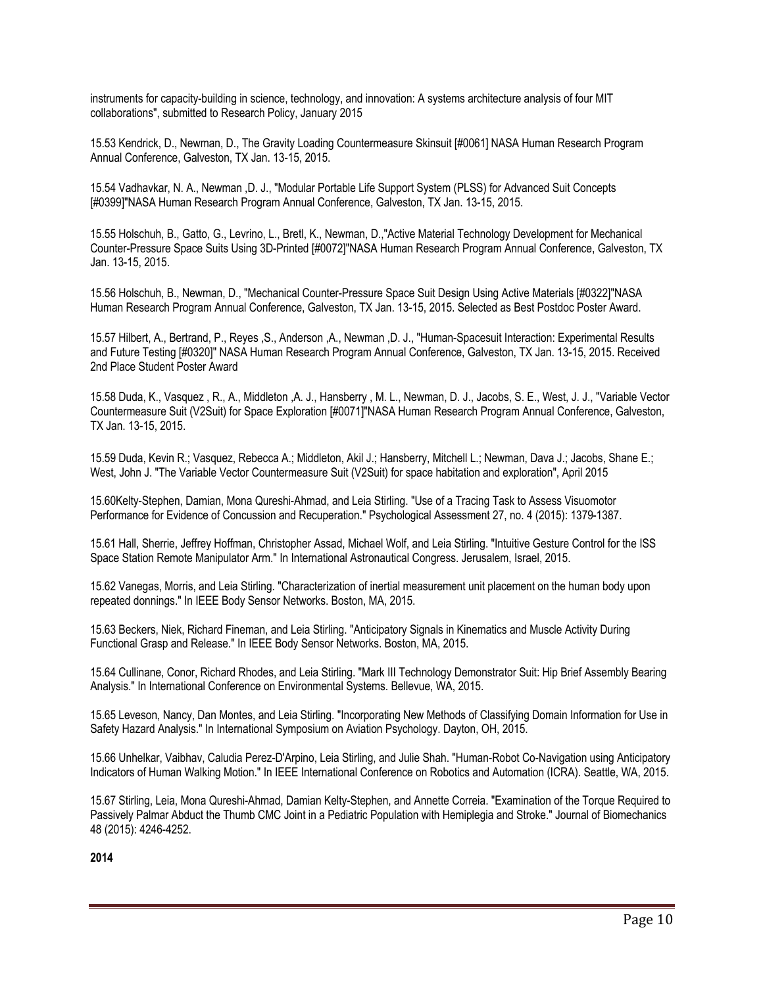instruments for capacity-building in science, technology, and innovation: A systems architecture analysis of four MIT collaborations", submitted to Research Policy, January 2015

15.53 Kendrick, D., Newman, D., The Gravity Loading Countermeasure Skinsuit [#0061] NASA Human Research Program Annual Conference, Galveston, TX Jan. 13-15, 2015.

15.54 Vadhavkar, N. A., Newman ,D. J., "Modular Portable Life Support System (PLSS) for Advanced Suit Concepts [#0399]"NASA Human Research Program Annual Conference, Galveston, TX Jan. 13-15, 2015.

15.55 Holschuh, B., Gatto, G., Levrino, L., Bretl, K., Newman, D.,"Active Material Technology Development for Mechanical Counter-Pressure Space Suits Using 3D-Printed [#0072]"NASA Human Research Program Annual Conference, Galveston, TX Jan. 13-15, 2015.

15.56 Holschuh, B., Newman, D., "Mechanical Counter-Pressure Space Suit Design Using Active Materials [#0322]"NASA Human Research Program Annual Conference, Galveston, TX Jan. 13-15, 2015. Selected as Best Postdoc Poster Award.

15.57 Hilbert, A., Bertrand, P., Reyes ,S., Anderson ,A., Newman ,D. J., "Human-Spacesuit Interaction: Experimental Results and Future Testing [#0320]" NASA Human Research Program Annual Conference, Galveston, TX Jan. 13-15, 2015. Received 2nd Place Student Poster Award

15.58 Duda, K., Vasquez , R., A., Middleton ,A. J., Hansberry , M. L., Newman, D. J., Jacobs, S. E., West, J. J., "Variable Vector Countermeasure Suit (V2Suit) for Space Exploration [#0071]"NASA Human Research Program Annual Conference, Galveston, TX Jan. 13-15, 2015.

15.59 Duda, Kevin R.; Vasquez, Rebecca A.; Middleton, Akil J.; Hansberry, Mitchell L.; Newman, Dava J.; Jacobs, Shane E.; West, John J. "The Variable Vector Countermeasure Suit (V2Suit) for space habitation and exploration", April 2015

15.60Kelty-Stephen, Damian, Mona Qureshi-Ahmad, and Leia Stirling. "Use of a Tracing Task to Assess Visuomotor Performance for Evidence of Concussion and Recuperation." Psychological Assessment 27, no. 4 (2015): 1379-1387.

15.61 Hall, Sherrie, Jeffrey Hoffman, Christopher Assad, Michael Wolf, and Leia Stirling. "Intuitive Gesture Control for the ISS Space Station Remote Manipulator Arm." In International Astronautical Congress. Jerusalem, Israel, 2015.

15.62 Vanegas, Morris, and Leia Stirling. "Characterization of inertial measurement unit placement on the human body upon repeated donnings." In IEEE Body Sensor Networks. Boston, MA, 2015.

15.63 Beckers, Niek, Richard Fineman, and Leia Stirling. "Anticipatory Signals in Kinematics and Muscle Activity During Functional Grasp and Release." In IEEE Body Sensor Networks. Boston, MA, 2015.

15.64 Cullinane, Conor, Richard Rhodes, and Leia Stirling. "Mark III Technology Demonstrator Suit: Hip Brief Assembly Bearing Analysis." In International Conference on Environmental Systems. Bellevue, WA, 2015.

15.65 Leveson, Nancy, Dan Montes, and Leia Stirling. "Incorporating New Methods of Classifying Domain Information for Use in Safety Hazard Analysis." In International Symposium on Aviation Psychology. Dayton, OH, 2015.

15.66 Unhelkar, Vaibhav, Caludia Perez-D'Arpino, Leia Stirling, and Julie Shah. "Human-Robot Co-Navigation using Anticipatory Indicators of Human Walking Motion." In IEEE International Conference on Robotics and Automation (ICRA). Seattle, WA, 2015.

15.67 Stirling, Leia, Mona Qureshi-Ahmad, Damian Kelty-Stephen, and Annette Correia. "Examination of the Torque Required to Passively Palmar Abduct the Thumb CMC Joint in a Pediatric Population with Hemiplegia and Stroke." Journal of Biomechanics 48 (2015): 4246-4252.

**2014**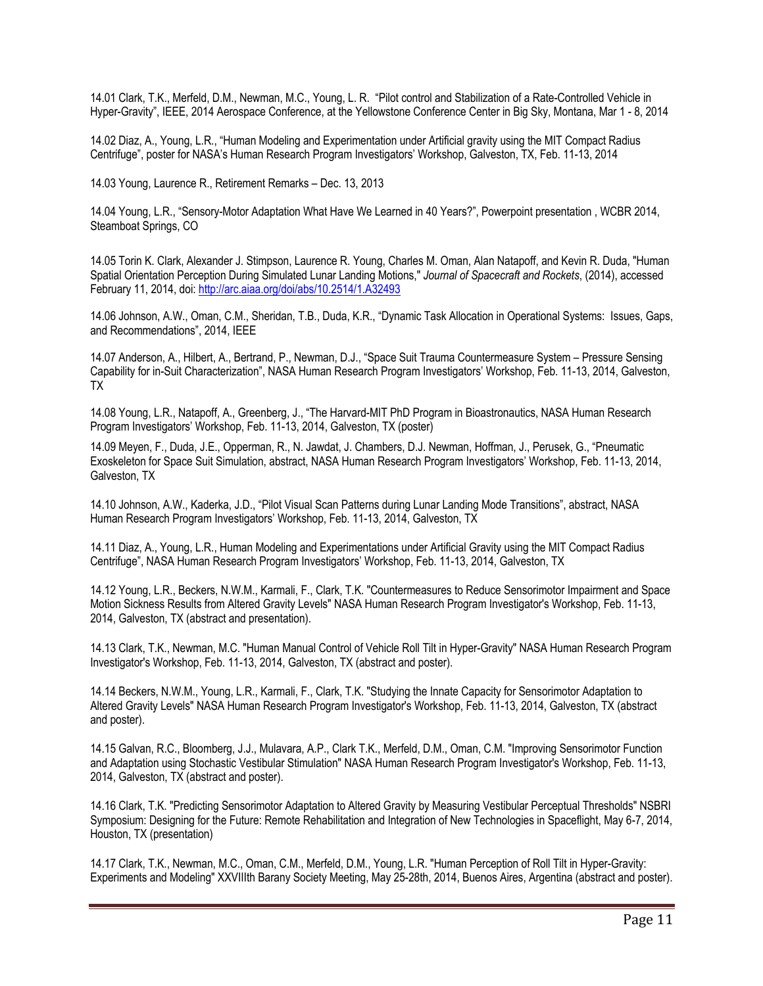14.01 Clark, T.K., Merfeld, D.M., Newman, M.C., Young, L. R. "Pilot control and Stabilization of a Rate-Controlled Vehicle in Hyper-Gravity", IEEE, 2014 Aerospace Conference, at the Yellowstone Conference Center in Big Sky, Montana, Mar 1 - 8, 2014

14.02 Diaz, A., Young, L.R., "Human Modeling and Experimentation under Artificial gravity using the MIT Compact Radius Centrifuge", poster for NASA's Human Research Program Investigators' Workshop, Galveston, TX, Feb. 11-13, 2014

14.03 Young, Laurence R., Retirement Remarks – Dec. 13, 2013

14.04 Young, L.R., "Sensory-Motor Adaptation What Have We Learned in 40 Years?", Powerpoint presentation , WCBR 2014, Steamboat Springs, CO

14.05 Torin K. Clark, Alexander J. Stimpson, Laurence R. Young, Charles M. Oman, Alan Natapoff, and Kevin R. Duda, "Human Spatial Orientation Perception During Simulated Lunar Landing Motions," *Journal of Spacecraft and Rockets*, (2014), accessed February 11, 2014, doi: http://arc.aiaa.org/doi/abs/10.2514/1.A32493

14.06 Johnson, A.W., Oman, C.M., Sheridan, T.B., Duda, K.R., "Dynamic Task Allocation in Operational Systems: Issues, Gaps, and Recommendations", 2014, IEEE

14.07 Anderson, A., Hilbert, A., Bertrand, P., Newman, D.J., "Space Suit Trauma Countermeasure System – Pressure Sensing Capability for in-Suit Characterization", NASA Human Research Program Investigators' Workshop, Feb. 11-13, 2014, Galveston, TX

14.08 Young, L.R., Natapoff, A., Greenberg, J., "The Harvard-MIT PhD Program in Bioastronautics, NASA Human Research Program Investigators' Workshop, Feb. 11-13, 2014, Galveston, TX (poster)

14.09 Meyen, F., Duda, J.E., Opperman, R., N. Jawdat, J. Chambers, D.J. Newman, Hoffman, J., Perusek, G., "Pneumatic Exoskeleton for Space Suit Simulation, abstract, NASA Human Research Program Investigators' Workshop, Feb. 11-13, 2014, Galveston, TX

14.10 Johnson, A.W., Kaderka, J.D., "Pilot Visual Scan Patterns during Lunar Landing Mode Transitions", abstract, NASA Human Research Program Investigators' Workshop, Feb. 11-13, 2014, Galveston, TX

14.11 Diaz, A., Young, L.R., Human Modeling and Experimentations under Artificial Gravity using the MIT Compact Radius Centrifuge", NASA Human Research Program Investigators' Workshop, Feb. 11-13, 2014, Galveston, TX

14.12 Young, L.R., Beckers, N.W.M., Karmali, F., Clark, T.K. "Countermeasures to Reduce Sensorimotor Impairment and Space Motion Sickness Results from Altered Gravity Levels" NASA Human Research Program Investigator's Workshop, Feb. 11-13, 2014, Galveston, TX (abstract and presentation).

14.13 Clark, T.K., Newman, M.C. "Human Manual Control of Vehicle Roll Tilt in Hyper-Gravity" NASA Human Research Program Investigator's Workshop, Feb. 11-13, 2014, Galveston, TX (abstract and poster).

14.14 Beckers, N.W.M., Young, L.R., Karmali, F., Clark, T.K. "Studying the Innate Capacity for Sensorimotor Adaptation to Altered Gravity Levels" NASA Human Research Program Investigator's Workshop, Feb. 11-13, 2014, Galveston, TX (abstract and poster).

14.15 Galvan, R.C., Bloomberg, J.J., Mulavara, A.P., Clark T.K., Merfeld, D.M., Oman, C.M. "Improving Sensorimotor Function and Adaptation using Stochastic Vestibular Stimulation" NASA Human Research Program Investigator's Workshop, Feb. 11-13, 2014, Galveston, TX (abstract and poster).

14.16 Clark, T.K. "Predicting Sensorimotor Adaptation to Altered Gravity by Measuring Vestibular Perceptual Thresholds" NSBRI Symposium: Designing for the Future: Remote Rehabilitation and Integration of New Technologies in Spaceflight, May 6-7, 2014, Houston, TX (presentation)

14.17 Clark, T.K., Newman, M.C., Oman, C.M., Merfeld, D.M., Young, L.R. "Human Perception of Roll Tilt in Hyper-Gravity: Experiments and Modeling" XXVIIIth Barany Society Meeting, May 25-28th, 2014, Buenos Aires, Argentina (abstract and poster).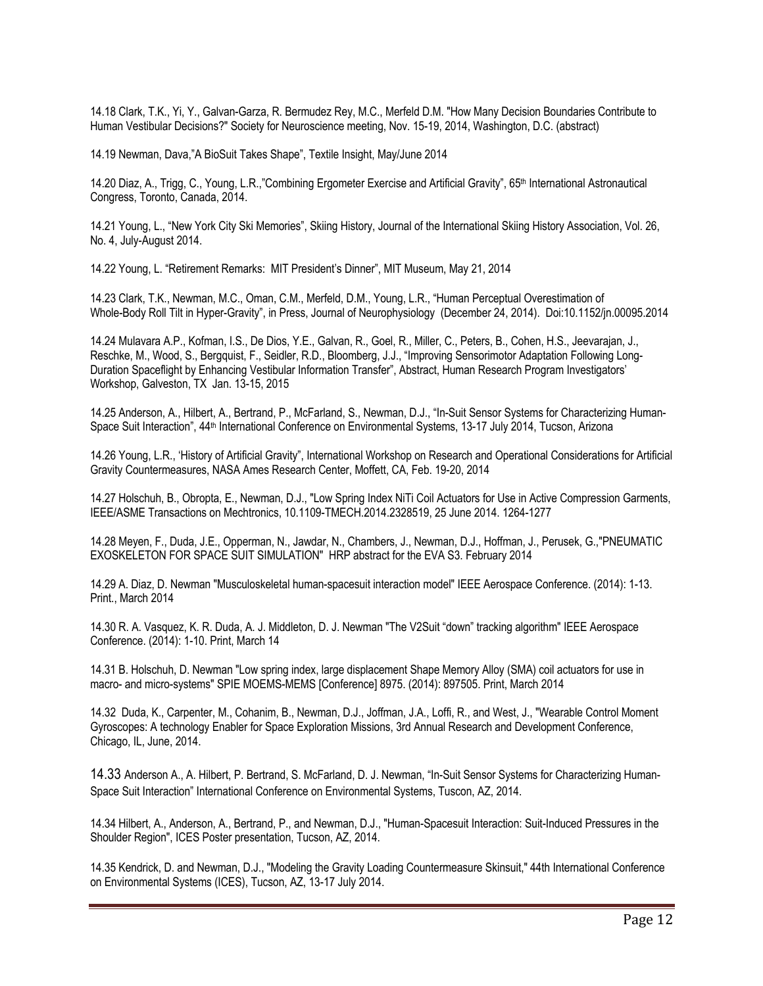14.18 Clark, T.K., Yi, Y., Galvan-Garza, R. Bermudez Rey, M.C., Merfeld D.M. "How Many Decision Boundaries Contribute to Human Vestibular Decisions?" Society for Neuroscience meeting, Nov. 15-19, 2014, Washington, D.C. (abstract)

14.19 Newman, Dava,"A BioSuit Takes Shape", Textile Insight, May/June 2014

14.20 Diaz, A., Trigg, C., Young, L.R.,"Combining Ergometer Exercise and Artificial Gravity", 65th International Astronautical Congress, Toronto, Canada, 2014.

14.21 Young, L., "New York City Ski Memories", Skiing History, Journal of the International Skiing History Association, Vol. 26, No. 4, July-August 2014.

14.22 Young, L. "Retirement Remarks: MIT President's Dinner", MIT Museum, May 21, 2014

14.23 Clark, T.K., Newman, M.C., Oman, C.M., Merfeld, D.M., Young, L.R., "Human Perceptual Overestimation of Whole-Body Roll Tilt in Hyper-Gravity", in Press, Journal of Neurophysiology (December 24, 2014). Doi:10.1152/jn.00095.2014

14.24 Mulavara A.P., Kofman, I.S., De Dios, Y.E., Galvan, R., Goel, R., Miller, C., Peters, B., Cohen, H.S., Jeevarajan, J., Reschke, M., Wood, S., Bergquist, F., Seidler, R.D., Bloomberg, J.J., "Improving Sensorimotor Adaptation Following Long-Duration Spaceflight by Enhancing Vestibular Information Transfer", Abstract, Human Research Program Investigators' Workshop, Galveston, TX Jan. 13-15, 2015

14.25 Anderson, A., Hilbert, A., Bertrand, P., McFarland, S., Newman, D.J., "In-Suit Sensor Systems for Characterizing Human-Space Suit Interaction", 44<sup>th</sup> International Conference on Environmental Systems, 13-17 July 2014, Tucson, Arizona

14.26 Young, L.R., 'History of Artificial Gravity", International Workshop on Research and Operational Considerations for Artificial Gravity Countermeasures, NASA Ames Research Center, Moffett, CA, Feb. 19-20, 2014

14.27 Holschuh, B., Obropta, E., Newman, D.J., "Low Spring Index NiTi Coil Actuators for Use in Active Compression Garments, IEEE/ASME Transactions on Mechtronics, 10.1109-TMECH.2014.2328519, 25 June 2014. 1264-1277

14.28 Meyen, F., Duda, J.E., Opperman, N., Jawdar, N., Chambers, J., Newman, D.J., Hoffman, J., Perusek, G.,"PNEUMATIC EXOSKELETON FOR SPACE SUIT SIMULATION" HRP abstract for the EVA S3. February 2014

14.29 A. Diaz, D. Newman "Musculoskeletal human-spacesuit interaction model" IEEE Aerospace Conference. (2014): 1-13. Print., March 2014

14.30 R. A. Vasquez, K. R. Duda, A. J. Middleton, D. J. Newman "The V2Suit "down" tracking algorithm" IEEE Aerospace Conference. (2014): 1-10. Print, March 14

14.31 B. Holschuh, D. Newman "Low spring index, large displacement Shape Memory Alloy (SMA) coil actuators for use in macro- and micro-systems" SPIE MOEMS-MEMS [Conference] 8975. (2014): 897505. Print, March 2014

14.32 Duda, K., Carpenter, M., Cohanim, B., Newman, D.J., Joffman, J.A., Loffi, R., and West, J., "Wearable Control Moment Gyroscopes: A technology Enabler for Space Exploration Missions, 3rd Annual Research and Development Conference, Chicago, IL, June, 2014.

14.33 Anderson A., A. Hilbert, P. Bertrand, S. McFarland, D. J. Newman, "In-Suit Sensor Systems for Characterizing Human-Space Suit Interaction" International Conference on Environmental Systems, Tuscon, AZ, 2014.

14.34 Hilbert, A., Anderson, A., Bertrand, P., and Newman, D.J., "Human-Spacesuit Interaction: Suit-Induced Pressures in the Shoulder Region", ICES Poster presentation, Tucson, AZ, 2014.

14.35 Kendrick, D. and Newman, D.J., "Modeling the Gravity Loading Countermeasure Skinsuit," 44th International Conference on Environmental Systems (ICES), Tucson, AZ, 13-17 July 2014.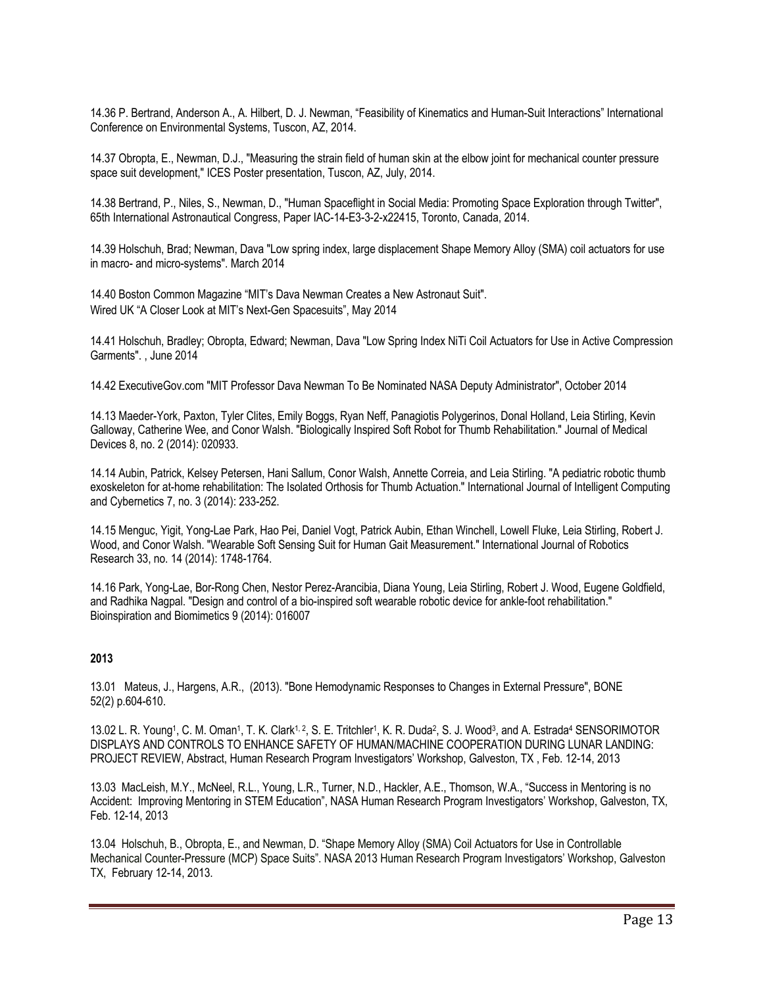14.36 P. Bertrand, Anderson A., A. Hilbert, D. J. Newman, "Feasibility of Kinematics and Human-Suit Interactions" International Conference on Environmental Systems, Tuscon, AZ, 2014.

14.37 Obropta, E., Newman, D.J., "Measuring the strain field of human skin at the elbow joint for mechanical counter pressure space suit development," ICES Poster presentation, Tuscon, AZ, July, 2014.

14.38 Bertrand, P., Niles, S., Newman, D., "Human Spaceflight in Social Media: Promoting Space Exploration through Twitter", 65th International Astronautical Congress, Paper IAC-14-E3-3-2-x22415, Toronto, Canada, 2014.

14.39 Holschuh, Brad; Newman, Dava "Low spring index, large displacement Shape Memory Alloy (SMA) coil actuators for use in macro- and micro-systems". March 2014

14.40 Boston Common Magazine "MIT's Dava Newman Creates a New Astronaut Suit". Wired UK "A Closer Look at MIT's Next-Gen Spacesuits", May 2014

14.41 Holschuh, Bradley; Obropta, Edward; Newman, Dava "Low Spring Index NiTi Coil Actuators for Use in Active Compression Garments". , June 2014

14.42 ExecutiveGov.com "MIT Professor Dava Newman To Be Nominated NASA Deputy Administrator", October 2014

14.13 Maeder-York, Paxton, Tyler Clites, Emily Boggs, Ryan Neff, Panagiotis Polygerinos, Donal Holland, Leia Stirling, Kevin Galloway, Catherine Wee, and Conor Walsh. "Biologically Inspired Soft Robot for Thumb Rehabilitation." Journal of Medical Devices 8, no. 2 (2014): 020933.

14.14 Aubin, Patrick, Kelsey Petersen, Hani Sallum, Conor Walsh, Annette Correia, and Leia Stirling. "A pediatric robotic thumb exoskeleton for at-home rehabilitation: The Isolated Orthosis for Thumb Actuation." International Journal of Intelligent Computing and Cybernetics 7, no. 3 (2014): 233-252.

14.15 Menguc, Yigit, Yong-Lae Park, Hao Pei, Daniel Vogt, Patrick Aubin, Ethan Winchell, Lowell Fluke, Leia Stirling, Robert J. Wood, and Conor Walsh. "Wearable Soft Sensing Suit for Human Gait Measurement." International Journal of Robotics Research 33, no. 14 (2014): 1748-1764.

14.16 Park, Yong-Lae, Bor-Rong Chen, Nestor Perez-Arancibia, Diana Young, Leia Stirling, Robert J. Wood, Eugene Goldfield, and Radhika Nagpal. "Design and control of a bio-inspired soft wearable robotic device for ankle-foot rehabilitation." Bioinspiration and Biomimetics 9 (2014): 016007

## **2013**

13.01 Mateus, J., Hargens, A.R., (2013). "Bone Hemodynamic Responses to Changes in External Pressure", BONE 52(2) p.604-610.

13.02 L. R. Young1, C. M. Oman1, T. K. Clark<sup>1, 2</sup>, S. E. Tritchler<sup>1</sup>, K. R. Duda<sup>2</sup>, S. J. Wood<sup>3</sup>, and A. Estrada<sup>4</sup> SENSORIMOTOR DISPLAYS AND CONTROLS TO ENHANCE SAFETY OF HUMAN/MACHINE COOPERATION DURING LUNAR LANDING: PROJECT REVIEW, Abstract, Human Research Program Investigators' Workshop, Galveston, TX , Feb. 12-14, 2013

13.03 MacLeish, M.Y., McNeel, R.L., Young, L.R., Turner, N.D., Hackler, A.E., Thomson, W.A., "Success in Mentoring is no Accident: Improving Mentoring in STEM Education", NASA Human Research Program Investigators' Workshop, Galveston, TX, Feb. 12-14, 2013

13.04 Holschuh, B., Obropta, E., and Newman, D. "Shape Memory Alloy (SMA) Coil Actuators for Use in Controllable Mechanical Counter-Pressure (MCP) Space Suits". NASA 2013 Human Research Program Investigators' Workshop, Galveston TX, February 12-14, 2013.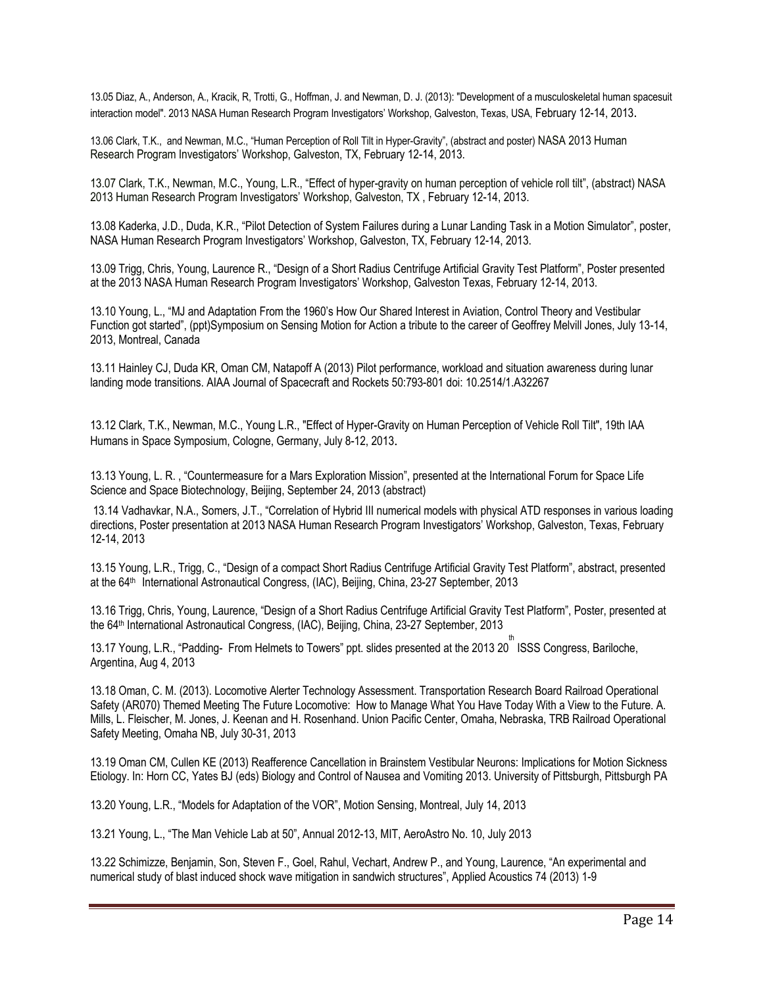13.05 Diaz, A., Anderson, A., Kracik, R, Trotti, G., Hoffman, J. and Newman, D. J. (2013): "Development of a musculoskeletal human spacesuit interaction model". 2013 NASA Human Research Program Investigators' Workshop, Galveston, Texas, USA, February 12-14, 2013.

13.06 Clark, T.K., and Newman, M.C., "Human Perception of Roll Tilt in Hyper-Gravity", (abstract and poster) NASA 2013 Human Research Program Investigators' Workshop, Galveston, TX, February 12-14, 2013.

13.07 Clark, T.K., Newman, M.C., Young, L.R., "Effect of hyper-gravity on human perception of vehicle roll tilt", (abstract) NASA 2013 Human Research Program Investigators' Workshop, Galveston, TX , February 12-14, 2013.

13.08 Kaderka, J.D., Duda, K.R., "Pilot Detection of System Failures during a Lunar Landing Task in a Motion Simulator", poster, NASA Human Research Program Investigators' Workshop, Galveston, TX, February 12-14, 2013.

13.09 Trigg, Chris, Young, Laurence R., "Design of a Short Radius Centrifuge Artificial Gravity Test Platform", Poster presented at the 2013 NASA Human Research Program Investigators' Workshop, Galveston Texas, February 12-14, 2013.

13.10 Young, L., "MJ and Adaptation From the 1960's How Our Shared Interest in Aviation, Control Theory and Vestibular Function got started", (ppt)Symposium on Sensing Motion for Action a tribute to the career of Geoffrey Melvill Jones, July 13-14, 2013, Montreal, Canada

13.11 Hainley CJ, Duda KR, Oman CM, Natapoff A (2013) Pilot performance, workload and situation awareness during lunar landing mode transitions. AIAA Journal of Spacecraft and Rockets 50:793-801 doi: 10.2514/1.A32267

13.12 Clark, T.K., Newman, M.C., Young L.R., "Effect of Hyper-Gravity on Human Perception of Vehicle Roll Tilt", 19th IAA Humans in Space Symposium, Cologne, Germany, July 8-12, 2013.

13.13 Young, L. R. , "Countermeasure for a Mars Exploration Mission", presented at the International Forum for Space Life Science and Space Biotechnology, Beijing, September 24, 2013 (abstract)

13.14 Vadhavkar, N.A., Somers, J.T., "Correlation of Hybrid III numerical models with physical ATD responses in various loading directions, Poster presentation at 2013 NASA Human Research Program Investigators' Workshop, Galveston, Texas, February 12-14, 2013

13.15 Young, L.R., Trigg, C., "Design of a compact Short Radius Centrifuge Artificial Gravity Test Platform", abstract, presented at the 64th International Astronautical Congress, (IAC), Beijing, China, 23-27 September, 2013

13.16 Trigg, Chris, Young, Laurence, "Design of a Short Radius Centrifuge Artificial Gravity Test Platform", Poster, presented at the 64th International Astronautical Congress, (IAC), Beijing, China, 23-27 September, 2013

13.17 Young, L.R., "Padding- From Helmets to Towers" ppt. slides presented at the 2013 20 ISSS Congress, Bariloche, th Argentina, Aug 4, 2013

13.18 Oman, C. M. (2013). Locomotive Alerter Technology Assessment. Transportation Research Board Railroad Operational Safety (AR070) Themed Meeting The Future Locomotive: How to Manage What You Have Today With a View to the Future. A. Mills, L. Fleischer, M. Jones, J. Keenan and H. Rosenhand. Union Pacific Center, Omaha, Nebraska, TRB Railroad Operational Safety Meeting, Omaha NB, July 30-31, 2013

13.19 Oman CM, Cullen KE (2013) Reafference Cancellation in Brainstem Vestibular Neurons: Implications for Motion Sickness Etiology. In: Horn CC, Yates BJ (eds) Biology and Control of Nausea and Vomiting 2013. University of Pittsburgh, Pittsburgh PA

13.20 Young, L.R., "Models for Adaptation of the VOR", Motion Sensing, Montreal, July 14, 2013

13.21 Young, L., "The Man Vehicle Lab at 50", Annual 2012-13, MIT, AeroAstro No. 10, July 2013

13.22 Schimizze, Benjamin, Son, Steven F., Goel, Rahul, Vechart, Andrew P., and Young, Laurence, "An experimental and numerical study of blast induced shock wave mitigation in sandwich structures", Applied Acoustics 74 (2013) 1-9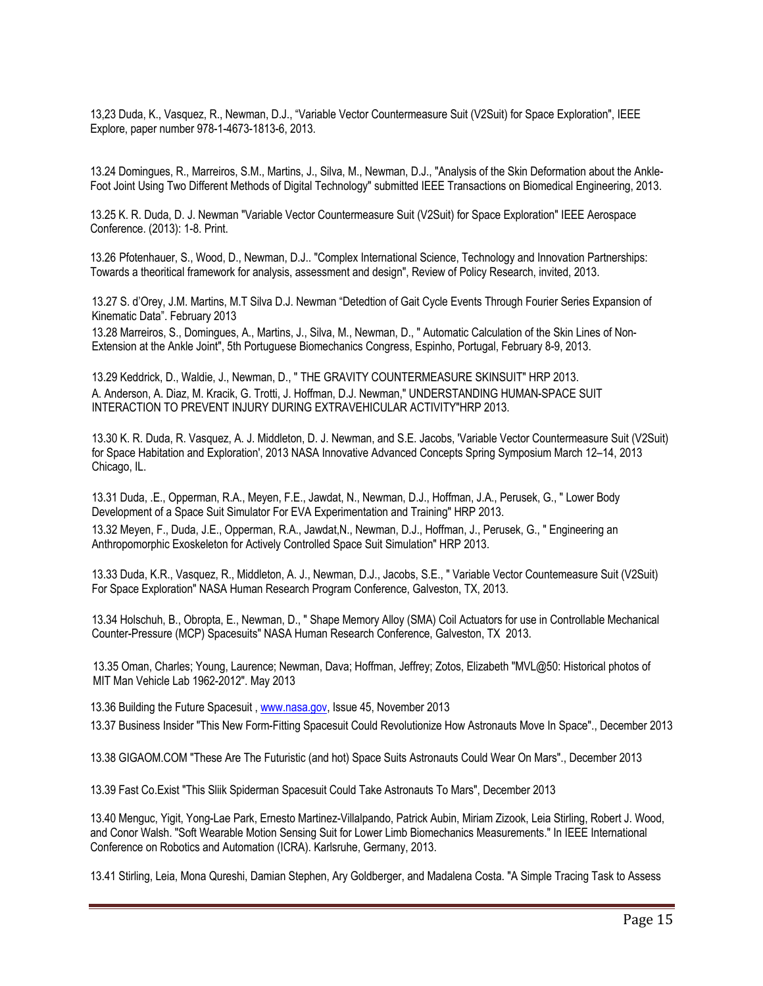13,23 Duda, K., Vasquez, R., Newman, D.J., "Variable Vector Countermeasure Suit (V2Suit) for Space Exploration", IEEE Explore, paper number 978-1-4673-1813-6, 2013.

13.24 Domingues, R., Marreiros, S.M., Martins, J., Silva, M., Newman, D.J., "Analysis of the Skin Deformation about the Ankle-Foot Joint Using Two Different Methods of Digital Technology" submitted IEEE Transactions on Biomedical Engineering, 2013.

13.25 K. R. Duda, D. J. Newman "Variable Vector Countermeasure Suit (V2Suit) for Space Exploration" IEEE Aerospace Conference. (2013): 1-8. Print.

13.26 Pfotenhauer, S., Wood, D., Newman, D.J.. "Complex International Science, Technology and Innovation Partnerships: Towards a theoritical framework for analysis, assessment and design", Review of Policy Research, invited, 2013.

13.27 S. d'Orey, J.M. Martins, M.T Silva D.J. Newman "Detedtion of Gait Cycle Events Through Fourier Series Expansion of Kinematic Data". February 2013

13.28 Marreiros, S., Domingues, A., Martins, J., Silva, M., Newman, D., " Automatic Calculation of the Skin Lines of Non-Extension at the Ankle Joint", 5th Portuguese Biomechanics Congress, Espinho, Portugal, February 8-9, 2013.

13.29 Keddrick, D., Waldie, J., Newman, D., " THE GRAVITY COUNTERMEASURE SKINSUIT" HRP 2013. A. Anderson, A. Diaz, M. Kracik, G. Trotti, J. Hoffman, D.J. Newman," UNDERSTANDING HUMAN-SPACE SUIT INTERACTION TO PREVENT INJURY DURING EXTRAVEHICULAR ACTIVITY"HRP 2013.

13.30 K. R. Duda, R. Vasquez, A. J. Middleton, D. J. Newman, and S.E. Jacobs, 'Variable Vector Countermeasure Suit (V2Suit) for Space Habitation and Exploration', 2013 NASA Innovative Advanced Concepts Spring Symposium March 12–14, 2013 Chicago, IL.

13.31 Duda, .E., Opperman, R.A., Meyen, F.E., Jawdat, N., Newman, D.J., Hoffman, J.A., Perusek, G., " Lower Body Development of a Space Suit Simulator For EVA Experimentation and Training" HRP 2013.

13.32 Meyen, F., Duda, J.E., Opperman, R.A., Jawdat,N., Newman, D.J., Hoffman, J., Perusek, G., " Engineering an Anthropomorphic Exoskeleton for Actively Controlled Space Suit Simulation" HRP 2013.

13.33 Duda, K.R., Vasquez, R., Middleton, A. J., Newman, D.J., Jacobs, S.E., " Variable Vector Countemeasure Suit (V2Suit) For Space Exploration" NASA Human Research Program Conference, Galveston, TX, 2013.

13.34 Holschuh, B., Obropta, E., Newman, D., " Shape Memory Alloy (SMA) Coil Actuators for use in Controllable Mechanical Counter-Pressure (MCP) Spacesuits" NASA Human Research Conference, Galveston, TX 2013.

13.35 Oman, Charles; Young, Laurence; Newman, Dava; Hoffman, Jeffrey; Zotos, Elizabeth "MVL@50: Historical photos of MIT Man Vehicle Lab 1962-2012". May 2013

13.36 Building the Future Spacesuit , www.nasa.gov, Issue 45, November 2013

13.37 Business Insider "This New Form-Fitting Spacesuit Could Revolutionize How Astronauts Move In Space"., December 2013

13.38 GIGAOM.COM "These Are The Futuristic (and hot) Space Suits Astronauts Could Wear On Mars"., December 2013

13.39 Fast Co.Exist "This Sliik Spiderman Spacesuit Could Take Astronauts To Mars", December 2013

13.40 Menguc, Yigit, Yong-Lae Park, Ernesto Martinez-Villalpando, Patrick Aubin, Miriam Zizook, Leia Stirling, Robert J. Wood, and Conor Walsh. "Soft Wearable Motion Sensing Suit for Lower Limb Biomechanics Measurements." In IEEE International Conference on Robotics and Automation (ICRA). Karlsruhe, Germany, 2013.

13.41 Stirling, Leia, Mona Qureshi, Damian Stephen, Ary Goldberger, and Madalena Costa. "A Simple Tracing Task to Assess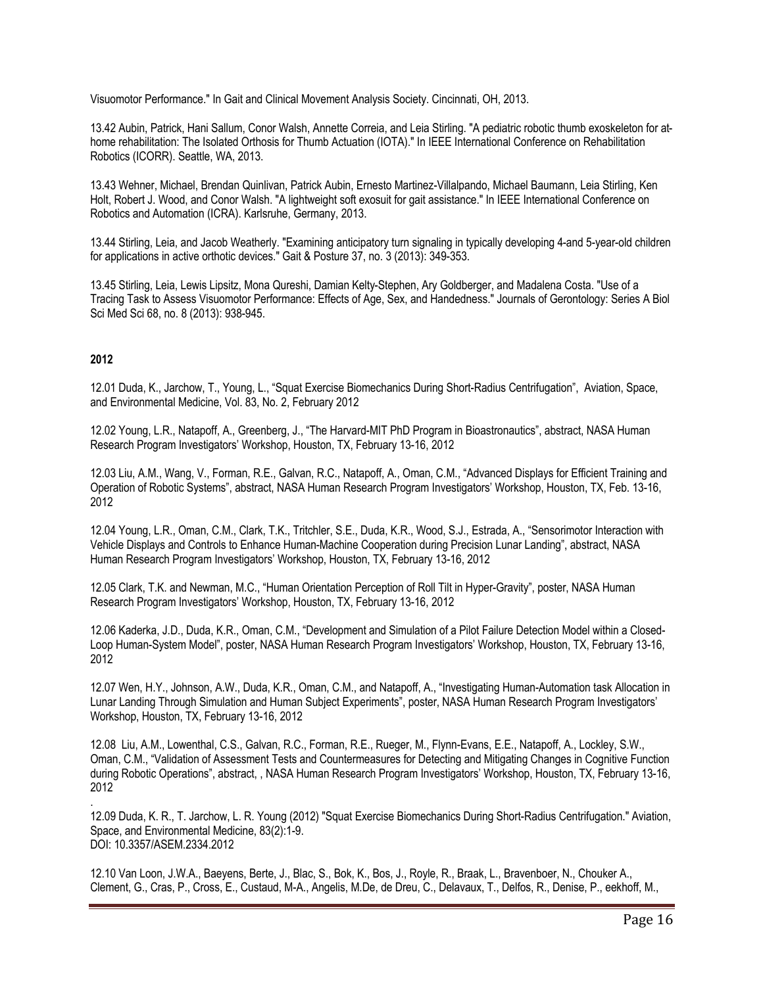Visuomotor Performance." In Gait and Clinical Movement Analysis Society. Cincinnati, OH, 2013.

13.42 Aubin, Patrick, Hani Sallum, Conor Walsh, Annette Correia, and Leia Stirling. "A pediatric robotic thumb exoskeleton for athome rehabilitation: The Isolated Orthosis for Thumb Actuation (IOTA)." In IEEE International Conference on Rehabilitation Robotics (ICORR). Seattle, WA, 2013.

13.43 Wehner, Michael, Brendan Quinlivan, Patrick Aubin, Ernesto Martinez-Villalpando, Michael Baumann, Leia Stirling, Ken Holt, Robert J. Wood, and Conor Walsh. "A lightweight soft exosuit for gait assistance." In IEEE International Conference on Robotics and Automation (ICRA). Karlsruhe, Germany, 2013.

13.44 Stirling, Leia, and Jacob Weatherly. "Examining anticipatory turn signaling in typically developing 4-and 5-year-old children for applications in active orthotic devices." Gait & Posture 37, no. 3 (2013): 349-353.

13.45 Stirling, Leia, Lewis Lipsitz, Mona Qureshi, Damian Kelty-Stephen, Ary Goldberger, and Madalena Costa. "Use of a Tracing Task to Assess Visuomotor Performance: Effects of Age, Sex, and Handedness." Journals of Gerontology: Series A Biol Sci Med Sci 68, no. 8 (2013): 938-945.

## **2012**

.

12.01 Duda, K., Jarchow, T., Young, L., "Squat Exercise Biomechanics During Short-Radius Centrifugation", Aviation, Space, and Environmental Medicine, Vol. 83, No. 2, February 2012

12.02 Young, L.R., Natapoff, A., Greenberg, J., "The Harvard-MIT PhD Program in Bioastronautics", abstract, NASA Human Research Program Investigators' Workshop, Houston, TX, February 13-16, 2012

12.03 Liu, A.M., Wang, V., Forman, R.E., Galvan, R.C., Natapoff, A., Oman, C.M., "Advanced Displays for Efficient Training and Operation of Robotic Systems", abstract, NASA Human Research Program Investigators' Workshop, Houston, TX, Feb. 13-16, 2012

12.04 Young, L.R., Oman, C.M., Clark, T.K., Tritchler, S.E., Duda, K.R., Wood, S.J., Estrada, A., "Sensorimotor Interaction with Vehicle Displays and Controls to Enhance Human-Machine Cooperation during Precision Lunar Landing", abstract, NASA Human Research Program Investigators' Workshop, Houston, TX, February 13-16, 2012

12.05 Clark, T.K. and Newman, M.C., "Human Orientation Perception of Roll Tilt in Hyper-Gravity", poster, NASA Human Research Program Investigators' Workshop, Houston, TX, February 13-16, 2012

12.06 Kaderka, J.D., Duda, K.R., Oman, C.M., "Development and Simulation of a Pilot Failure Detection Model within a Closed-Loop Human-System Model", poster, NASA Human Research Program Investigators' Workshop, Houston, TX, February 13-16, 2012

12.07 Wen, H.Y., Johnson, A.W., Duda, K.R., Oman, C.M., and Natapoff, A., "Investigating Human-Automation task Allocation in Lunar Landing Through Simulation and Human Subject Experiments", poster, NASA Human Research Program Investigators' Workshop, Houston, TX, February 13-16, 2012

12.08 Liu, A.M., Lowenthal, C.S., Galvan, R.C., Forman, R.E., Rueger, M., Flynn-Evans, E.E., Natapoff, A., Lockley, S.W., Oman, C.M., "Validation of Assessment Tests and Countermeasures for Detecting and Mitigating Changes in Cognitive Function during Robotic Operations", abstract, , NASA Human Research Program Investigators' Workshop, Houston, TX, February 13-16, 2012

12.09 Duda, K. R., T. Jarchow, L. R. Young (2012) "Squat Exercise Biomechanics During Short-Radius Centrifugation." Aviation, Space, and Environmental Medicine, 83(2):1-9. DOI: 10.3357/ASEM.2334.2012

12.10 Van Loon, J.W.A., Baeyens, Berte, J., Blac, S., Bok, K., Bos, J., Royle, R., Braak, L., Bravenboer, N., Chouker A., Clement, G., Cras, P., Cross, E., Custaud, M-A., Angelis, M.De, de Dreu, C., Delavaux, T., Delfos, R., Denise, P., eekhoff, M.,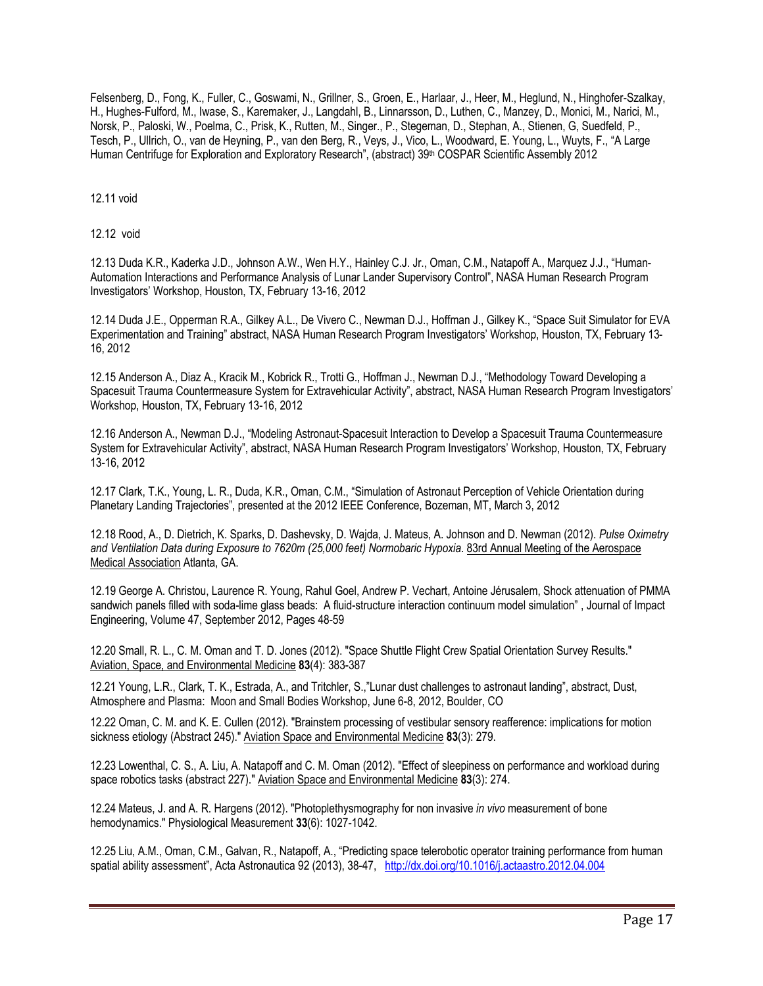Felsenberg, D., Fong, K., Fuller, C., Goswami, N., Grillner, S., Groen, E., Harlaar, J., Heer, M., Heglund, N., Hinghofer-Szalkay, H., Hughes-Fulford, M., Iwase, S., Karemaker, J., Langdahl, B., Linnarsson, D., Luthen, C., Manzey, D., Monici, M., Narici, M., Norsk, P., Paloski, W., Poelma, C., Prisk, K., Rutten, M., Singer., P., Stegeman, D., Stephan, A., Stienen, G, Suedfeld, P., Tesch, P., Ullrich, O., van de Heyning, P., van den Berg, R., Veys, J., Vico, L., Woodward, E. Young, L., Wuyts, F., "A Large Human Centrifuge for Exploration and Exploratory Research", (abstract) 39<sup>th</sup> COSPAR Scientific Assembly 2012

12.11 void

12.12 void

12.13 Duda K.R., Kaderka J.D., Johnson A.W., Wen H.Y., Hainley C.J. Jr., Oman, C.M., Natapoff A., Marquez J.J., "Human-Automation Interactions and Performance Analysis of Lunar Lander Supervisory Control", NASA Human Research Program Investigators' Workshop, Houston, TX, February 13-16, 2012

12.14 Duda J.E., Opperman R.A., Gilkey A.L., De Vivero C., Newman D.J., Hoffman J., Gilkey K., "Space Suit Simulator for EVA Experimentation and Training" abstract, NASA Human Research Program Investigators' Workshop, Houston, TX, February 13- 16, 2012

12.15 Anderson A., Diaz A., Kracik M., Kobrick R., Trotti G., Hoffman J., Newman D.J., "Methodology Toward Developing a Spacesuit Trauma Countermeasure System for Extravehicular Activity", abstract, NASA Human Research Program Investigators' Workshop, Houston, TX, February 13-16, 2012

12.16 Anderson A., Newman D.J., "Modeling Astronaut-Spacesuit Interaction to Develop a Spacesuit Trauma Countermeasure System for Extravehicular Activity", abstract, NASA Human Research Program Investigators' Workshop, Houston, TX, February 13-16, 2012

12.17 Clark, T.K., Young, L. R., Duda, K.R., Oman, C.M., "Simulation of Astronaut Perception of Vehicle Orientation during Planetary Landing Trajectories", presented at the 2012 IEEE Conference, Bozeman, MT, March 3, 2012

12.18 Rood, A., D. Dietrich, K. Sparks, D. Dashevsky, D. Wajda, J. Mateus, A. Johnson and D. Newman (2012). *Pulse Oximetry and Ventilation Data during Exposure to 7620m (25,000 feet) Normobaric Hypoxia*. 83rd Annual Meeting of the Aerospace Medical Association Atlanta, GA.

12.19 George A. Christou, Laurence R. Young, Rahul Goel, Andrew P. Vechart, Antoine Jérusalem, Shock attenuation of PMMA sandwich panels filled with soda-lime glass beads: A fluid-structure interaction continuum model simulation" , Journal of Impact Engineering, Volume 47, September 2012, Pages 48-59

12.20 Small, R. L., C. M. Oman and T. D. Jones (2012). "Space Shuttle Flight Crew Spatial Orientation Survey Results." Aviation, Space, and Environmental Medicine **83**(4): 383-387

12.21 Young, L.R., Clark, T. K., Estrada, A., and Tritchler, S.,"Lunar dust challenges to astronaut landing", abstract, Dust, Atmosphere and Plasma: Moon and Small Bodies Workshop, June 6-8, 2012, Boulder, CO

12.22 Oman, C. M. and K. E. Cullen (2012). "Brainstem processing of vestibular sensory reafference: implications for motion sickness etiology (Abstract 245)." Aviation Space and Environmental Medicine **83**(3): 279.

12.23 Lowenthal, C. S., A. Liu, A. Natapoff and C. M. Oman (2012). "Effect of sleepiness on performance and workload during space robotics tasks (abstract 227)." Aviation Space and Environmental Medicine **83**(3): 274.

12.24 Mateus, J. and A. R. Hargens (2012). "Photoplethysmography for non invasive *in vivo* measurement of bone hemodynamics." Physiological Measurement **33**(6): 1027-1042.

12.25 Liu, A.M., Oman, C.M., Galvan, R., Natapoff, A., "Predicting space telerobotic operator training performance from human spatial ability assessment", Acta Astronautica 92 (2013), 38-47, http://dx.doi.org/10.1016/j.actaastro.2012.04.004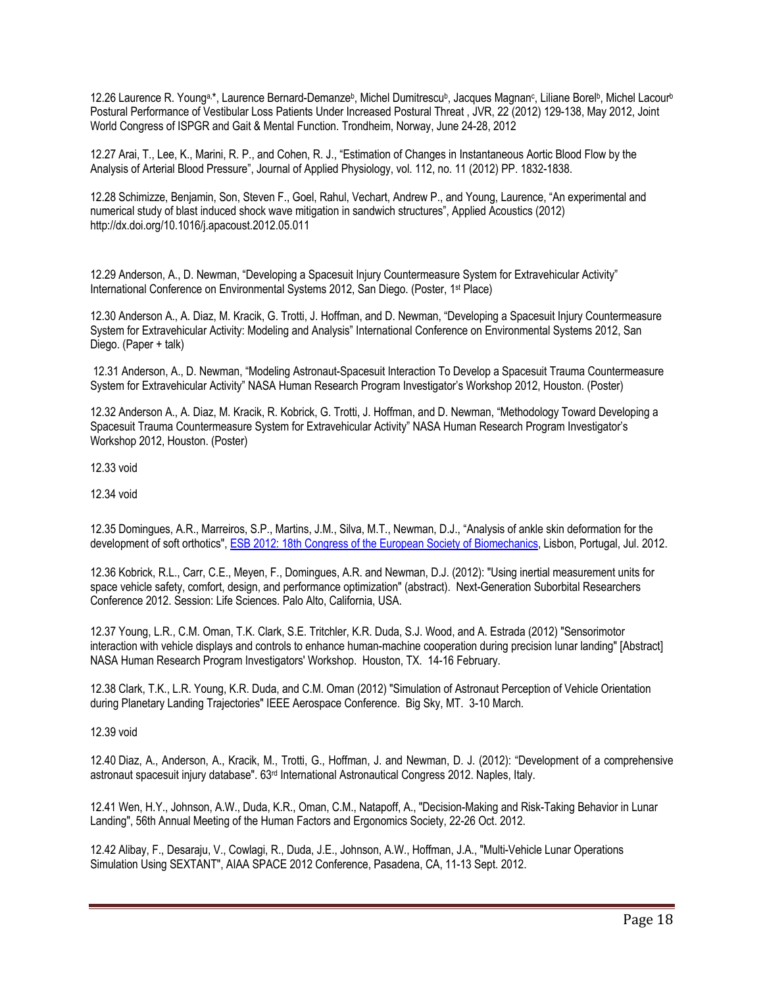12.26 Laurence R. Younga,\*, Laurence Bernard-Demanzeb, Michel Dumitrescub, Jacques Magnanc, Liliane Borelb, Michel Lacourb Postural Performance of Vestibular Loss Patients Under Increased Postural Threat , JVR, 22 (2012) 129-138, May 2012, Joint World Congress of ISPGR and Gait & Mental Function. Trondheim, Norway, June 24-28, 2012

12.27 Arai, T., Lee, K., Marini, R. P., and Cohen, R. J., "Estimation of Changes in Instantaneous Aortic Blood Flow by the Analysis of Arterial Blood Pressure", Journal of Applied Physiology, vol. 112, no. 11 (2012) PP. 1832-1838.

12.28 Schimizze, Benjamin, Son, Steven F., Goel, Rahul, Vechart, Andrew P., and Young, Laurence, "An experimental and numerical study of blast induced shock wave mitigation in sandwich structures", Applied Acoustics (2012) http://dx.doi.org/10.1016/j.apacoust.2012.05.011

12.29 Anderson, A., D. Newman, "Developing a Spacesuit Injury Countermeasure System for Extravehicular Activity" International Conference on Environmental Systems 2012, San Diego. (Poster, 1st Place)

12.30 Anderson A., A. Diaz, M. Kracik, G. Trotti, J. Hoffman, and D. Newman, "Developing a Spacesuit Injury Countermeasure System for Extravehicular Activity: Modeling and Analysis" International Conference on Environmental Systems 2012, San Diego. (Paper + talk)

12.31 Anderson, A., D. Newman, "Modeling Astronaut-Spacesuit Interaction To Develop a Spacesuit Trauma Countermeasure System for Extravehicular Activity" NASA Human Research Program Investigator's Workshop 2012, Houston. (Poster)

12.32 Anderson A., A. Diaz, M. Kracik, R. Kobrick, G. Trotti, J. Hoffman, and D. Newman, "Methodology Toward Developing a Spacesuit Trauma Countermeasure System for Extravehicular Activity" NASA Human Research Program Investigator's Workshop 2012, Houston. (Poster)

12.33 void

12.34 void

12.35 Domingues, A.R., Marreiros, S.P., Martins, J.M., Silva, M.T., Newman, D.J., "Analysis of ankle skin deformation for the development of soft orthotics", ESB 2012: 18th Congress of the European Society of Biomechanics, Lisbon, Portugal, Jul. 2012.

12.36 Kobrick, R.L., Carr, C.E., Meyen, F., Domingues, A.R. and Newman, D.J. (2012): "Using inertial measurement units for space vehicle safety, comfort, design, and performance optimization" (abstract). Next-Generation Suborbital Researchers Conference 2012. Session: Life Sciences. Palo Alto, California, USA.

12.37 Young, L.R., C.M. Oman, T.K. Clark, S.E. Tritchler, K.R. Duda, S.J. Wood, and A. Estrada (2012) "Sensorimotor interaction with vehicle displays and controls to enhance human-machine cooperation during precision lunar landing" [Abstract] NASA Human Research Program Investigators' Workshop. Houston, TX. 14-16 February.

12.38 Clark, T.K., L.R. Young, K.R. Duda, and C.M. Oman (2012) "Simulation of Astronaut Perception of Vehicle Orientation during Planetary Landing Trajectories" IEEE Aerospace Conference. Big Sky, MT. 3-10 March.

12.39 void

12.40 Diaz, A., Anderson, A., Kracik, M., Trotti, G., Hoffman, J. and Newman, D. J. (2012): "Development of a comprehensive astronaut spacesuit injury database". 63rd International Astronautical Congress 2012. Naples, Italy.

12.41 Wen, H.Y., Johnson, A.W., Duda, K.R., Oman, C.M., Natapoff, A., "Decision-Making and Risk-Taking Behavior in Lunar Landing", 56th Annual Meeting of the Human Factors and Ergonomics Society, 22-26 Oct. 2012.

12.42 Alibay, F., Desaraju, V., Cowlagi, R., Duda, J.E., Johnson, A.W., Hoffman, J.A., "Multi-Vehicle Lunar Operations Simulation Using SEXTANT", AIAA SPACE 2012 Conference, Pasadena, CA, 11-13 Sept. 2012.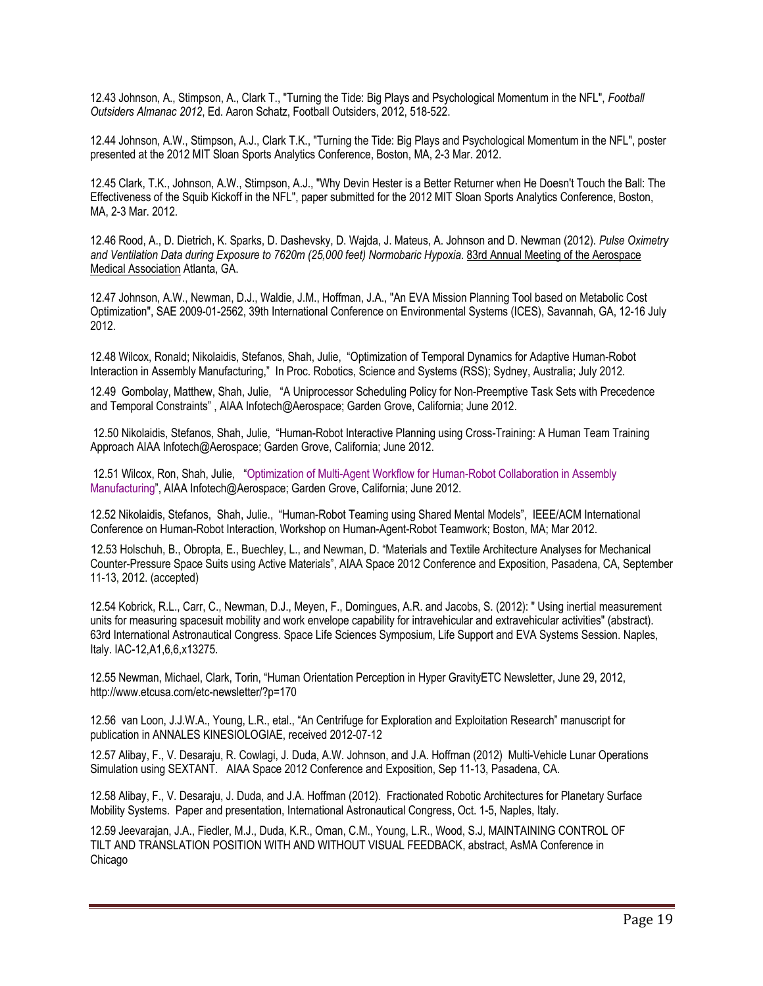12.43 Johnson, A., Stimpson, A., Clark T., "Turning the Tide: Big Plays and Psychological Momentum in the NFL", *Football Outsiders Almanac 2012*, Ed. Aaron Schatz, Football Outsiders, 2012, 518-522.

12.44 Johnson, A.W., Stimpson, A.J., Clark T.K., "Turning the Tide: Big Plays and Psychological Momentum in the NFL", poster presented at the 2012 MIT Sloan Sports Analytics Conference, Boston, MA, 2-3 Mar. 2012.

12.45 Clark, T.K., Johnson, A.W., Stimpson, A.J., "Why Devin Hester is a Better Returner when He Doesn't Touch the Ball: The Effectiveness of the Squib Kickoff in the NFL", paper submitted for the 2012 MIT Sloan Sports Analytics Conference, Boston, MA, 2-3 Mar. 2012.

12.46 Rood, A., D. Dietrich, K. Sparks, D. Dashevsky, D. Wajda, J. Mateus, A. Johnson and D. Newman (2012). *Pulse Oximetry and Ventilation Data during Exposure to 7620m (25,000 feet) Normobaric Hypoxia*. 83rd Annual Meeting of the Aerospace Medical Association Atlanta, GA.

12.47 Johnson, A.W., Newman, D.J., Waldie, J.M., Hoffman, J.A., "An EVA Mission Planning Tool based on Metabolic Cost Optimization", SAE 2009-01-2562, 39th International Conference on Environmental Systems (ICES), Savannah, GA, 12-16 July 2012.

12.48 Wilcox, Ronald; Nikolaidis, Stefanos, Shah, Julie, "Optimization of Temporal Dynamics for Adaptive Human-Robot Interaction in Assembly Manufacturing," In Proc. Robotics, Science and Systems (RSS); Sydney, Australia; July 2012.

12.49 Gombolay, Matthew, Shah, Julie, "A Uniprocessor Scheduling Policy for Non-Preemptive Task Sets with Precedence and Temporal Constraints" , AIAA Infotech@Aerospace; Garden Grove, California; June 2012.

12.50 Nikolaidis, Stefanos, Shah, Julie, "Human-Robot Interactive Planning using Cross-Training: A Human Team Training Approach AIAA Infotech@Aerospace; Garden Grove, California; June 2012.

12.51 Wilcox, Ron, Shah, Julie, "Optimization of Multi-Agent Workflow for Human-Robot Collaboration in Assembly Manufacturing", AIAA Infotech@Aerospace; Garden Grove, California; June 2012.

12.52 Nikolaidis, Stefanos, Shah, Julie., "Human-Robot Teaming using Shared Mental Models", IEEE/ACM International Conference on Human-Robot Interaction, Workshop on Human-Agent-Robot Teamwork; Boston, MA; Mar 2012.

12.53 Holschuh, B., Obropta, E., Buechley, L., and Newman, D. "Materials and Textile Architecture Analyses for Mechanical Counter-Pressure Space Suits using Active Materials", AIAA Space 2012 Conference and Exposition, Pasadena, CA, September 11-13, 2012. (accepted)

12.54 Kobrick, R.L., Carr, C., Newman, D.J., Meyen, F., Domingues, A.R. and Jacobs, S. (2012): " Using inertial measurement units for measuring spacesuit mobility and work envelope capability for intravehicular and extravehicular activities" (abstract). 63rd International Astronautical Congress. Space Life Sciences Symposium, Life Support and EVA Systems Session. Naples, Italy. IAC-12,A1,6,6,x13275.

12.55 Newman, Michael, Clark, Torin, "Human Orientation Perception in Hyper GravityETC Newsletter, June 29, 2012, http://www.etcusa.com/etc-newsletter/?p=170

12.56 van Loon, J.J.W.A., Young, L.R., etal., "An Centrifuge for Exploration and Exploitation Research" manuscript for publication in ANNALES KINESIOLOGIAE, received 2012-07-12

12.57 Alibay, F., V. Desaraju, R. Cowlagi, J. Duda, A.W. Johnson, and J.A. Hoffman (2012) Multi-Vehicle Lunar Operations Simulation using SEXTANT. AIAA Space 2012 Conference and Exposition, Sep 11-13, Pasadena, CA.

12.58 Alibay, F., V. Desaraju, J. Duda, and J.A. Hoffman (2012). Fractionated Robotic Architectures for Planetary Surface Mobility Systems. Paper and presentation, International Astronautical Congress, Oct. 1-5, Naples, Italy.

12.59 Jeevarajan, J.A., Fiedler, M.J., Duda, K.R., Oman, C.M., Young, L.R., Wood, S.J, MAINTAINING CONTROL OF TILT AND TRANSLATION POSITION WITH AND WITHOUT VISUAL FEEDBACK, abstract, AsMA Conference in Chicago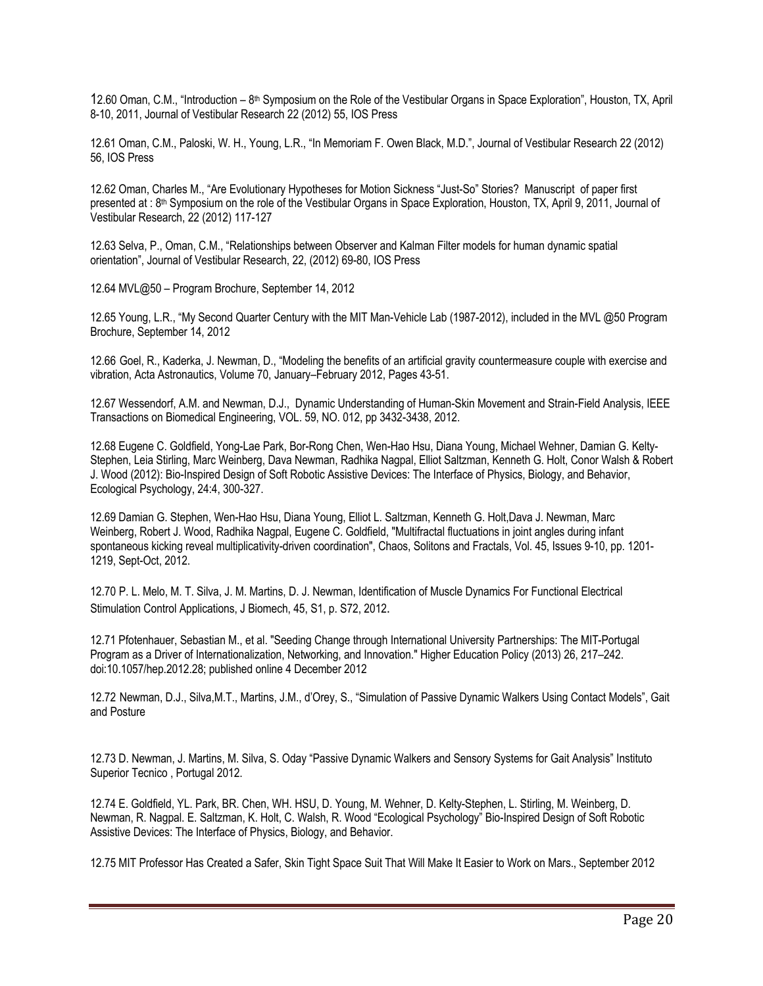12.60 Oman, C.M., "Introduction – 8th Symposium on the Role of the Vestibular Organs in Space Exploration", Houston, TX, April 8-10, 2011, Journal of Vestibular Research 22 (2012) 55, IOS Press

12.61 Oman, C.M., Paloski, W. H., Young, L.R., "In Memoriam F. Owen Black, M.D.", Journal of Vestibular Research 22 (2012) 56, IOS Press

12.62 Oman, Charles M., "Are Evolutionary Hypotheses for Motion Sickness "Just-So" Stories? Manuscript of paper first presented at : 8<sup>th</sup> Symposium on the role of the Vestibular Organs in Space Exploration, Houston, TX, April 9, 2011, Journal of Vestibular Research, 22 (2012) 117-127

12.63 Selva, P., Oman, C.M., "Relationships between Observer and Kalman Filter models for human dynamic spatial orientation", Journal of Vestibular Research, 22, (2012) 69-80, IOS Press

12.64 MVL@50 – Program Brochure, September 14, 2012

12.65 Young, L.R., "My Second Quarter Century with the MIT Man-Vehicle Lab (1987-2012), included in the MVL @50 Program Brochure, September 14, 2012

12.66 Goel, R., Kaderka, J. Newman, D., "Modeling the benefits of an artificial gravity countermeasure couple with exercise and vibration, Acta Astronautics, Volume 70, January–February 2012, Pages 43-51.

12.67 Wessendorf, A.M. and Newman, D.J., Dynamic Understanding of Human-Skin Movement and Strain-Field Analysis, IEEE Transactions on Biomedical Engineering, VOL. 59, NO. 012, pp 3432-3438, 2012.

12.68 Eugene C. Goldfield, Yong-Lae Park, Bor-Rong Chen, Wen-Hao Hsu, Diana Young, Michael Wehner, Damian G. Kelty-Stephen, Leia Stirling, Marc Weinberg, Dava Newman, Radhika Nagpal, Elliot Saltzman, Kenneth G. Holt, Conor Walsh & Robert J. Wood (2012): Bio-Inspired Design of Soft Robotic Assistive Devices: The Interface of Physics, Biology, and Behavior, Ecological Psychology, 24:4, 300-327.

12.69 Damian G. Stephen, Wen-Hao Hsu, Diana Young, Elliot L. Saltzman, Kenneth G. Holt,Dava J. Newman, Marc Weinberg, Robert J. Wood, Radhika Nagpal, Eugene C. Goldfield, "Multifractal fluctuations in joint angles during infant spontaneous kicking reveal multiplicativity-driven coordination", Chaos, Solitons and Fractals, Vol. 45, Issues 9-10, pp. 1201- 1219, Sept-Oct, 2012.

12.70 P. L. Melo, M. T. Silva, J. M. Martins, D. J. Newman, Identification of Muscle Dynamics For Functional Electrical Stimulation Control Applications, J Biomech, 45, S1, p. S72, 2012.

12.71 Pfotenhauer, Sebastian M., et al. "Seeding Change through International University Partnerships: The MIT-Portugal Program as a Driver of Internationalization, Networking, and Innovation." Higher Education Policy (2013) 26, 217–242. doi:10.1057/hep.2012.28; published online 4 December 2012

12.72 Newman, D.J., Silva,M.T., Martins, J.M., d'Orey, S., "Simulation of Passive Dynamic Walkers Using Contact Models", Gait and Posture

12.73 D. Newman, J. Martins, M. Silva, S. Oday "Passive Dynamic Walkers and Sensory Systems for Gait Analysis" Instituto Superior Tecnico , Portugal 2012.

12.74 E. Goldfield, YL. Park, BR. Chen, WH. HSU, D. Young, M. Wehner, D. Kelty-Stephen, L. Stirling, M. Weinberg, D. Newman, R. Nagpal. E. Saltzman, K. Holt, C. Walsh, R. Wood "Ecological Psychology" Bio-Inspired Design of Soft Robotic Assistive Devices: The Interface of Physics, Biology, and Behavior.

12.75 MIT Professor Has Created a Safer, Skin Tight Space Suit That Will Make It Easier to Work on Mars., September 2012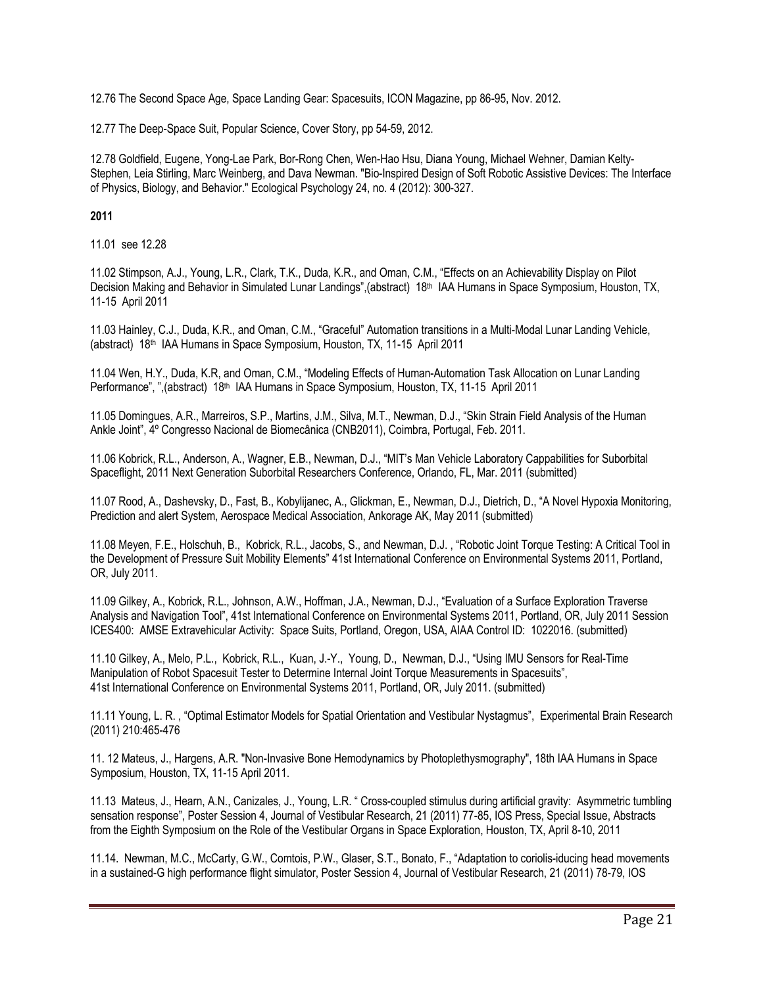12.76 The Second Space Age, Space Landing Gear: Spacesuits, ICON Magazine, pp 86-95, Nov. 2012.

12.77 The Deep-Space Suit, Popular Science, Cover Story, pp 54-59, 2012.

12.78 Goldfield, Eugene, Yong-Lae Park, Bor-Rong Chen, Wen-Hao Hsu, Diana Young, Michael Wehner, Damian Kelty-Stephen, Leia Stirling, Marc Weinberg, and Dava Newman. "Bio-Inspired Design of Soft Robotic Assistive Devices: The Interface of Physics, Biology, and Behavior." Ecological Psychology 24, no. 4 (2012): 300-327.

# **2011**

11.01 see 12.28

11.02 Stimpson, A.J., Young, L.R., Clark, T.K., Duda, K.R., and Oman, C.M., "Effects on an Achievability Display on Pilot Decision Making and Behavior in Simulated Lunar Landings", (abstract) 18<sup>th</sup> IAA Humans in Space Symposium, Houston, TX, 11-15 April 2011

11.03 Hainley, C.J., Duda, K.R., and Oman, C.M., "Graceful" Automation transitions in a Multi-Modal Lunar Landing Vehicle, (abstract) 18th IAA Humans in Space Symposium, Houston, TX, 11-15 April 2011

11.04 Wen, H.Y., Duda, K.R, and Oman, C.M., "Modeling Effects of Human-Automation Task Allocation on Lunar Landing Performance", ",(abstract) 18th IAA Humans in Space Symposium, Houston, TX, 11-15 April 2011

11.05 Domingues, A.R., Marreiros, S.P., Martins, J.M., Silva, M.T., Newman, D.J., "Skin Strain Field Analysis of the Human Ankle Joint", 4º Congresso Nacional de Biomecânica (CNB2011), Coimbra, Portugal, Feb. 2011.

11.06 Kobrick, R.L., Anderson, A., Wagner, E.B., Newman, D.J., "MIT's Man Vehicle Laboratory Cappabilities for Suborbital Spaceflight, 2011 Next Generation Suborbital Researchers Conference, Orlando, FL, Mar. 2011 (submitted)

11.07 Rood, A., Dashevsky, D., Fast, B., Kobylijanec, A., Glickman, E., Newman, D.J., Dietrich, D., "A Novel Hypoxia Monitoring, Prediction and alert System, Aerospace Medical Association, Ankorage AK, May 2011 (submitted)

11.08 Meyen, F.E., Holschuh, B., Kobrick, R.L., Jacobs, S., and Newman, D.J. , "Robotic Joint Torque Testing: A Critical Tool in the Development of Pressure Suit Mobility Elements" 41st International Conference on Environmental Systems 2011, Portland, OR, July 2011.

11.09 Gilkey, A., Kobrick, R.L., Johnson, A.W., Hoffman, J.A., Newman, D.J., "Evaluation of a Surface Exploration Traverse Analysis and Navigation Tool", 41st International Conference on Environmental Systems 2011, Portland, OR, July 2011 Session ICES400: AMSE Extravehicular Activity: Space Suits, Portland, Oregon, USA, AIAA Control ID: 1022016. (submitted)

11.10 Gilkey, A., Melo, P.L., Kobrick, R.L., Kuan, J.-Y., Young, D., Newman, D.J., "Using IMU Sensors for Real-Time Manipulation of Robot Spacesuit Tester to Determine Internal Joint Torque Measurements in Spacesuits", 41st International Conference on Environmental Systems 2011, Portland, OR, July 2011. (submitted)

11.11 Young, L. R. , "Optimal Estimator Models for Spatial Orientation and Vestibular Nystagmus", Experimental Brain Research (2011) 210:465-476

11. 12 Mateus, J., Hargens, A.R. "Non-Invasive Bone Hemodynamics by Photoplethysmography", 18th IAA Humans in Space Symposium, Houston, TX, 11-15 April 2011.

11.13 Mateus, J., Hearn, A.N., Canizales, J., Young, L.R. " Cross-coupled stimulus during artificial gravity: Asymmetric tumbling sensation response", Poster Session 4, Journal of Vestibular Research, 21 (2011) 77-85, IOS Press, Special Issue, Abstracts from the Eighth Symposium on the Role of the Vestibular Organs in Space Exploration, Houston, TX, April 8-10, 2011

11.14. Newman, M.C., McCarty, G.W., Comtois, P.W., Glaser, S.T., Bonato, F., "Adaptation to coriolis-iducing head movements in a sustained-G high performance flight simulator, Poster Session 4, Journal of Vestibular Research, 21 (2011) 78-79, IOS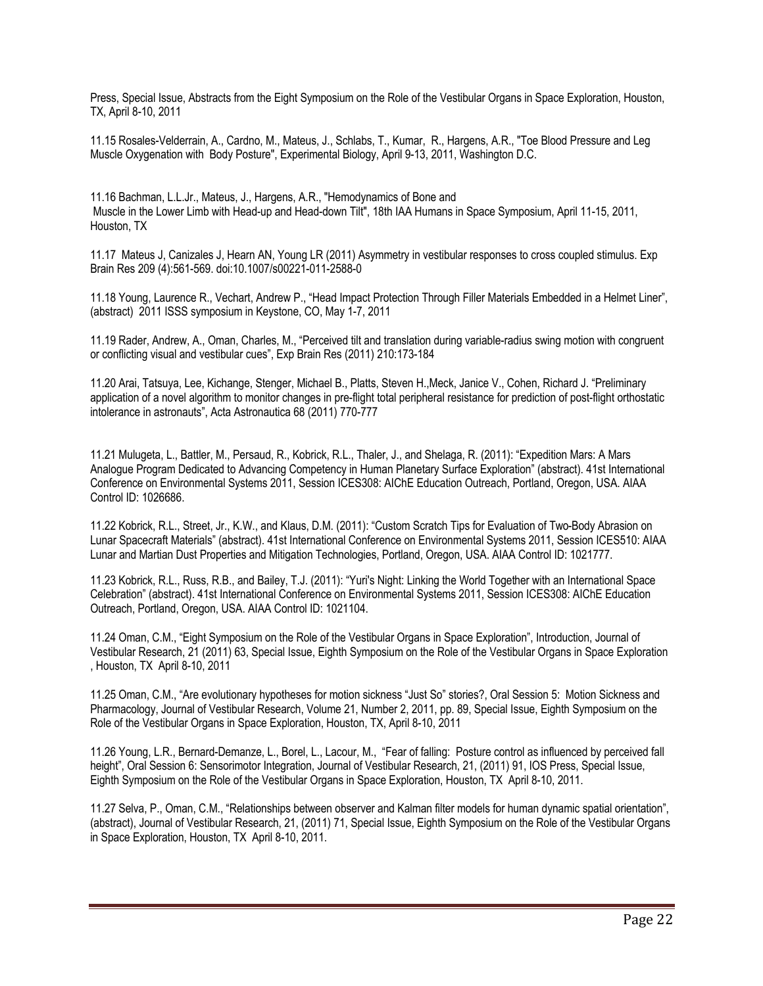Press, Special Issue, Abstracts from the Eight Symposium on the Role of the Vestibular Organs in Space Exploration, Houston, TX, April 8-10, 2011

11.15 Rosales-Velderrain, A., Cardno, M., Mateus, J., Schlabs, T., Kumar, R., Hargens, A.R., "Toe Blood Pressure and Leg Muscle Oxygenation with Body Posture", Experimental Biology, April 9-13, 2011, Washington D.C.

11.16 Bachman, L.L.Jr., Mateus, J., Hargens, A.R., "Hemodynamics of Bone and Muscle in the Lower Limb with Head-up and Head-down Tilt", 18th IAA Humans in Space Symposium, April 11-15, 2011, Houston, TX

11.17 Mateus J, Canizales J, Hearn AN, Young LR (2011) Asymmetry in vestibular responses to cross coupled stimulus. Exp Brain Res 209 (4):561-569. doi:10.1007/s00221-011-2588-0

11.18 Young, Laurence R., Vechart, Andrew P., "Head Impact Protection Through Filler Materials Embedded in a Helmet Liner", (abstract) 2011 ISSS symposium in Keystone, CO, May 1-7, 2011

11.19 Rader, Andrew, A., Oman, Charles, M., "Perceived tilt and translation during variable-radius swing motion with congruent or conflicting visual and vestibular cues", Exp Brain Res (2011) 210:173-184

11.20 Arai, Tatsuya, Lee, Kichange, Stenger, Michael B., Platts, Steven H.,Meck, Janice V., Cohen, Richard J. "Preliminary application of a novel algorithm to monitor changes in pre-flight total peripheral resistance for prediction of post-flight orthostatic intolerance in astronauts", Acta Astronautica 68 (2011) 770-777

11.21 Mulugeta, L., Battler, M., Persaud, R., Kobrick, R.L., Thaler, J., and Shelaga, R. (2011): "Expedition Mars: A Mars Analogue Program Dedicated to Advancing Competency in Human Planetary Surface Exploration" (abstract). 41st International Conference on Environmental Systems 2011, Session ICES308: AIChE Education Outreach, Portland, Oregon, USA. AIAA Control ID: 1026686.

11.22 Kobrick, R.L., Street, Jr., K.W., and Klaus, D.M. (2011): "Custom Scratch Tips for Evaluation of Two-Body Abrasion on Lunar Spacecraft Materials" (abstract). 41st International Conference on Environmental Systems 2011, Session ICES510: AIAA Lunar and Martian Dust Properties and Mitigation Technologies, Portland, Oregon, USA. AIAA Control ID: 1021777.

11.23 Kobrick, R.L., Russ, R.B., and Bailey, T.J. (2011): "Yuri's Night: Linking the World Together with an International Space Celebration" (abstract). 41st International Conference on Environmental Systems 2011, Session ICES308: AIChE Education Outreach, Portland, Oregon, USA. AIAA Control ID: 1021104.

11.24 Oman, C.M., "Eight Symposium on the Role of the Vestibular Organs in Space Exploration", Introduction, Journal of Vestibular Research, 21 (2011) 63, Special Issue, Eighth Symposium on the Role of the Vestibular Organs in Space Exploration , Houston, TX April 8-10, 2011

11.25 Oman, C.M., "Are evolutionary hypotheses for motion sickness "Just So" stories?, Oral Session 5: Motion Sickness and Pharmacology, Journal of Vestibular Research, Volume 21, Number 2, 2011, pp. 89, Special Issue, Eighth Symposium on the Role of the Vestibular Organs in Space Exploration, Houston, TX, April 8-10, 2011

11.26 Young, L.R., Bernard-Demanze, L., Borel, L., Lacour, M., "Fear of falling: Posture control as influenced by perceived fall height", Oral Session 6: Sensorimotor Integration, Journal of Vestibular Research, 21, (2011) 91, IOS Press, Special Issue, Eighth Symposium on the Role of the Vestibular Organs in Space Exploration, Houston, TX April 8-10, 2011.

11.27 Selva, P., Oman, C.M., "Relationships between observer and Kalman filter models for human dynamic spatial orientation", (abstract), Journal of Vestibular Research, 21, (2011) 71, Special Issue, Eighth Symposium on the Role of the Vestibular Organs in Space Exploration, Houston, TX April 8-10, 2011.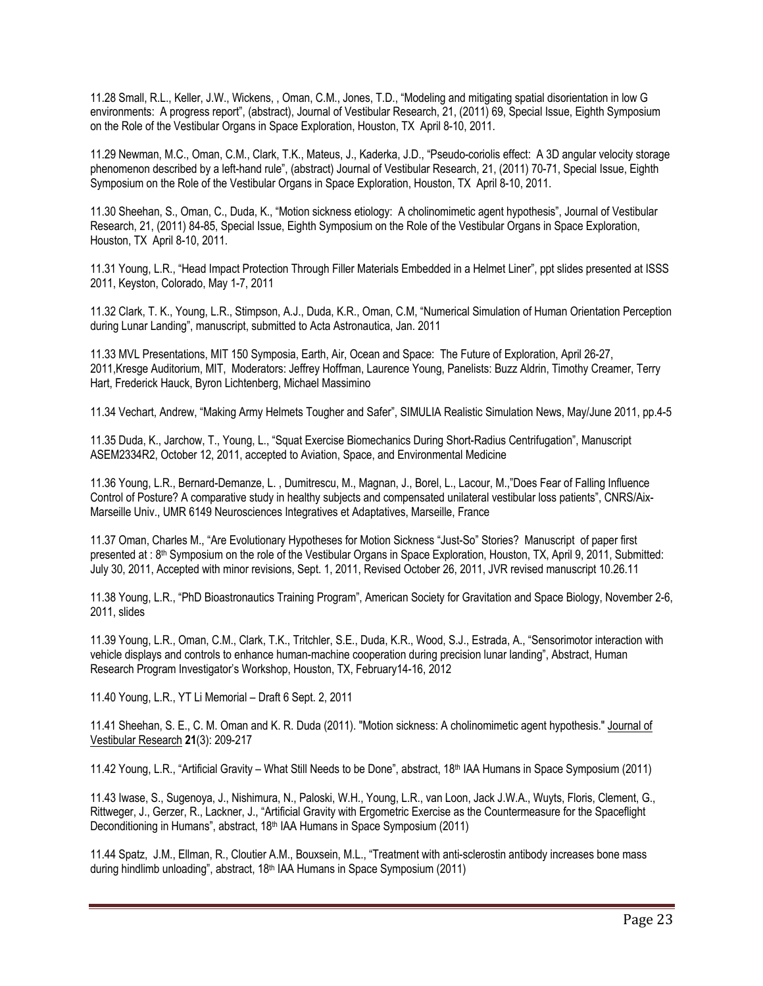11.28 Small, R.L., Keller, J.W., Wickens, , Oman, C.M., Jones, T.D., "Modeling and mitigating spatial disorientation in low G environments: A progress report", (abstract), Journal of Vestibular Research, 21, (2011) 69, Special Issue, Eighth Symposium on the Role of the Vestibular Organs in Space Exploration, Houston, TX April 8-10, 2011.

11.29 Newman, M.C., Oman, C.M., Clark, T.K., Mateus, J., Kaderka, J.D., "Pseudo-coriolis effect: A 3D angular velocity storage phenomenon described by a left-hand rule", (abstract) Journal of Vestibular Research, 21, (2011) 70-71, Special Issue, Eighth Symposium on the Role of the Vestibular Organs in Space Exploration, Houston, TX April 8-10, 2011.

11.30 Sheehan, S., Oman, C., Duda, K., "Motion sickness etiology: A cholinomimetic agent hypothesis", Journal of Vestibular Research, 21, (2011) 84-85, Special Issue, Eighth Symposium on the Role of the Vestibular Organs in Space Exploration, Houston, TX April 8-10, 2011.

11.31 Young, L.R., "Head Impact Protection Through Filler Materials Embedded in a Helmet Liner", ppt slides presented at ISSS 2011, Keyston, Colorado, May 1-7, 2011

11.32 Clark, T. K., Young, L.R., Stimpson, A.J., Duda, K.R., Oman, C.M, "Numerical Simulation of Human Orientation Perception during Lunar Landing", manuscript, submitted to Acta Astronautica, Jan. 2011

11.33 MVL Presentations, MIT 150 Symposia, Earth, Air, Ocean and Space: The Future of Exploration, April 26-27, 2011,Kresge Auditorium, MIT, Moderators: Jeffrey Hoffman, Laurence Young, Panelists: Buzz Aldrin, Timothy Creamer, Terry Hart, Frederick Hauck, Byron Lichtenberg, Michael Massimino

11.34 Vechart, Andrew, "Making Army Helmets Tougher and Safer", SIMULIA Realistic Simulation News, May/June 2011, pp.4-5

11.35 Duda, K., Jarchow, T., Young, L., "Squat Exercise Biomechanics During Short-Radius Centrifugation", Manuscript ASEM2334R2, October 12, 2011, accepted to Aviation, Space, and Environmental Medicine

11.36 Young, L.R., Bernard-Demanze, L. , Dumitrescu, M., Magnan, J., Borel, L., Lacour, M.,"Does Fear of Falling Influence Control of Posture? A comparative study in healthy subjects and compensated unilateral vestibular loss patients", CNRS/Aix-Marseille Univ., UMR 6149 Neurosciences Integratives et Adaptatives, Marseille, France

11.37 Oman, Charles M., "Are Evolutionary Hypotheses for Motion Sickness "Just-So" Stories? Manuscript of paper first presented at : 8<sup>th</sup> Symposium on the role of the Vestibular Organs in Space Exploration, Houston, TX, April 9, 2011, Submitted: July 30, 2011, Accepted with minor revisions, Sept. 1, 2011, Revised October 26, 2011, JVR revised manuscript 10.26.11

11.38 Young, L.R., "PhD Bioastronautics Training Program", American Society for Gravitation and Space Biology, November 2-6, 2011, slides

11.39 Young, L.R., Oman, C.M., Clark, T.K., Tritchler, S.E., Duda, K.R., Wood, S.J., Estrada, A., "Sensorimotor interaction with vehicle displays and controls to enhance human-machine cooperation during precision lunar landing", Abstract, Human Research Program Investigator's Workshop, Houston, TX, February14-16, 2012

11.40 Young, L.R., YT Li Memorial – Draft 6 Sept. 2, 2011

11.41 Sheehan, S. E., C. M. Oman and K. R. Duda (2011). "Motion sickness: A cholinomimetic agent hypothesis." Journal of Vestibular Research **21**(3): 209-217

11.42 Young, L.R., "Artificial Gravity – What Still Needs to be Done", abstract, 18th IAA Humans in Space Symposium (2011)

11.43 Iwase, S., Sugenoya, J., Nishimura, N., Paloski, W.H., Young, L.R., van Loon, Jack J.W.A., Wuyts, Floris, Clement, G., Rittweger, J., Gerzer, R., Lackner, J., "Artificial Gravity with Ergometric Exercise as the Countermeasure for the Spaceflight Deconditioning in Humans", abstract, 18<sup>th</sup> IAA Humans in Space Symposium (2011)

11.44 Spatz, J.M., Ellman, R., Cloutier A.M., Bouxsein, M.L., "Treatment with anti-sclerostin antibody increases bone mass during hindlimb unloading", abstract, 18th IAA Humans in Space Symposium (2011)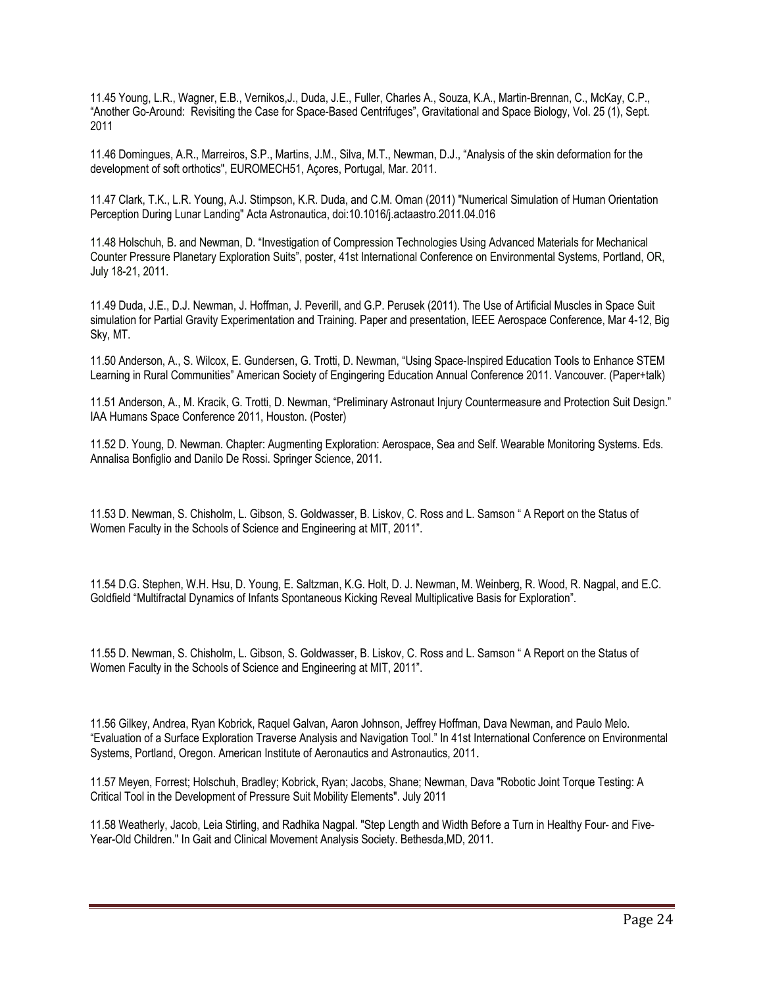11.45 Young, L.R., Wagner, E.B., Vernikos,J., Duda, J.E., Fuller, Charles A., Souza, K.A., Martin-Brennan, C., McKay, C.P., "Another Go-Around: Revisiting the Case for Space-Based Centrifuges", Gravitational and Space Biology, Vol. 25 (1), Sept. 2011

11.46 Domingues, A.R., Marreiros, S.P., Martins, J.M., Silva, M.T., Newman, D.J., "Analysis of the skin deformation for the development of soft orthotics", EUROMECH51, Açores, Portugal, Mar. 2011.

11.47 Clark, T.K., L.R. Young, A.J. Stimpson, K.R. Duda, and C.M. Oman (2011) "Numerical Simulation of Human Orientation Perception During Lunar Landing" Acta Astronautica, doi:10.1016/j.actaastro.2011.04.016

11.48 Holschuh, B. and Newman, D. "Investigation of Compression Technologies Using Advanced Materials for Mechanical Counter Pressure Planetary Exploration Suits", poster, 41st International Conference on Environmental Systems, Portland, OR, July 18-21, 2011.

11.49 Duda, J.E., D.J. Newman, J. Hoffman, J. Peverill, and G.P. Perusek (2011). The Use of Artificial Muscles in Space Suit simulation for Partial Gravity Experimentation and Training. Paper and presentation, IEEE Aerospace Conference, Mar 4-12, Big Sky, MT.

11.50 Anderson, A., S. Wilcox, E. Gundersen, G. Trotti, D. Newman, "Using Space-Inspired Education Tools to Enhance STEM Learning in Rural Communities" American Society of Engingering Education Annual Conference 2011. Vancouver. (Paper+talk)

11.51 Anderson, A., M. Kracik, G. Trotti, D. Newman, "Preliminary Astronaut Injury Countermeasure and Protection Suit Design." IAA Humans Space Conference 2011, Houston. (Poster)

11.52 D. Young, D. Newman. Chapter: Augmenting Exploration: Aerospace, Sea and Self. Wearable Monitoring Systems. Eds. Annalisa Bonfiglio and Danilo De Rossi. Springer Science, 2011.

11.53 D. Newman, S. Chisholm, L. Gibson, S. Goldwasser, B. Liskov, C. Ross and L. Samson " A Report on the Status of Women Faculty in the Schools of Science and Engineering at MIT, 2011".

11.54 D.G. Stephen, W.H. Hsu, D. Young, E. Saltzman, K.G. Holt, D. J. Newman, M. Weinberg, R. Wood, R. Nagpal, and E.C. Goldfield "Multifractal Dynamics of Infants Spontaneous Kicking Reveal Multiplicative Basis for Exploration".

11.55 D. Newman, S. Chisholm, L. Gibson, S. Goldwasser, B. Liskov, C. Ross and L. Samson " A Report on the Status of Women Faculty in the Schools of Science and Engineering at MIT, 2011".

11.56 Gilkey, Andrea, Ryan Kobrick, Raquel Galvan, Aaron Johnson, Jeffrey Hoffman, Dava Newman, and Paulo Melo. "Evaluation of a Surface Exploration Traverse Analysis and Navigation Tool." In 41st International Conference on Environmental Systems, Portland, Oregon. American Institute of Aeronautics and Astronautics, 2011.

11.57 Meyen, Forrest; Holschuh, Bradley; Kobrick, Ryan; Jacobs, Shane; Newman, Dava "Robotic Joint Torque Testing: A Critical Tool in the Development of Pressure Suit Mobility Elements". July 2011

11.58 Weatherly, Jacob, Leia Stirling, and Radhika Nagpal. "Step Length and Width Before a Turn in Healthy Four- and Five-Year-Old Children." In Gait and Clinical Movement Analysis Society. Bethesda,MD, 2011.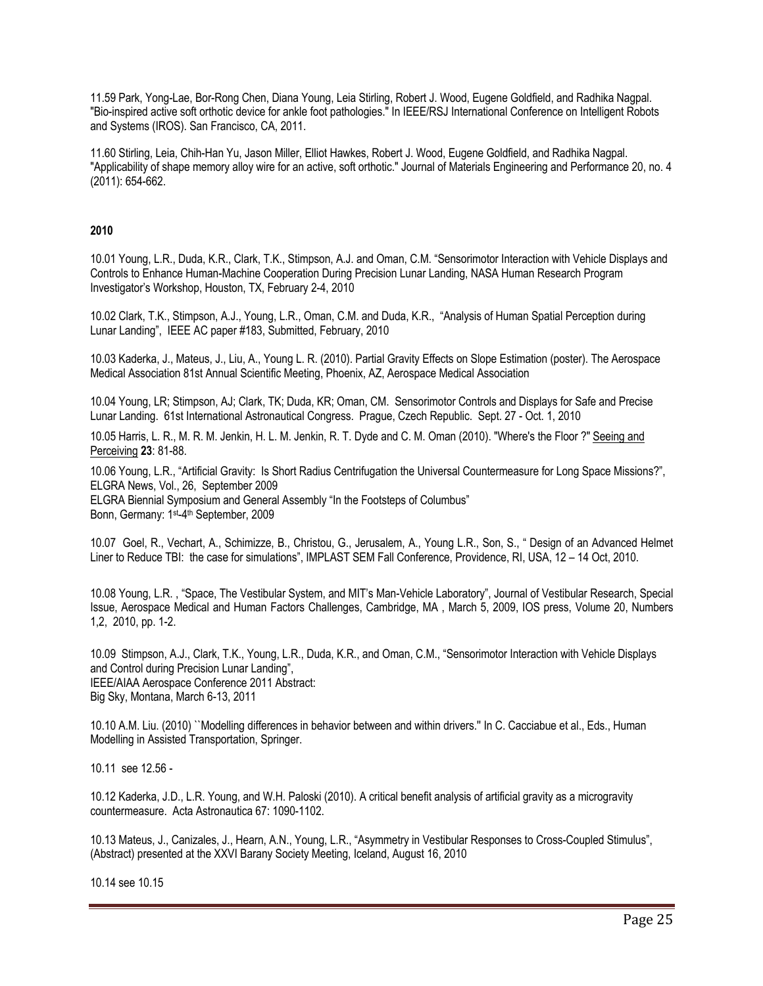11.59 Park, Yong-Lae, Bor-Rong Chen, Diana Young, Leia Stirling, Robert J. Wood, Eugene Goldfield, and Radhika Nagpal. "Bio-inspired active soft orthotic device for ankle foot pathologies." In IEEE/RSJ International Conference on Intelligent Robots and Systems (IROS). San Francisco, CA, 2011.

11.60 Stirling, Leia, Chih-Han Yu, Jason Miller, Elliot Hawkes, Robert J. Wood, Eugene Goldfield, and Radhika Nagpal. "Applicability of shape memory alloy wire for an active, soft orthotic." Journal of Materials Engineering and Performance 20, no. 4 (2011): 654-662.

## **2010**

10.01 Young, L.R., Duda, K.R., Clark, T.K., Stimpson, A.J. and Oman, C.M. "Sensorimotor Interaction with Vehicle Displays and Controls to Enhance Human-Machine Cooperation During Precision Lunar Landing, NASA Human Research Program Investigator's Workshop, Houston, TX, February 2-4, 2010

10.02 Clark, T.K., Stimpson, A.J., Young, L.R., Oman, C.M. and Duda, K.R., "Analysis of Human Spatial Perception during Lunar Landing", IEEE AC paper #183, Submitted, February, 2010

10.03 Kaderka, J., Mateus, J., Liu, A., Young L. R. (2010). Partial Gravity Effects on Slope Estimation (poster). The Aerospace Medical Association 81st Annual Scientific Meeting, Phoenix, AZ, Aerospace Medical Association

10.04 Young, LR; Stimpson, AJ; Clark, TK; Duda, KR; Oman, CM. Sensorimotor Controls and Displays for Safe and Precise Lunar Landing. 61st International Astronautical Congress. Prague, Czech Republic. Sept. 27 - Oct. 1, 2010

10.05 Harris, L. R., M. R. M. Jenkin, H. L. M. Jenkin, R. T. Dyde and C. M. Oman (2010). "Where's the Floor ?" Seeing and Perceiving **23**: 81-88.

10.06 Young, L.R., "Artificial Gravity: Is Short Radius Centrifugation the Universal Countermeasure for Long Space Missions?", ELGRA News, Vol., 26, September 2009

ELGRA Biennial Symposium and General Assembly "In the Footsteps of Columbus"

Bonn, Germany: 1st-4th September, 2009

10.07Goel, R., Vechart, A., Schimizze, B., Christou, G., Jerusalem, A., Young L.R., Son, S., " Design of an Advanced Helmet Liner to Reduce TBI: the case for simulations", IMPLAST SEM Fall Conference, Providence, RI, USA, 12 – 14 Oct, 2010.

10.08 Young, L.R. , "Space, The Vestibular System, and MIT's Man-Vehicle Laboratory", Journal of Vestibular Research, Special Issue, Aerospace Medical and Human Factors Challenges, Cambridge, MA , March 5, 2009, IOS press, Volume 20, Numbers 1,2, 2010, pp. 1-2.

10.09 Stimpson, A.J., Clark, T.K., Young, L.R., Duda, K.R., and Oman, C.M., "Sensorimotor Interaction with Vehicle Displays and Control during Precision Lunar Landing", IEEE/AIAA Aerospace Conference 2011 Abstract: Big Sky, Montana, March 6-13, 2011

10.10 A.M. Liu. (2010) ``Modelling differences in behavior between and within drivers.'' In C. Cacciabue et al., Eds., Human Modelling in Assisted Transportation, Springer.

10.11 see 12.56 -

10.12 Kaderka, J.D., L.R. Young, and W.H. Paloski (2010). A critical benefit analysis of artificial gravity as a microgravity countermeasure. Acta Astronautica 67: 1090-1102.

10.13 Mateus, J., Canizales, J., Hearn, A.N., Young, L.R., "Asymmetry in Vestibular Responses to Cross-Coupled Stimulus", (Abstract) presented at the XXVI Barany Society Meeting, Iceland, August 16, 2010

10.14 see 10.15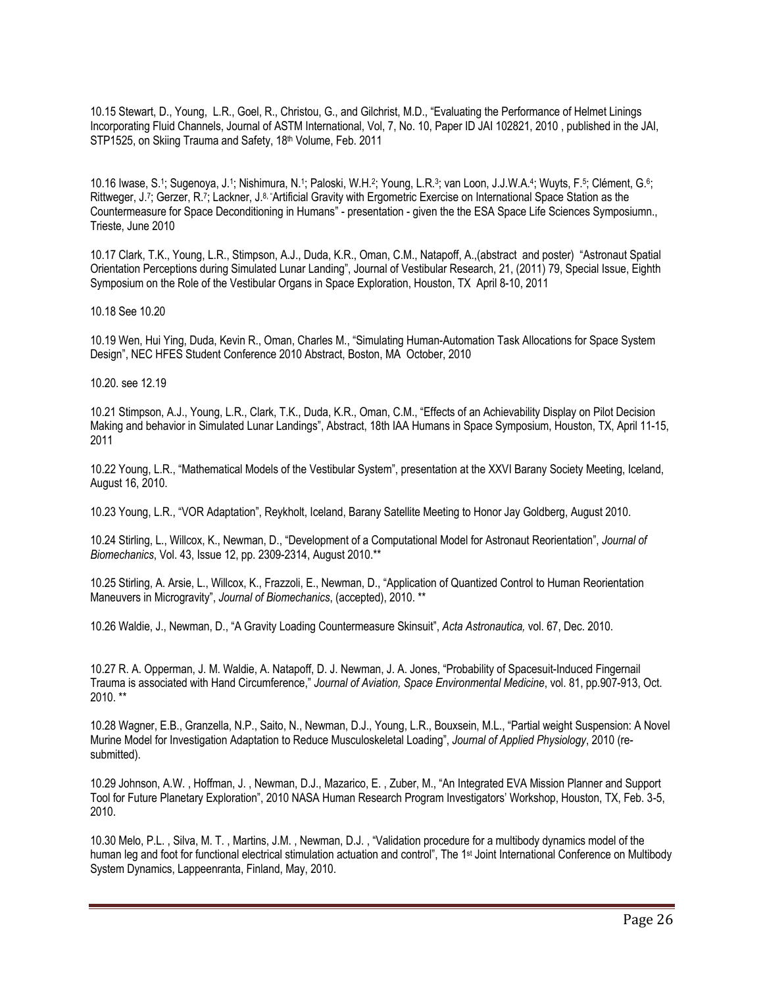10.15 Stewart, D., Young, L.R., Goel, R., Christou, G., and Gilchrist, M.D., "Evaluating the Performance of Helmet Linings Incorporating Fluid Channels, Journal of ASTM International, Vol, 7, No. 10, Paper ID JAI 102821, 2010 , published in the JAI, STP1525, on Skiing Trauma and Safety, 18th Volume, Feb. 2011

10.16 Iwase, S.1; Sugenoya, J.1; Nishimura, N.1; Paloski, W.H.2; Young, L.R.3; van Loon, J.J.W.A.4; Wuyts, F.5; Clément, G.6; Rittweger, J.7; Gerzer, R.7; Lackner, J.8, "Artificial Gravity with Ergometric Exercise on International Space Station as the Countermeasure for Space Deconditioning in Humans" - presentation - given the the ESA Space Life Sciences Symposiumn., Trieste, June 2010

10.17 Clark, T.K., Young, L.R., Stimpson, A.J., Duda, K.R., Oman, C.M., Natapoff, A.,(abstract and poster) "Astronaut Spatial Orientation Perceptions during Simulated Lunar Landing", Journal of Vestibular Research, 21, (2011) 79, Special Issue, Eighth Symposium on the Role of the Vestibular Organs in Space Exploration, Houston, TX April 8-10, 2011

10.18 See 10.20

10.19 Wen, Hui Ying, Duda, Kevin R., Oman, Charles M., "Simulating Human-Automation Task Allocations for Space System Design", NEC HFES Student Conference 2010 Abstract, Boston, MA October, 2010

10.20. see 12.19

10.21 Stimpson, A.J., Young, L.R., Clark, T.K., Duda, K.R., Oman, C.M., "Effects of an Achievability Display on Pilot Decision Making and behavior in Simulated Lunar Landings", Abstract, 18th IAA Humans in Space Symposium, Houston, TX, April 11-15, 2011

10.22 Young, L.R., "Mathematical Models of the Vestibular System", presentation at the XXVI Barany Society Meeting, Iceland, August 16, 2010.

10.23 Young, L.R., "VOR Adaptation", Reykholt, Iceland, Barany Satellite Meeting to Honor Jay Goldberg, August 2010.

10.24 Stirling, L., Willcox, K., Newman, D., "Development of a Computational Model for Astronaut Reorientation", *Journal of Biomechanics*, Vol. 43, Issue 12, pp. 2309-2314, August 2010.\*\*

10.25 Stirling, A. Arsie, L., Willcox, K., Frazzoli, E., Newman, D., "Application of Quantized Control to Human Reorientation Maneuvers in Microgravity", *Journal of Biomechanics*, (accepted), 2010. \*\*

10.26 Waldie, J., Newman, D., "A Gravity Loading Countermeasure Skinsuit", *Acta Astronautica,* vol. 67, Dec. 2010.

10.27 R. A. Opperman, J. M. Waldie, A. Natapoff, D. J. Newman, J. A. Jones, "Probability of Spacesuit-Induced Fingernail Trauma is associated with Hand Circumference," *Journal of Aviation, Space Environmental Medicine*, vol. 81, pp.907-913, Oct. 2010. \*\*

10.28 Wagner, E.B., Granzella, N.P., Saito, N., Newman, D.J., Young, L.R., Bouxsein, M.L., "Partial weight Suspension: A Novel Murine Model for Investigation Adaptation to Reduce Musculoskeletal Loading", *Journal of Applied Physiology*, 2010 (resubmitted).

10.29 Johnson, A.W. , Hoffman, J. , Newman, D.J., Mazarico, E. , Zuber, M., "An Integrated EVA Mission Planner and Support Tool for Future Planetary Exploration", 2010 NASA Human Research Program Investigators' Workshop, Houston, TX, Feb. 3-5, 2010.

10.30 Melo, P.L. , Silva, M. T. , Martins, J.M. , Newman, D.J. , "Validation procedure for a multibody dynamics model of the human leg and foot for functional electrical stimulation actuation and control", The 1<sup>st</sup> Joint International Conference on Multibody System Dynamics, Lappeenranta, Finland, May, 2010.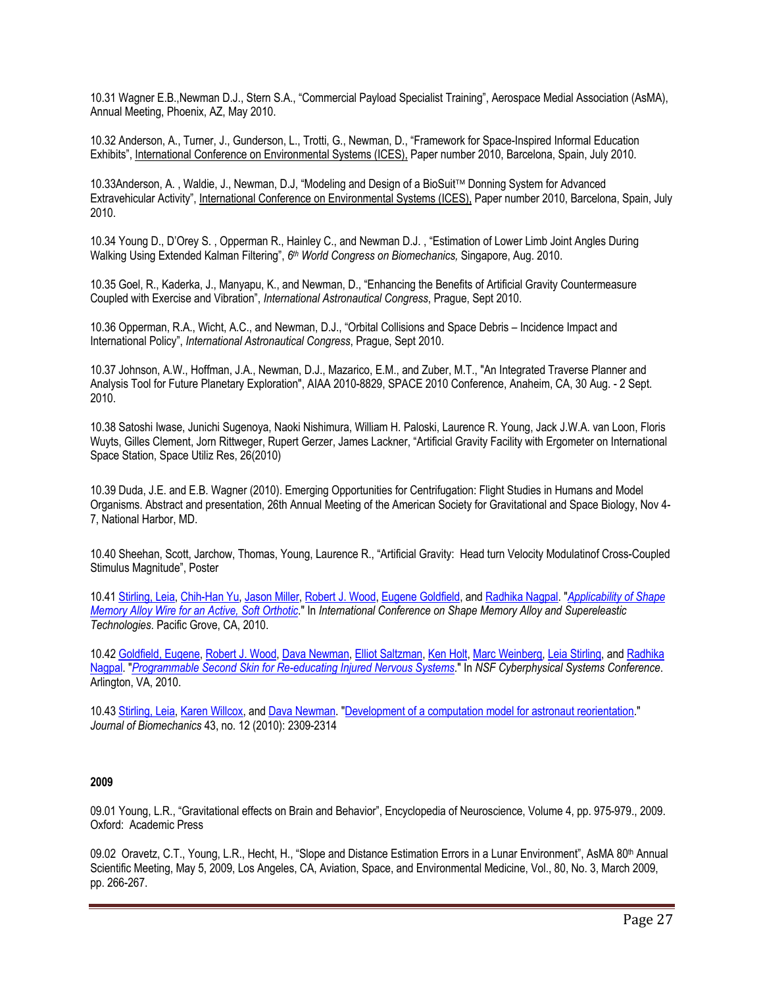10.31 Wagner E.B.,Newman D.J., Stern S.A., "Commercial Payload Specialist Training", Aerospace Medial Association (AsMA), Annual Meeting, Phoenix, AZ, May 2010.

10.32 Anderson, A., Turner, J., Gunderson, L., Trotti, G., Newman, D., "Framework for Space-Inspired Informal Education Exhibits", International Conference on Environmental Systems (ICES), Paper number 2010, Barcelona, Spain, July 2010.

10.33Anderson, A., Waldie, J., Newman, D.J, "Modeling and Design of a BioSuit™ Donning System for Advanced Extravehicular Activity", International Conference on Environmental Systems (ICES), Paper number 2010, Barcelona, Spain, July 2010.

10.34 Young D., D'Orey S. , Opperman R., Hainley C., and Newman D.J. , "Estimation of Lower Limb Joint Angles During Walking Using Extended Kalman Filtering", *6th World Congress on Biomechanics,* Singapore, Aug. 2010.

10.35 Goel, R., Kaderka, J., Manyapu, K., and Newman, D., "Enhancing the Benefits of Artificial Gravity Countermeasure Coupled with Exercise and Vibration", *International Astronautical Congress*, Prague, Sept 2010.

10.36 Opperman, R.A., Wicht, A.C., and Newman, D.J., "Orbital Collisions and Space Debris – Incidence Impact and International Policy", *International Astronautical Congress*, Prague, Sept 2010.

10.37 Johnson, A.W., Hoffman, J.A., Newman, D.J., Mazarico, E.M., and Zuber, M.T., "An Integrated Traverse Planner and Analysis Tool for Future Planetary Exploration", AIAA 2010-8829, SPACE 2010 Conference, Anaheim, CA, 30 Aug. - 2 Sept. 2010.

10.38 Satoshi Iwase, Junichi Sugenoya, Naoki Nishimura, William H. Paloski, Laurence R. Young, Jack J.W.A. van Loon, Floris Wuyts, Gilles Clement, Jorn Rittweger, Rupert Gerzer, James Lackner, "Artificial Gravity Facility with Ergometer on International Space Station, Space Utiliz Res, 26(2010)

10.39 Duda, J.E. and E.B. Wagner (2010). Emerging Opportunities for Centrifugation: Flight Studies in Humans and Model Organisms. Abstract and presentation, 26th Annual Meeting of the American Society for Gravitational and Space Biology, Nov 4- 7, National Harbor, MD.

10.40 Sheehan, Scott, Jarchow, Thomas, Young, Laurence R., "Artificial Gravity: Head turn Velocity Modulatinof Cross-Coupled Stimulus Magnitude", Poster

10.41 Stirling, Leia, Chih-Han Yu, Jason Miller, Robert J. Wood, Eugene Goldfield, and Radhika Nagpal. "*Applicability of Shape Memory Alloy Wire for an Active, Soft Orthotic*." In *International Conference on Shape Memory Alloy and Supereleastic Technologies*. Pacific Grove, CA, 2010.

10.42 Goldfield, Eugene, Robert J. Wood, Dava Newman, Elliot Saltzman, Ken Holt, Marc Weinberg, Leia Stirling, and Radhika Nagpal. "*Programmable Second Skin for Re-educating Injured Nervous Systems*." In *NSF Cyberphysical Systems Conference*. Arlington, VA, 2010.

10.43 Stirling, Leia, Karen Willcox, and Dava Newman. "Development of a computation model for astronaut reorientation." *Journal of Biomechanics* 43, no. 12 (2010): 2309-2314

#### **2009**

09.01 Young, L.R., "Gravitational effects on Brain and Behavior", Encyclopedia of Neuroscience, Volume 4, pp. 975-979., 2009. Oxford: Academic Press

09.02 Oravetz, C.T., Young, L.R., Hecht, H., "Slope and Distance Estimation Errors in a Lunar Environment", AsMA 80<sup>th</sup> Annual Scientific Meeting, May 5, 2009, Los Angeles, CA, Aviation, Space, and Environmental Medicine, Vol., 80, No. 3, March 2009, pp. 266-267.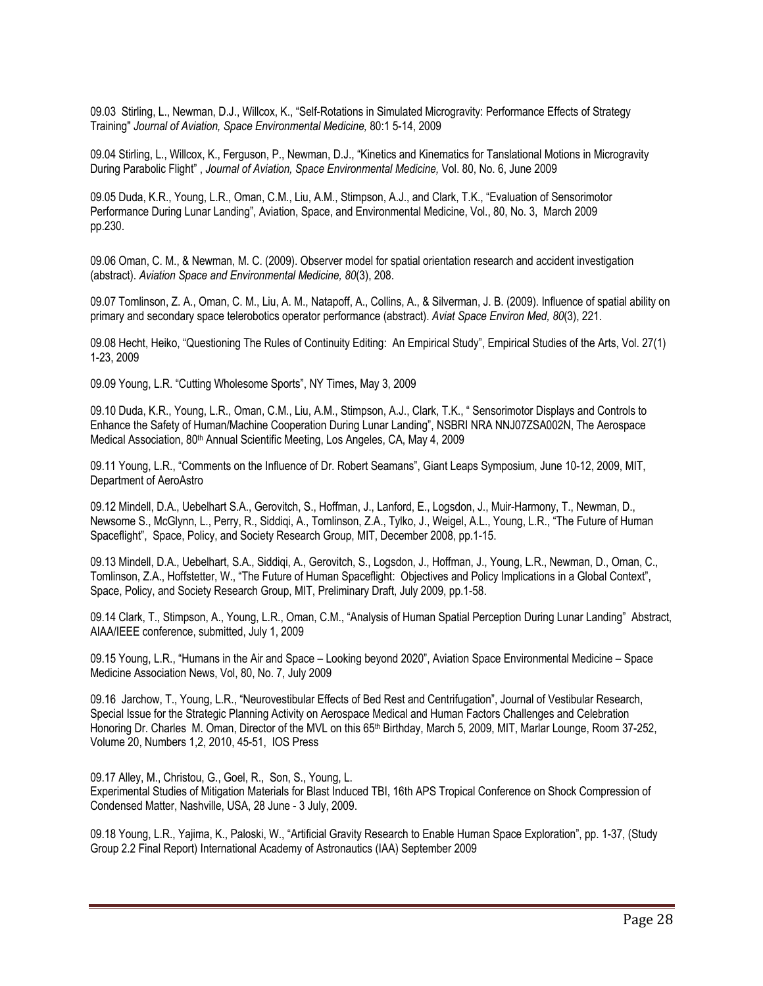09.03 Stirling, L., Newman, D.J., Willcox, K., "Self-Rotations in Simulated Microgravity: Performance Effects of Strategy Training" *Journal of Aviation, Space Environmental Medicine,* 80:1 5-14, 2009

09.04 Stirling, L., Willcox, K., Ferguson, P., Newman, D.J., "Kinetics and Kinematics for Tanslational Motions in Microgravity During Parabolic Flight" , *Journal of Aviation, Space Environmental Medicine,* Vol. 80, No. 6, June 2009

09.05 Duda, K.R., Young, L.R., Oman, C.M., Liu, A.M., Stimpson, A.J., and Clark, T.K., "Evaluation of Sensorimotor Performance During Lunar Landing", Aviation, Space, and Environmental Medicine, Vol., 80, No. 3, March 2009 pp.230.

09.06 Oman, C. M., & Newman, M. C. (2009). Observer model for spatial orientation research and accident investigation (abstract). *Aviation Space and Environmental Medicine, 80*(3), 208.

09.07 Tomlinson, Z. A., Oman, C. M., Liu, A. M., Natapoff, A., Collins, A., & Silverman, J. B. (2009). Influence of spatial ability on primary and secondary space telerobotics operator performance (abstract). *Aviat Space Environ Med, 80*(3), 221.

09.08 Hecht, Heiko, "Questioning The Rules of Continuity Editing: An Empirical Study", Empirical Studies of the Arts, Vol. 27(1) 1-23, 2009

09.09 Young, L.R. "Cutting Wholesome Sports", NY Times, May 3, 2009

09.10 Duda, K.R., Young, L.R., Oman, C.M., Liu, A.M., Stimpson, A.J., Clark, T.K., " Sensorimotor Displays and Controls to Enhance the Safety of Human/Machine Cooperation During Lunar Landing", NSBRI NRA NNJ07ZSA002N, The Aerospace Medical Association, 80<sup>th</sup> Annual Scientific Meeting, Los Angeles, CA, May 4, 2009

09.11 Young, L.R., "Comments on the Influence of Dr. Robert Seamans", Giant Leaps Symposium, June 10-12, 2009, MIT, Department of AeroAstro

09.12 Mindell, D.A., Uebelhart S.A., Gerovitch, S., Hoffman, J., Lanford, E., Logsdon, J., Muir-Harmony, T., Newman, D., Newsome S., McGlynn, L., Perry, R., Siddiqi, A., Tomlinson, Z.A., Tylko, J., Weigel, A.L., Young, L.R., "The Future of Human Spaceflight", Space, Policy, and Society Research Group, MIT, December 2008, pp.1-15.

09.13 Mindell, D.A., Uebelhart, S.A., Siddiqi, A., Gerovitch, S., Logsdon, J., Hoffman, J., Young, L.R., Newman, D., Oman, C., Tomlinson, Z.A., Hoffstetter, W., "The Future of Human Spaceflight: Objectives and Policy Implications in a Global Context", Space, Policy, and Society Research Group, MIT, Preliminary Draft, July 2009, pp.1-58.

09.14 Clark, T., Stimpson, A., Young, L.R., Oman, C.M., "Analysis of Human Spatial Perception During Lunar Landing" Abstract, AIAA/IEEE conference, submitted, July 1, 2009

09.15 Young, L.R., "Humans in the Air and Space – Looking beyond 2020", Aviation Space Environmental Medicine – Space Medicine Association News, Vol, 80, No. 7, July 2009

09.16 Jarchow, T., Young, L.R., "Neurovestibular Effects of Bed Rest and Centrifugation", Journal of Vestibular Research, Special Issue for the Strategic Planning Activity on Aerospace Medical and Human Factors Challenges and Celebration Honoring Dr. Charles M. Oman, Director of the MVL on this 65th Birthday, March 5, 2009, MIT, Marlar Lounge, Room 37-252, Volume 20, Numbers 1,2, 2010, 45-51, IOS Press

09.17 Alley, M., Christou, G., Goel, R., Son, S., Young, L. Experimental Studies of Mitigation Materials for Blast Induced TBI, 16th APS Tropical Conference on Shock Compression of Condensed Matter, Nashville, USA, 28 June - 3 July, 2009.

09.18 Young, L.R., Yajima, K., Paloski, W., "Artificial Gravity Research to Enable Human Space Exploration", pp. 1-37, (Study Group 2.2 Final Report) International Academy of Astronautics (IAA) September 2009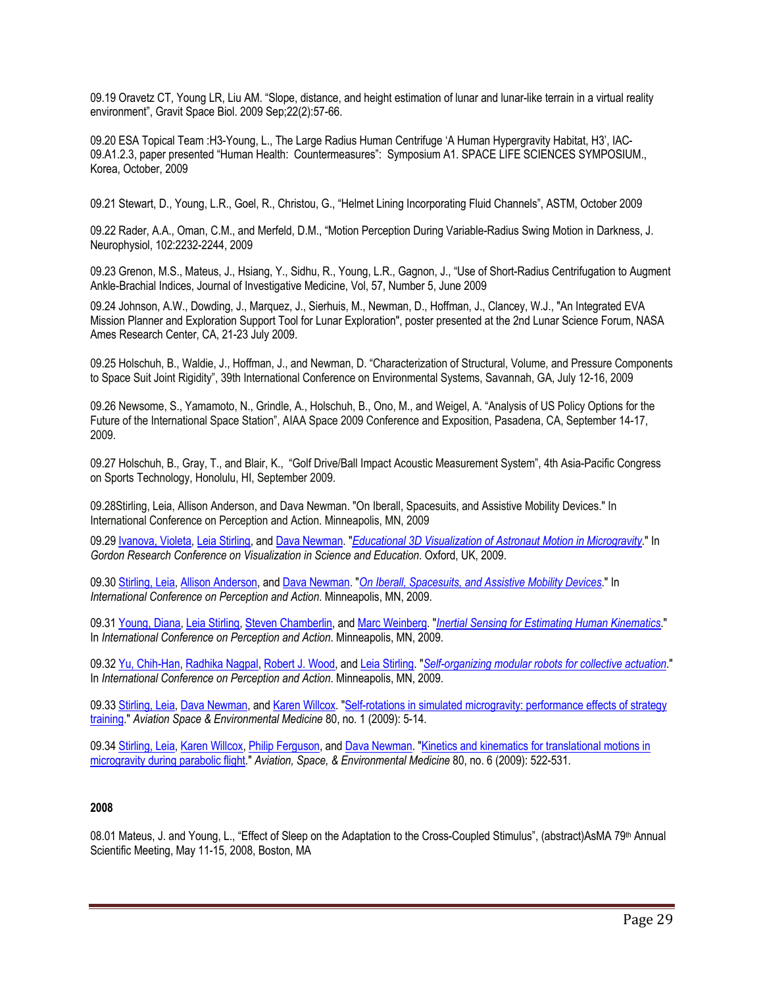09.19 Oravetz CT, Young LR, Liu AM. "Slope, distance, and height estimation of lunar and lunar-like terrain in a virtual reality environment", Gravit Space Biol. 2009 Sep;22(2):57-66.

09.20 ESA Topical Team :H3-Young, L., The Large Radius Human Centrifuge 'A Human Hypergravity Habitat, H3', IAC-09.A1.2.3, paper presented "Human Health: Countermeasures": Symposium A1. SPACE LIFE SCIENCES SYMPOSIUM., Korea, October, 2009

09.21 Stewart, D., Young, L.R., Goel, R., Christou, G., "Helmet Lining Incorporating Fluid Channels", ASTM, October 2009

09.22 Rader, A.A., Oman, C.M., and Merfeld, D.M., "Motion Perception During Variable-Radius Swing Motion in Darkness, J. Neurophysiol, 102:2232-2244, 2009

09.23 Grenon, M.S., Mateus, J., Hsiang, Y., Sidhu, R., Young, L.R., Gagnon, J., "Use of Short-Radius Centrifugation to Augment Ankle-Brachial Indices, Journal of Investigative Medicine, Vol, 57, Number 5, June 2009

09.24 Johnson, A.W., Dowding, J., Marquez, J., Sierhuis, M., Newman, D., Hoffman, J., Clancey, W.J., "An Integrated EVA Mission Planner and Exploration Support Tool for Lunar Exploration", poster presented at the 2nd Lunar Science Forum, NASA Ames Research Center, CA, 21-23 July 2009.

09.25 Holschuh, B., Waldie, J., Hoffman, J., and Newman, D. "Characterization of Structural, Volume, and Pressure Components to Space Suit Joint Rigidity", 39th International Conference on Environmental Systems, Savannah, GA, July 12-16, 2009

09.26 Newsome, S., Yamamoto, N., Grindle, A., Holschuh, B., Ono, M., and Weigel, A. "Analysis of US Policy Options for the Future of the International Space Station", AIAA Space 2009 Conference and Exposition, Pasadena, CA, September 14-17, 2009.

09.27 Holschuh, B., Gray, T., and Blair, K., "Golf Drive/Ball Impact Acoustic Measurement System", 4th Asia-Pacific Congress on Sports Technology, Honolulu, HI, September 2009.

09.28Stirling, Leia, Allison Anderson, and Dava Newman. "On Iberall, Spacesuits, and Assistive Mobility Devices." In International Conference on Perception and Action. Minneapolis, MN, 2009

09.29 Ivanova, Violeta, Leia Stirling, and Dava Newman. "*Educational 3D Visualization of Astronaut Motion in Microgravity*." In *Gordon Research Conference on Visualization in Science and Education*. Oxford, UK, 2009.

09.30 Stirling, Leia, Allison Anderson, and Dava Newman. "*On Iberall, Spacesuits, and Assistive Mobility Devices*." In *International Conference on Perception and Action*. Minneapolis, MN, 2009.

09.31 Young, Diana, Leia Stirling, Steven Chamberlin, and Marc Weinberg. "*Inertial Sensing for Estimating Human Kinematics*." In *International Conference on Perception and Action*. Minneapolis, MN, 2009.

09.32 Yu, Chih-Han, Radhika Nagpal, Robert J. Wood, and Leia Stirling. "*Self-organizing modular robots for collective actuation*." In *International Conference on Perception and Action*. Minneapolis, MN, 2009.

09.33 Stirling, Leia, Dava Newman, and Karen Willcox. "Self-rotations in simulated microgravity: performance effects of strategy training." *Aviation Space & Environmental Medicine* 80, no. 1 (2009): 5-14.

09.34 Stirling, Leia, Karen Willcox, Philip Ferguson, and Dava Newman. "Kinetics and kinematics for translational motions in microgravity during parabolic flight." *Aviation, Space, & Environmental Medicine* 80, no. 6 (2009): 522-531.

#### **2008**

08.01 Mateus, J. and Young, L., "Effect of Sleep on the Adaptation to the Cross-Coupled Stimulus", (abstract)AsMA 79<sup>th</sup> Annual Scientific Meeting, May 11-15, 2008, Boston, MA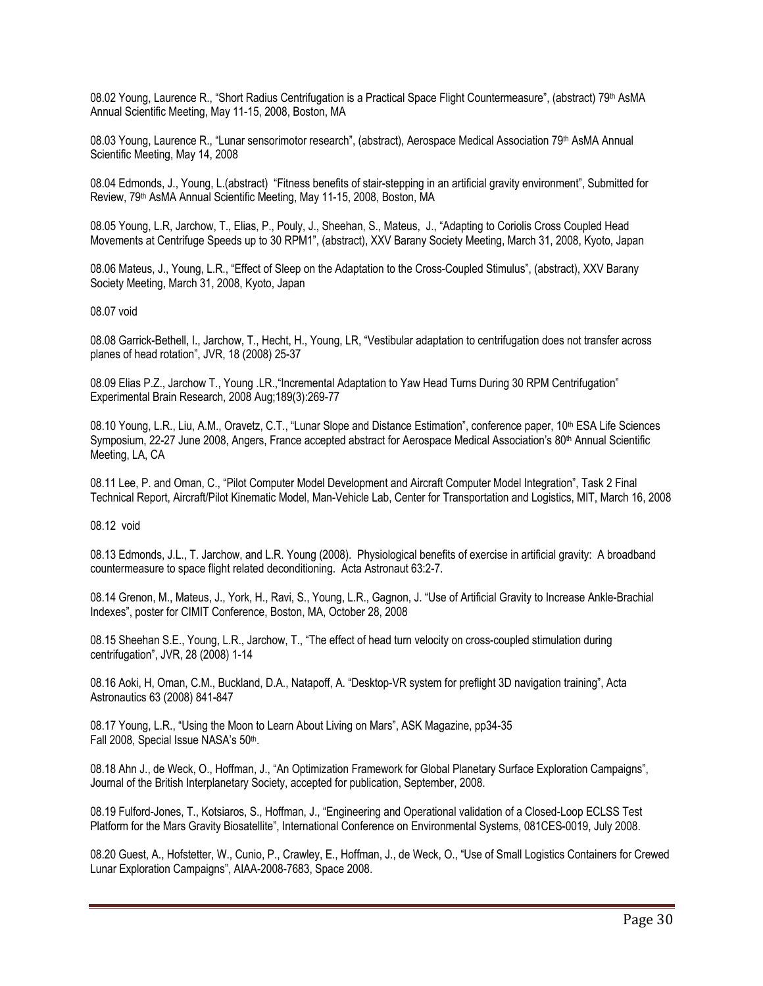08.02 Young, Laurence R., "Short Radius Centrifugation is a Practical Space Flight Countermeasure", (abstract) 79th AsMA Annual Scientific Meeting, May 11-15, 2008, Boston, MA

08.03 Young, Laurence R., "Lunar sensorimotor research", (abstract), Aerospace Medical Association 79<sup>th</sup> AsMA Annual Scientific Meeting, May 14, 2008

08.04 Edmonds, J., Young, L.(abstract) "Fitness benefits of stair-stepping in an artificial gravity environment", Submitted for Review, 79th AsMA Annual Scientific Meeting, May 11-15, 2008, Boston, MA

08.05 Young, L.R, Jarchow, T., Elias, P., Pouly, J., Sheehan, S., Mateus, J., "Adapting to Coriolis Cross Coupled Head Movements at Centrifuge Speeds up to 30 RPM1", (abstract), XXV Barany Society Meeting, March 31, 2008, Kyoto, Japan

08.06 Mateus, J., Young, L.R., "Effect of Sleep on the Adaptation to the Cross-Coupled Stimulus", (abstract), XXV Barany Society Meeting, March 31, 2008, Kyoto, Japan

08.07 void

08.08 Garrick-Bethell, I., Jarchow, T., Hecht, H., Young, LR, "Vestibular adaptation to centrifugation does not transfer across planes of head rotation", JVR, 18 (2008) 25-37

08.09 Elias P.Z., Jarchow T., Young .LR.,"Incremental Adaptation to Yaw Head Turns During 30 RPM Centrifugation" Experimental Brain Research, 2008 Aug;189(3):269-77

08.10 Young, L.R., Liu, A.M., Oravetz, C.T., "Lunar Slope and Distance Estimation", conference paper, 10<sup>th</sup> ESA Life Sciences Symposium, 22-27 June 2008, Angers, France accepted abstract for Aerospace Medical Association's 80th Annual Scientific Meeting, LA, CA

08.11 Lee, P. and Oman, C., "Pilot Computer Model Development and Aircraft Computer Model Integration", Task 2 Final Technical Report, Aircraft/Pilot Kinematic Model, Man-Vehicle Lab, Center for Transportation and Logistics, MIT, March 16, 2008

08.12 void

08.13 Edmonds, J.L., T. Jarchow, and L.R. Young (2008). Physiological benefits of exercise in artificial gravity: A broadband countermeasure to space flight related deconditioning. Acta Astronaut 63:2-7.

08.14 Grenon, M., Mateus, J., York, H., Ravi, S., Young, L.R., Gagnon, J. "Use of Artificial Gravity to Increase Ankle-Brachial Indexes", poster for CIMIT Conference, Boston, MA, October 28, 2008

08.15 Sheehan S.E., Young, L.R., Jarchow, T., "The effect of head turn velocity on cross-coupled stimulation during centrifugation", JVR, 28 (2008) 1-14

08.16 Aoki, H, Oman, C.M., Buckland, D.A., Natapoff, A. "Desktop-VR system for preflight 3D navigation training", Acta Astronautics 63 (2008) 841-847

08.17 Young, L.R., "Using the Moon to Learn About Living on Mars", ASK Magazine, pp34-35 Fall 2008, Special Issue NASA's 50th.

08.18 Ahn J., de Weck, O., Hoffman, J., "An Optimization Framework for Global Planetary Surface Exploration Campaigns", Journal of the British Interplanetary Society, accepted for publication, September, 2008.

08.19 Fulford-Jones, T., Kotsiaros, S., Hoffman, J., "Engineering and Operational validation of a Closed-Loop ECLSS Test Platform for the Mars Gravity Biosatellite", International Conference on Environmental Systems, 081CES-0019, July 2008.

08.20 Guest, A., Hofstetter, W., Cunio, P., Crawley, E., Hoffman, J., de Weck, O., "Use of Small Logistics Containers for Crewed Lunar Exploration Campaigns", AIAA-2008-7683, Space 2008.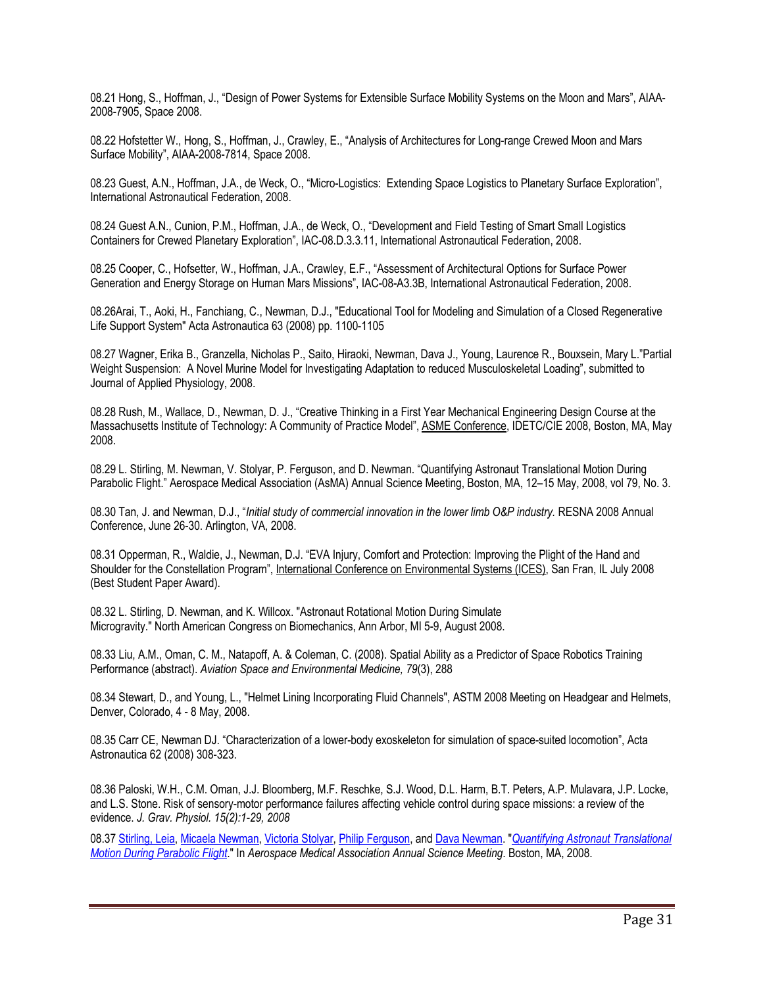08.21 Hong, S., Hoffman, J., "Design of Power Systems for Extensible Surface Mobility Systems on the Moon and Mars", AIAA-2008-7905, Space 2008.

08.22 Hofstetter W., Hong, S., Hoffman, J., Crawley, E., "Analysis of Architectures for Long-range Crewed Moon and Mars Surface Mobility", AIAA-2008-7814, Space 2008.

08.23 Guest, A.N., Hoffman, J.A., de Weck, O., "Micro-Logistics: Extending Space Logistics to Planetary Surface Exploration", International Astronautical Federation, 2008.

08.24 Guest A.N., Cunion, P.M., Hoffman, J.A., de Weck, O., "Development and Field Testing of Smart Small Logistics Containers for Crewed Planetary Exploration", IAC-08.D.3.3.11, International Astronautical Federation, 2008.

08.25 Cooper, C., Hofsetter, W., Hoffman, J.A., Crawley, E.F., "Assessment of Architectural Options for Surface Power Generation and Energy Storage on Human Mars Missions", IAC-08-A3.3B, International Astronautical Federation, 2008.

08.26Arai, T., Aoki, H., Fanchiang, C., Newman, D.J., "Educational Tool for Modeling and Simulation of a Closed Regenerative Life Support System" Acta Astronautica 63 (2008) pp. 1100-1105

08.27 Wagner, Erika B., Granzella, Nicholas P., Saito, Hiraoki, Newman, Dava J., Young, Laurence R., Bouxsein, Mary L."Partial Weight Suspension: A Novel Murine Model for Investigating Adaptation to reduced Musculoskeletal Loading", submitted to Journal of Applied Physiology, 2008.

08.28 Rush, M., Wallace, D., Newman, D. J., "Creative Thinking in a First Year Mechanical Engineering Design Course at the Massachusetts Institute of Technology: A Community of Practice Model", ASME Conference, IDETC/CIE 2008, Boston, MA, May 2008.

08.29 L. Stirling, M. Newman, V. Stolyar, P. Ferguson, and D. Newman. "Quantifying Astronaut Translational Motion During Parabolic Flight." Aerospace Medical Association (AsMA) Annual Science Meeting, Boston, MA, 12–15 May, 2008, vol 79, No. 3.

08.30 Tan, J. and Newman, D.J., "*Initial study of commercial innovation in the lower limb O&P industry*. RESNA 2008 Annual Conference, June 26-30. Arlington, VA, 2008.

08.31 Opperman, R., Waldie, J., Newman, D.J. "EVA Injury, Comfort and Protection: Improving the Plight of the Hand and Shoulder for the Constellation Program", International Conference on Environmental Systems (ICES), San Fran, IL July 2008 (Best Student Paper Award).

08.32 L. Stirling, D. Newman, and K. Willcox. "Astronaut Rotational Motion During Simulate Microgravity." North American Congress on Biomechanics, Ann Arbor, MI 5-9, August 2008.

 08.33 Liu, A.M., Oman, C. M., Natapoff, A. & Coleman, C. (2008). Spatial Ability as a Predictor of Space Robotics Training Performance (abstract). *Aviation Space and Environmental Medicine, 79*(3), 288

08.34 Stewart, D., and Young, L., "Helmet Lining Incorporating Fluid Channels", ASTM 2008 Meeting on Headgear and Helmets, Denver, Colorado, 4 - 8 May, 2008.

08.35 Carr CE, Newman DJ. "Characterization of a lower-body exoskeleton for simulation of space-suited locomotion", Acta Astronautica 62 (2008) 308-323.

08.36 Paloski, W.H., C.M. Oman, J.J. Bloomberg, M.F. Reschke, S.J. Wood, D.L. Harm, B.T. Peters, A.P. Mulavara, J.P. Locke, and L.S. Stone. Risk of sensory-motor performance failures affecting vehicle control during space missions: a review of the evidence. *J. Grav. Physiol. 15(2):1-29, 2008*

08.37 Stirling, Leia, Micaela Newman, Victoria Stolyar, Philip Ferguson, and Dava Newman. "*Quantifying Astronaut Translational Motion During Parabolic Flight*." In *Aerospace Medical Association Annual Science Meeting*. Boston, MA, 2008.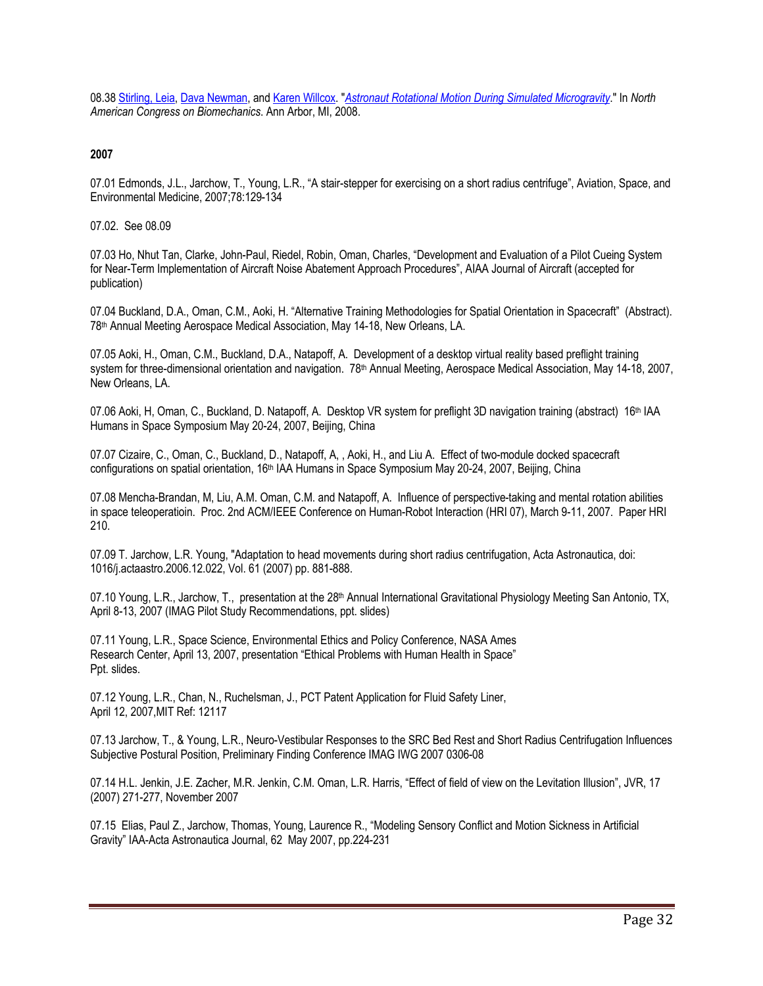08.38 Stirling, Leia, Dava Newman, and Karen Willcox. "*Astronaut Rotational Motion During Simulated Microgravity*." In *North American Congress on Biomechanics*. Ann Arbor, MI, 2008.

### **2007**

07.01 Edmonds, J.L., Jarchow, T., Young, L.R., "A stair-stepper for exercising on a short radius centrifuge", Aviation, Space, and Environmental Medicine, 2007;78:129-134

07.02. See 08.09

07.03 Ho, Nhut Tan, Clarke, John-Paul, Riedel, Robin, Oman, Charles, "Development and Evaluation of a Pilot Cueing System for Near-Term Implementation of Aircraft Noise Abatement Approach Procedures", AIAA Journal of Aircraft (accepted for publication)

07.04 Buckland, D.A., Oman, C.M., Aoki, H. "Alternative Training Methodologies for Spatial Orientation in Spacecraft" (Abstract). 78th Annual Meeting Aerospace Medical Association, May 14-18, New Orleans, LA.

07.05 Aoki, H., Oman, C.M., Buckland, D.A., Natapoff, A. Development of a desktop virtual reality based preflight training system for three-dimensional orientation and navigation. 78<sup>th</sup> Annual Meeting, Aerospace Medical Association, May 14-18, 2007, New Orleans, LA.

07.06 Aoki, H, Oman, C., Buckland, D. Natapoff, A. Desktop VR system for preflight 3D navigation training (abstract) 16<sup>th</sup> IAA Humans in Space Symposium May 20-24, 2007, Beijing, China

07.07 Cizaire, C., Oman, C., Buckland, D., Natapoff, A, , Aoki, H., and Liu A. Effect of two-module docked spacecraft configurations on spatial orientation, 16th IAA Humans in Space Symposium May 20-24, 2007, Beijing, China

07.08 Mencha-Brandan, M, Liu, A.M. Oman, C.M. and Natapoff, A. Influence of perspective-taking and mental rotation abilities in space teleoperatioin. Proc. 2nd ACM/IEEE Conference on Human-Robot Interaction (HRI 07), March 9-11, 2007. Paper HRI 210.

07.09 T. Jarchow, L.R. Young, "Adaptation to head movements during short radius centrifugation, Acta Astronautica, doi: 1016/j.actaastro.2006.12.022, Vol. 61 (2007) pp. 881-888.

07.10 Young, L.R., Jarchow, T., presentation at the 28<sup>th</sup> Annual International Gravitational Physiology Meeting San Antonio, TX, April 8-13, 2007 (IMAG Pilot Study Recommendations, ppt. slides)

07.11 Young, L.R., Space Science, Environmental Ethics and Policy Conference, NASA Ames Research Center, April 13, 2007, presentation "Ethical Problems with Human Health in Space" Ppt. slides.

07.12 Young, L.R., Chan, N., Ruchelsman, J., PCT Patent Application for Fluid Safety Liner, April 12, 2007,MIT Ref: 12117

07.13 Jarchow, T., & Young, L.R., Neuro-Vestibular Responses to the SRC Bed Rest and Short Radius Centrifugation Influences Subjective Postural Position, Preliminary Finding Conference IMAG IWG 2007 0306-08

07.14 H.L. Jenkin, J.E. Zacher, M.R. Jenkin, C.M. Oman, L.R. Harris, "Effect of field of view on the Levitation Illusion", JVR, 17 (2007) 271-277, November 2007

07.15 Elias, Paul Z., Jarchow, Thomas, Young, Laurence R., "Modeling Sensory Conflict and Motion Sickness in Artificial Gravity" IAA-Acta Astronautica Journal, 62 May 2007, pp.224-231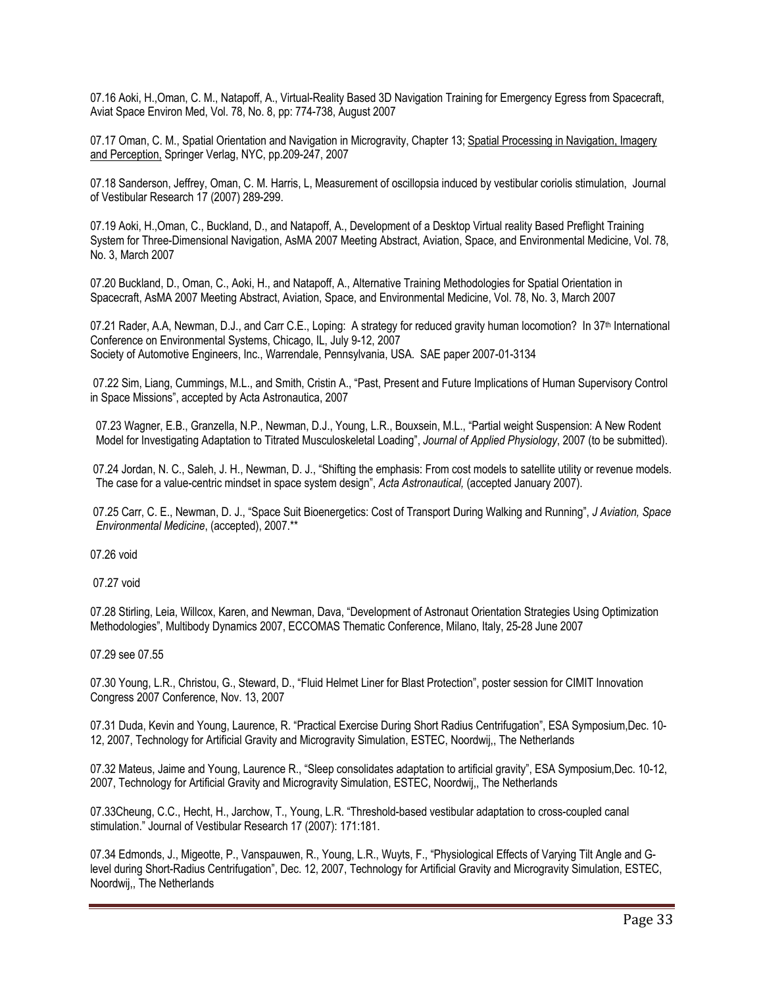07.16 Aoki, H.,Oman, C. M., Natapoff, A., Virtual-Reality Based 3D Navigation Training for Emergency Egress from Spacecraft, Aviat Space Environ Med, Vol. 78, No. 8, pp: 774-738, August 2007

07.17 Oman, C. M., Spatial Orientation and Navigation in Microgravity, Chapter 13; Spatial Processing in Navigation, Imagery and Perception, Springer Verlag, NYC, pp.209-247, 2007

07.18 Sanderson, Jeffrey, Oman, C. M. Harris, L, Measurement of oscillopsia induced by vestibular coriolis stimulation, Journal of Vestibular Research 17 (2007) 289-299.

07.19 Aoki, H.,Oman, C., Buckland, D., and Natapoff, A., Development of a Desktop Virtual reality Based Preflight Training System for Three-Dimensional Navigation, AsMA 2007 Meeting Abstract, Aviation, Space, and Environmental Medicine, Vol. 78, No. 3, March 2007

07.20 Buckland, D., Oman, C., Aoki, H., and Natapoff, A., Alternative Training Methodologies for Spatial Orientation in Spacecraft, AsMA 2007 Meeting Abstract, Aviation, Space, and Environmental Medicine, Vol. 78, No. 3, March 2007

07.21 Rader, A.A, Newman, D.J., and Carr C.E., Loping: A strategy for reduced gravity human locomotion? In 37<sup>th</sup> International Conference on Environmental Systems, Chicago, IL, July 9-12, 2007 Society of Automotive Engineers, Inc., Warrendale, Pennsylvania, USA. SAE paper 2007-01-3134

07.22 Sim, Liang, Cummings, M.L., and Smith, Cristin A., "Past, Present and Future Implications of Human Supervisory Control in Space Missions", accepted by Acta Astronautica, 2007

 07.23 Wagner, E.B., Granzella, N.P., Newman, D.J., Young, L.R., Bouxsein, M.L., "Partial weight Suspension: A New Rodent Model for Investigating Adaptation to Titrated Musculoskeletal Loading", *Journal of Applied Physiology*, 2007 (to be submitted).

07.24 Jordan, N. C., Saleh, J. H., Newman, D. J., "Shifting the emphasis: From cost models to satellite utility or revenue models. The case for a value-centric mindset in space system design", *Acta Astronautical,* (accepted January 2007).

07.25 Carr, C. E., Newman, D. J., "Space Suit Bioenergetics: Cost of Transport During Walking and Running", *J Aviation, Space Environmental Medicine*, (accepted), 2007.\*\*

07.26 void

07.27 void

07.28 Stirling, Leia, Willcox, Karen, and Newman, Dava, "Development of Astronaut Orientation Strategies Using Optimization Methodologies", Multibody Dynamics 2007, ECCOMAS Thematic Conference, Milano, Italy, 25-28 June 2007

07.29 see 07.55

07.30 Young, L.R., Christou, G., Steward, D., "Fluid Helmet Liner for Blast Protection", poster session for CIMIT Innovation Congress 2007 Conference, Nov. 13, 2007

07.31 Duda, Kevin and Young, Laurence, R. "Practical Exercise During Short Radius Centrifugation", ESA Symposium,Dec. 10- 12, 2007, Technology for Artificial Gravity and Microgravity Simulation, ESTEC, Noordwij,, The Netherlands

07.32 Mateus, Jaime and Young, Laurence R., "Sleep consolidates adaptation to artificial gravity", ESA Symposium,Dec. 10-12, 2007, Technology for Artificial Gravity and Microgravity Simulation, ESTEC, Noordwij,, The Netherlands

07.33Cheung, C.C., Hecht, H., Jarchow, T., Young, L.R. "Threshold-based vestibular adaptation to cross-coupled canal stimulation." Journal of Vestibular Research 17 (2007): 171:181.

07.34 Edmonds, J., Migeotte, P., Vanspauwen, R., Young, L.R., Wuyts, F., "Physiological Effects of Varying Tilt Angle and Glevel during Short-Radius Centrifugation", Dec. 12, 2007, Technology for Artificial Gravity and Microgravity Simulation, ESTEC, Noordwij,, The Netherlands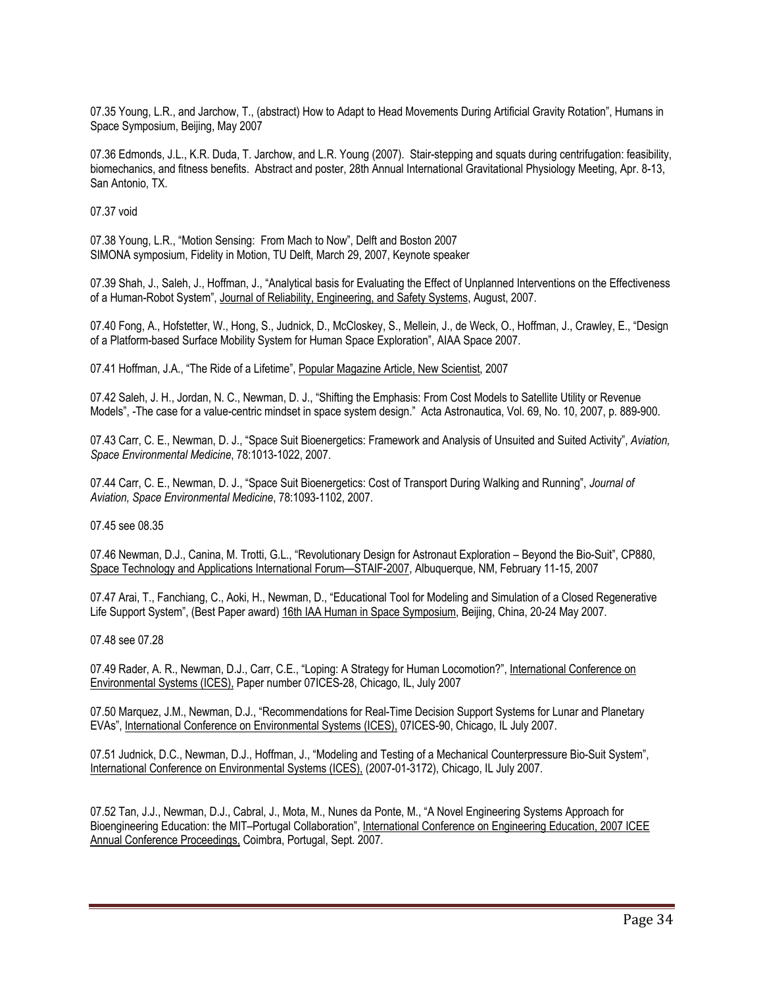07.35 Young, L.R., and Jarchow, T., (abstract) How to Adapt to Head Movements During Artificial Gravity Rotation", Humans in Space Symposium, Beijing, May 2007

07.36 Edmonds, J.L., K.R. Duda, T. Jarchow, and L.R. Young (2007). Stair-stepping and squats during centrifugation: feasibility, biomechanics, and fitness benefits. Abstract and poster, 28th Annual International Gravitational Physiology Meeting, Apr. 8-13, San Antonio, TX.

07.37 void

07.38 Young, L.R., "Motion Sensing: From Mach to Now", Delft and Boston 2007 SIMONA symposium, Fidelity in Motion, TU Delft, March 29, 2007, Keynote speaker

07.39 Shah, J., Saleh, J., Hoffman, J., "Analytical basis for Evaluating the Effect of Unplanned Interventions on the Effectiveness of a Human-Robot System", Journal of Reliability, Engineering, and Safety Systems, August, 2007.

07.40 Fong, A., Hofstetter, W., Hong, S., Judnick, D., McCloskey, S., Mellein, J., de Weck, O., Hoffman, J., Crawley, E., "Design of a Platform-based Surface Mobility System for Human Space Exploration", AIAA Space 2007.

07.41 Hoffman, J.A., "The Ride of a Lifetime", Popular Magazine Article, New Scientist, 2007

07.42 Saleh, J. H., Jordan, N. C., Newman, D. J., "Shifting the Emphasis: From Cost Models to Satellite Utility or Revenue Models", *-*The case for a value-centric mindset in space system design." Acta Astronautica, Vol. 69, No. 10, 2007, p. 889-900.

07.43 Carr, C. E., Newman, D. J., "Space Suit Bioenergetics: Framework and Analysis of Unsuited and Suited Activity", *Aviation, Space Environmental Medicine*, 78:1013-1022, 2007.

07.44 Carr, C. E., Newman, D. J., "Space Suit Bioenergetics: Cost of Transport During Walking and Running", *Journal of Aviation, Space Environmental Medicine*, 78:1093-1102, 2007.

07.45 see 08.35

07.46 Newman, D.J., Canina, M. Trotti, G.L., "Revolutionary Design for Astronaut Exploration – Beyond the Bio-Suit", CP880, Space Technology and Applications International Forum—STAIF-2007, Albuquerque, NM, February 11-15, 2007

07.47 Arai, T., Fanchiang, C., Aoki, H., Newman, D., "Educational Tool for Modeling and Simulation of a Closed Regenerative Life Support System", (Best Paper award) 16th IAA Human in Space Symposium, Beijing, China, 20-24 May 2007.

07.48 see 07.28

07.49 Rader, A. R., Newman, D.J., Carr, C.E., "Loping: A Strategy for Human Locomotion?", International Conference on Environmental Systems (ICES), Paper number 07ICES-28, Chicago, IL, July 2007

07.50 Marquez, J.M., Newman, D.J., "Recommendations for Real-Time Decision Support Systems for Lunar and Planetary EVAs", International Conference on Environmental Systems (ICES), 07ICES-90, Chicago, IL July 2007.

07.51 Judnick, D.C., Newman, D.J., Hoffman, J., "Modeling and Testing of a Mechanical Counterpressure Bio-Suit System", International Conference on Environmental Systems (ICES), (2007-01-3172), Chicago, IL July 2007.

07.52 Tan, J.J., Newman, D.J., Cabral, J., Mota, M., Nunes da Ponte, M., "A Novel Engineering Systems Approach for Bioengineering Education: the MIT–Portugal Collaboration", International Conference on Engineering Education, 2007 ICEE Annual Conference Proceedings, Coimbra, Portugal, Sept. 2007.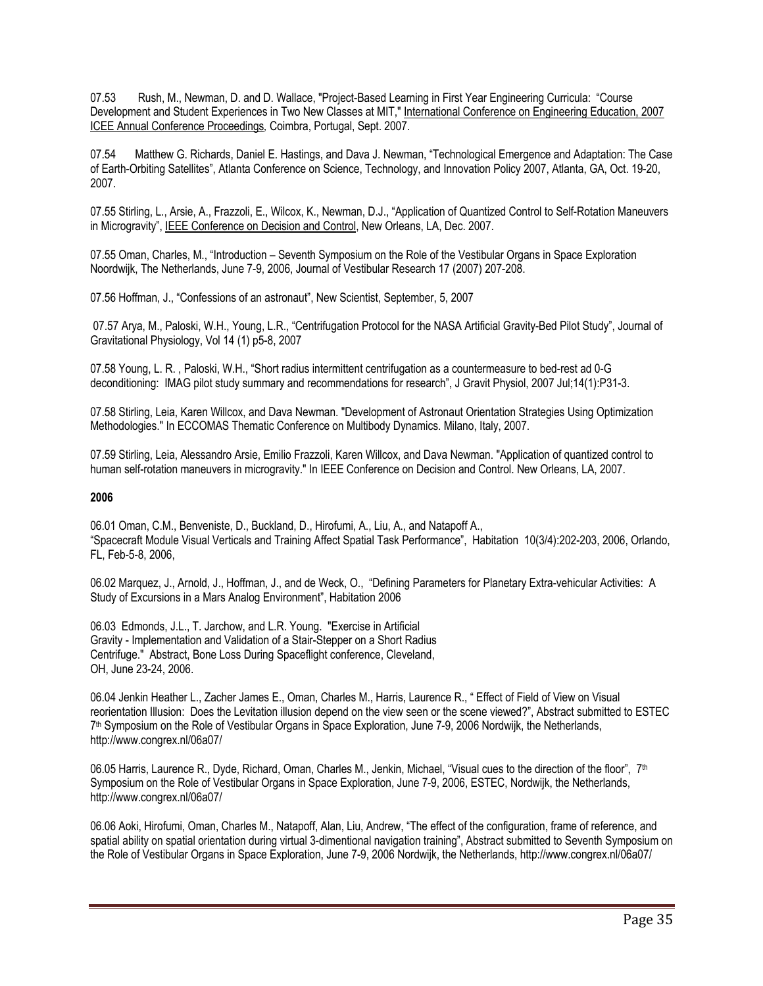07.53 Rush, M., Newman, D. and D. Wallace, "Project-Based Learning in First Year Engineering Curricula: "Course Development and Student Experiences in Two New Classes at MIT," International Conference on Engineering Education, 2007 ICEE Annual Conference Proceedings*,* Coimbra, Portugal, Sept. 2007.

07.54 Matthew G. Richards, Daniel E. Hastings, and Dava J. Newman, "Technological Emergence and Adaptation: The Case of Earth-Orbiting Satellites", Atlanta Conference on Science, Technology, and Innovation Policy 2007, Atlanta, GA, Oct. 19-20, 2007.

07.55 Stirling, L., Arsie, A., Frazzoli, E., Wilcox, K., Newman, D.J., "Application of Quantized Control to Self-Rotation Maneuvers in Microgravity", IEEE Conference on Decision and Control, New Orleans, LA, Dec. 2007.

07.55 Oman, Charles, M., "Introduction – Seventh Symposium on the Role of the Vestibular Organs in Space Exploration Noordwijk, The Netherlands, June 7-9, 2006, Journal of Vestibular Research 17 (2007) 207-208.

07.56 Hoffman, J., "Confessions of an astronaut", New Scientist, September, 5, 2007

07.57 Arya, M., Paloski, W.H., Young, L.R., "Centrifugation Protocol for the NASA Artificial Gravity-Bed Pilot Study", Journal of Gravitational Physiology, Vol 14 (1) p5-8, 2007

07.58 Young, L. R. , Paloski, W.H., "Short radius intermittent centrifugation as a countermeasure to bed-rest ad 0-G deconditioning: IMAG pilot study summary and recommendations for research", J Gravit Physiol, 2007 Jul;14(1):P31-3.

07.58 Stirling, Leia, Karen Willcox, and Dava Newman. "Development of Astronaut Orientation Strategies Using Optimization Methodologies." In ECCOMAS Thematic Conference on Multibody Dynamics. Milano, Italy, 2007.

07.59 Stirling, Leia, Alessandro Arsie, Emilio Frazzoli, Karen Willcox, and Dava Newman. "Application of quantized control to human self-rotation maneuvers in microgravity." In IEEE Conference on Decision and Control. New Orleans, LA, 2007.

#### **2006**

06.01 Oman, C.M., Benveniste, D., Buckland, D., Hirofumi, A., Liu, A., and Natapoff A., "Spacecraft Module Visual Verticals and Training Affect Spatial Task Performance", Habitation 10(3/4):202-203, 2006, Orlando, FL, Feb-5-8, 2006,

06.02 Marquez, J., Arnold, J., Hoffman, J., and de Weck, O., "Defining Parameters for Planetary Extra-vehicular Activities: A Study of Excursions in a Mars Analog Environment", Habitation 2006

06.03 Edmonds, J.L., T. Jarchow, and L.R. Young. "Exercise in Artificial Gravity - Implementation and Validation of a Stair-Stepper on a Short Radius Centrifuge." Abstract, Bone Loss During Spaceflight conference, Cleveland, OH, June 23-24, 2006.

06.04 Jenkin Heather L., Zacher James E., Oman, Charles M., Harris, Laurence R., " Effect of Field of View on Visual reorientation Illusion: Does the Levitation illusion depend on the view seen or the scene viewed?", Abstract submitted to ESTEC 7th Symposium on the Role of Vestibular Organs in Space Exploration, June 7-9, 2006 Nordwijk, the Netherlands, http://www.congrex.nl/06a07/

06.05 Harris, Laurence R., Dyde, Richard, Oman, Charles M., Jenkin, Michael, "Visual cues to the direction of the floor", 7th Symposium on the Role of Vestibular Organs in Space Exploration, June 7-9, 2006, ESTEC, Nordwijk, the Netherlands, http://www.congrex.nl/06a07/

06.06 Aoki, Hirofumi, Oman, Charles M., Natapoff, Alan, Liu, Andrew, "The effect of the configuration, frame of reference, and spatial ability on spatial orientation during virtual 3-dimentional navigation training", Abstract submitted to Seventh Symposium on the Role of Vestibular Organs in Space Exploration, June 7-9, 2006 Nordwijk, the Netherlands, http://www.congrex.nl/06a07/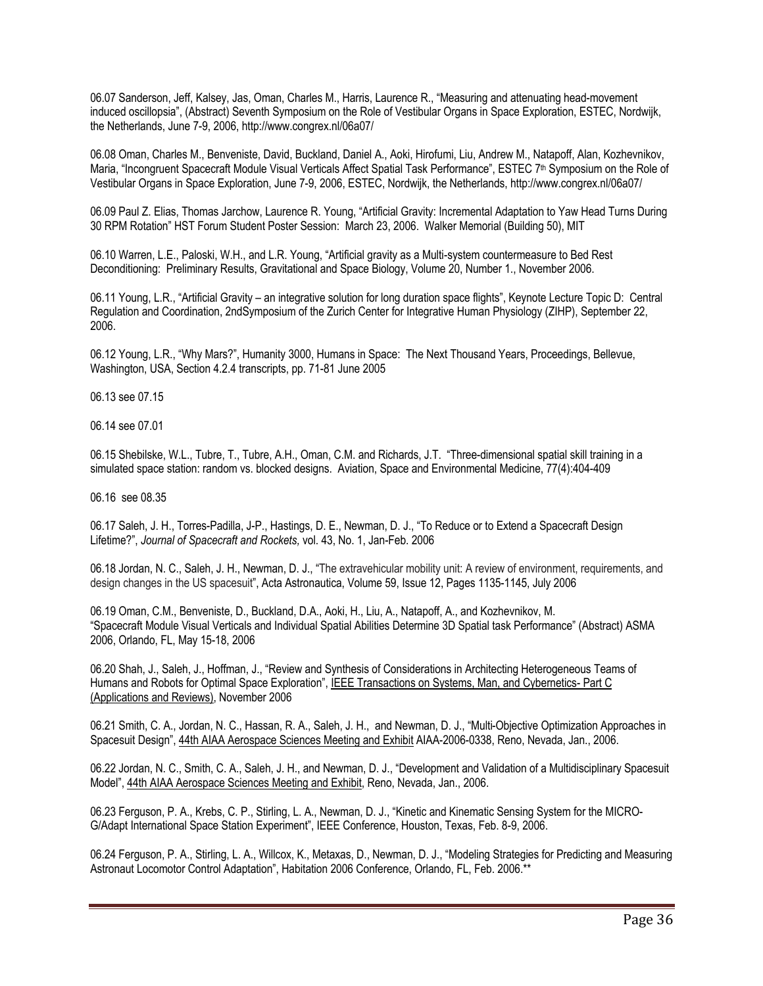06.07 Sanderson, Jeff, Kalsey, Jas, Oman, Charles M., Harris, Laurence R., "Measuring and attenuating head-movement induced oscillopsia", (Abstract) Seventh Symposium on the Role of Vestibular Organs in Space Exploration, ESTEC, Nordwijk, the Netherlands, June 7-9, 2006, http://www.congrex.nl/06a07/

06.08 Oman, Charles M., Benveniste, David, Buckland, Daniel A., Aoki, Hirofumi, Liu, Andrew M., Natapoff, Alan, Kozhevnikov, Maria, "Incongruent Spacecraft Module Visual Verticals Affect Spatial Task Performance", ESTEC 7<sup>th</sup> Symposium on the Role of Vestibular Organs in Space Exploration, June 7-9, 2006, ESTEC, Nordwijk, the Netherlands, http://www.congrex.nl/06a07/

06.09 Paul Z. Elias, Thomas Jarchow, Laurence R. Young, "Artificial Gravity: Incremental Adaptation to Yaw Head Turns During 30 RPM Rotation" HST Forum Student Poster Session: March 23, 2006. Walker Memorial (Building 50), MIT

06.10 Warren, L.E., Paloski, W.H., and L.R. Young, "Artificial gravity as a Multi-system countermeasure to Bed Rest Deconditioning: Preliminary Results, Gravitational and Space Biology, Volume 20, Number 1., November 2006.

06.11 Young, L.R., "Artificial Gravity – an integrative solution for long duration space flights", Keynote Lecture Topic D: Central Regulation and Coordination, 2ndSymposium of the Zurich Center for Integrative Human Physiology (ZIHP), September 22, 2006.

06.12 Young, L.R., "Why Mars?", Humanity 3000, Humans in Space: The Next Thousand Years, Proceedings, Bellevue, Washington, USA, Section 4.2.4 transcripts, pp. 71-81 June 2005

06.13 see 07.15

06.14 see 07.01

06.15 Shebilske, W.L., Tubre, T., Tubre, A.H., Oman, C.M. and Richards, J.T. "Three-dimensional spatial skill training in a simulated space station: random vs. blocked designs. Aviation, Space and Environmental Medicine, 77(4):404-409

06.16 see 08.35

06.17 Saleh, J. H., Torres-Padilla, J-P., Hastings, D. E., Newman, D. J., "To Reduce or to Extend a Spacecraft Design Lifetime?", *Journal of Spacecraft and Rockets,* vol. 43, No. 1, Jan-Feb. 2006

06.18 Jordan, N. C., Saleh, J. H., Newman, D. J., "The extravehicular mobility unit: A review of environment, requirements, and design changes in the US spacesuit", Acta Astronautica, Volume 59, Issue 12, Pages 1135-1145, July 2006

06.19 Oman, C.M., Benveniste, D., Buckland, D.A., Aoki, H., Liu, A., Natapoff, A., and Kozhevnikov, M. "Spacecraft Module Visual Verticals and Individual Spatial Abilities Determine 3D Spatial task Performance" (Abstract) ASMA 2006, Orlando, FL, May 15-18, 2006

06.20 Shah, J., Saleh, J., Hoffman, J., "Review and Synthesis of Considerations in Architecting Heterogeneous Teams of Humans and Robots for Optimal Space Exploration", IEEE Transactions on Systems, Man, and Cybernetics- Part C (Applications and Reviews), November 2006

06.21 Smith, C. A., Jordan, N. C., Hassan, R. A., Saleh, J. H., and Newman, D. J., "Multi-Objective Optimization Approaches in Spacesuit Design", 44th AIAA Aerospace Sciences Meeting and Exhibit AIAA-2006-0338, Reno, Nevada, Jan., 2006.

06.22 Jordan, N. C., Smith, C. A., Saleh, J. H., and Newman, D. J., "Development and Validation of a Multidisciplinary Spacesuit Model", 44th AIAA Aerospace Sciences Meeting and Exhibit, Reno, Nevada, Jan., 2006.

06.23 Ferguson, P. A., Krebs, C. P., Stirling, L. A., Newman, D. J., "Kinetic and Kinematic Sensing System for the MICRO-G/Adapt International Space Station Experiment", IEEE Conference, Houston, Texas, Feb. 8-9, 2006.

06.24 Ferguson, P. A., Stirling, L. A., Willcox, K., Metaxas, D., Newman, D. J., "Modeling Strategies for Predicting and Measuring Astronaut Locomotor Control Adaptation", Habitation 2006 Conference, Orlando, FL, Feb. 2006.\*\*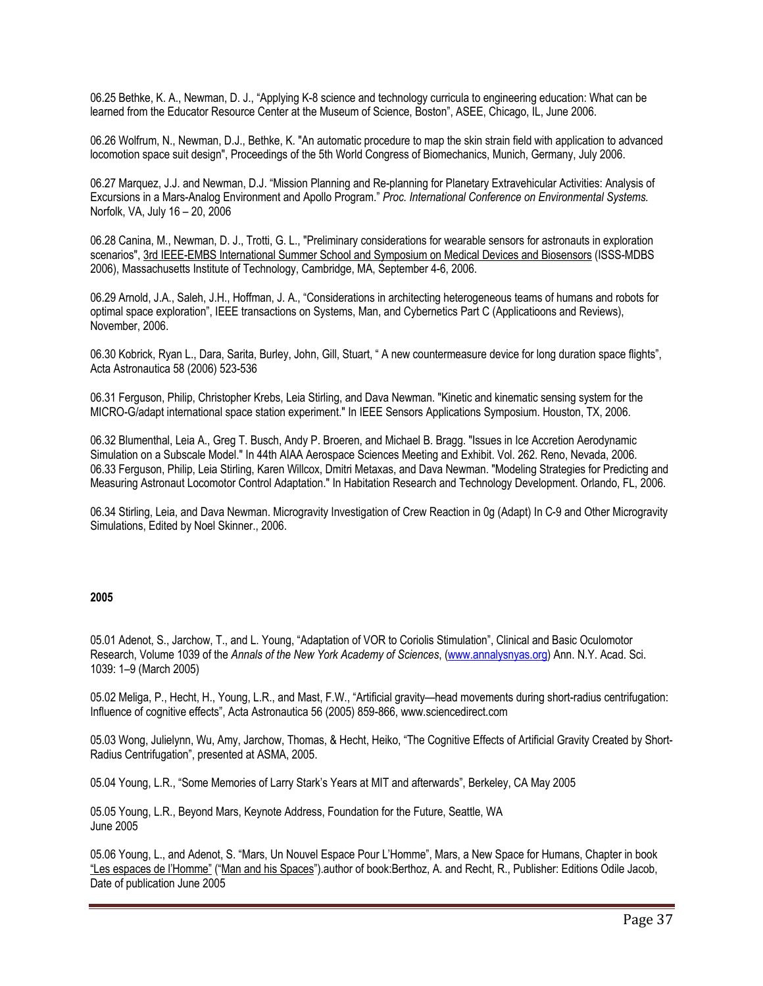06.25 Bethke, K. A., Newman, D. J., "Applying K-8 science and technology curricula to engineering education: What can be learned from the Educator Resource Center at the Museum of Science, Boston", ASEE, Chicago, IL, June 2006.

06.26 Wolfrum, N., Newman, D.J., Bethke, K. "An automatic procedure to map the skin strain field with application to advanced locomotion space suit design", Proceedings of the 5th World Congress of Biomechanics, Munich, Germany, July 2006.

06.27 Marquez, J.J. and Newman, D.J. "Mission Planning and Re-planning for Planetary Extravehicular Activities: Analysis of Excursions in a Mars-Analog Environment and Apollo Program." *Proc. International Conference on Environmental Systems.*  Norfolk, VA, July 16 – 20, 2006

06.28 Canina, M., Newman, D. J., Trotti, G. L., "Preliminary considerations for wearable sensors for astronauts in exploration scenarios", 3rd IEEE-EMBS International Summer School and Symposium on Medical Devices and Biosensors (ISSS-MDBS 2006), Massachusetts Institute of Technology, Cambridge, MA, September 4-6, 2006.

06.29 Arnold, J.A., Saleh, J.H., Hoffman, J. A., "Considerations in architecting heterogeneous teams of humans and robots for optimal space exploration", IEEE transactions on Systems, Man, and Cybernetics Part C (Applicatioons and Reviews), November, 2006.

06.30 Kobrick, Ryan L., Dara, Sarita, Burley, John, Gill, Stuart, " A new countermeasure device for long duration space flights", Acta Astronautica 58 (2006) 523-536

06.31 Ferguson, Philip, Christopher Krebs, Leia Stirling, and Dava Newman. "Kinetic and kinematic sensing system for the MICRO-G/adapt international space station experiment." In IEEE Sensors Applications Symposium. Houston, TX, 2006.

06.32 Blumenthal, Leia A., Greg T. Busch, Andy P. Broeren, and Michael B. Bragg. "Issues in Ice Accretion Aerodynamic Simulation on a Subscale Model." In 44th AIAA Aerospace Sciences Meeting and Exhibit. Vol. 262. Reno, Nevada, 2006. 06.33 Ferguson, Philip, Leia Stirling, Karen Willcox, Dmitri Metaxas, and Dava Newman. "Modeling Strategies for Predicting and Measuring Astronaut Locomotor Control Adaptation." In Habitation Research and Technology Development. Orlando, FL, 2006.

06.34 Stirling, Leia, and Dava Newman. Microgravity Investigation of Crew Reaction in 0g (Adapt) In C-9 and Other Microgravity Simulations, Edited by Noel Skinner., 2006.

# **2005**

05.01 Adenot, S., Jarchow, T., and L. Young, "Adaptation of VOR to Coriolis Stimulation", Clinical and Basic Oculomotor Research, Volume 1039 of the *Annals of the New York Academy of Sciences*, (www.annalysnyas.org) Ann. N.Y. Acad. Sci. 1039: 1–9 (March 2005)

05.02 Meliga, P., Hecht, H., Young, L.R., and Mast, F.W., "Artificial gravity—head movements during short-radius centrifugation: Influence of cognitive effects", Acta Astronautica 56 (2005) 859-866, www.sciencedirect.com

05.03 Wong, Julielynn, Wu, Amy, Jarchow, Thomas, & Hecht, Heiko, "The Cognitive Effects of Artificial Gravity Created by Short-Radius Centrifugation", presented at ASMA, 2005.

05.04 Young, L.R., "Some Memories of Larry Stark's Years at MIT and afterwards", Berkeley, CA May 2005

05.05 Young, L.R., Beyond Mars, Keynote Address, Foundation for the Future, Seattle, WA June 2005

05.06 Young, L., and Adenot, S. "Mars, Un Nouvel Espace Pour L'Homme", Mars, a New Space for Humans, Chapter in book "Les espaces de l'Homme" ("Man and his Spaces").author of book:Berthoz, A. and Recht, R., Publisher: Editions Odile Jacob, Date of publication June 2005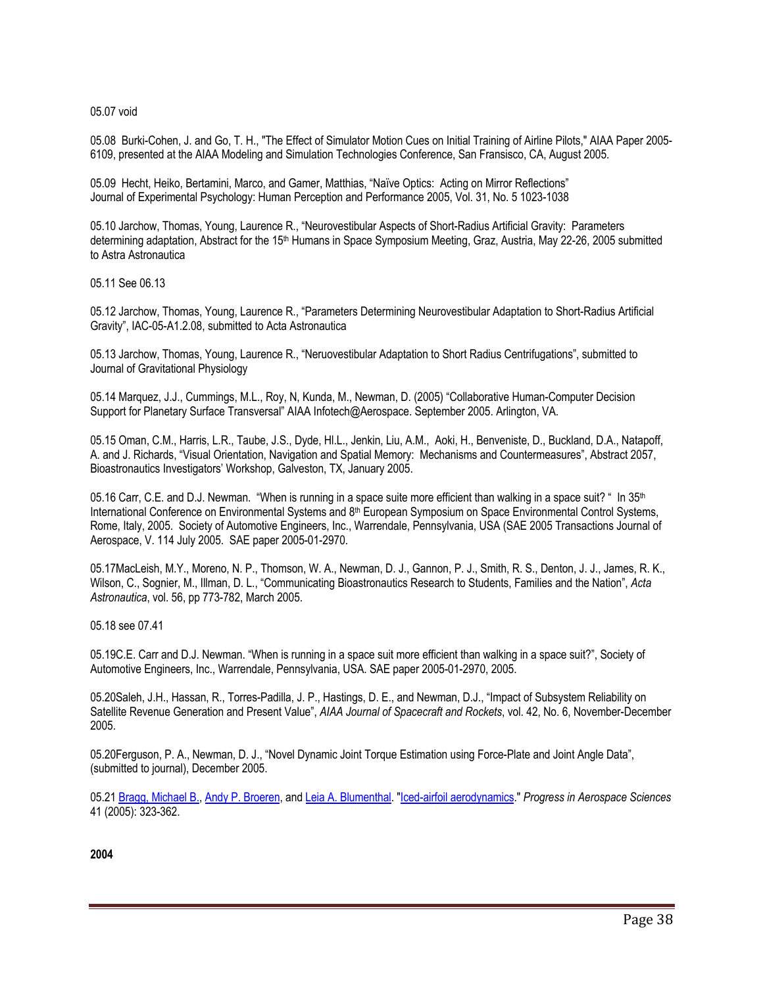05.07 void

05.08 Burki-Cohen, J. and Go, T. H., "The Effect of Simulator Motion Cues on Initial Training of Airline Pilots," AIAA Paper 2005- 6109, presented at the AIAA Modeling and Simulation Technologies Conference, San Fransisco, CA, August 2005.

05.09 Hecht, Heiko, Bertamini, Marco, and Gamer, Matthias, "Naïve Optics: Acting on Mirror Reflections" Journal of Experimental Psychology: Human Perception and Performance 2005, Vol. 31, No. 5 1023-1038

05.10 Jarchow, Thomas, Young, Laurence R., "Neurovestibular Aspects of Short-Radius Artificial Gravity: Parameters determining adaptation, Abstract for the 15th Humans in Space Symposium Meeting, Graz, Austria, May 22-26, 2005 submitted to Astra Astronautica

05.11 See 06.13

05.12 Jarchow, Thomas, Young, Laurence R., "Parameters Determining Neurovestibular Adaptation to Short-Radius Artificial Gravity", IAC-05-A1.2.08, submitted to Acta Astronautica

05.13 Jarchow, Thomas, Young, Laurence R., "Neruovestibular Adaptation to Short Radius Centrifugations", submitted to Journal of Gravitational Physiology

05.14 Marquez, J.J., Cummings, M.L., Roy, N, Kunda, M., Newman, D. (2005) "Collaborative Human-Computer Decision Support for Planetary Surface Transversal" AIAA Infotech@Aerospace. September 2005. Arlington, VA.

05.15 Oman, C.M., Harris, L.R., Taube, J.S., Dyde, Hl.L., Jenkin, Liu, A.M., Aoki, H., Benveniste, D., Buckland, D.A., Natapoff, A. and J. Richards, "Visual Orientation, Navigation and Spatial Memory: Mechanisms and Countermeasures", Abstract 2057, Bioastronautics Investigators' Workshop, Galveston, TX, January 2005.

05.16 Carr, C.E. and D.J. Newman. "When is running in a space suite more efficient than walking in a space suit? " In  $35<sup>th</sup>$ International Conference on Environmental Systems and 8th European Symposium on Space Environmental Control Systems, Rome, Italy, 2005. Society of Automotive Engineers, Inc., Warrendale, Pennsylvania, USA (SAE 2005 Transactions Journal of Aerospace, V. 114 July 2005. SAE paper 2005-01-2970.

05.17MacLeish, M.Y., Moreno, N. P., Thomson, W. A., Newman, D. J., Gannon, P. J., Smith, R. S., Denton, J. J., James, R. K., Wilson, C., Sognier, M., Illman, D. L., "Communicating Bioastronautics Research to Students, Families and the Nation", *Acta Astronautica*, vol. 56, pp 773-782, March 2005.

05.18 see 07.41

05.19C.E. Carr and D.J. Newman. "When is running in a space suit more efficient than walking in a space suit?", Society of Automotive Engineers, Inc., Warrendale, Pennsylvania, USA. SAE paper 2005-01-2970, 2005.

05.20Saleh, J.H., Hassan, R., Torres-Padilla, J. P., Hastings, D. E., and Newman, D.J., "Impact of Subsystem Reliability on Satellite Revenue Generation and Present Value", *AIAA Journal of Spacecraft and Rockets*, vol. 42, No. 6, November-December 2005.

05.20Ferguson, P. A., Newman, D. J., "Novel Dynamic Joint Torque Estimation using Force-Plate and Joint Angle Data", (submitted to journal), December 2005.

05.21 Bragg, Michael B., Andy P. Broeren, and Leia A. Blumenthal. "Iced-airfoil aerodynamics." *Progress in Aerospace Sciences* 41 (2005): 323-362.

**2004**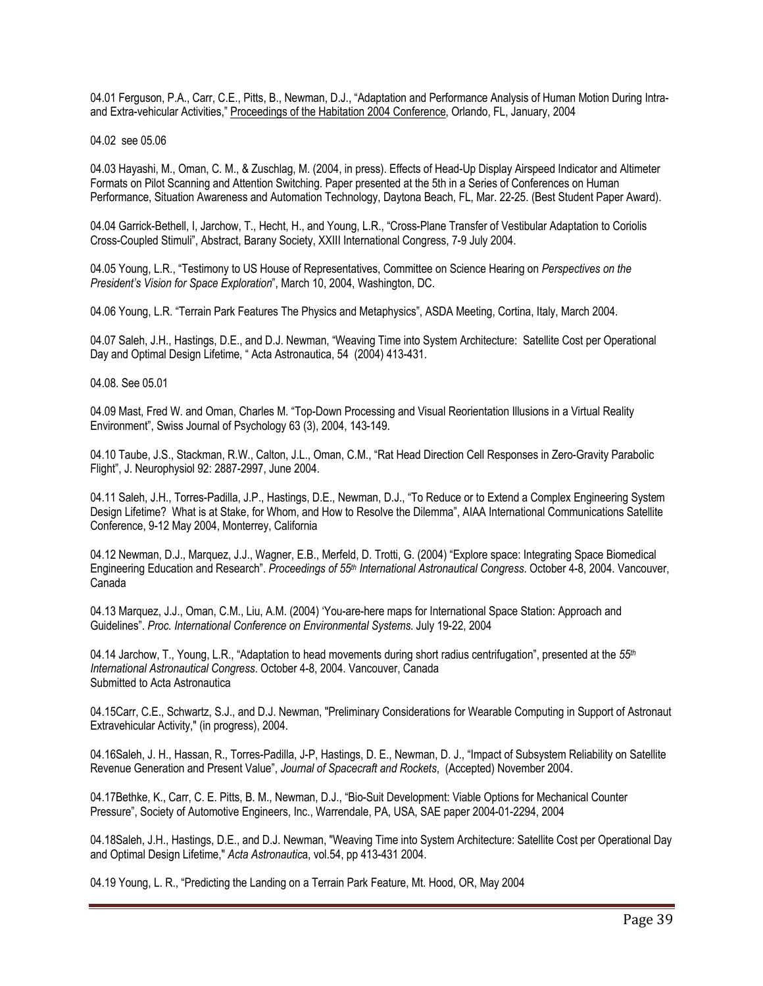04.01 Ferguson, P.A., Carr, C.E., Pitts, B., Newman, D.J., "Adaptation and Performance Analysis of Human Motion During Intraand Extra-vehicular Activities," Proceedings of the Habitation 2004 Conference, Orlando, FL, January, 2004

04.02 see 05.06

04.03 Hayashi, M., Oman, C. M., & Zuschlag, M. (2004, in press). Effects of Head-Up Display Airspeed Indicator and Altimeter Formats on Pilot Scanning and Attention Switching. Paper presented at the 5th in a Series of Conferences on Human Performance, Situation Awareness and Automation Technology, Daytona Beach, FL, Mar. 22-25. (Best Student Paper Award).

04.04 Garrick-Bethell, I, Jarchow, T., Hecht, H., and Young, L.R., "Cross-Plane Transfer of Vestibular Adaptation to Coriolis Cross-Coupled Stimuli", Abstract, Barany Society, XXIII International Congress, 7-9 July 2004.

04.05 Young, L.R., "Testimony to US House of Representatives, Committee on Science Hearing on *Perspectives on the President's Vision for Space Exploration*", March 10, 2004, Washington, DC.

04.06 Young, L.R. "Terrain Park Features The Physics and Metaphysics", ASDA Meeting, Cortina, Italy, March 2004.

04.07 Saleh, J.H., Hastings, D.E., and D.J. Newman, "Weaving Time into System Architecture: Satellite Cost per Operational Day and Optimal Design Lifetime, " Acta Astronautica, 54 (2004) 413-431.

04.08. See 05.01

04.09 Mast, Fred W. and Oman, Charles M. "Top-Down Processing and Visual Reorientation Illusions in a Virtual Reality Environment", Swiss Journal of Psychology 63 (3), 2004, 143-149.

04.10 Taube, J.S., Stackman, R.W., Calton, J.L., Oman, C.M., "Rat Head Direction Cell Responses in Zero-Gravity Parabolic Flight", J. Neurophysiol 92: 2887-2997, June 2004.

04.11 Saleh, J.H., Torres-Padilla, J.P., Hastings, D.E., Newman, D.J., "To Reduce or to Extend a Complex Engineering System Design Lifetime? What is at Stake, for Whom, and How to Resolve the Dilemma", AIAA International Communications Satellite Conference, 9-12 May 2004, Monterrey, California

04.12 Newman, D.J., Marquez, J.J., Wagner, E.B., Merfeld, D. Trotti, G. (2004) "Explore space: Integrating Space Biomedical Engineering Education and Research". *Proceedings of 55th International Astronautical Congress*. October 4-8, 2004. Vancouver, Canada

04.13 Marquez, J.J., Oman, C.M., Liu, A.M. (2004) 'You-are-here maps for International Space Station: Approach and Guidelines". *Proc. International Conference on Environmental Systems*. July 19-22, 2004

04.14 Jarchow, T., Young, L.R., "Adaptation to head movements during short radius centrifugation", presented at the *55th International Astronautical Congress*. October 4-8, 2004. Vancouver, Canada Submitted to Acta Astronautica

04.15Carr, C.E., Schwartz, S.J., and D.J. Newman, "Preliminary Considerations for Wearable Computing in Support of Astronaut Extravehicular Activity," (in progress), 2004.

04.16Saleh, J. H., Hassan, R., Torres-Padilla, J-P, Hastings, D. E., Newman, D. J., "Impact of Subsystem Reliability on Satellite Revenue Generation and Present Value", *Journal of Spacecraft and Rockets*, (Accepted) November 2004.

04.17Bethke, K., Carr, C. E. Pitts, B. M., Newman, D.J., "Bio-Suit Development: Viable Options for Mechanical Counter Pressure", Society of Automotive Engineers, Inc., Warrendale, PA, USA, SAE paper 2004-01-2294, 2004

04.18Saleh, J.H., Hastings, D.E., and D.J. Newman, "Weaving Time into System Architecture: Satellite Cost per Operational Day and Optimal Design Lifetime," *Acta Astronautic*a, vol.54, pp 413-431 2004.

04.19 Young, L. R., "Predicting the Landing on a Terrain Park Feature, Mt. Hood, OR, May 2004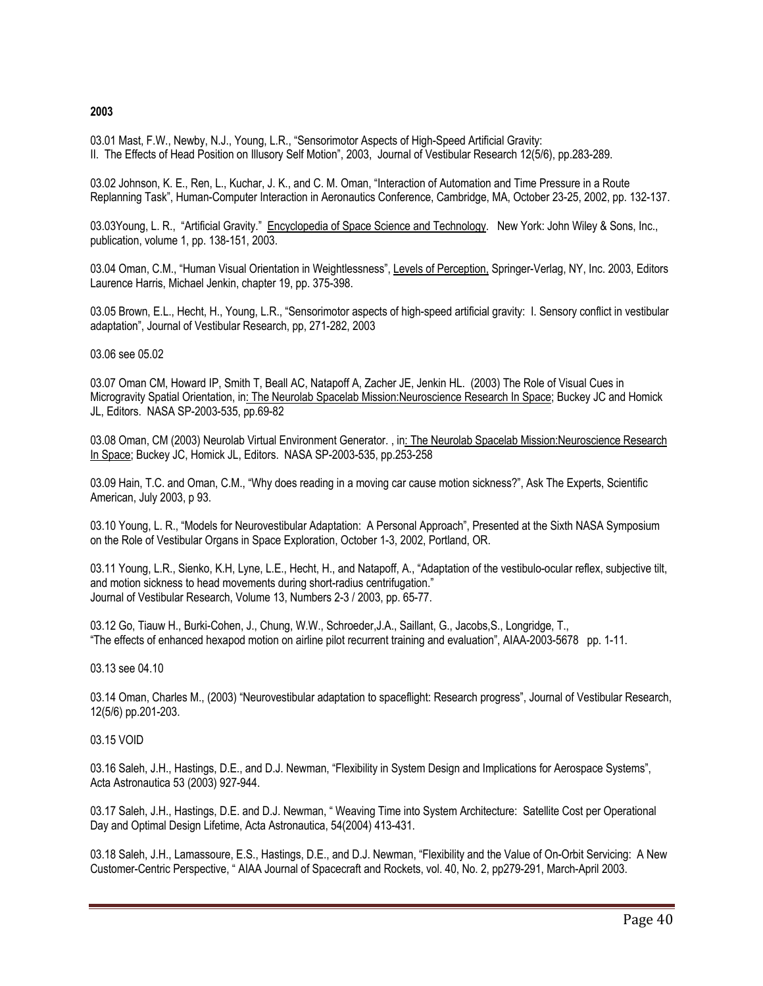## **2003**

03.01 Mast, F.W., Newby, N.J., Young, L.R., "Sensorimotor Aspects of High-Speed Artificial Gravity: II. The Effects of Head Position on Illusory Self Motion", 2003, Journal of Vestibular Research 12(5/6), pp.283-289.

03.02 Johnson, K. E., Ren, L., Kuchar, J. K., and C. M. Oman, "Interaction of Automation and Time Pressure in a Route Replanning Task", Human-Computer Interaction in Aeronautics Conference, Cambridge, MA, October 23-25, 2002, pp. 132-137.

03.03Young, L. R., "Artificial Gravity." Encyclopedia of Space Science and Technology. New York: John Wiley & Sons, Inc., publication, volume 1, pp. 138-151, 2003.

03.04 Oman, C.M., "Human Visual Orientation in Weightlessness", Levels of Perception, Springer-Verlag, NY, Inc. 2003, Editors Laurence Harris, Michael Jenkin, chapter 19, pp. 375-398.

03.05 Brown, E.L., Hecht, H., Young, L.R., "Sensorimotor aspects of high-speed artificial gravity: I. Sensory conflict in vestibular adaptation", Journal of Vestibular Research, pp, 271-282, 2003

#### 03.06 see 05.02

03.07 Oman CM, Howard IP, Smith T, Beall AC, Natapoff A, Zacher JE, Jenkin HL. (2003) The Role of Visual Cues in Microgravity Spatial Orientation, in: The Neurolab Spacelab Mission:Neuroscience Research In Space; Buckey JC and Homick JL, Editors. NASA SP-2003-535, pp.69-82

03.08 Oman, CM (2003) Neurolab Virtual Environment Generator. , in: The Neurolab Spacelab Mission:Neuroscience Research In Space; Buckey JC, Homick JL, Editors. NASA SP-2003-535, pp.253-258

03.09 Hain, T.C. and Oman, C.M., "Why does reading in a moving car cause motion sickness?", Ask The Experts, Scientific American, July 2003, p 93.

03.10 Young, L. R., "Models for Neurovestibular Adaptation: A Personal Approach", Presented at the Sixth NASA Symposium on the Role of Vestibular Organs in Space Exploration, October 1-3, 2002, Portland, OR.

03.11 Young, L.R., Sienko, K.H, Lyne, L.E., Hecht, H., and Natapoff, A., "Adaptation of the vestibulo-ocular reflex, subjective tilt, and motion sickness to head movements during short-radius centrifugation." Journal of Vestibular Research, Volume 13, Numbers 2-3 / 2003, pp. 65-77.

03.12 Go, Tiauw H., Burki-Cohen, J., Chung, W.W., Schroeder,J.A., Saillant, G., Jacobs,S., Longridge, T., "The effects of enhanced hexapod motion on airline pilot recurrent training and evaluation", AIAA-2003-5678 pp. 1-11.

#### 03.13 see 04.10

03.14 Oman, Charles M., (2003) "Neurovestibular adaptation to spaceflight: Research progress", Journal of Vestibular Research, 12(5/6) pp.201-203.

#### 03.15 VOID

03.16 Saleh, J.H., Hastings, D.E., and D.J. Newman, "Flexibility in System Design and Implications for Aerospace Systems", Acta Astronautica 53 (2003) 927-944.

03.17 Saleh, J.H., Hastings, D.E. and D.J. Newman, " Weaving Time into System Architecture: Satellite Cost per Operational Day and Optimal Design Lifetime, Acta Astronautica, 54(2004) 413-431.

03.18 Saleh, J.H., Lamassoure, E.S., Hastings, D.E., and D.J. Newman, "Flexibility and the Value of On-Orbit Servicing: A New Customer-Centric Perspective, " AIAA Journal of Spacecraft and Rockets, vol. 40, No. 2, pp279-291, March-April 2003.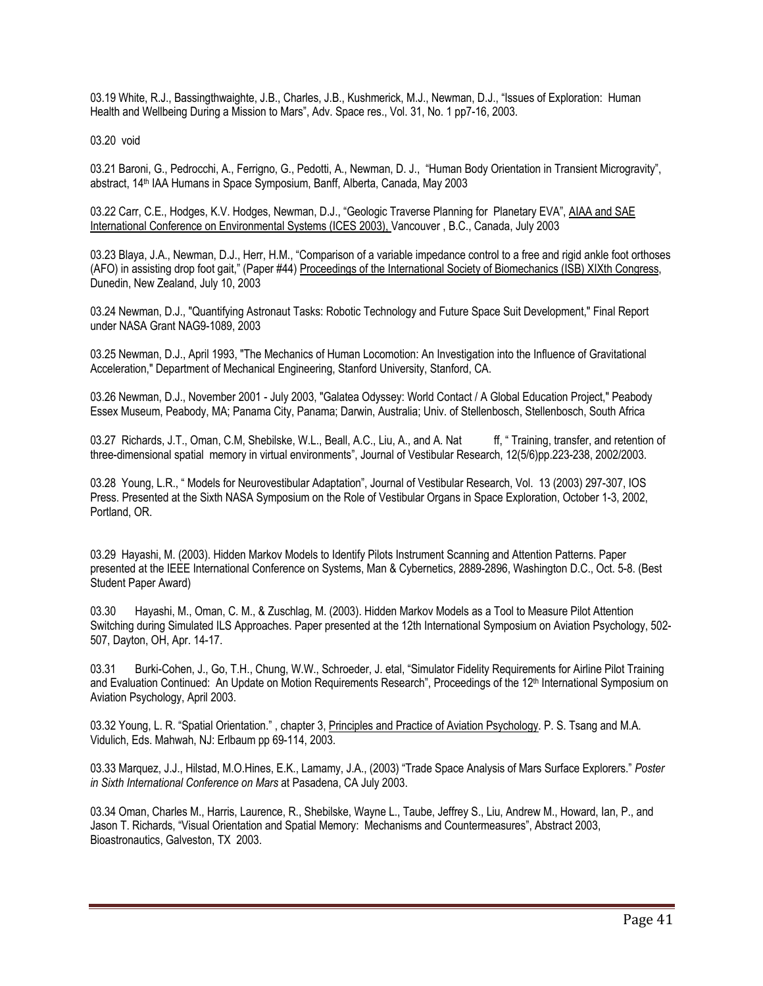03.19 White, R.J., Bassingthwaighte, J.B., Charles, J.B., Kushmerick, M.J., Newman, D.J., "Issues of Exploration: Human Health and Wellbeing During a Mission to Mars", Adv. Space res., Vol. 31, No. 1 pp7-16, 2003.

03.20 void

03.21 Baroni, G., Pedrocchi, A., Ferrigno, G., Pedotti, A., Newman, D. J., "Human Body Orientation in Transient Microgravity", abstract, 14th IAA Humans in Space Symposium, Banff, Alberta, Canada, May 2003

03.22 Carr, C.E., Hodges, K.V. Hodges, Newman, D.J., "Geologic Traverse Planning for Planetary EVA", AIAA and SAE International Conference on Environmental Systems (ICES 2003), Vancouver , B.C., Canada, July 2003

03.23 Blaya, J.A., Newman, D.J., Herr, H.M., "Comparison of a variable impedance control to a free and rigid ankle foot orthoses (AFO) in assisting drop foot gait," (Paper #44) Proceedings of the International Society of Biomechanics (ISB) XIXth Congress, Dunedin, New Zealand, July 10, 2003

03.24 Newman, D.J., "Quantifying Astronaut Tasks: Robotic Technology and Future Space Suit Development," Final Report under NASA Grant NAG9-1089, 2003

03.25 Newman, D.J., April 1993, "The Mechanics of Human Locomotion: An Investigation into the Influence of Gravitational Acceleration," Department of Mechanical Engineering, Stanford University, Stanford, CA.

03.26 Newman, D.J., November 2001 - July 2003, "Galatea Odyssey: World Contact / A Global Education Project," Peabody Essex Museum, Peabody, MA; Panama City, Panama; Darwin, Australia; Univ. of Stellenbosch, Stellenbosch, South Africa

03.27 Richards, J.T., Oman, C.M, Shebilske, W.L., Beall, A.C., Liu, A., and A. Nat ff, "Training, transfer, and retention of three-dimensional spatial memory in virtual environments", Journal of Vestibular Research, 12(5/6)pp.223-238, 2002/2003.

03.28 Young, L.R., " Models for Neurovestibular Adaptation", Journal of Vestibular Research, Vol. 13 (2003) 297-307, IOS Press. Presented at the Sixth NASA Symposium on the Role of Vestibular Organs in Space Exploration, October 1-3, 2002, Portland, OR.

03.29 Hayashi, M. (2003). Hidden Markov Models to Identify Pilots Instrument Scanning and Attention Patterns. Paper presented at the IEEE International Conference on Systems, Man & Cybernetics, 2889-2896, Washington D.C., Oct. 5-8. (Best Student Paper Award)

03.30 Hayashi, M., Oman, C. M., & Zuschlag, M. (2003). Hidden Markov Models as a Tool to Measure Pilot Attention Switching during Simulated ILS Approaches. Paper presented at the 12th International Symposium on Aviation Psychology, 502- 507, Dayton, OH, Apr. 14-17.

03.31 Burki-Cohen, J., Go, T.H., Chung, W.W., Schroeder, J. etal, "Simulator Fidelity Requirements for Airline Pilot Training and Evaluation Continued: An Update on Motion Requirements Research", Proceedings of the 12<sup>th</sup> International Symposium on Aviation Psychology, April 2003.

03.32 Young, L. R. "Spatial Orientation." , chapter 3, Principles and Practice of Aviation Psychology. P. S. Tsang and M.A. Vidulich, Eds. Mahwah, NJ: Erlbaum pp 69-114, 2003.

03.33 Marquez, J.J., Hilstad, M.O.Hines, E.K., Lamamy, J.A., (2003) "Trade Space Analysis of Mars Surface Explorers." *Poster in Sixth International Conference on Mars* at Pasadena, CA July 2003.

03.34 Oman, Charles M., Harris, Laurence, R., Shebilske, Wayne L., Taube, Jeffrey S., Liu, Andrew M., Howard, Ian, P., and Jason T. Richards, "Visual Orientation and Spatial Memory: Mechanisms and Countermeasures", Abstract 2003, Bioastronautics, Galveston, TX 2003.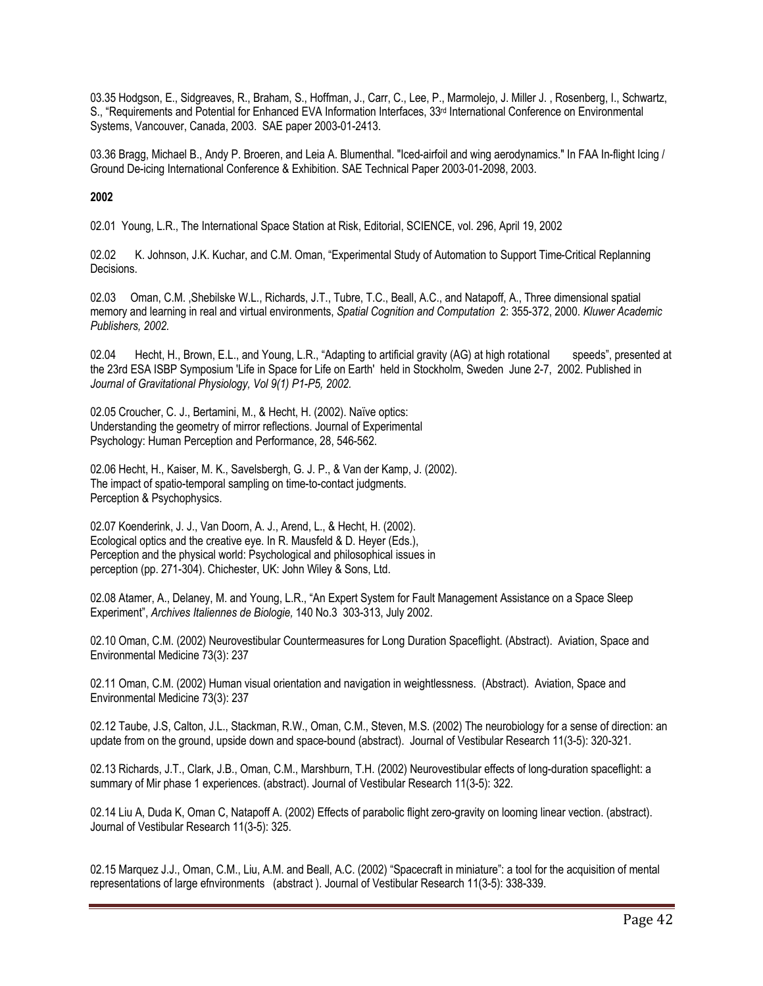03.35 Hodgson, E., Sidgreaves, R., Braham, S., Hoffman, J., Carr, C., Lee, P., Marmolejo, J. Miller J. , Rosenberg, I., Schwartz, S., "Requirements and Potential for Enhanced EVA Information Interfaces, 33<sup>rd</sup> International Conference on Environmental Systems, Vancouver, Canada, 2003. SAE paper 2003-01-2413.

03.36 Bragg, Michael B., Andy P. Broeren, and Leia A. Blumenthal. "Iced-airfoil and wing aerodynamics." In FAA In-flight Icing / Ground De-icing International Conference & Exhibition. SAE Technical Paper 2003-01-2098, 2003.

# **2002**

02.01 Young, L.R., The International Space Station at Risk, Editorial, SCIENCE, vol. 296, April 19, 2002

02.02 K. Johnson, J.K. Kuchar, and C.M. Oman, "Experimental Study of Automation to Support Time-Critical Replanning Decisions.

02.03 Oman, C.M. ,Shebilske W.L., Richards, J.T., Tubre, T.C., Beall, A.C., and Natapoff, A., Three dimensional spatial memory and learning in real and virtual environments, *Spatial Cognition and Computation* 2: 355-372, 2000. *Kluwer Academic Publishers, 2002.* 

02.04 Hecht, H., Brown, E.L., and Young, L.R., "Adapting to artificial gravity (AG) at high rotational speeds", presented at the 23rd ESA ISBP Symposium 'Life in Space for Life on Earth' held in Stockholm, Sweden June 2-7, 2002. Published in *Journal of Gravitational Physiology, Vol 9(1) P1-P5, 2002.*

02.05 Croucher, C. J., Bertamini, M., & Hecht, H. (2002). Naïve optics: Understanding the geometry of mirror reflections. Journal of Experimental Psychology: Human Perception and Performance, 28, 546-562.

02.06 Hecht, H., Kaiser, M. K., Savelsbergh, G. J. P., & Van der Kamp, J. (2002). The impact of spatio-temporal sampling on time-to-contact judgments. Perception & Psychophysics.

02.07 Koenderink, J. J., Van Doorn, A. J., Arend, L., & Hecht, H. (2002). Ecological optics and the creative eye. In R. Mausfeld & D. Heyer (Eds.), Perception and the physical world: Psychological and philosophical issues in perception (pp. 271-304). Chichester, UK: John Wiley & Sons, Ltd.

02.08 Atamer, A., Delaney, M. and Young, L.R., "An Expert System for Fault Management Assistance on a Space Sleep Experiment", *Archives Italiennes de Biologie,* 140 No.3 303-313, July 2002.

02.10 Oman, C.M. (2002) Neurovestibular Countermeasures for Long Duration Spaceflight. (Abstract). Aviation, Space and Environmental Medicine 73(3): 237

02.11 Oman, C.M. (2002) Human visual orientation and navigation in weightlessness. (Abstract). Aviation, Space and Environmental Medicine 73(3): 237

02.12 Taube, J.S, Calton, J.L., Stackman, R.W., Oman, C.M., Steven, M.S. (2002) The neurobiology for a sense of direction: an update from on the ground, upside down and space-bound (abstract). Journal of Vestibular Research 11(3-5): 320-321.

02.13 Richards, J.T., Clark, J.B., Oman, C.M., Marshburn, T.H. (2002) Neurovestibular effects of long-duration spaceflight: a summary of Mir phase 1 experiences. (abstract). Journal of Vestibular Research 11(3-5): 322.

02.14 Liu A, Duda K, Oman C, Natapoff A. (2002) Effects of parabolic flight zero-gravity on looming linear vection. (abstract). Journal of Vestibular Research 11(3-5): 325.

02.15 Marquez J.J., Oman, C.M., Liu, A.M. and Beall, A.C. (2002) "Spacecraft in miniature": a tool for the acquisition of mental representations of large efnvironments (abstract ). Journal of Vestibular Research 11(3-5): 338-339.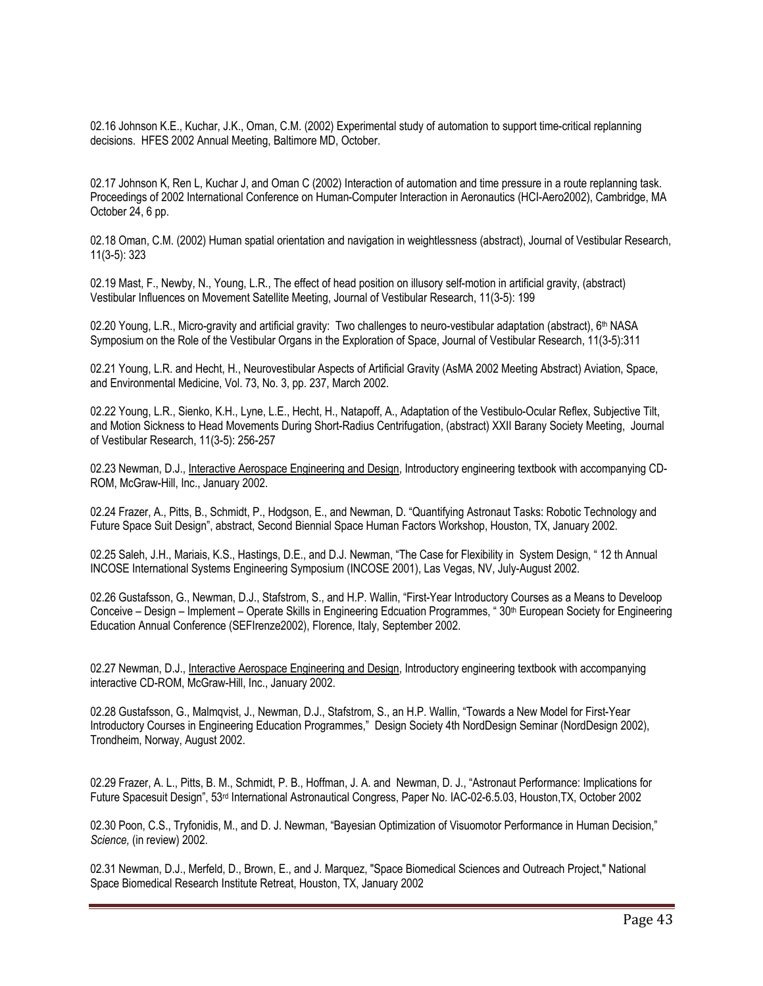02.16 Johnson K.E., Kuchar, J.K., Oman, C.M. (2002) Experimental study of automation to support time-critical replanning decisions. HFES 2002 Annual Meeting, Baltimore MD, October.

02.17 Johnson K, Ren L, Kuchar J, and Oman C (2002) Interaction of automation and time pressure in a route replanning task. Proceedings of 2002 International Conference on Human-Computer Interaction in Aeronautics (HCI-Aero2002), Cambridge, MA October 24, 6 pp.

02.18 Oman, C.M. (2002) Human spatial orientation and navigation in weightlessness (abstract), Journal of Vestibular Research, 11(3-5): 323

02.19 Mast, F., Newby, N., Young, L.R., The effect of head position on illusory self-motion in artificial gravity, (abstract) Vestibular Influences on Movement Satellite Meeting, Journal of Vestibular Research, 11(3-5): 199

02.20 Young, L.R., Micro-gravity and artificial gravity: Two challenges to neuro-vestibular adaptation (abstract),  $6<sup>th</sup> NASA$ Symposium on the Role of the Vestibular Organs in the Exploration of Space, Journal of Vestibular Research, 11(3-5):311

02.21 Young, L.R. and Hecht, H., Neurovestibular Aspects of Artificial Gravity (AsMA 2002 Meeting Abstract) Aviation, Space, and Environmental Medicine, Vol. 73, No. 3, pp. 237, March 2002.

02.22 Young, L.R., Sienko, K.H., Lyne, L.E., Hecht, H., Natapoff, A., Adaptation of the Vestibulo-Ocular Reflex, Subjective Tilt, and Motion Sickness to Head Movements During Short-Radius Centrifugation, (abstract) XXII Barany Society Meeting, Journal of Vestibular Research, 11(3-5): 256-257

02.23 Newman, D.J., Interactive Aerospace Engineering and Design, Introductory engineering textbook with accompanying CD-ROM, McGraw-Hill, Inc., January 2002.

02.24 Frazer, A., Pitts, B., Schmidt, P., Hodgson, E., and Newman, D. "Quantifying Astronaut Tasks: Robotic Technology and Future Space Suit Design", abstract, Second Biennial Space Human Factors Workshop, Houston, TX, January 2002.

02.25 Saleh, J.H., Mariais, K.S., Hastings, D.E., and D.J. Newman, "The Case for Flexibility in System Design, " 12 th Annual INCOSE International Systems Engineering Symposium (INCOSE 2001), Las Vegas, NV, July-August 2002.

02.26 Gustafsson, G., Newman, D.J., Stafstrom, S., and H.P. Wallin, "First-Year Introductory Courses as a Means to Develoop Conceive – Design – Implement – Operate Skills in Engineering Edcuation Programmes, " 30th European Society for Engineering Education Annual Conference (SEFIrenze2002), Florence, Italy, September 2002.

02.27 Newman, D.J., Interactive Aerospace Engineering and Design, Introductory engineering textbook with accompanying interactive CD-ROM, McGraw-Hill, Inc., January 2002.

02.28 Gustafsson, G., Malmqvist, J., Newman, D.J., Stafstrom, S., an H.P. Wallin, "Towards a New Model for First-Year Introductory Courses in Engineering Education Programmes," Design Society 4th NordDesign Seminar (NordDesign 2002), Trondheim, Norway, August 2002.

02.29 Frazer, A. L., Pitts, B. M., Schmidt, P. B., Hoffman, J. A. and Newman, D. J., "Astronaut Performance: Implications for Future Spacesuit Design", 53rd International Astronautical Congress, Paper No. IAC-02-6.5.03, Houston,TX, October 2002

02.30 Poon, C.S., Tryfonidis, M., and D. J. Newman, "Bayesian Optimization of Visuomotor Performance in Human Decision," *Science,* (in review) 2002.

02.31 Newman, D.J., Merfeld, D., Brown, E., and J. Marquez, "Space Biomedical Sciences and Outreach Project," National Space Biomedical Research Institute Retreat, Houston, TX, January 2002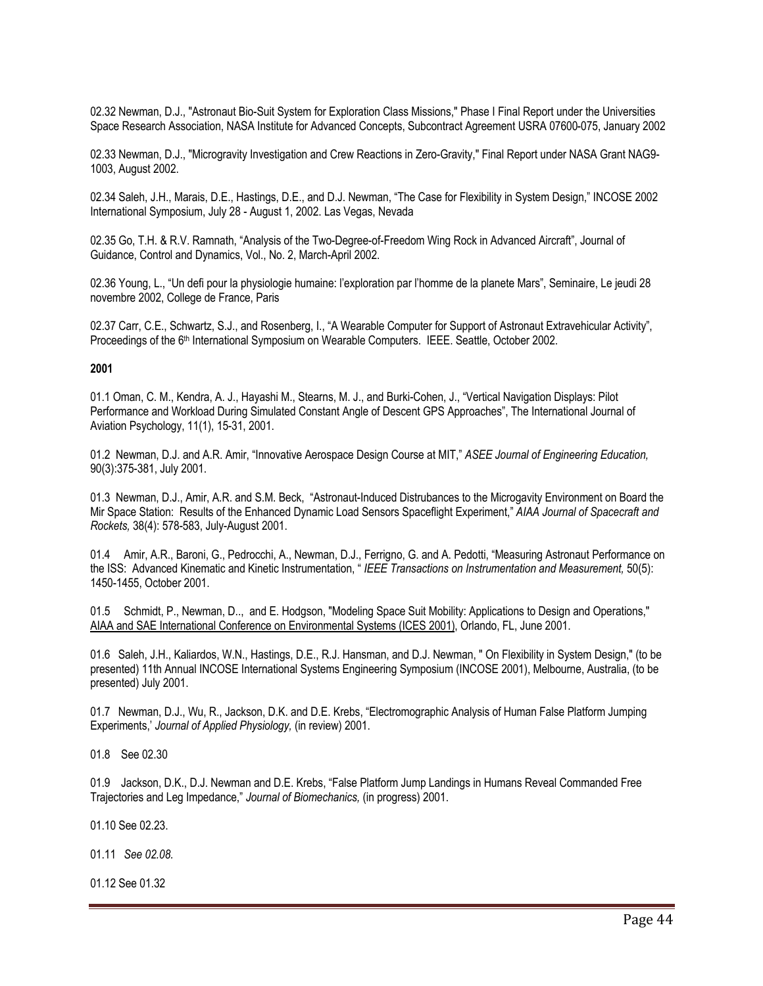02.32 Newman, D.J., "Astronaut Bio-Suit System for Exploration Class Missions," Phase I Final Report under the Universities Space Research Association, NASA Institute for Advanced Concepts, Subcontract Agreement USRA 07600-075, January 2002

02.33 Newman, D.J., "Microgravity Investigation and Crew Reactions in Zero-Gravity," Final Report under NASA Grant NAG9- 1003, August 2002.

02.34 Saleh, J.H., Marais, D.E., Hastings, D.E., and D.J. Newman, "The Case for Flexibility in System Design," INCOSE 2002 International Symposium, July 28 - August 1, 2002. Las Vegas, Nevada

02.35 Go, T.H. & R.V. Ramnath, "Analysis of the Two-Degree-of-Freedom Wing Rock in Advanced Aircraft", Journal of Guidance, Control and Dynamics, Vol., No. 2, March-April 2002.

02.36 Young, L., "Un defi pour la physiologie humaine: l'exploration par l'homme de la planete Mars", Seminaire, Le jeudi 28 novembre 2002, College de France, Paris

02.37 Carr, C.E., Schwartz, S.J., and Rosenberg, I., "A Wearable Computer for Support of Astronaut Extravehicular Activity", Proceedings of the 6<sup>th</sup> International Symposium on Wearable Computers. IEEE. Seattle, October 2002.

## **2001**

01.1 Oman, C. M., Kendra, A. J., Hayashi M., Stearns, M. J., and Burki-Cohen, J., "Vertical Navigation Displays: Pilot Performance and Workload During Simulated Constant Angle of Descent GPS Approaches", The International Journal of Aviation Psychology, 11(1), 15-31, 2001.

01.2 Newman, D.J. and A.R. Amir, "Innovative Aerospace Design Course at MIT," *ASEE Journal of Engineering Education,*  90(3):375-381, July 2001.

01.3 Newman, D.J., Amir, A.R. and S.M. Beck, "Astronaut-Induced Distrubances to the Microgavity Environment on Board the Mir Space Station: Results of the Enhanced Dynamic Load Sensors Spaceflight Experiment," *AIAA Journal of Spacecraft and Rockets,* 38(4): 578-583, July-August 2001.

01.4 Amir, A.R., Baroni, G., Pedrocchi, A., Newman, D.J., Ferrigno, G. and A. Pedotti, "Measuring Astronaut Performance on the ISS: Advanced Kinematic and Kinetic Instrumentation, " *IEEE Transactions on Instrumentation and Measurement,* 50(5): 1450-1455, October 2001.

01.5 Schmidt, P., Newman, D.., and E. Hodgson, "Modeling Space Suit Mobility: Applications to Design and Operations," AIAA and SAE International Conference on Environmental Systems (ICES 2001), Orlando, FL, June 2001.

01.6 Saleh, J.H., Kaliardos, W.N., Hastings, D.E., R.J. Hansman, and D.J. Newman, " On Flexibility in System Design," (to be presented) 11th Annual INCOSE International Systems Engineering Symposium (INCOSE 2001), Melbourne, Australia, (to be presented) July 2001.

01.7 Newman, D.J., Wu, R., Jackson, D.K. and D.E. Krebs, "Electromographic Analysis of Human False Platform Jumping Experiments,' *Journal of Applied Physiology,* (in review) 2001.

01.8 See 02.30

01.9 Jackson, D.K., D.J. Newman and D.E. Krebs, "False Platform Jump Landings in Humans Reveal Commanded Free Trajectories and Leg Impedance," *Journal of Biomechanics,* (in progress) 2001.

01.10 See 02.23.

01.11 *See 02.08.* 

01.12 See 01.32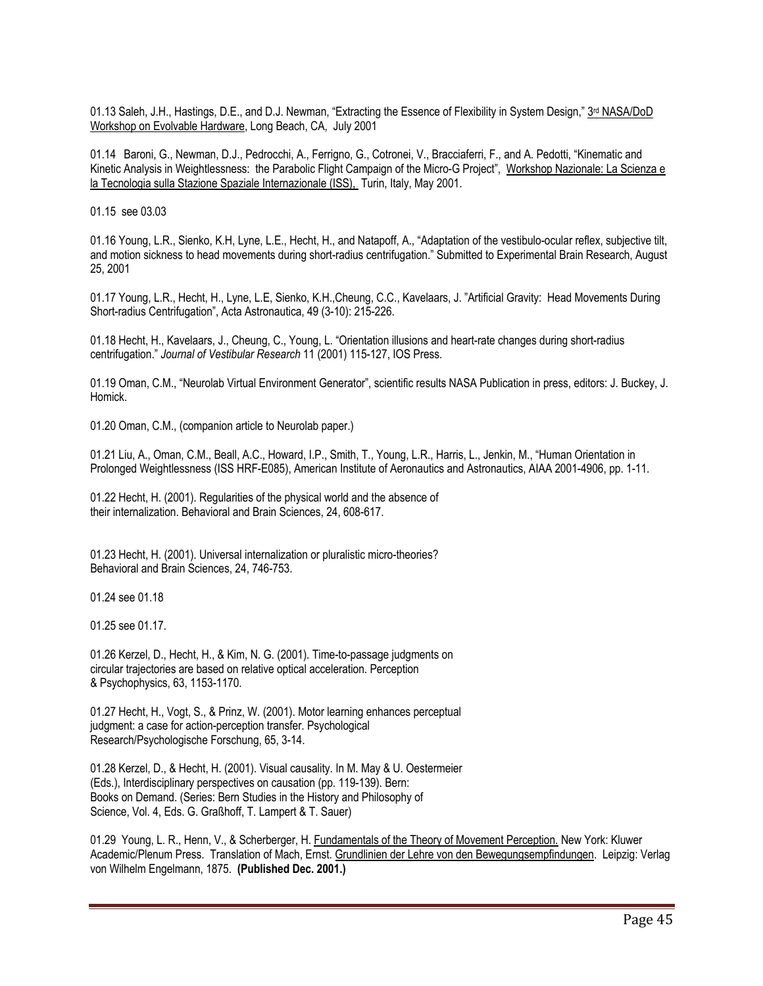01.13 Saleh, J.H., Hastings, D.E., and D.J. Newman, "Extracting the Essence of Flexibility in System Design," 3rd NASA/DoD Workshop on Evolvable Hardware, Long Beach, CA, July 2001

01.14 Baroni, G., Newman, D.J., Pedrocchi, A., Ferrigno, G., Cotronei, V., Bracciaferri, F., and A. Pedotti, "Kinematic and Kinetic Analysis in Weightlessness: the Parabolic Flight Campaign of the Micro-G Project", Workshop Nazionale: La Scienza e la Tecnologia sulla Stazione Spaziale Internazionale (ISS), Turin, Italy, May 2001.

01.15 see 03.03

01.16 Young, L.R., Sienko, K.H, Lyne, L.E., Hecht, H., and Natapoff, A., "Adaptation of the vestibulo-ocular reflex, subjective tilt, and motion sickness to head movements during short-radius centrifugation." Submitted to Experimental Brain Research, August 25, 2001

01.17 Young, L.R., Hecht, H., Lyne, L.E, Sienko, K.H.,Cheung, C.C., Kavelaars, J. "Artificial Gravity: Head Movements During Short-radius Centrifugation", Acta Astronautica, 49 (3-10): 215-226.

01.18 Hecht, H., Kavelaars, J., Cheung, C., Young, L. "Orientation illusions and heart-rate changes during short-radius centrifugation." *Journal of Vestibular Research* 11 (2001) 115-127, IOS Press.

01.19 Oman, C.M., "Neurolab Virtual Environment Generator", scientific results NASA Publication in press, editors: J. Buckey, J. Homick.

01.20 Oman, C.M., (companion article to Neurolab paper.)

01.21 Liu, A., Oman, C.M., Beall, A.C., Howard, I.P., Smith, T., Young, L.R., Harris, L., Jenkin, M., "Human Orientation in Prolonged Weightlessness (ISS HRF-E085), American Institute of Aeronautics and Astronautics, AIAA 2001-4906, pp. 1-11.

01.22 Hecht, H. (2001). Regularities of the physical world and the absence of their internalization. Behavioral and Brain Sciences, 24, 608-617.

01.23 Hecht, H. (2001). Universal internalization or pluralistic micro-theories? Behavioral and Brain Sciences, 24, 746-753.

01.24 see 01.18

01.25 see 01.17.

01.26 Kerzel, D., Hecht, H., & Kim, N. G. (2001). Time-to-passage judgments on circular trajectories are based on relative optical acceleration. Perception & Psychophysics, 63, 1153-1170.

01.27 Hecht, H., Vogt, S., & Prinz, W. (2001). Motor learning enhances perceptual judgment: a case for action-perception transfer. Psychological Research/Psychologische Forschung, 65, 3-14.

01.28 Kerzel, D., & Hecht, H. (2001). Visual causality. In M. May & U. Oestermeier (Eds.), Interdisciplinary perspectives on causation (pp. 119-139). Bern: Books on Demand. (Series: Bern Studies in the History and Philosophy of Science, Vol. 4, Eds. G. Graßhoff, T. Lampert & T. Sauer)

01.29 Young, L. R., Henn, V., & Scherberger, H. Fundamentals of the Theory of Movement Perception. New York: Kluwer Academic/Plenum Press. Translation of Mach, Ernst. Grundlinien der Lehre von den Bewegungsempfindungen. Leipzig: Verlag von Wilhelm Engelmann, 1875. **(Published Dec. 2001.)**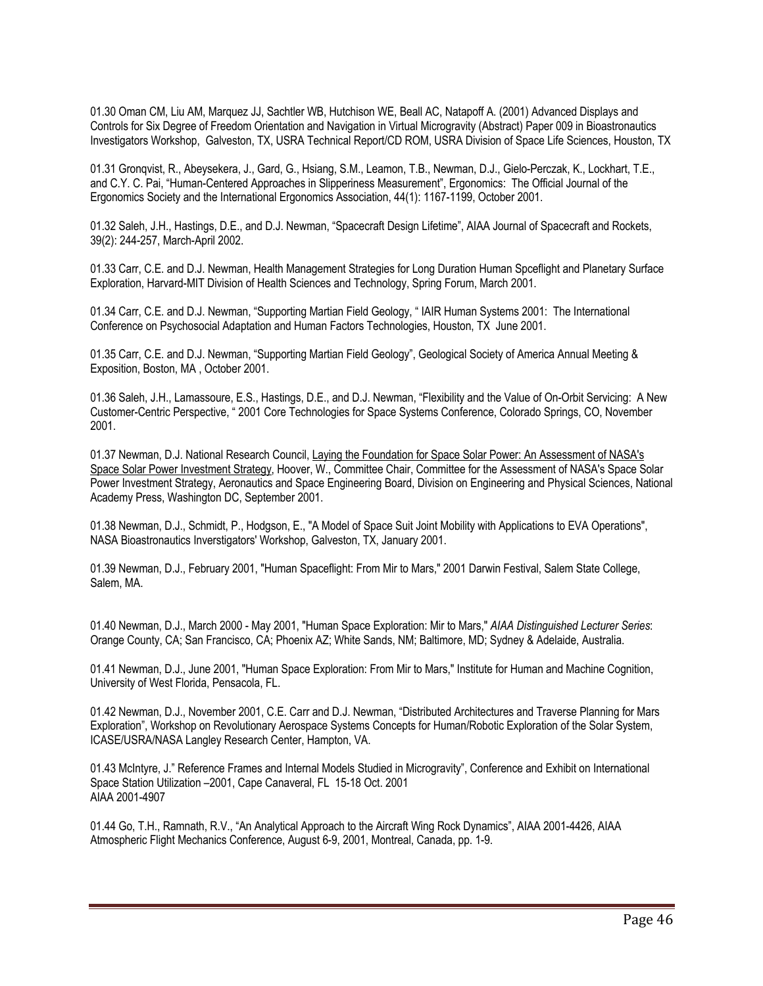01.30 Oman CM, Liu AM, Marquez JJ, Sachtler WB, Hutchison WE, Beall AC, Natapoff A. (2001) Advanced Displays and Controls for Six Degree of Freedom Orientation and Navigation in Virtual Microgravity (Abstract) Paper 009 in Bioastronautics Investigators Workshop, Galveston, TX, USRA Technical Report/CD ROM, USRA Division of Space Life Sciences, Houston, TX

01.31 Gronqvist, R., Abeysekera, J., Gard, G., Hsiang, S.M., Leamon, T.B., Newman, D.J., Gielo-Perczak, K., Lockhart, T.E., and C.Y. C. Pai, "Human-Centered Approaches in Slipperiness Measurement", Ergonomics: The Official Journal of the Ergonomics Society and the International Ergonomics Association, 44(1): 1167-1199, October 2001.

01.32 Saleh, J.H., Hastings, D.E., and D.J. Newman, "Spacecraft Design Lifetime", AIAA Journal of Spacecraft and Rockets, 39(2): 244-257, March-April 2002.

01.33 Carr, C.E. and D.J. Newman, Health Management Strategies for Long Duration Human Spceflight and Planetary Surface Exploration, Harvard-MIT Division of Health Sciences and Technology, Spring Forum, March 2001.

01.34 Carr, C.E. and D.J. Newman, "Supporting Martian Field Geology, " IAIR Human Systems 2001: The International Conference on Psychosocial Adaptation and Human Factors Technologies, Houston, TX June 2001.

01.35 Carr, C.E. and D.J. Newman, "Supporting Martian Field Geology", Geological Society of America Annual Meeting & Exposition, Boston, MA , October 2001.

01.36 Saleh, J.H., Lamassoure, E.S., Hastings, D.E., and D.J. Newman, "Flexibility and the Value of On-Orbit Servicing: A New Customer-Centric Perspective, " 2001 Core Technologies for Space Systems Conference, Colorado Springs, CO, November 2001.

01.37 Newman, D.J. National Research Council, Laying the Foundation for Space Solar Power: An Assessment of NASA's Space Solar Power Investment Strategy, Hoover, W., Committee Chair, Committee for the Assessment of NASA's Space Solar Power Investment Strategy, Aeronautics and Space Engineering Board, Division on Engineering and Physical Sciences, National Academy Press, Washington DC, September 2001.

01.38 Newman, D.J., Schmidt, P., Hodgson, E., "A Model of Space Suit Joint Mobility with Applications to EVA Operations", NASA Bioastronautics Inverstigators' Workshop, Galveston, TX, January 2001.

01.39 Newman, D.J., February 2001, "Human Spaceflight: From Mir to Mars," 2001 Darwin Festival, Salem State College, Salem, MA.

01.40 Newman, D.J., March 2000 - May 2001, "Human Space Exploration: Mir to Mars," *AIAA Distinguished Lecturer Series*: Orange County, CA; San Francisco, CA; Phoenix AZ; White Sands, NM; Baltimore, MD; Sydney & Adelaide, Australia.

01.41 Newman, D.J., June 2001, "Human Space Exploration: From Mir to Mars," Institute for Human and Machine Cognition, University of West Florida, Pensacola, FL.

01.42 Newman, D.J., November 2001, C.E. Carr and D.J. Newman, "Distributed Architectures and Traverse Planning for Mars Exploration", Workshop on Revolutionary Aerospace Systems Concepts for Human/Robotic Exploration of the Solar System, ICASE/USRA/NASA Langley Research Center, Hampton, VA.

01.43 McIntyre, J." Reference Frames and Internal Models Studied in Microgravity", Conference and Exhibit on International Space Station Utilization –2001, Cape Canaveral, FL 15-18 Oct. 2001 AIAA 2001-4907

01.44 Go, T.H., Ramnath, R.V., "An Analytical Approach to the Aircraft Wing Rock Dynamics", AIAA 2001-4426, AIAA Atmospheric Flight Mechanics Conference, August 6-9, 2001, Montreal, Canada, pp. 1-9.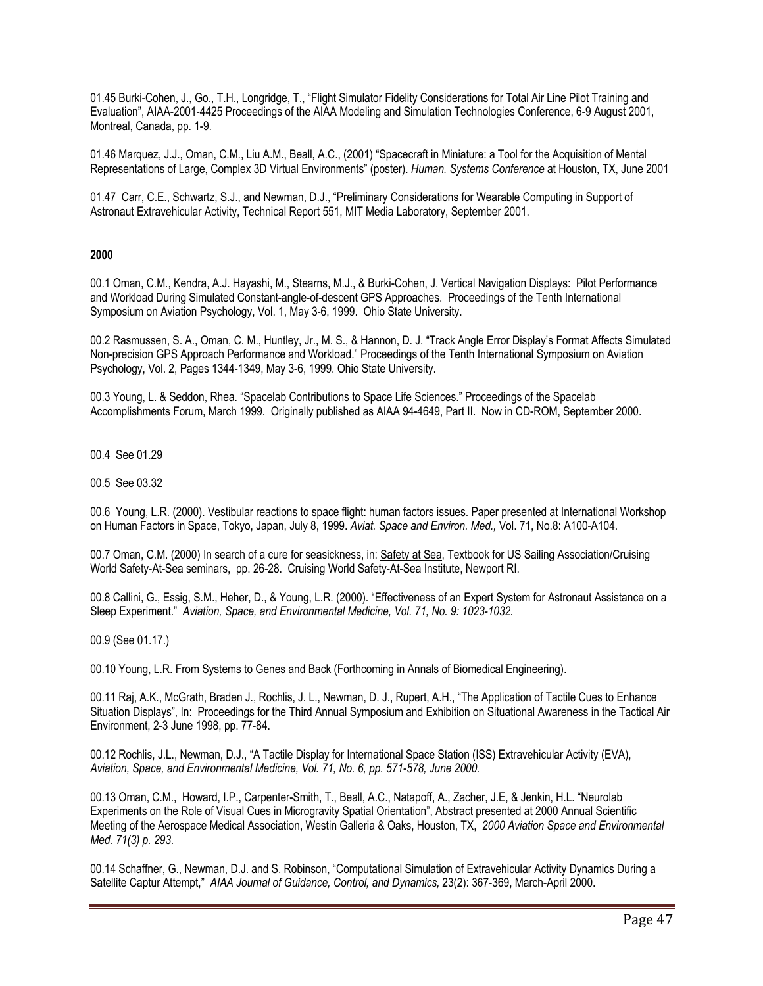01.45 Burki-Cohen, J., Go., T.H., Longridge, T., "Flight Simulator Fidelity Considerations for Total Air Line Pilot Training and Evaluation", AIAA-2001-4425 Proceedings of the AIAA Modeling and Simulation Technologies Conference, 6-9 August 2001, Montreal, Canada, pp. 1-9.

01.46 Marquez, J.J., Oman, C.M., Liu A.M., Beall, A.C., (2001) "Spacecraft in Miniature: a Tool for the Acquisition of Mental Representations of Large, Complex 3D Virtual Environments" (poster). *Human. Systems Conference* at Houston, TX, June 2001

01.47 Carr, C.E., Schwartz, S.J., and Newman, D.J., "Preliminary Considerations for Wearable Computing in Support of Astronaut Extravehicular Activity, Technical Report 551, MIT Media Laboratory, September 2001.

# **2000**

00.1 Oman, C.M., Kendra, A.J. Hayashi, M., Stearns, M.J., & Burki-Cohen, J. Vertical Navigation Displays: Pilot Performance and Workload During Simulated Constant-angle-of-descent GPS Approaches. Proceedings of the Tenth International Symposium on Aviation Psychology, Vol. 1, May 3-6, 1999. Ohio State University.

00.2 Rasmussen, S. A., Oman, C. M., Huntley, Jr., M. S., & Hannon, D. J. "Track Angle Error Display's Format Affects Simulated Non-precision GPS Approach Performance and Workload." Proceedings of the Tenth International Symposium on Aviation Psychology, Vol. 2, Pages 1344-1349, May 3-6, 1999. Ohio State University.

00.3 Young, L. & Seddon, Rhea. "Spacelab Contributions to Space Life Sciences." Proceedings of the Spacelab Accomplishments Forum, March 1999. Originally published as AIAA 94-4649, Part II. Now in CD-ROM, September 2000.

00.4 See 01.29

00.5 See 03.32

00.6 Young, L.R. (2000). Vestibular reactions to space flight: human factors issues. Paper presented at International Workshop on Human Factors in Space, Tokyo, Japan, July 8, 1999. *Aviat. Space and Environ. Med.,* Vol. 71, No.8: A100-A104.

00.7 Oman, C.M. (2000) In search of a cure for seasickness, in: Safety at Sea, Textbook for US Sailing Association/Cruising World Safety-At-Sea seminars, pp. 26-28. Cruising World Safety-At-Sea Institute, Newport RI.

00.8 Callini, G., Essig, S.M., Heher, D., & Young, L.R. (2000). "Effectiveness of an Expert System for Astronaut Assistance on a Sleep Experiment." *Aviation, Space, and Environmental Medicine, Vol. 71, No. 9: 1023-1032.* 

00.9 (See 01.17.)

00.10 Young, L.R. From Systems to Genes and Back (Forthcoming in Annals of Biomedical Engineering).

00.11 Raj, A.K., McGrath, Braden J., Rochlis, J. L., Newman, D. J., Rupert, A.H., "The Application of Tactile Cues to Enhance Situation Displays", In: Proceedings for the Third Annual Symposium and Exhibition on Situational Awareness in the Tactical Air Environment, 2-3 June 1998, pp. 77-84.

00.12 Rochlis, J.L., Newman, D.J., "A Tactile Display for International Space Station (ISS) Extravehicular Activity (EVA), *Aviation, Space, and Environmental Medicine, Vol. 71, No. 6, pp. 571-578, June 2000.*

00.13 Oman, C.M., Howard, I.P., Carpenter-Smith, T., Beall, A.C., Natapoff, A., Zacher, J.E, & Jenkin, H.L. "Neurolab Experiments on the Role of Visual Cues in Microgravity Spatial Orientation", Abstract presented at 2000 Annual Scientific Meeting of the Aerospace Medical Association, Westin Galleria & Oaks, Houston, TX, *2000 Aviation Space and Environmental Med. 71(3) p. 293*.

00.14 Schaffner, G., Newman, D.J. and S. Robinson, "Computational Simulation of Extravehicular Activity Dynamics During a Satellite Captur Attempt," *AIAA Journal of Guidance, Control, and Dynamics,* 23(2): 367-369, March-April 2000.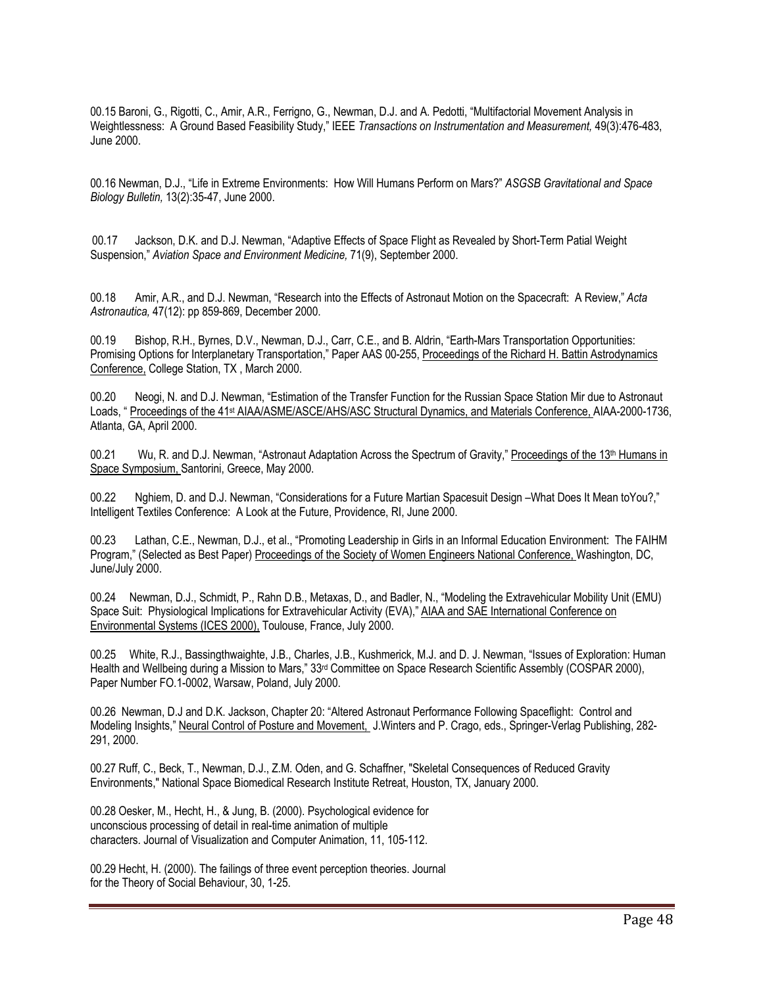00.15 Baroni, G., Rigotti, C., Amir, A.R., Ferrigno, G., Newman, D.J. and A. Pedotti, "Multifactorial Movement Analysis in Weightlessness: A Ground Based Feasibility Study," IEEE *Transactions on Instrumentation and Measurement,* 49(3):476-483, June 2000.

00.16 Newman, D.J., "Life in Extreme Environments: How Will Humans Perform on Mars?" *ASGSB Gravitational and Space Biology Bulletin,* 13(2):35-47, June 2000.

00.17 Jackson, D.K. and D.J. Newman, "Adaptive Effects of Space Flight as Revealed by Short-Term Patial Weight Suspension," *Aviation Space and Environment Medicine,* 71(9), September 2000.

00.18 Amir, A.R., and D.J. Newman, "Research into the Effects of Astronaut Motion on the Spacecraft: A Review," *Acta Astronautica,* 47(12): pp 859-869, December 2000.

00.19 Bishop, R.H., Byrnes, D.V., Newman, D.J., Carr, C.E., and B. Aldrin, "Earth-Mars Transportation Opportunities: Promising Options for Interplanetary Transportation," Paper AAS 00-255, Proceedings of the Richard H. Battin Astrodynamics Conference, College Station, TX , March 2000.

00.20 Neogi, N. and D.J. Newman, "Estimation of the Transfer Function for the Russian Space Station Mir due to Astronaut Loads, " Proceedings of the 41<sup>st</sup> AIAA/ASME/ASCE/AHS/ASC Structural Dynamics, and Materials Conference, AIAA-2000-1736, Atlanta, GA, April 2000.

00.21 Wu, R. and D.J. Newman, "Astronaut Adaptation Across the Spectrum of Gravity," Proceedings of the 13<sup>th</sup> Humans in Space Symposium, Santorini, Greece, May 2000.

00.22 Nghiem, D. and D.J. Newman, "Considerations for a Future Martian Spacesuit Design –What Does It Mean toYou?," Intelligent Textiles Conference: A Look at the Future, Providence, RI, June 2000.

00.23 Lathan, C.E., Newman, D.J., et al., "Promoting Leadership in Girls in an Informal Education Environment: The FAIHM Program," (Selected as Best Paper) Proceedings of the Society of Women Engineers National Conference, Washington, DC, June/July 2000.

00.24 Newman, D.J., Schmidt, P., Rahn D.B., Metaxas, D., and Badler, N., "Modeling the Extravehicular Mobility Unit (EMU) Space Suit: Physiological Implications for Extravehicular Activity (EVA)," AIAA and SAE International Conference on Environmental Systems (ICES 2000), Toulouse, France, July 2000.

00.25 White, R.J., Bassingthwaighte, J.B., Charles, J.B., Kushmerick, M.J. and D. J. Newman, "Issues of Exploration: Human Health and Wellbeing during a Mission to Mars," 33rd Committee on Space Research Scientific Assembly (COSPAR 2000), Paper Number FO.1-0002, Warsaw, Poland, July 2000.

00.26 Newman, D.J and D.K. Jackson, Chapter 20: "Altered Astronaut Performance Following Spaceflight: Control and Modeling Insights," Neural Control of Posture and Movement, J.Winters and P. Crago, eds., Springer-Verlag Publishing, 282- 291, 2000.

00.27 Ruff, C., Beck, T., Newman, D.J., Z.M. Oden, and G. Schaffner, "Skeletal Consequences of Reduced Gravity Environments," National Space Biomedical Research Institute Retreat, Houston, TX, January 2000.

00.28 Oesker, M., Hecht, H., & Jung, B. (2000). Psychological evidence for unconscious processing of detail in real-time animation of multiple characters. Journal of Visualization and Computer Animation, 11, 105-112.

00.29 Hecht, H. (2000). The failings of three event perception theories. Journal for the Theory of Social Behaviour, 30, 1-25.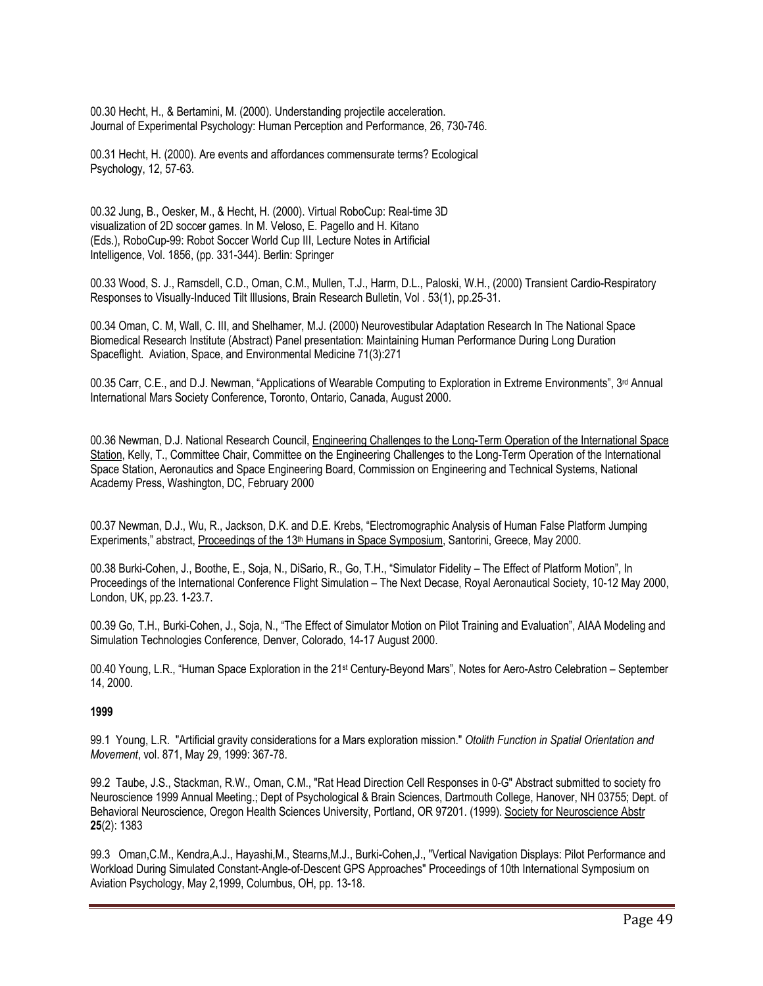00.30 Hecht, H., & Bertamini, M. (2000). Understanding projectile acceleration. Journal of Experimental Psychology: Human Perception and Performance, 26, 730-746.

00.31 Hecht, H. (2000). Are events and affordances commensurate terms? Ecological Psychology, 12, 57-63.

00.32 Jung, B., Oesker, M., & Hecht, H. (2000). Virtual RoboCup: Real-time 3D visualization of 2D soccer games. In M. Veloso, E. Pagello and H. Kitano (Eds.), RoboCup-99: Robot Soccer World Cup III, Lecture Notes in Artificial Intelligence, Vol. 1856, (pp. 331-344). Berlin: Springer

00.33 Wood, S. J., Ramsdell, C.D., Oman, C.M., Mullen, T.J., Harm, D.L., Paloski, W.H., (2000) Transient Cardio-Respiratory Responses to Visually-Induced Tilt Illusions, Brain Research Bulletin, Vol . 53(1), pp.25-31.

00.34 Oman, C. M, Wall, C. III, and Shelhamer, M.J. (2000) Neurovestibular Adaptation Research In The National Space Biomedical Research Institute (Abstract) Panel presentation: Maintaining Human Performance During Long Duration Spaceflight. Aviation, Space, and Environmental Medicine 71(3):271

00.35 Carr, C.E., and D.J. Newman, "Applications of Wearable Computing to Exploration in Extreme Environments", 3rd Annual International Mars Society Conference, Toronto, Ontario, Canada, August 2000.

00.36 Newman, D.J. National Research Council, Engineering Challenges to the Long-Term Operation of the International Space Station, Kelly, T., Committee Chair, Committee on the Engineering Challenges to the Long-Term Operation of the International Space Station, Aeronautics and Space Engineering Board, Commission on Engineering and Technical Systems, National Academy Press, Washington, DC, February 2000

00.37 Newman, D.J., Wu, R., Jackson, D.K. and D.E. Krebs, "Electromographic Analysis of Human False Platform Jumping Experiments," abstract, Proceedings of the 13<sup>th</sup> Humans in Space Symposium, Santorini, Greece, May 2000.

00.38 Burki-Cohen, J., Boothe, E., Soja, N., DiSario, R., Go, T.H., "Simulator Fidelity – The Effect of Platform Motion", In Proceedings of the International Conference Flight Simulation – The Next Decase, Royal Aeronautical Society, 10-12 May 2000, London, UK, pp.23. 1-23.7.

00.39 Go, T.H., Burki-Cohen, J., Soja, N., "The Effect of Simulator Motion on Pilot Training and Evaluation", AIAA Modeling and Simulation Technologies Conference, Denver, Colorado, 14-17 August 2000.

00.40 Young, L.R., "Human Space Exploration in the 21st Century-Beyond Mars", Notes for Aero-Astro Celebration – September 14, 2000.

#### **1999**

99.1 Young, L.R. "Artificial gravity considerations for a Mars exploration mission." *Otolith Function in Spatial Orientation and Movement*, vol. 871, May 29, 1999: 367-78.

99.2 Taube, J.S., Stackman, R.W., Oman, C.M., "Rat Head Direction Cell Responses in 0-G" Abstract submitted to society fro Neuroscience 1999 Annual Meeting.; Dept of Psychological & Brain Sciences, Dartmouth College, Hanover, NH 03755; Dept. of Behavioral Neuroscience, Oregon Health Sciences University, Portland, OR 97201. (1999). Society for Neuroscience Abstr **25**(2): 1383

99.3 Oman,C.M., Kendra,A.J., Hayashi,M., Stearns,M.J., Burki-Cohen,J., "Vertical Navigation Displays: Pilot Performance and Workload During Simulated Constant-Angle-of-Descent GPS Approaches" Proceedings of 10th International Symposium on Aviation Psychology, May 2,1999, Columbus, OH, pp. 13-18.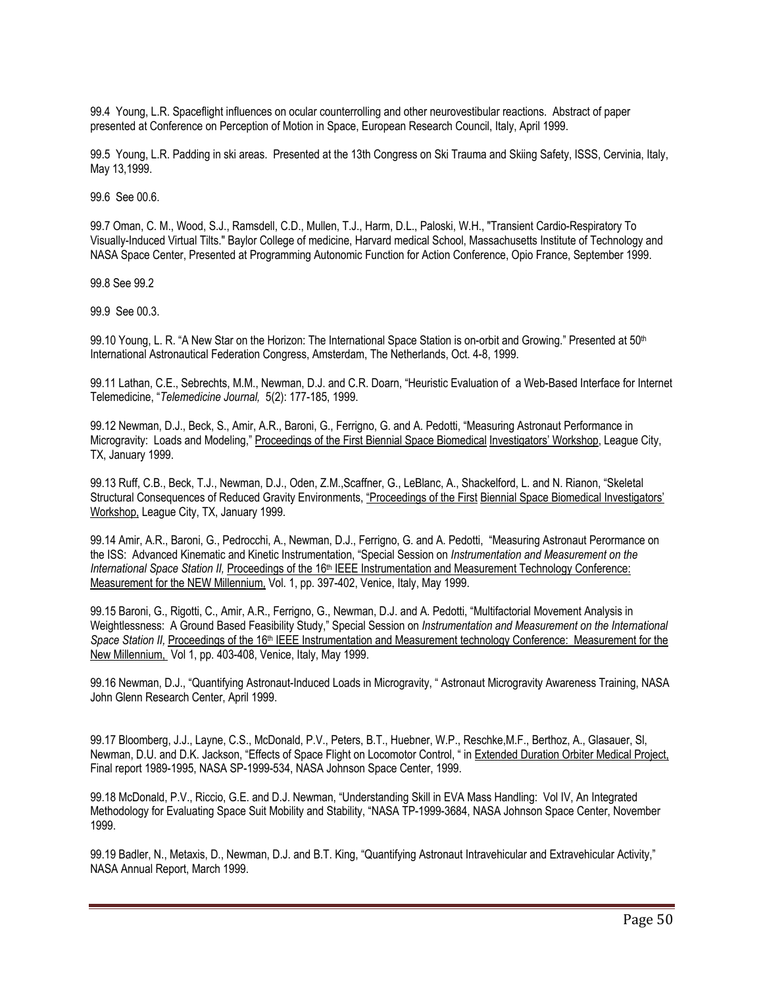99.4 Young, L.R. Spaceflight influences on ocular counterrolling and other neurovestibular reactions. Abstract of paper presented at Conference on Perception of Motion in Space, European Research Council, Italy, April 1999.

99.5 Young, L.R. Padding in ski areas. Presented at the 13th Congress on Ski Trauma and Skiing Safety, ISSS, Cervinia, Italy, May 13,1999.

99.6 See 00.6.

99.7 Oman, C. M., Wood, S.J., Ramsdell, C.D., Mullen, T.J., Harm, D.L., Paloski, W.H., "Transient Cardio-Respiratory To Visually-Induced Virtual Tilts." Baylor College of medicine, Harvard medical School, Massachusetts Institute of Technology and NASA Space Center, Presented at Programming Autonomic Function for Action Conference, Opio France, September 1999.

99.8 See 99.2

99.9 See 00.3.

99.10 Young, L. R. "A New Star on the Horizon: The International Space Station is on-orbit and Growing." Presented at 50<sup>th</sup> International Astronautical Federation Congress, Amsterdam, The Netherlands, Oct. 4-8, 1999.

99.11 Lathan, C.E., Sebrechts, M.M., Newman, D.J. and C.R. Doarn, "Heuristic Evaluation of a Web-Based Interface for Internet Telemedicine, "*Telemedicine Journal,* 5(2): 177-185, 1999.

99.12 Newman, D.J., Beck, S., Amir, A.R., Baroni, G., Ferrigno, G. and A. Pedotti, "Measuring Astronaut Performance in Microgravity: Loads and Modeling," Proceedings of the First Biennial Space Biomedical Investigators' Workshop, League City, TX, January 1999.

99.13 Ruff, C.B., Beck, T.J., Newman, D.J., Oden, Z.M.,Scaffner, G., LeBlanc, A., Shackelford, L. and N. Rianon, "Skeletal Structural Consequences of Reduced Gravity Environments, "Proceedings of the First Biennial Space Biomedical Investigators' Workshop, League City, TX, January 1999.

99.14 Amir, A.R., Baroni, G., Pedrocchi, A., Newman, D.J., Ferrigno, G. and A. Pedotti, "Measuring Astronaut Perormance on the ISS: Advanced Kinematic and Kinetic Instrumentation, "Special Session on *Instrumentation and Measurement on the International Space Station II, Proceedings of the 16<sup>th</sup> IEEE Instrumentation and Measurement Technology Conference:* Measurement for the NEW Millennium, Vol. 1, pp. 397-402, Venice, Italy, May 1999.

99.15 Baroni, G., Rigotti, C., Amir, A.R., Ferrigno, G., Newman, D.J. and A. Pedotti, "Multifactorial Movement Analysis in Weightlessness: A Ground Based Feasibility Study," Special Session on *Instrumentation and Measurement on the International*  Space Station II, Proceedings of the 16<sup>th</sup> IEEE Instrumentation and Measurement technology Conference: Measurement for the New Millennium, Vol 1, pp. 403-408, Venice, Italy, May 1999.

99.16 Newman, D.J., "Quantifying Astronaut-Induced Loads in Microgravity, " Astronaut Microgravity Awareness Training, NASA John Glenn Research Center, April 1999.

99.17 Bloomberg, J.J., Layne, C.S., McDonald, P.V., Peters, B.T., Huebner, W.P., Reschke,M.F., Berthoz, A., Glasauer, Sl, Newman, D.U. and D.K. Jackson, "Effects of Space Flight on Locomotor Control, " in Extended Duration Orbiter Medical Project, Final report 1989-1995, NASA SP-1999-534, NASA Johnson Space Center, 1999.

99.18 McDonald, P.V., Riccio, G.E. and D.J. Newman, "Understanding Skill in EVA Mass Handling: Vol IV, An Integrated Methodology for Evaluating Space Suit Mobility and Stability, "NASA TP-1999-3684, NASA Johnson Space Center, November 1999.

99.19 Badler, N., Metaxis, D., Newman, D.J. and B.T. King, "Quantifying Astronaut Intravehicular and Extravehicular Activity," NASA Annual Report, March 1999.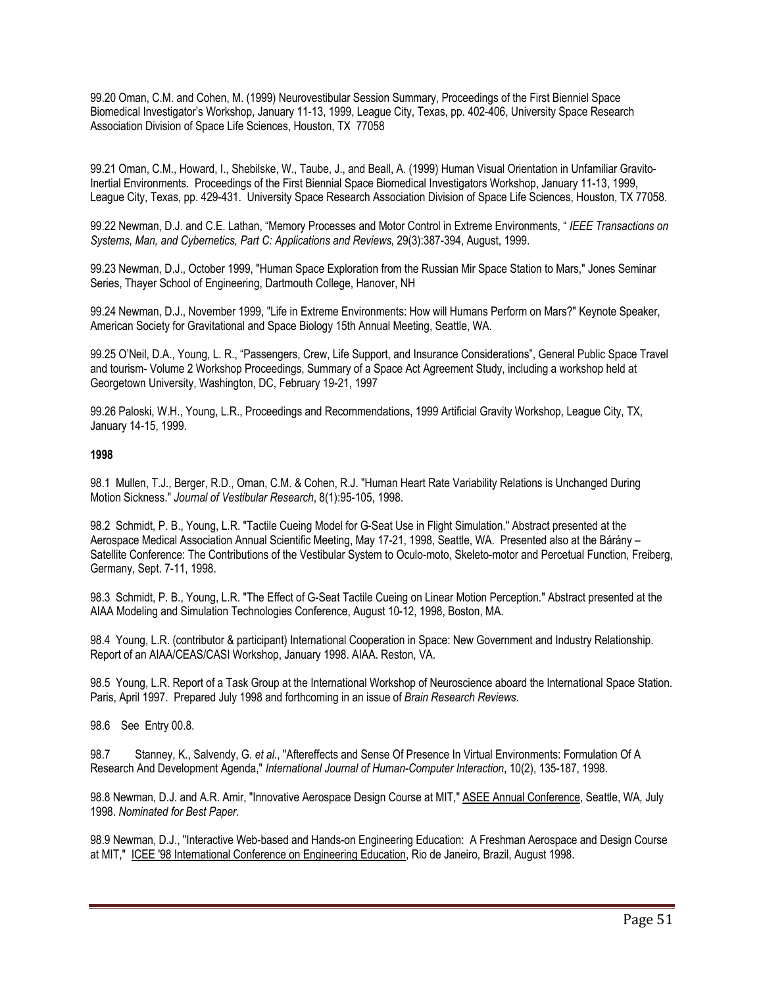99.20 Oman, C.M. and Cohen, M. (1999) Neurovestibular Session Summary, Proceedings of the First Bienniel Space Biomedical Investigator's Workshop, January 11-13, 1999, League City, Texas, pp. 402-406, University Space Research Association Division of Space Life Sciences, Houston, TX 77058

99.21 Oman, C.M., Howard, I., Shebilske, W., Taube, J., and Beall, A. (1999) Human Visual Orientation in Unfamiliar Gravito-Inertial Environments. Proceedings of the First Biennial Space Biomedical Investigators Workshop, January 11-13, 1999, League City, Texas, pp. 429-431. University Space Research Association Division of Space Life Sciences, Houston, TX 77058.

99.22 Newman, D.J. and C.E. Lathan, "Memory Processes and Motor Control in Extreme Environments, " *IEEE Transactions on Systems, Man, and Cybernetics, Part C: Applications and Reviews*, 29(3):387-394, August, 1999.

99.23 Newman, D.J., October 1999, "Human Space Exploration from the Russian Mir Space Station to Mars," Jones Seminar Series, Thayer School of Engineering, Dartmouth College, Hanover, NH

99.24 Newman, D.J., November 1999, "Life in Extreme Environments: How will Humans Perform on Mars?" Keynote Speaker, American Society for Gravitational and Space Biology 15th Annual Meeting, Seattle, WA.

99.25 O'Neil, D.A., Young, L. R., "Passengers, Crew, Life Support, and Insurance Considerations", General Public Space Travel and tourism- Volume 2 Workshop Proceedings, Summary of a Space Act Agreement Study, including a workshop held at Georgetown University, Washington, DC, February 19-21, 1997

99.26 Paloski, W.H., Young, L.R., Proceedings and Recommendations, 1999 Artificial Gravity Workshop, League City, TX, January 14-15, 1999.

## **1998**

98.1 Mullen, T.J., Berger, R.D., Oman, C.M. & Cohen, R.J. "Human Heart Rate Variability Relations is Unchanged During Motion Sickness." *Journal of Vestibular Research*, 8(1):95-105, 1998.

98.2 Schmidt, P. B., Young, L.R. "Tactile Cueing Model for G-Seat Use in Flight Simulation." Abstract presented at the Aerospace Medical Association Annual Scientific Meeting, May 17-21, 1998, Seattle, WA. Presented also at the Bárány – Satellite Conference: The Contributions of the Vestibular System to Oculo-moto, Skeleto-motor and Percetual Function, Freiberg, Germany, Sept. 7-11, 1998.

98.3 Schmidt, P. B., Young, L.R. "The Effect of G-Seat Tactile Cueing on Linear Motion Perception." Abstract presented at the AIAA Modeling and Simulation Technologies Conference, August 10-12, 1998, Boston, MA.

98.4 Young, L.R. (contributor & participant) International Cooperation in Space: New Government and Industry Relationship. Report of an AIAA/CEAS/CASI Workshop, January 1998. AIAA. Reston, VA.

98.5 Young, L.R. Report of a Task Group at the International Workshop of Neuroscience aboard the International Space Station. Paris, April 1997. Prepared July 1998 and forthcoming in an issue of *Brain Research Reviews*.

98.6 See Entry 00.8.

98.7 Stanney, K., Salvendy, G. *et al.*, "Aftereffects and Sense Of Presence In Virtual Environments: Formulation Of A Research And Development Agenda," *International Journal of Human-Computer Interaction*, 10(2), 135-187, 1998.

98.8 Newman, D.J. and A.R. Amir, "Innovative Aerospace Design Course at MIT," ASEE Annual Conference, Seattle, WA*,* July 1998. *Nominated for Best Paper.*

98.9 Newman, D.J., "Interactive Web-based and Hands-on Engineering Education: A Freshman Aerospace and Design Course at MIT," ICEE '98 International Conference on Engineering Education, Rio de Janeiro, Brazil, August 1998.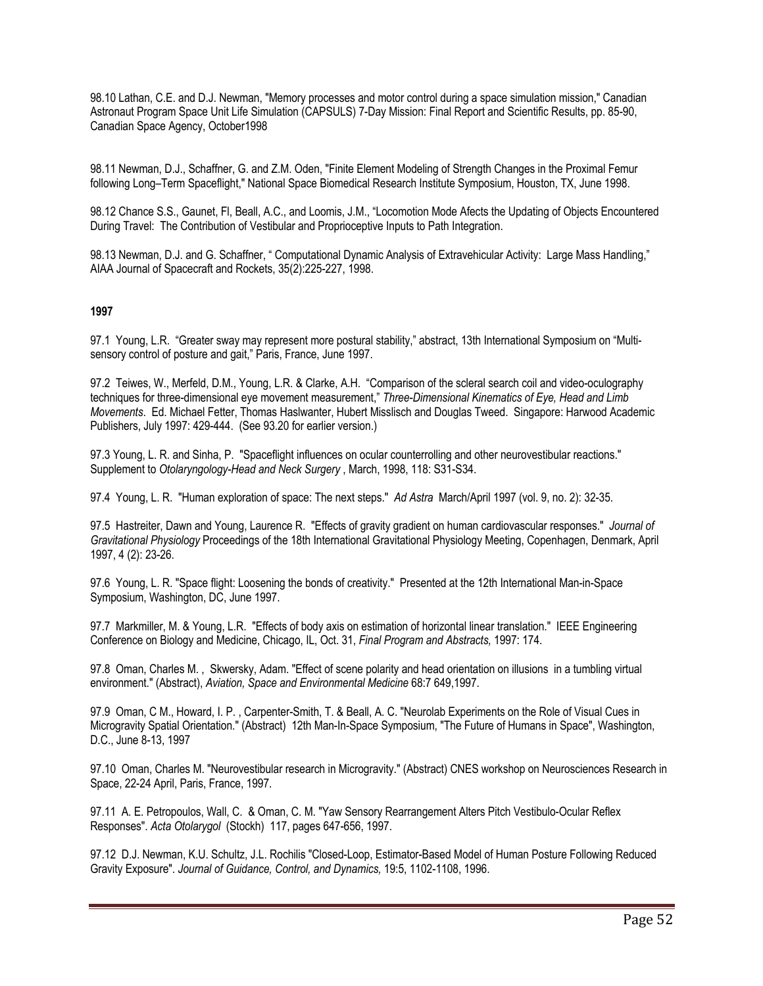98.10 Lathan, C.E. and D.J. Newman, "Memory processes and motor control during a space simulation mission," Canadian Astronaut Program Space Unit Life Simulation (CAPSULS) 7-Day Mission: Final Report and Scientific Results, pp. 85-90, Canadian Space Agency, October1998

98.11 Newman, D.J., Schaffner, G. and Z.M. Oden, "Finite Element Modeling of Strength Changes in the Proximal Femur following Long–Term Spaceflight," National Space Biomedical Research Institute Symposium, Houston, TX, June 1998.

98.12 Chance S.S., Gaunet, Fl, Beall, A.C., and Loomis, J.M., "Locomotion Mode Afects the Updating of Objects Encountered During Travel: The Contribution of Vestibular and Proprioceptive Inputs to Path Integration.

98.13 Newman, D.J. and G. Schaffner, " Computational Dynamic Analysis of Extravehicular Activity: Large Mass Handling," AIAA Journal of Spacecraft and Rockets, 35(2):225-227, 1998.

## **1997**

97.1 Young, L.R. "Greater sway may represent more postural stability," abstract, 13th International Symposium on "Multisensory control of posture and gait," Paris, France, June 1997.

97.2 Teiwes, W., Merfeld, D.M., Young, L.R. & Clarke, A.H. "Comparison of the scleral search coil and video-oculography techniques for three-dimensional eye movement measurement," *Three-Dimensional Kinematics of Eye, Head and Limb Movements*. Ed. Michael Fetter, Thomas Haslwanter, Hubert Misslisch and Douglas Tweed. Singapore: Harwood Academic Publishers, July 1997: 429-444. (See 93.20 for earlier version.)

97.3 Young, L. R. and Sinha, P. "Spaceflight influences on ocular counterrolling and other neurovestibular reactions." Supplement to *Otolaryngology-Head and Neck Surgery* , March, 1998, 118: S31-S34.

97.4 Young, L. R. "Human exploration of space: The next steps." *Ad Astra* March/April 1997 (vol. 9, no. 2): 32-35.

97.5 Hastreiter, Dawn and Young, Laurence R. "Effects of gravity gradient on human cardiovascular responses." *Journal of Gravitational Physiology* Proceedings of the 18th International Gravitational Physiology Meeting, Copenhagen, Denmark, April 1997, 4 (2): 23-26.

97.6 Young, L. R. "Space flight: Loosening the bonds of creativity." Presented at the 12th International Man-in-Space Symposium, Washington, DC, June 1997.

97.7 Markmiller, M. & Young, L.R. "Effects of body axis on estimation of horizontal linear translation." IEEE Engineering Conference on Biology and Medicine, Chicago, IL, Oct. 31, *Final Program and Abstracts,* 1997: 174.

97.8 Oman, Charles M. , Skwersky, Adam. "Effect of scene polarity and head orientation on illusions in a tumbling virtual environment." (Abstract), *Aviation, Space and Environmental Medicine* 68:7 649,1997.

97.9 Oman, C M., Howard, I. P. , Carpenter-Smith, T. & Beall, A. C. "Neurolab Experiments on the Role of Visual Cues in Microgravity Spatial Orientation." (Abstract) 12th Man-In-Space Symposium, "The Future of Humans in Space", Washington, D.C., June 8-13, 1997

97.10 Oman, Charles M. "Neurovestibular research in Microgravity." (Abstract) CNES workshop on Neurosciences Research in Space, 22-24 April, Paris, France, 1997.

97.11 A. E. Petropoulos, Wall, C. & Oman, C. M. "Yaw Sensory Rearrangement Alters Pitch Vestibulo-Ocular Reflex Responses". *Acta Otolarygol* (Stockh) 117, pages 647-656, 1997.

97.12 D.J. Newman, K.U. Schultz, J.L. Rochilis "Closed-Loop, Estimator-Based Model of Human Posture Following Reduced Gravity Exposure". *Journal of Guidance, Control, and Dynamics,* 19:5, 1102-1108, 1996.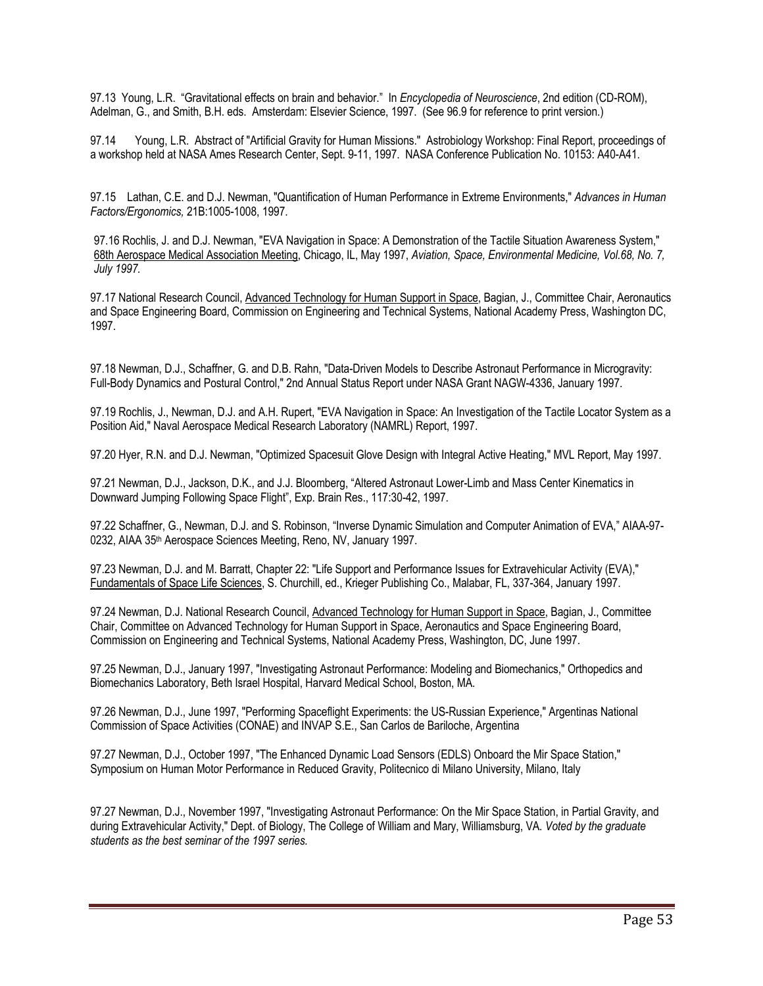97.13 Young, L.R. "Gravitational effects on brain and behavior." In *Encyclopedia of Neuroscience*, 2nd edition (CD-ROM), Adelman, G., and Smith, B.H. eds. Amsterdam: Elsevier Science, 1997. (See 96.9 for reference to print version.)

97.14 Young, L.R. Abstract of "Artificial Gravity for Human Missions." Astrobiology Workshop: Final Report, proceedings of a workshop held at NASA Ames Research Center, Sept. 9-11, 1997. NASA Conference Publication No. 10153: A40-A41.

97.15 Lathan, C.E. and D.J. Newman, "Quantification of Human Performance in Extreme Environments," *Advances in Human Factors/Ergonomics,* 21B:1005-1008, 1997.

97.16 Rochlis, J. and D.J. Newman, "EVA Navigation in Space: A Demonstration of the Tactile Situation Awareness System," 68th Aerospace Medical Association Meeting, Chicago, IL, May 1997, *Aviation, Space, Environmental Medicine, Vol.68, No. 7, July 1997.*

97.17 National Research Council, Advanced Technology for Human Support in Space, Bagian, J., Committee Chair, Aeronautics and Space Engineering Board, Commission on Engineering and Technical Systems, National Academy Press, Washington DC, 1997.

97.18 Newman, D.J., Schaffner, G. and D.B. Rahn, "Data-Driven Models to Describe Astronaut Performance in Microgravity: Full-Body Dynamics and Postural Control," 2nd Annual Status Report under NASA Grant NAGW-4336, January 1997.

97.19 Rochlis, J., Newman, D.J. and A.H. Rupert, "EVA Navigation in Space: An Investigation of the Tactile Locator System as a Position Aid," Naval Aerospace Medical Research Laboratory (NAMRL) Report, 1997.

97.20 Hyer, R.N. and D.J. Newman, "Optimized Spacesuit Glove Design with Integral Active Heating," MVL Report, May 1997.

97.21 Newman, D.J., Jackson, D.K., and J.J. Bloomberg, "Altered Astronaut Lower-Limb and Mass Center Kinematics in Downward Jumping Following Space Flight", Exp. Brain Res., 117:30-42, 1997.

97.22 Schaffner, G., Newman, D.J. and S. Robinson, "Inverse Dynamic Simulation and Computer Animation of EVA," AIAA-97- 0232, AIAA 35th Aerospace Sciences Meeting, Reno, NV, January 1997.

97.23 Newman, D.J. and M. Barratt, Chapter 22: "Life Support and Performance Issues for Extravehicular Activity (EVA)," Fundamentals of Space Life Sciences, S. Churchill, ed., Krieger Publishing Co., Malabar, FL, 337-364, January 1997.

97.24 Newman, D.J. National Research Council, Advanced Technology for Human Support in Space, Bagian, J., Committee Chair, Committee on Advanced Technology for Human Support in Space, Aeronautics and Space Engineering Board, Commission on Engineering and Technical Systems, National Academy Press, Washington, DC, June 1997.

97.25 Newman, D.J., January 1997, "Investigating Astronaut Performance: Modeling and Biomechanics," Orthopedics and Biomechanics Laboratory, Beth Israel Hospital, Harvard Medical School, Boston, MA.

97.26 Newman, D.J., June 1997, "Performing Spaceflight Experiments: the US-Russian Experience," Argentinas National Commission of Space Activities (CONAE) and INVAP S.E., San Carlos de Bariloche, Argentina

97.27 Newman, D.J., October 1997, "The Enhanced Dynamic Load Sensors (EDLS) Onboard the Mir Space Station," Symposium on Human Motor Performance in Reduced Gravity, Politecnico di Milano University, Milano, Italy

97.27 Newman, D.J., November 1997, "Investigating Astronaut Performance: On the Mir Space Station, in Partial Gravity, and during Extravehicular Activity," Dept. of Biology, The College of William and Mary, Williamsburg, VA*. Voted by the graduate students as the best seminar of the 1997 series.*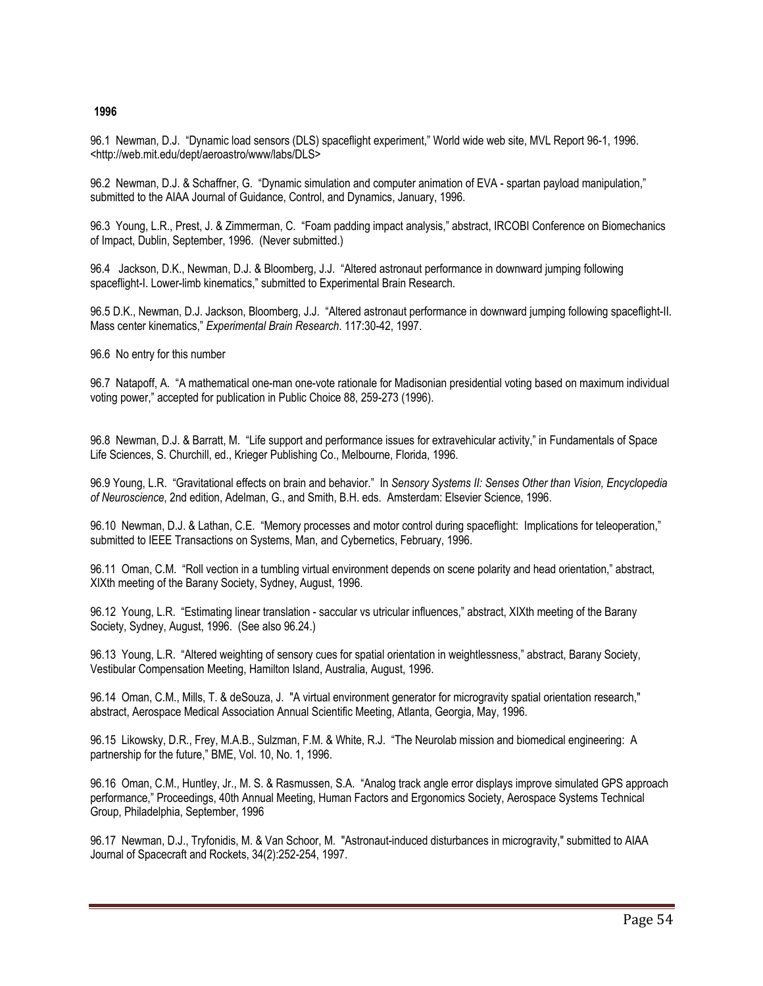## **1996**

96.1 Newman, D.J. "Dynamic load sensors (DLS) spaceflight experiment," World wide web site, MVL Report 96-1, 1996. <http://web.mit.edu/dept/aeroastro/www/labs/DLS>

96.2 Newman, D.J. & Schaffner, G. "Dynamic simulation and computer animation of EVA - spartan payload manipulation," submitted to the AIAA Journal of Guidance, Control, and Dynamics, January, 1996.

96.3 Young, L.R., Prest, J. & Zimmerman, C. "Foam padding impact analysis," abstract, IRCOBI Conference on Biomechanics of Impact, Dublin, September, 1996. (Never submitted.)

96.4 Jackson, D.K., Newman, D.J. & Bloomberg, J.J. "Altered astronaut performance in downward jumping following spaceflight-I. Lower-limb kinematics," submitted to Experimental Brain Research.

96.5 D.K., Newman, D.J. Jackson, Bloomberg, J.J. "Altered astronaut performance in downward jumping following spaceflight-II. Mass center kinematics," *Experimental Brain Research*. 117:30-42, 1997.

96.6 No entry for this number

96.7 Natapoff, A. "A mathematical one-man one-vote rationale for Madisonian presidential voting based on maximum individual voting power," accepted for publication in Public Choice 88, 259-273 (1996).

96.8 Newman, D.J. & Barratt, M. "Life support and performance issues for extravehicular activity," in Fundamentals of Space Life Sciences, S. Churchill, ed., Krieger Publishing Co., Melbourne, Florida, 1996.

96.9 Young, L.R. "Gravitational effects on brain and behavior." In *Sensory Systems II: Senses Other than Vision, Encyclopedia of Neuroscience*, 2nd edition, Adelman, G., and Smith, B.H. eds. Amsterdam: Elsevier Science, 1996.

96.10 Newman, D.J. & Lathan, C.E. "Memory processes and motor control during spaceflight: Implications for teleoperation," submitted to IEEE Transactions on Systems, Man, and Cybernetics, February, 1996.

96.11 Oman, C.M. "Roll vection in a tumbling virtual environment depends on scene polarity and head orientation," abstract, XIXth meeting of the Barany Society, Sydney, August, 1996.

96.12 Young, L.R. "Estimating linear translation - saccular vs utricular influences," abstract, XIXth meeting of the Barany Society, Sydney, August, 1996. (See also 96.24.)

96.13 Young, L.R. "Altered weighting of sensory cues for spatial orientation in weightlessness," abstract, Barany Society, Vestibular Compensation Meeting, Hamilton Island, Australia, August, 1996.

96.14 Oman, C.M., Mills, T. & deSouza, J. "A virtual environment generator for microgravity spatial orientation research," abstract, Aerospace Medical Association Annual Scientific Meeting, Atlanta, Georgia, May, 1996.

96.15 Likowsky, D.R., Frey, M.A.B., Sulzman, F.M. & White, R.J. "The Neurolab mission and biomedical engineering: A partnership for the future," BME, Vol. 10, No. 1, 1996.

96.16 Oman, C.M., Huntley, Jr., M. S. & Rasmussen, S.A. "Analog track angle error displays improve simulated GPS approach performance," Proceedings, 40th Annual Meeting, Human Factors and Ergonomics Society, Aerospace Systems Technical Group, Philadelphia, September, 1996

96.17 Newman, D.J., Tryfonidis, M. & Van Schoor, M. "Astronaut-induced disturbances in microgravity," submitted to AIAA Journal of Spacecraft and Rockets, 34(2):252-254, 1997.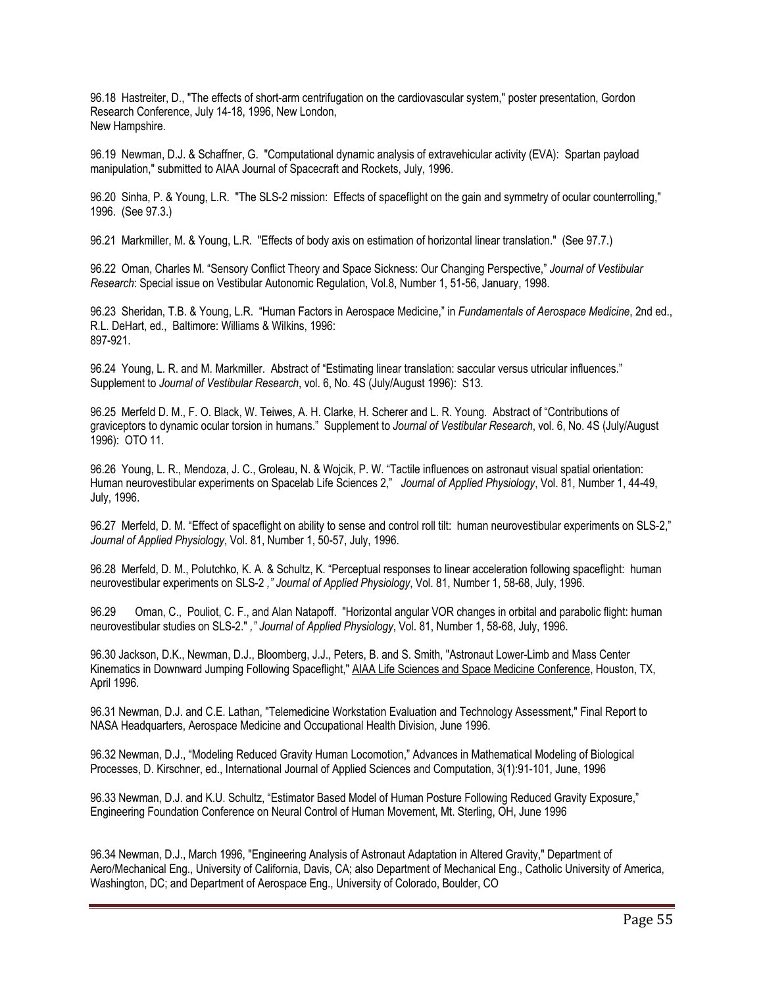96.18 Hastreiter, D., "The effects of short-arm centrifugation on the cardiovascular system," poster presentation, Gordon Research Conference, July 14-18, 1996, New London, New Hampshire.

96.19 Newman, D.J. & Schaffner, G. "Computational dynamic analysis of extravehicular activity (EVA): Spartan payload manipulation," submitted to AIAA Journal of Spacecraft and Rockets, July, 1996.

96.20 Sinha, P. & Young, L.R. "The SLS-2 mission: Effects of spaceflight on the gain and symmetry of ocular counterrolling," 1996. (See 97.3.)

96.21 Markmiller, M. & Young, L.R. "Effects of body axis on estimation of horizontal linear translation." (See 97.7.)

96.22 Oman, Charles M. "Sensory Conflict Theory and Space Sickness: Our Changing Perspective," *Journal of Vestibular Research*: Special issue on Vestibular Autonomic Regulation, Vol.8, Number 1, 51-56, January, 1998.

96.23 Sheridan, T.B. & Young, L.R. "Human Factors in Aerospace Medicine," in *Fundamentals of Aerospace Medicine*, 2nd ed., R.L. DeHart, ed., Baltimore: Williams & Wilkins, 1996: 897-921.

96.24 Young, L. R. and M. Markmiller. Abstract of "Estimating linear translation: saccular versus utricular influences." Supplement to *Journal of Vestibular Research*, vol. 6, No. 4S (July/August 1996): S13.

96.25 Merfeld D. M., F. O. Black, W. Teiwes, A. H. Clarke, H. Scherer and L. R. Young. Abstract of "Contributions of graviceptors to dynamic ocular torsion in humans." Supplement to *Journal of Vestibular Research*, vol. 6, No. 4S (July/August 1996): OTO 11.

96.26 Young, L. R., Mendoza, J. C., Groleau, N. & Wojcik, P. W. "Tactile influences on astronaut visual spatial orientation: Human neurovestibular experiments on Spacelab Life Sciences 2," *Journal of Applied Physiology*, Vol. 81, Number 1, 44-49, July, 1996.

96.27 Merfeld, D. M. "Effect of spaceflight on ability to sense and control roll tilt: human neurovestibular experiments on SLS-2," *Journal of Applied Physiology*, Vol. 81, Number 1, 50-57, July, 1996.

96.28 Merfeld, D. M., Polutchko, K. A. & Schultz, K. "Perceptual responses to linear acceleration following spaceflight: human neurovestibular experiments on SLS-2 *," Journal of Applied Physiology*, Vol. 81, Number 1, 58-68, July, 1996.

96.29 Oman, C., Pouliot, C. F., and Alan Natapoff. "Horizontal angular VOR changes in orbital and parabolic flight: human neurovestibular studies on SLS-2." *," Journal of Applied Physiology*, Vol. 81, Number 1, 58-68, July, 1996.

96.30 Jackson, D.K., Newman, D.J., Bloomberg, J.J., Peters, B. and S. Smith, "Astronaut Lower-Limb and Mass Center Kinematics in Downward Jumping Following Spaceflight," AIAA Life Sciences and Space Medicine Conference, Houston, TX, April 1996.

96.31 Newman, D.J. and C.E. Lathan, "Telemedicine Workstation Evaluation and Technology Assessment," Final Report to NASA Headquarters, Aerospace Medicine and Occupational Health Division, June 1996.

96.32 Newman, D.J., "Modeling Reduced Gravity Human Locomotion," Advances in Mathematical Modeling of Biological Processes, D. Kirschner, ed., International Journal of Applied Sciences and Computation, 3(1):91-101, June, 1996

96.33 Newman, D.J. and K.U. Schultz, "Estimator Based Model of Human Posture Following Reduced Gravity Exposure," Engineering Foundation Conference on Neural Control of Human Movement, Mt. Sterling, OH, June 1996

96.34 Newman, D.J., March 1996, "Engineering Analysis of Astronaut Adaptation in Altered Gravity," Department of Aero/Mechanical Eng., University of California, Davis, CA; also Department of Mechanical Eng., Catholic University of America, Washington, DC; and Department of Aerospace Eng., University of Colorado, Boulder, CO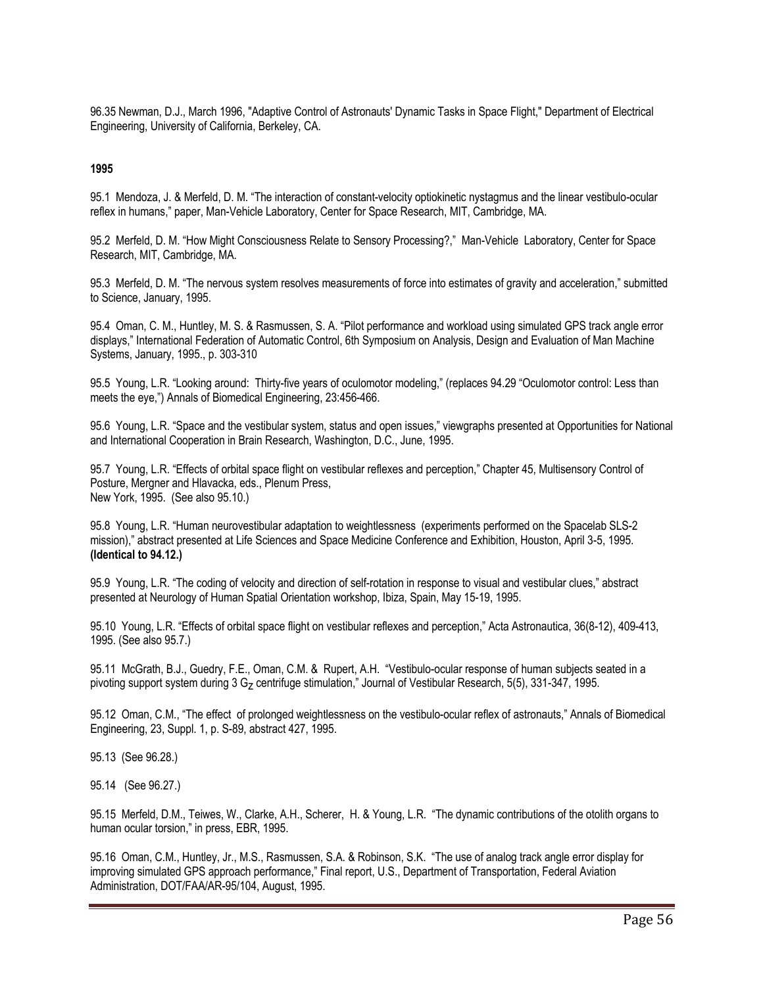96.35 Newman, D.J., March 1996, "Adaptive Control of Astronauts' Dynamic Tasks in Space Flight," Department of Electrical Engineering, University of California, Berkeley, CA.

#### **1995**

95.1 Mendoza, J. & Merfeld, D. M. "The interaction of constant-velocity optiokinetic nystagmus and the linear vestibulo-ocular reflex in humans," paper, Man-Vehicle Laboratory, Center for Space Research, MIT, Cambridge, MA.

95.2 Merfeld, D. M. "How Might Consciousness Relate to Sensory Processing?," Man-Vehicle Laboratory, Center for Space Research, MIT, Cambridge, MA.

95.3 Merfeld, D. M. "The nervous system resolves measurements of force into estimates of gravity and acceleration," submitted to Science, January, 1995.

95.4 Oman, C. M., Huntley, M. S. & Rasmussen, S. A. "Pilot performance and workload using simulated GPS track angle error displays," International Federation of Automatic Control, 6th Symposium on Analysis, Design and Evaluation of Man Machine Systems, January, 1995., p. 303-310

95.5 Young, L.R. "Looking around: Thirty-five years of oculomotor modeling," (replaces 94.29 "Oculomotor control: Less than meets the eye,") Annals of Biomedical Engineering, 23:456-466.

95.6 Young, L.R. "Space and the vestibular system, status and open issues," viewgraphs presented at Opportunities for National and International Cooperation in Brain Research, Washington, D.C., June, 1995.

95.7 Young, L.R. "Effects of orbital space flight on vestibular reflexes and perception," Chapter 45, Multisensory Control of Posture, Mergner and Hlavacka, eds., Plenum Press, New York, 1995. (See also 95.10.)

95.8 Young, L.R. "Human neurovestibular adaptation to weightlessness (experiments performed on the Spacelab SLS-2 mission)," abstract presented at Life Sciences and Space Medicine Conference and Exhibition, Houston, April 3-5, 1995. **(Identical to 94.12.)**

95.9 Young, L.R. "The coding of velocity and direction of self-rotation in response to visual and vestibular clues," abstract presented at Neurology of Human Spatial Orientation workshop, Ibiza, Spain, May 15-19, 1995.

95.10 Young, L.R. "Effects of orbital space flight on vestibular reflexes and perception," Acta Astronautica, 36(8-12), 409-413, 1995. (See also 95.7.)

95.11 McGrath, B.J., Guedry, F.E., Oman, C.M. & Rupert, A.H. "Vestibulo-ocular response of human subjects seated in a pivoting support system during 3 G<sub>z</sub> centrifuge stimulation," Journal of Vestibular Research, 5(5), 331-347, 1995.

95.12 Oman, C.M., "The effect of prolonged weightlessness on the vestibulo-ocular reflex of astronauts," Annals of Biomedical Engineering, 23, Suppl. 1, p. S-89, abstract 427, 1995.

95.13 (See 96.28.)

95.14 (See 96.27.)

95.15 Merfeld, D.M., Teiwes, W., Clarke, A.H., Scherer, H. & Young, L.R. "The dynamic contributions of the otolith organs to human ocular torsion," in press, EBR, 1995.

95.16 Oman, C.M., Huntley, Jr., M.S., Rasmussen, S.A. & Robinson, S.K. "The use of analog track angle error display for improving simulated GPS approach performance," Final report, U.S., Department of Transportation, Federal Aviation Administration, DOT/FAA/AR-95/104, August, 1995.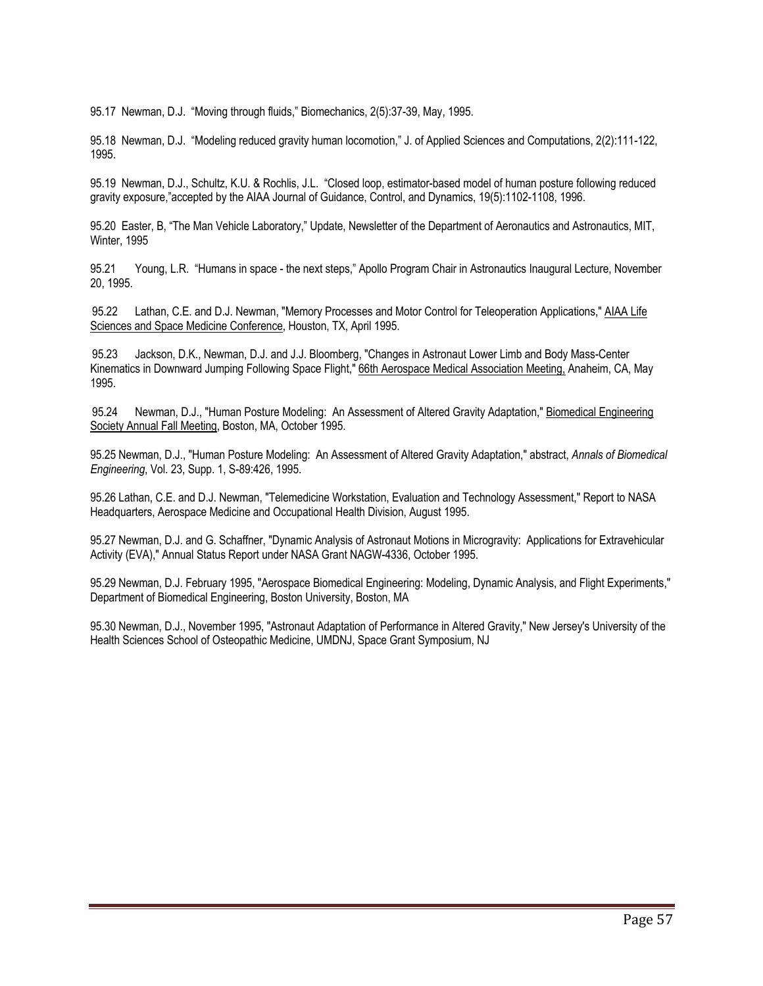95.17 Newman, D.J. "Moving through fluids," Biomechanics, 2(5):37-39, May, 1995.

95.18 Newman, D.J. "Modeling reduced gravity human locomotion," J. of Applied Sciences and Computations, 2(2):111-122, 1995.

95.19 Newman, D.J., Schultz, K.U. & Rochlis, J.L. "Closed loop, estimator-based model of human posture following reduced gravity exposure,"accepted by the AIAA Journal of Guidance, Control, and Dynamics, 19(5):1102-1108, 1996.

95.20 Easter, B, "The Man Vehicle Laboratory," Update, Newsletter of the Department of Aeronautics and Astronautics, MIT, Winter, 1995

95.21 Young, L.R. "Humans in space - the next steps," Apollo Program Chair in Astronautics Inaugural Lecture, November 20, 1995.

95.22 Lathan, C.E. and D.J. Newman, "Memory Processes and Motor Control for Teleoperation Applications," AIAA Life Sciences and Space Medicine Conference, Houston, TX, April 1995.

95.23 Jackson, D.K., Newman, D.J. and J.J. Bloomberg, "Changes in Astronaut Lower Limb and Body Mass-Center Kinematics in Downward Jumping Following Space Flight," 66th Aerospace Medical Association Meeting, Anaheim, CA, May 1995.

95.24 Newman, D.J., "Human Posture Modeling: An Assessment of Altered Gravity Adaptation," Biomedical Engineering Society Annual Fall Meeting, Boston, MA, October 1995.

95.25 Newman, D.J., "Human Posture Modeling: An Assessment of Altered Gravity Adaptation," abstract, *Annals of Biomedical Engineering*, Vol. 23, Supp. 1, S-89:426, 1995.

95.26 Lathan, C.E. and D.J. Newman, "Telemedicine Workstation, Evaluation and Technology Assessment," Report to NASA Headquarters, Aerospace Medicine and Occupational Health Division, August 1995.

95.27 Newman, D.J. and G. Schaffner, "Dynamic Analysis of Astronaut Motions in Microgravity: Applications for Extravehicular Activity (EVA)," Annual Status Report under NASA Grant NAGW-4336, October 1995.

95.29 Newman, D.J. February 1995, "Aerospace Biomedical Engineering: Modeling, Dynamic Analysis, and Flight Experiments," Department of Biomedical Engineering, Boston University, Boston, MA

95.30 Newman, D.J., November 1995, "Astronaut Adaptation of Performance in Altered Gravity," New Jersey's University of the Health Sciences School of Osteopathic Medicine, UMDNJ, Space Grant Symposium, NJ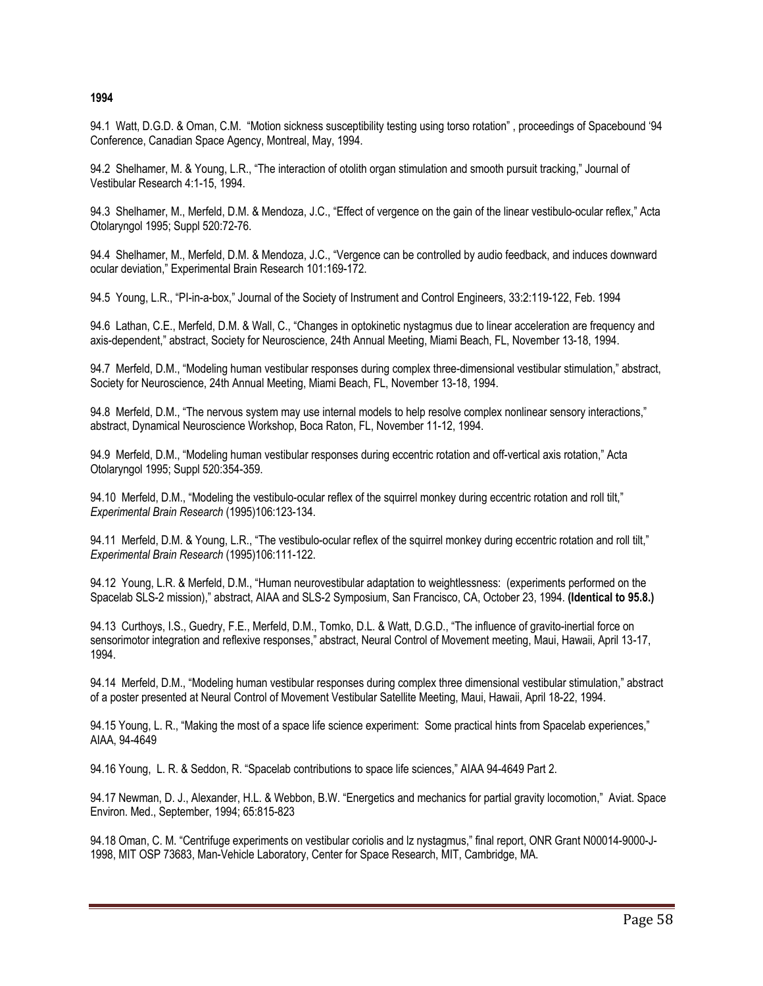#### **1994**

94.1 Watt, D.G.D. & Oman, C.M. "Motion sickness susceptibility testing using torso rotation" , proceedings of Spacebound '94 Conference, Canadian Space Agency, Montreal, May, 1994.

94.2 Shelhamer, M. & Young, L.R., "The interaction of otolith organ stimulation and smooth pursuit tracking," Journal of Vestibular Research 4:1-15, 1994.

94.3 Shelhamer, M., Merfeld, D.M. & Mendoza, J.C., "Effect of vergence on the gain of the linear vestibulo-ocular reflex," Acta Otolaryngol 1995; Suppl 520:72-76.

94.4 Shelhamer, M., Merfeld, D.M. & Mendoza, J.C., "Vergence can be controlled by audio feedback, and induces downward ocular deviation," Experimental Brain Research 101:169-172.

94.5 Young, L.R., "PI-in-a-box," Journal of the Society of Instrument and Control Engineers, 33:2:119-122, Feb. 1994

94.6 Lathan, C.E., Merfeld, D.M. & Wall, C., "Changes in optokinetic nystagmus due to linear acceleration are frequency and axis-dependent," abstract, Society for Neuroscience, 24th Annual Meeting, Miami Beach, FL, November 13-18, 1994.

94.7 Merfeld, D.M., "Modeling human vestibular responses during complex three-dimensional vestibular stimulation," abstract, Society for Neuroscience, 24th Annual Meeting, Miami Beach, FL, November 13-18, 1994.

94.8 Merfeld, D.M., "The nervous system may use internal models to help resolve complex nonlinear sensory interactions," abstract, Dynamical Neuroscience Workshop, Boca Raton, FL, November 11-12, 1994.

94.9 Merfeld, D.M., "Modeling human vestibular responses during eccentric rotation and off-vertical axis rotation," Acta Otolaryngol 1995; Suppl 520:354-359.

94.10 Merfeld, D.M., "Modeling the vestibulo-ocular reflex of the squirrel monkey during eccentric rotation and roll tilt," *Experimental Brain Research* (1995)106:123-134.

94.11 Merfeld, D.M. & Young, L.R., "The vestibulo-ocular reflex of the squirrel monkey during eccentric rotation and roll tilt." *Experimental Brain Research* (1995)106:111-122.

94.12 Young, L.R. & Merfeld, D.M., "Human neurovestibular adaptation to weightlessness: (experiments performed on the Spacelab SLS-2 mission)," abstract, AIAA and SLS-2 Symposium, San Francisco, CA, October 23, 1994. **(Identical to 95.8.)**

94.13 Curthoys, I.S., Guedry, F.E., Merfeld, D.M., Tomko, D.L. & Watt, D.G.D., "The influence of gravito-inertial force on sensorimotor integration and reflexive responses," abstract, Neural Control of Movement meeting, Maui, Hawaii, April 13-17, 1994.

94.14 Merfeld, D.M., "Modeling human vestibular responses during complex three dimensional vestibular stimulation," abstract of a poster presented at Neural Control of Movement Vestibular Satellite Meeting, Maui, Hawaii, April 18-22, 1994.

94.15 Young, L. R., "Making the most of a space life science experiment: Some practical hints from Spacelab experiences," AIAA, 94-4649

94.16 Young, L. R. & Seddon, R. "Spacelab contributions to space life sciences," AIAA 94-4649 Part 2.

94.17 Newman, D. J., Alexander, H.L. & Webbon, B.W. "Energetics and mechanics for partial gravity locomotion," Aviat. Space Environ. Med., September, 1994; 65:815-823

94.18 Oman, C. M. "Centrifuge experiments on vestibular coriolis and lz nystagmus," final report, ONR Grant N00014-9000-J-1998, MIT OSP 73683, Man-Vehicle Laboratory, Center for Space Research, MIT, Cambridge, MA.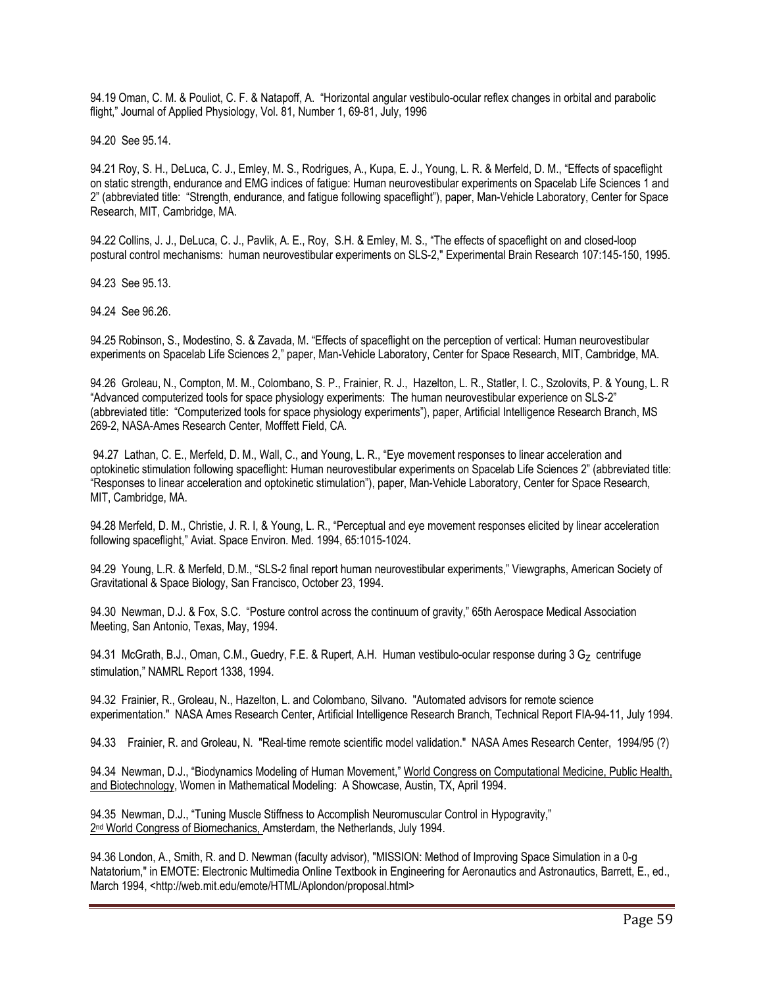94.19 Oman, C. M. & Pouliot, C. F. & Natapoff, A. "Horizontal angular vestibulo-ocular reflex changes in orbital and parabolic flight," Journal of Applied Physiology, Vol. 81, Number 1, 69-81, July, 1996

94.20 See 95.14.

94.21 Roy, S. H., DeLuca, C. J., Emley, M. S., Rodrigues, A., Kupa, E. J., Young, L. R. & Merfeld, D. M., "Effects of spaceflight on static strength, endurance and EMG indices of fatigue: Human neurovestibular experiments on Spacelab Life Sciences 1 and 2" (abbreviated title: "Strength, endurance, and fatigue following spaceflight"), paper, Man-Vehicle Laboratory, Center for Space Research, MIT, Cambridge, MA.

94.22 Collins, J. J., DeLuca, C. J., Pavlik, A. E., Roy, S.H. & Emley, M. S., "The effects of spaceflight on and closed-loop postural control mechanisms: human neurovestibular experiments on SLS-2," Experimental Brain Research 107:145-150, 1995.

94.23 See 95.13.

94.24 See 96.26.

94.25 Robinson, S., Modestino, S. & Zavada, M. "Effects of spaceflight on the perception of vertical: Human neurovestibular experiments on Spacelab Life Sciences 2," paper, Man-Vehicle Laboratory, Center for Space Research, MIT, Cambridge, MA.

94.26 Groleau, N., Compton, M. M., Colombano, S. P., Frainier, R. J., Hazelton, L. R., Statler, I. C., Szolovits, P. & Young, L. R "Advanced computerized tools for space physiology experiments: The human neurovestibular experience on SLS-2" (abbreviated title: "Computerized tools for space physiology experiments"), paper, Artificial Intelligence Research Branch, MS 269-2, NASA-Ames Research Center, Mofffett Field, CA.

94.27 Lathan, C. E., Merfeld, D. M., Wall, C., and Young, L. R., "Eye movement responses to linear acceleration and optokinetic stimulation following spaceflight: Human neurovestibular experiments on Spacelab Life Sciences 2" (abbreviated title: "Responses to linear acceleration and optokinetic stimulation"), paper, Man-Vehicle Laboratory, Center for Space Research, MIT, Cambridge, MA.

94.28 Merfeld, D. M., Christie, J. R. I, & Young, L. R., "Perceptual and eye movement responses elicited by linear acceleration following spaceflight," Aviat. Space Environ. Med. 1994, 65:1015-1024.

94.29 Young, L.R. & Merfeld, D.M., "SLS-2 final report human neurovestibular experiments," Viewgraphs, American Society of Gravitational & Space Biology, San Francisco, October 23, 1994.

94.30 Newman, D.J. & Fox, S.C. "Posture control across the continuum of gravity," 65th Aerospace Medical Association Meeting, San Antonio, Texas, May, 1994.

94.31 McGrath, B.J., Oman, C.M., Guedry, F.E. & Rupert, A.H. Human vestibulo-ocular response during 3 G<sub>z</sub> centrifuge stimulation," NAMRL Report 1338, 1994.

94.32 Frainier, R., Groleau, N., Hazelton, L. and Colombano, Silvano. "Automated advisors for remote science experimentation." NASA Ames Research Center, Artificial Intelligence Research Branch, Technical Report FIA-94-11, July 1994.

94.33 Frainier, R. and Groleau, N. "Real-time remote scientific model validation." NASA Ames Research Center, 1994/95 (?)

94.34 Newman, D.J., "Biodynamics Modeling of Human Movement," World Congress on Computational Medicine, Public Health, and Biotechnology, Women in Mathematical Modeling: A Showcase, Austin, TX, April 1994.

94.35 Newman, D.J., "Tuning Muscle Stiffness to Accomplish Neuromuscular Control in Hypogravity," 2<sup>nd</sup> World Congress of Biomechanics, Amsterdam, the Netherlands, July 1994.

94.36 London, A., Smith, R. and D. Newman (faculty advisor), "MISSION: Method of Improving Space Simulation in a 0-g Natatorium," in EMOTE: Electronic Multimedia Online Textbook in Engineering for Aeronautics and Astronautics, Barrett, E., ed., March 1994, <http://web.mit.edu/emote/HTML/Aplondon/proposal.html>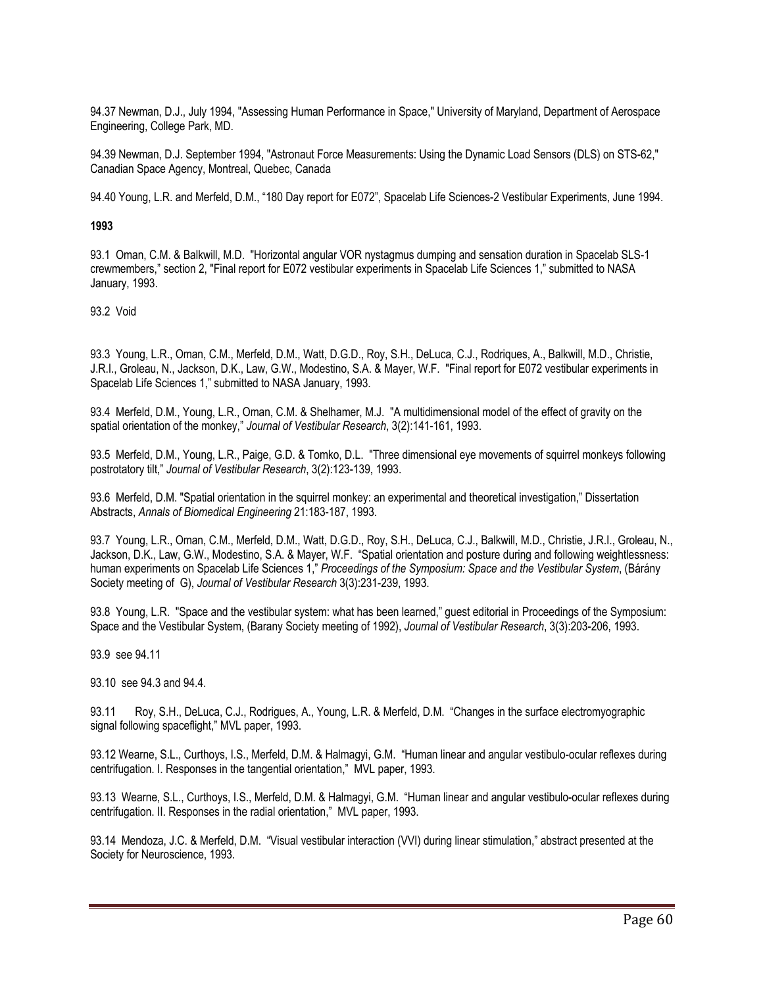94.37 Newman, D.J., July 1994, "Assessing Human Performance in Space," University of Maryland, Department of Aerospace Engineering, College Park, MD.

94.39 Newman, D.J. September 1994, "Astronaut Force Measurements: Using the Dynamic Load Sensors (DLS) on STS-62," Canadian Space Agency, Montreal, Quebec, Canada

94.40 Young, L.R. and Merfeld, D.M., "180 Day report for E072", Spacelab Life Sciences-2 Vestibular Experiments, June 1994.

#### **1993**

93.1 Oman, C.M. & Balkwill, M.D. "Horizontal angular VOR nystagmus dumping and sensation duration in Spacelab SLS-1 crewmembers," section 2, "Final report for E072 vestibular experiments in Spacelab Life Sciences 1," submitted to NASA January, 1993.

93.2 Void

93.3 Young, L.R., Oman, C.M., Merfeld, D.M., Watt, D.G.D., Roy, S.H., DeLuca, C.J., Rodriques, A., Balkwill, M.D., Christie, J.R.I., Groleau, N., Jackson, D.K., Law, G.W., Modestino, S.A. & Mayer, W.F. "Final report for E072 vestibular experiments in Spacelab Life Sciences 1," submitted to NASA January, 1993.

93.4 Merfeld, D.M., Young, L.R., Oman, C.M. & Shelhamer, M.J. "A multidimensional model of the effect of gravity on the spatial orientation of the monkey," *Journal of Vestibular Research*, 3(2):141-161, 1993.

93.5 Merfeld, D.M., Young, L.R., Paige, G.D. & Tomko, D.L. "Three dimensional eye movements of squirrel monkeys following postrotatory tilt," *Journal of Vestibular Research*, 3(2):123-139, 1993.

93.6 Merfeld, D.M. "Spatial orientation in the squirrel monkey: an experimental and theoretical investigation," Dissertation Abstracts, *Annals of Biomedical Engineering* 21:183-187, 1993.

93.7 Young, L.R., Oman, C.M., Merfeld, D.M., Watt, D.G.D., Roy, S.H., DeLuca, C.J., Balkwill, M.D., Christie, J.R.I., Groleau, N., Jackson, D.K., Law, G.W., Modestino, S.A. & Mayer, W.F. "Spatial orientation and posture during and following weightlessness: human experiments on Spacelab Life Sciences 1," *Proceedings of the Symposium: Space and the Vestibular System*, (Bárány Society meeting of G), *Journal of Vestibular Research* 3(3):231-239, 1993.

93.8 Young, L.R. "Space and the vestibular system: what has been learned," guest editorial in Proceedings of the Symposium: Space and the Vestibular System, (Barany Society meeting of 1992), *Journal of Vestibular Research*, 3(3):203-206, 1993.

93.9 see 94.11

93.10 see 94.3 and 94.4.

93.11 Roy, S.H., DeLuca, C.J., Rodrigues, A., Young, L.R. & Merfeld, D.M. "Changes in the surface electromyographic signal following spaceflight," MVL paper, 1993.

93.12 Wearne, S.L., Curthoys, I.S., Merfeld, D.M. & Halmagyi, G.M. "Human linear and angular vestibulo-ocular reflexes during centrifugation. I. Responses in the tangential orientation," MVL paper, 1993.

93.13 Wearne, S.L., Curthoys, I.S., Merfeld, D.M. & Halmagyi, G.M. "Human linear and angular vestibulo-ocular reflexes during centrifugation. II. Responses in the radial orientation," MVL paper, 1993.

93.14 Mendoza, J.C. & Merfeld, D.M. "Visual vestibular interaction (VVI) during linear stimulation," abstract presented at the Society for Neuroscience, 1993.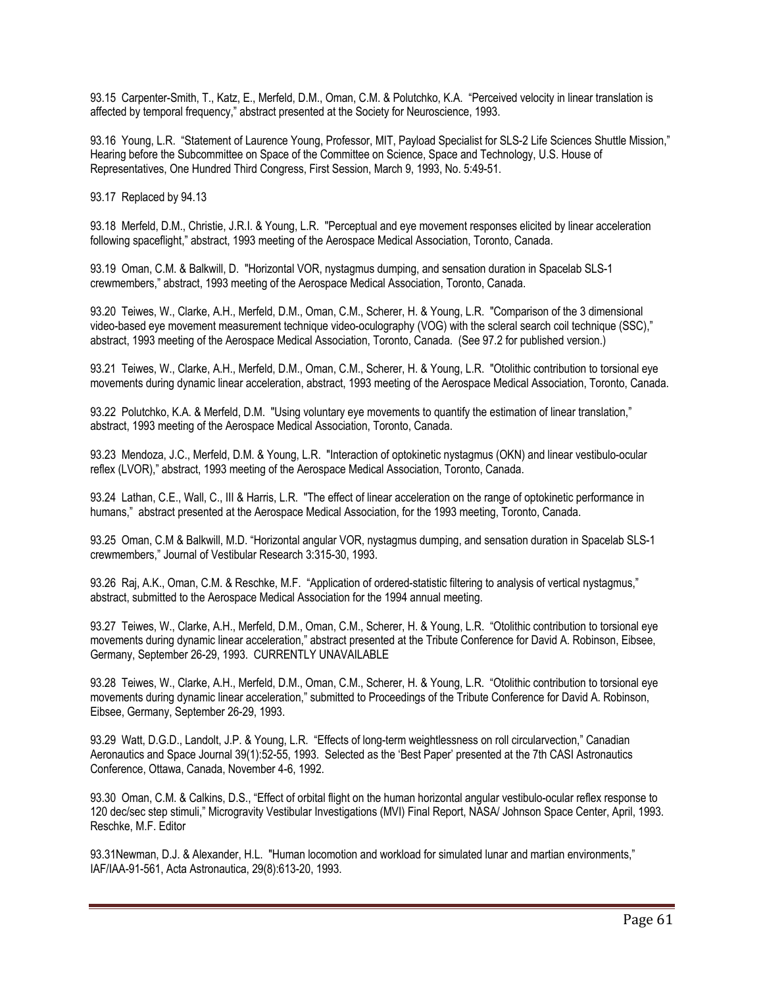93.15 Carpenter-Smith, T., Katz, E., Merfeld, D.M., Oman, C.M. & Polutchko, K.A. "Perceived velocity in linear translation is affected by temporal frequency," abstract presented at the Society for Neuroscience, 1993.

93.16 Young, L.R. "Statement of Laurence Young, Professor, MIT, Payload Specialist for SLS-2 Life Sciences Shuttle Mission," Hearing before the Subcommittee on Space of the Committee on Science, Space and Technology, U.S. House of Representatives, One Hundred Third Congress, First Session, March 9, 1993, No. 5:49-51.

93.17 Replaced by 94.13

93.18 Merfeld, D.M., Christie, J.R.I. & Young, L.R. "Perceptual and eye movement responses elicited by linear acceleration following spaceflight," abstract, 1993 meeting of the Aerospace Medical Association, Toronto, Canada.

93.19 Oman, C.M. & Balkwill, D. "Horizontal VOR, nystagmus dumping, and sensation duration in Spacelab SLS-1 crewmembers," abstract, 1993 meeting of the Aerospace Medical Association, Toronto, Canada.

93.20 Teiwes, W., Clarke, A.H., Merfeld, D.M., Oman, C.M., Scherer, H. & Young, L.R. "Comparison of the 3 dimensional video-based eye movement measurement technique video-oculography (VOG) with the scleral search coil technique (SSC)," abstract, 1993 meeting of the Aerospace Medical Association, Toronto, Canada. (See 97.2 for published version.)

93.21 Teiwes, W., Clarke, A.H., Merfeld, D.M., Oman, C.M., Scherer, H. & Young, L.R. "Otolithic contribution to torsional eye movements during dynamic linear acceleration, abstract, 1993 meeting of the Aerospace Medical Association, Toronto, Canada.

93.22 Polutchko, K.A. & Merfeld, D.M. "Using voluntary eye movements to quantify the estimation of linear translation," abstract, 1993 meeting of the Aerospace Medical Association, Toronto, Canada.

93.23 Mendoza, J.C., Merfeld, D.M. & Young, L.R. "Interaction of optokinetic nystagmus (OKN) and linear vestibulo-ocular reflex (LVOR)," abstract, 1993 meeting of the Aerospace Medical Association, Toronto, Canada.

93.24 Lathan, C.E., Wall, C., III & Harris, L.R. "The effect of linear acceleration on the range of optokinetic performance in humans," abstract presented at the Aerospace Medical Association, for the 1993 meeting, Toronto, Canada.

93.25 Oman, C.M & Balkwill, M.D. "Horizontal angular VOR, nystagmus dumping, and sensation duration in Spacelab SLS-1 crewmembers," Journal of Vestibular Research 3:315-30, 1993.

93.26 Raj, A.K., Oman, C.M. & Reschke, M.F. "Application of ordered-statistic filtering to analysis of vertical nystagmus," abstract, submitted to the Aerospace Medical Association for the 1994 annual meeting.

93.27 Teiwes, W., Clarke, A.H., Merfeld, D.M., Oman, C.M., Scherer, H. & Young, L.R. "Otolithic contribution to torsional eye movements during dynamic linear acceleration," abstract presented at the Tribute Conference for David A. Robinson, Eibsee, Germany, September 26-29, 1993. CURRENTLY UNAVAILABLE

93.28 Teiwes, W., Clarke, A.H., Merfeld, D.M., Oman, C.M., Scherer, H. & Young, L.R. "Otolithic contribution to torsional eye movements during dynamic linear acceleration," submitted to Proceedings of the Tribute Conference for David A. Robinson, Eibsee, Germany, September 26-29, 1993.

93.29 Watt, D.G.D., Landolt, J.P. & Young, L.R. "Effects of long-term weightlessness on roll circularvection," Canadian Aeronautics and Space Journal 39(1):52-55, 1993. Selected as the 'Best Paper' presented at the 7th CASI Astronautics Conference, Ottawa, Canada, November 4-6, 1992.

93.30 Oman, C.M. & Calkins, D.S., "Effect of orbital flight on the human horizontal angular vestibulo-ocular reflex response to 120 dec/sec step stimuli," Microgravity Vestibular Investigations (MVI) Final Report, NASA/ Johnson Space Center, April, 1993. Reschke, M.F. Editor

93.31Newman, D.J. & Alexander, H.L. "Human locomotion and workload for simulated lunar and martian environments," IAF/IAA-91-561, Acta Astronautica, 29(8):613-20, 1993.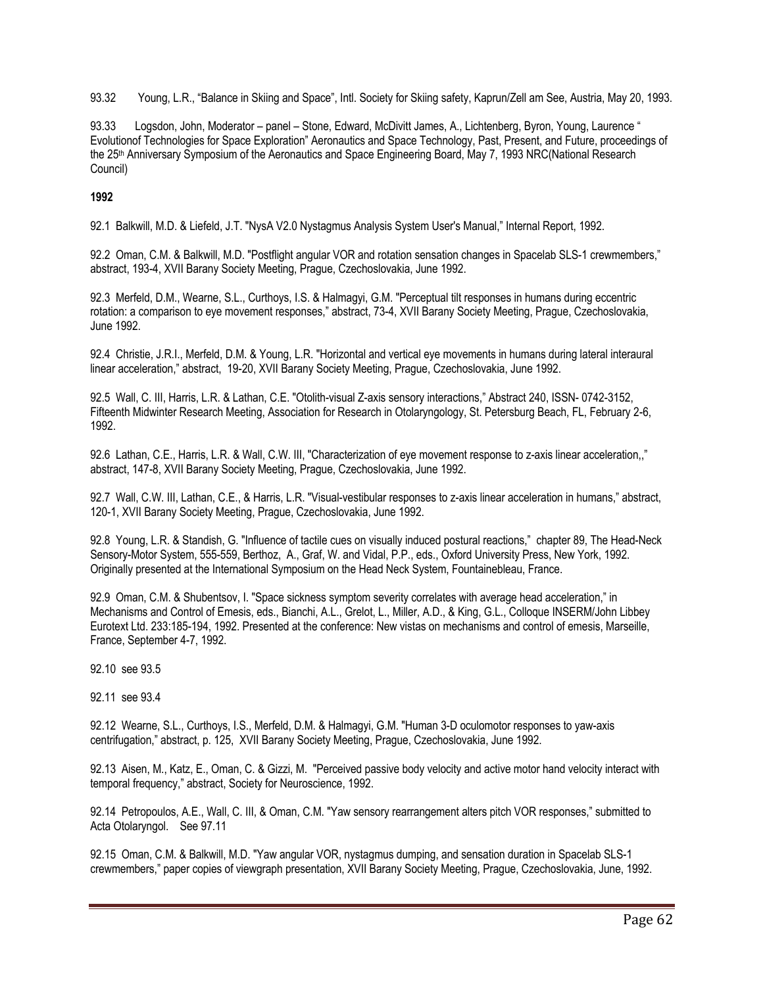93.32 Young, L.R., "Balance in Skiing and Space", Intl. Society for Skiing safety, Kaprun/Zell am See, Austria, May 20, 1993.

93.33 Logsdon, John, Moderator – panel – Stone, Edward, McDivitt James, A., Lichtenberg, Byron, Young, Laurence " Evolutionof Technologies for Space Exploration" Aeronautics and Space Technology, Past, Present, and Future, proceedings of the 25th Anniversary Symposium of the Aeronautics and Space Engineering Board, May 7, 1993 NRC(National Research Council)

# **1992**

92.1 Balkwill, M.D. & Liefeld, J.T. "NysA V2.0 Nystagmus Analysis System User's Manual," Internal Report, 1992.

92.2 Oman, C.M. & Balkwill, M.D. "Postflight angular VOR and rotation sensation changes in Spacelab SLS-1 crewmembers," abstract, 193-4, XVII Barany Society Meeting, Prague, Czechoslovakia, June 1992.

92.3 Merfeld, D.M., Wearne, S.L., Curthoys, I.S. & Halmagyi, G.M. "Perceptual tilt responses in humans during eccentric rotation: a comparison to eye movement responses," abstract, 73-4, XVII Barany Society Meeting, Prague, Czechoslovakia, June 1992.

92.4 Christie, J.R.I., Merfeld, D.M. & Young, L.R. "Horizontal and vertical eye movements in humans during lateral interaural linear acceleration," abstract, 19-20, XVII Barany Society Meeting, Prague, Czechoslovakia, June 1992.

92.5 Wall, C. III, Harris, L.R. & Lathan, C.E. "Otolith-visual Z-axis sensory interactions," Abstract 240, ISSN- 0742-3152, Fifteenth Midwinter Research Meeting, Association for Research in Otolaryngology, St. Petersburg Beach, FL, February 2-6, 1992.

92.6 Lathan, C.E., Harris, L.R. & Wall, C.W. III, "Characterization of eye movement response to z-axis linear acceleration,," abstract, 147-8, XVII Barany Society Meeting, Prague, Czechoslovakia, June 1992.

92.7 Wall, C.W. III, Lathan, C.E., & Harris, L.R. "Visual-vestibular responses to z-axis linear acceleration in humans," abstract, 120-1, XVII Barany Society Meeting, Prague, Czechoslovakia, June 1992.

92.8 Young, L.R. & Standish, G. "Influence of tactile cues on visually induced postural reactions," chapter 89, The Head-Neck Sensory-Motor System, 555-559, Berthoz, A., Graf, W. and Vidal, P.P., eds., Oxford University Press, New York, 1992. Originally presented at the International Symposium on the Head Neck System, Fountainebleau, France.

92.9 Oman, C.M. & Shubentsov, I. "Space sickness symptom severity correlates with average head acceleration," in Mechanisms and Control of Emesis, eds., Bianchi, A.L., Grelot, L., Miller, A.D., & King, G.L., Colloque INSERM/John Libbey Eurotext Ltd. 233:185-194, 1992. Presented at the conference: New vistas on mechanisms and control of emesis, Marseille, France, September 4-7, 1992.

92.10 see 93.5

92.11 see 93.4

92.12 Wearne, S.L., Curthoys, I.S., Merfeld, D.M. & Halmagyi, G.M. "Human 3-D oculomotor responses to yaw-axis centrifugation," abstract, p. 125, XVII Barany Society Meeting, Prague, Czechoslovakia, June 1992.

92.13 Aisen, M., Katz, E., Oman, C. & Gizzi, M. "Perceived passive body velocity and active motor hand velocity interact with temporal frequency," abstract, Society for Neuroscience, 1992.

92.14 Petropoulos, A.E., Wall, C. III, & Oman, C.M. "Yaw sensory rearrangement alters pitch VOR responses," submitted to Acta Otolaryngol. See 97.11

92.15 Oman, C.M. & Balkwill, M.D. "Yaw angular VOR, nystagmus dumping, and sensation duration in Spacelab SLS-1 crewmembers," paper copies of viewgraph presentation, XVII Barany Society Meeting, Prague, Czechoslovakia, June, 1992.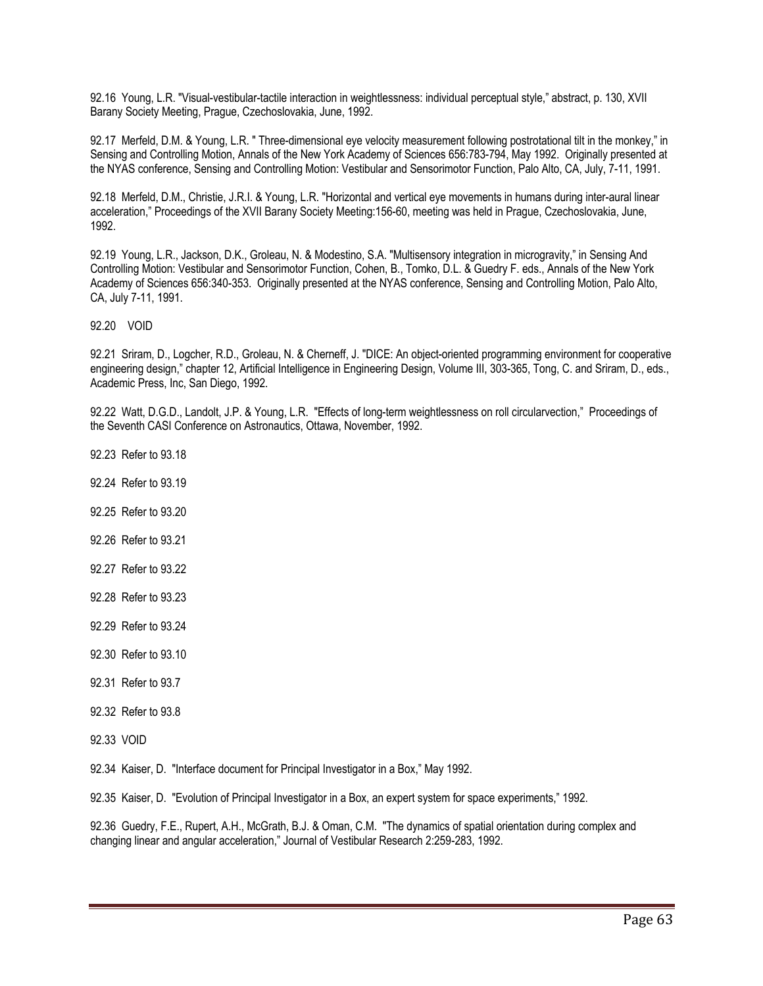92.16 Young, L.R. "Visual-vestibular-tactile interaction in weightlessness: individual perceptual style," abstract, p. 130, XVII Barany Society Meeting, Prague, Czechoslovakia, June, 1992.

92.17 Merfeld, D.M. & Young, L.R. " Three-dimensional eye velocity measurement following postrotational tilt in the monkey," in Sensing and Controlling Motion, Annals of the New York Academy of Sciences 656:783-794, May 1992. Originally presented at the NYAS conference, Sensing and Controlling Motion: Vestibular and Sensorimotor Function, Palo Alto, CA, July, 7-11, 1991.

92.18 Merfeld, D.M., Christie, J.R.I. & Young, L.R. "Horizontal and vertical eye movements in humans during inter-aural linear acceleration," Proceedings of the XVII Barany Society Meeting:156-60, meeting was held in Prague, Czechoslovakia, June, 1992.

92.19 Young, L.R., Jackson, D.K., Groleau, N. & Modestino, S.A. "Multisensory integration in microgravity," in Sensing And Controlling Motion: Vestibular and Sensorimotor Function, Cohen, B., Tomko, D.L. & Guedry F. eds., Annals of the New York Academy of Sciences 656:340-353. Originally presented at the NYAS conference, Sensing and Controlling Motion, Palo Alto, CA, July 7-11, 1991.

92.20 VOID

92.21 Sriram, D., Logcher, R.D., Groleau, N. & Cherneff, J. "DICE: An object-oriented programming environment for cooperative engineering design," chapter 12, Artificial Intelligence in Engineering Design, Volume III, 303-365, Tong, C. and Sriram, D., eds., Academic Press, Inc, San Diego, 1992.

92.22 Watt, D.G.D., Landolt, J.P. & Young, L.R. "Effects of long-term weightlessness on roll circularvection," Proceedings of the Seventh CASI Conference on Astronautics, Ottawa, November, 1992.

- 92.23 Refer to 93.18
- 92.24 Refer to 93.19
- 92.25 Refer to 93.20
- 92.26 Refer to 93.21
- 92.27 Refer to 93.22
- 92.28 Refer to 93.23
- 92.29 Refer to 93.24
- 92.30 Refer to 93.10
- 92.31 Refer to 93.7
- 92.32 Refer to 93.8
- 92.33 VOID

92.34 Kaiser, D. "Interface document for Principal Investigator in a Box," May 1992.

92.35 Kaiser, D. "Evolution of Principal Investigator in a Box, an expert system for space experiments," 1992.

92.36 Guedry, F.E., Rupert, A.H., McGrath, B.J. & Oman, C.M. "The dynamics of spatial orientation during complex and changing linear and angular acceleration," Journal of Vestibular Research 2:259-283, 1992.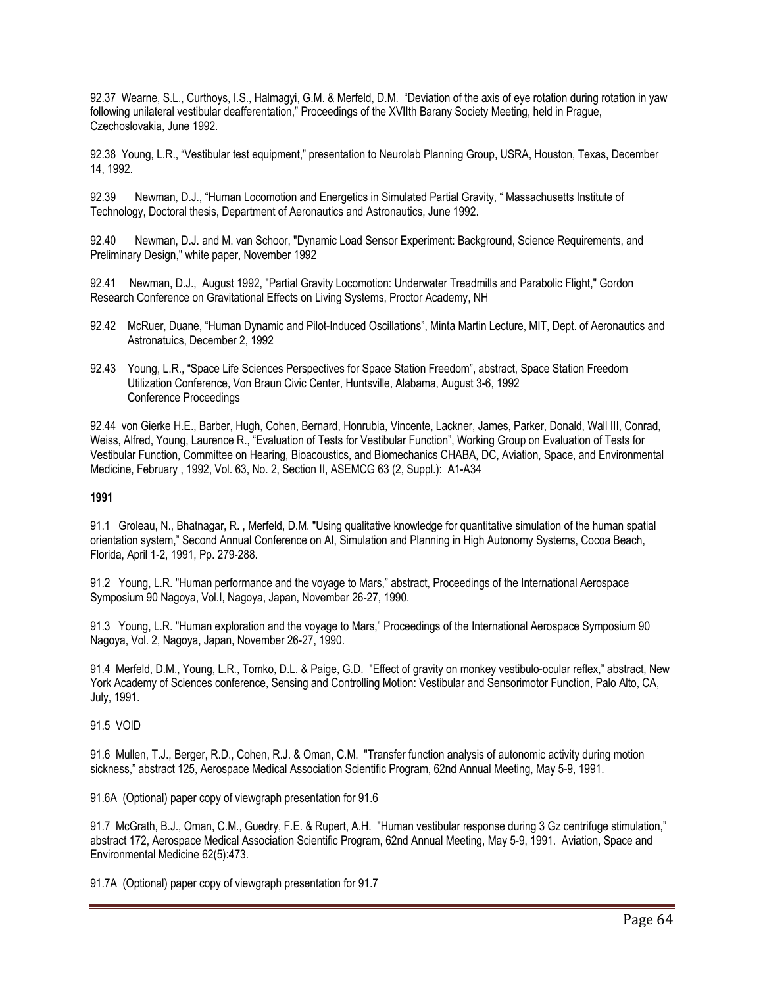92.37 Wearne, S.L., Curthoys, I.S., Halmagyi, G.M. & Merfeld, D.M. "Deviation of the axis of eye rotation during rotation in yaw following unilateral vestibular deafferentation," Proceedings of the XVIIth Barany Society Meeting, held in Prague, Czechoslovakia, June 1992.

92.38 Young, L.R., "Vestibular test equipment," presentation to Neurolab Planning Group, USRA, Houston, Texas, December 14, 1992.

92.39 Newman, D.J., "Human Locomotion and Energetics in Simulated Partial Gravity, " Massachusetts Institute of Technology, Doctoral thesis, Department of Aeronautics and Astronautics, June 1992.

92.40 Newman, D.J. and M. van Schoor, "Dynamic Load Sensor Experiment: Background, Science Requirements, and Preliminary Design," white paper, November 1992

92.41 Newman, D.J., August 1992, "Partial Gravity Locomotion: Underwater Treadmills and Parabolic Flight," Gordon Research Conference on Gravitational Effects on Living Systems, Proctor Academy, NH

- 92.42 McRuer, Duane, "Human Dynamic and Pilot-Induced Oscillations", Minta Martin Lecture, MIT, Dept. of Aeronautics and Astronatuics, December 2, 1992
- 92.43 Young, L.R., "Space Life Sciences Perspectives for Space Station Freedom", abstract, Space Station Freedom Utilization Conference, Von Braun Civic Center, Huntsville, Alabama, August 3-6, 1992 Conference Proceedings

92.44 von Gierke H.E., Barber, Hugh, Cohen, Bernard, Honrubia, Vincente, Lackner, James, Parker, Donald, Wall III, Conrad, Weiss, Alfred, Young, Laurence R., "Evaluation of Tests for Vestibular Function", Working Group on Evaluation of Tests for Vestibular Function, Committee on Hearing, Bioacoustics, and Biomechanics CHABA, DC, Aviation, Space, and Environmental Medicine, February , 1992, Vol. 63, No. 2, Section II, ASEMCG 63 (2, Suppl.): A1-A34

#### **1991**

91.1 Groleau, N., Bhatnagar, R. , Merfeld, D.M. "Using qualitative knowledge for quantitative simulation of the human spatial orientation system," Second Annual Conference on AI, Simulation and Planning in High Autonomy Systems, Cocoa Beach, Florida, April 1-2, 1991, Pp. 279-288.

91.2 Young, L.R. "Human performance and the voyage to Mars," abstract, Proceedings of the International Aerospace Symposium 90 Nagoya, Vol.I, Nagoya, Japan, November 26-27, 1990.

91.3 Young, L.R. "Human exploration and the voyage to Mars," Proceedings of the International Aerospace Symposium 90 Nagoya, Vol. 2, Nagoya, Japan, November 26-27, 1990.

91.4 Merfeld, D.M., Young, L.R., Tomko, D.L. & Paige, G.D. "Effect of gravity on monkey vestibulo-ocular reflex," abstract, New York Academy of Sciences conference, Sensing and Controlling Motion: Vestibular and Sensorimotor Function, Palo Alto, CA, July, 1991.

# 91.5 VOID

91.6 Mullen, T.J., Berger, R.D., Cohen, R.J. & Oman, C.M. "Transfer function analysis of autonomic activity during motion sickness," abstract 125, Aerospace Medical Association Scientific Program, 62nd Annual Meeting, May 5-9, 1991.

91.6A (Optional) paper copy of viewgraph presentation for 91.6

91.7 McGrath, B.J., Oman, C.M., Guedry, F.E. & Rupert, A.H. "Human vestibular response during 3 Gz centrifuge stimulation," abstract 172, Aerospace Medical Association Scientific Program, 62nd Annual Meeting, May 5-9, 1991. Aviation, Space and Environmental Medicine 62(5):473.

91.7A (Optional) paper copy of viewgraph presentation for 91.7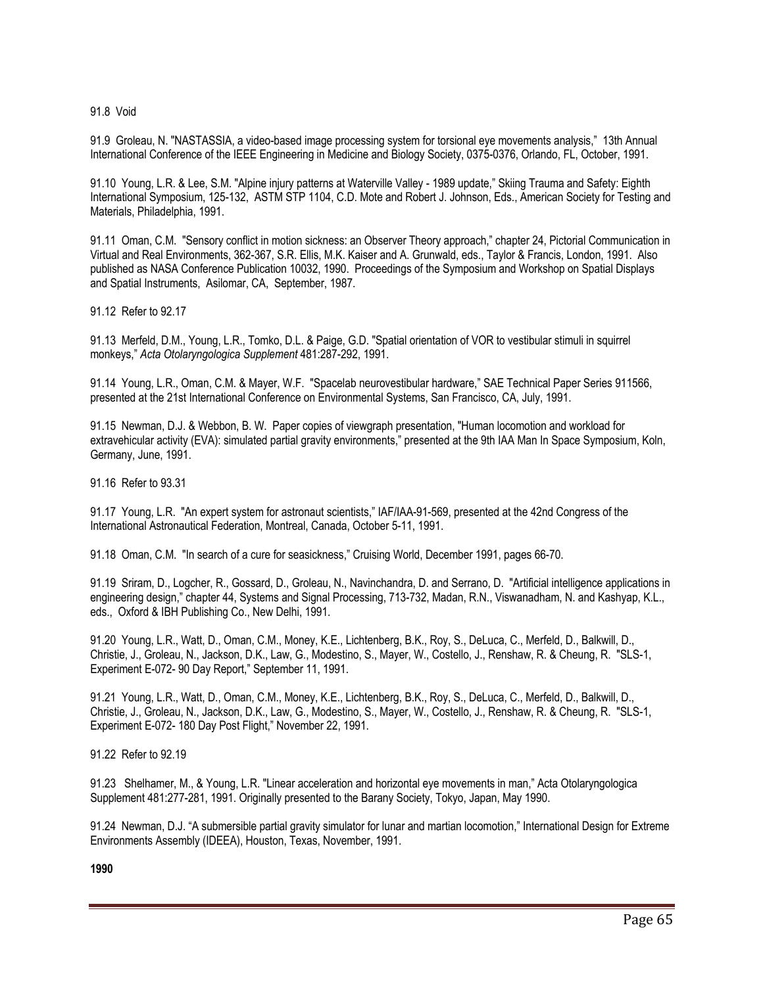91.8 Void

91.9 Groleau, N. "NASTASSIA, a video-based image processing system for torsional eye movements analysis," 13th Annual International Conference of the IEEE Engineering in Medicine and Biology Society, 0375-0376, Orlando, FL, October, 1991.

91.10 Young, L.R. & Lee, S.M. "Alpine injury patterns at Waterville Valley - 1989 update," Skiing Trauma and Safety: Eighth International Symposium, 125-132, ASTM STP 1104, C.D. Mote and Robert J. Johnson, Eds., American Society for Testing and Materials, Philadelphia, 1991.

91.11 Oman, C.M. "Sensory conflict in motion sickness: an Observer Theory approach," chapter 24, Pictorial Communication in Virtual and Real Environments, 362-367, S.R. Ellis, M.K. Kaiser and A. Grunwald, eds., Taylor & Francis, London, 1991. Also published as NASA Conference Publication 10032, 1990. Proceedings of the Symposium and Workshop on Spatial Displays and Spatial Instruments, Asilomar, CA, September, 1987.

91.12 Refer to 92.17

91.13 Merfeld, D.M., Young, L.R., Tomko, D.L. & Paige, G.D. "Spatial orientation of VOR to vestibular stimuli in squirrel monkeys," *Acta Otolaryngologica Supplement* 481:287-292, 1991.

91.14 Young, L.R., Oman, C.M. & Mayer, W.F. "Spacelab neurovestibular hardware," SAE Technical Paper Series 911566, presented at the 21st International Conference on Environmental Systems, San Francisco, CA, July, 1991.

91.15 Newman, D.J. & Webbon, B. W. Paper copies of viewgraph presentation, "Human locomotion and workload for extravehicular activity (EVA): simulated partial gravity environments," presented at the 9th IAA Man In Space Symposium, Koln, Germany, June, 1991.

91.16 Refer to 93.31

91.17 Young, L.R. "An expert system for astronaut scientists," IAF/IAA-91-569, presented at the 42nd Congress of the International Astronautical Federation, Montreal, Canada, October 5-11, 1991.

91.18 Oman, C.M. "In search of a cure for seasickness," Cruising World, December 1991, pages 66-70.

91.19 Sriram, D., Logcher, R., Gossard, D., Groleau, N., Navinchandra, D. and Serrano, D. "Artificial intelligence applications in engineering design," chapter 44, Systems and Signal Processing, 713-732, Madan, R.N., Viswanadham, N. and Kashyap, K.L., eds., Oxford & IBH Publishing Co., New Delhi, 1991.

91.20 Young, L.R., Watt, D., Oman, C.M., Money, K.E., Lichtenberg, B.K., Roy, S., DeLuca, C., Merfeld, D., Balkwill, D., Christie, J., Groleau, N., Jackson, D.K., Law, G., Modestino, S., Mayer, W., Costello, J., Renshaw, R. & Cheung, R. "SLS-1, Experiment E-072- 90 Day Report," September 11, 1991.

91.21 Young, L.R., Watt, D., Oman, C.M., Money, K.E., Lichtenberg, B.K., Roy, S., DeLuca, C., Merfeld, D., Balkwill, D., Christie, J., Groleau, N., Jackson, D.K., Law, G., Modestino, S., Mayer, W., Costello, J., Renshaw, R. & Cheung, R. "SLS-1, Experiment E-072- 180 Day Post Flight," November 22, 1991.

91.22 Refer to 92.19

91.23 Shelhamer, M., & Young, L.R. "Linear acceleration and horizontal eye movements in man," Acta Otolaryngologica Supplement 481:277-281, 1991. Originally presented to the Barany Society, Tokyo, Japan, May 1990.

91.24 Newman, D.J. "A submersible partial gravity simulator for lunar and martian locomotion," International Design for Extreme Environments Assembly (IDEEA), Houston, Texas, November, 1991.

**1990**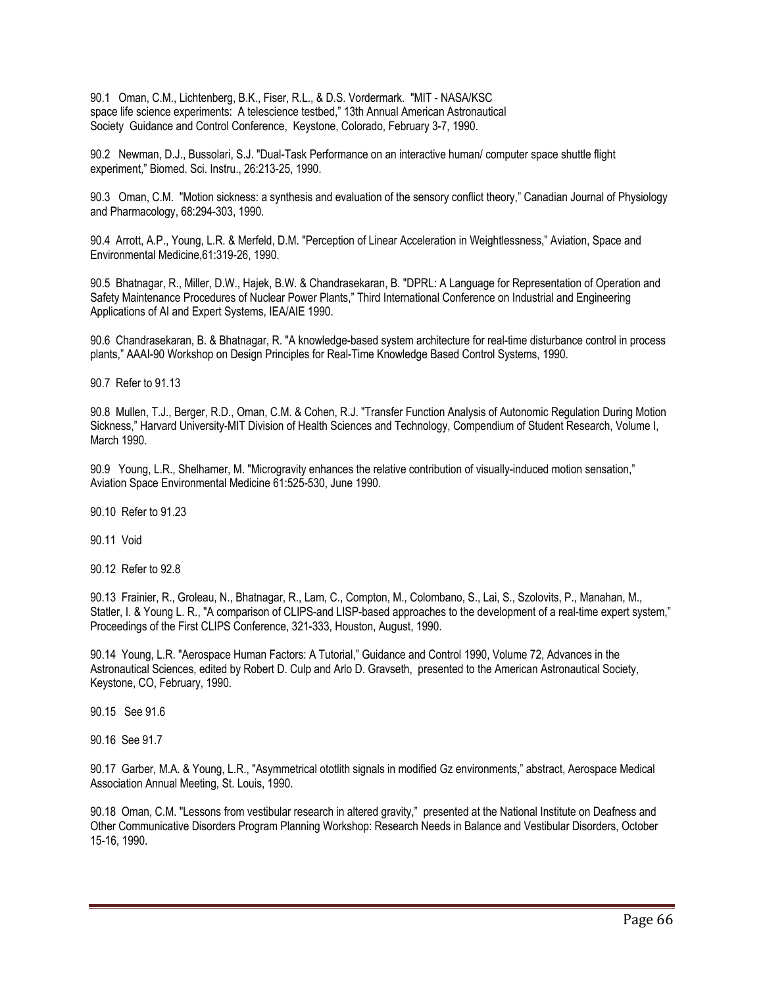90.1 Oman, C.M., Lichtenberg, B.K., Fiser, R.L., & D.S. Vordermark. "MIT - NASA/KSC space life science experiments: A telescience testbed," 13th Annual American Astronautical Society Guidance and Control Conference, Keystone, Colorado, February 3-7, 1990.

90.2 Newman, D.J., Bussolari, S.J. "Dual-Task Performance on an interactive human/ computer space shuttle flight experiment," Biomed. Sci. Instru., 26:213-25, 1990.

90.3 Oman, C.M. "Motion sickness: a synthesis and evaluation of the sensory conflict theory," Canadian Journal of Physiology and Pharmacology, 68:294-303, 1990.

90.4 Arrott, A.P., Young, L.R. & Merfeld, D.M. "Perception of Linear Acceleration in Weightlessness," Aviation, Space and Environmental Medicine,61:319-26, 1990.

90.5 Bhatnagar, R., Miller, D.W., Hajek, B.W. & Chandrasekaran, B. "DPRL: A Language for Representation of Operation and Safety Maintenance Procedures of Nuclear Power Plants," Third International Conference on Industrial and Engineering Applications of AI and Expert Systems, IEA/AIE 1990.

90.6 Chandrasekaran, B. & Bhatnagar, R. "A knowledge-based system architecture for real-time disturbance control in process plants," AAAI-90 Workshop on Design Principles for Real-Time Knowledge Based Control Systems, 1990.

90.7 Refer to 91.13

90.8 Mullen, T.J., Berger, R.D., Oman, C.M. & Cohen, R.J. "Transfer Function Analysis of Autonomic Regulation During Motion Sickness," Harvard University-MIT Division of Health Sciences and Technology, Compendium of Student Research, Volume I, March 1990.

90.9 Young, L.R., Shelhamer, M. "Microgravity enhances the relative contribution of visually-induced motion sensation," Aviation Space Environmental Medicine 61:525-530, June 1990.

90.10 Refer to 91.23

90.11 Void

90.12 Refer to 92.8

90.13 Frainier, R., Groleau, N., Bhatnagar, R., Lam, C., Compton, M., Colombano, S., Lai, S., Szolovits, P., Manahan, M., Statler, I. & Young L. R., "A comparison of CLIPS-and LISP-based approaches to the development of a real-time expert system," Proceedings of the First CLIPS Conference, 321-333, Houston, August, 1990.

90.14 Young, L.R. "Aerospace Human Factors: A Tutorial," Guidance and Control 1990, Volume 72, Advances in the Astronautical Sciences, edited by Robert D. Culp and Arlo D. Gravseth, presented to the American Astronautical Society, Keystone, CO, February, 1990.

90.15 See 91.6

90.16 See 91.7

90.17 Garber, M.A. & Young, L.R., "Asymmetrical ototlith signals in modified Gz environments," abstract, Aerospace Medical Association Annual Meeting, St. Louis, 1990.

90.18 Oman, C.M. "Lessons from vestibular research in altered gravity," presented at the National Institute on Deafness and Other Communicative Disorders Program Planning Workshop: Research Needs in Balance and Vestibular Disorders, October 15-16, 1990.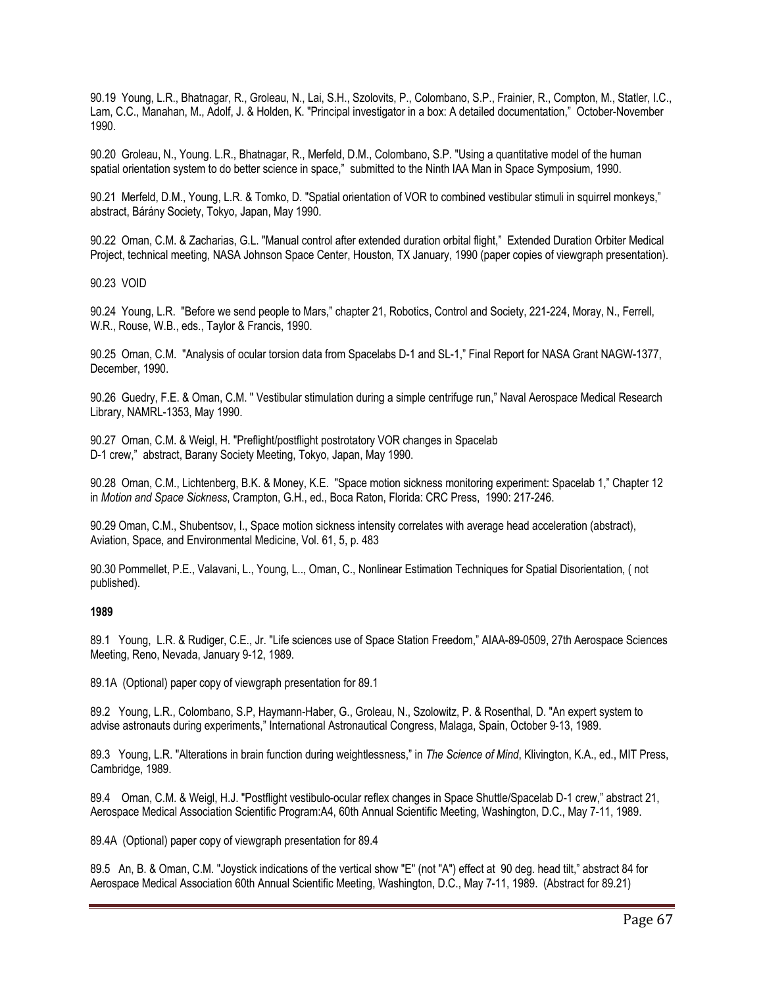90.19 Young, L.R., Bhatnagar, R., Groleau, N., Lai, S.H., Szolovits, P., Colombano, S.P., Frainier, R., Compton, M., Statler, I.C., Lam, C.C., Manahan, M., Adolf, J. & Holden, K. "Principal investigator in a box: A detailed documentation," October-November 1990.

90.20 Groleau, N., Young. L.R., Bhatnagar, R., Merfeld, D.M., Colombano, S.P. "Using a quantitative model of the human spatial orientation system to do better science in space," submitted to the Ninth IAA Man in Space Symposium, 1990.

90.21 Merfeld, D.M., Young, L.R. & Tomko, D. "Spatial orientation of VOR to combined vestibular stimuli in squirrel monkeys," abstract, Bárány Society, Tokyo, Japan, May 1990.

90.22 Oman, C.M. & Zacharias, G.L. "Manual control after extended duration orbital flight," Extended Duration Orbiter Medical Project, technical meeting, NASA Johnson Space Center, Houston, TX January, 1990 (paper copies of viewgraph presentation).

90.23 VOID

90.24 Young, L.R. "Before we send people to Mars," chapter 21, Robotics, Control and Society, 221-224, Moray, N., Ferrell, W.R., Rouse, W.B., eds., Taylor & Francis, 1990.

90.25 Oman, C.M. "Analysis of ocular torsion data from Spacelabs D-1 and SL-1," Final Report for NASA Grant NAGW-1377, December, 1990.

90.26 Guedry, F.E. & Oman, C.M. " Vestibular stimulation during a simple centrifuge run," Naval Aerospace Medical Research Library, NAMRL-1353, May 1990.

90.27 Oman, C.M. & Weigl, H. "Preflight/postflight postrotatory VOR changes in Spacelab D-1 crew," abstract, Barany Society Meeting, Tokyo, Japan, May 1990.

90.28 Oman, C.M., Lichtenberg, B.K. & Money, K.E. "Space motion sickness monitoring experiment: Spacelab 1," Chapter 12 in *Motion and Space Sickness*, Crampton, G.H., ed., Boca Raton, Florida: CRC Press, 1990: 217-246.

90.29 Oman, C.M., Shubentsov, I., Space motion sickness intensity correlates with average head acceleration (abstract), Aviation, Space, and Environmental Medicine, Vol. 61, 5, p. 483

90.30 Pommellet, P.E., Valavani, L., Young, L.., Oman, C., Nonlinear Estimation Techniques for Spatial Disorientation, ( not published).

#### **1989**

89.1 Young, L.R. & Rudiger, C.E., Jr. "Life sciences use of Space Station Freedom," AIAA-89-0509, 27th Aerospace Sciences Meeting, Reno, Nevada, January 9-12, 1989.

89.1A (Optional) paper copy of viewgraph presentation for 89.1

89.2 Young, L.R., Colombano, S.P, Haymann-Haber, G., Groleau, N., Szolowitz, P. & Rosenthal, D. "An expert system to advise astronauts during experiments," International Astronautical Congress, Malaga, Spain, October 9-13, 1989.

89.3 Young, L.R. "Alterations in brain function during weightlessness," in *The Science of Mind*, Klivington, K.A., ed., MIT Press, Cambridge, 1989.

89.4 Oman, C.M. & Weigl, H.J. "Postflight vestibulo-ocular reflex changes in Space Shuttle/Spacelab D-1 crew," abstract 21, Aerospace Medical Association Scientific Program:A4, 60th Annual Scientific Meeting, Washington, D.C., May 7-11, 1989.

89.4A (Optional) paper copy of viewgraph presentation for 89.4

89.5 An, B. & Oman, C.M. "Joystick indications of the vertical show "E" (not "A") effect at 90 deg. head tilt," abstract 84 for Aerospace Medical Association 60th Annual Scientific Meeting, Washington, D.C., May 7-11, 1989. (Abstract for 89.21)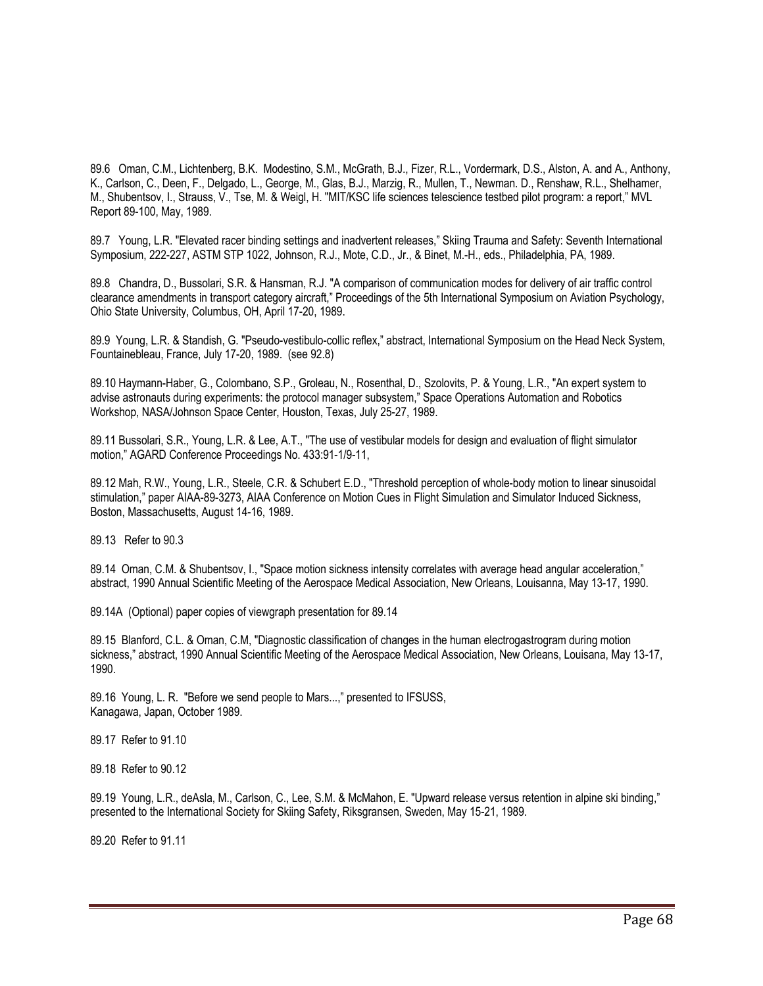89.6 Oman, C.M., Lichtenberg, B.K. Modestino, S.M., McGrath, B.J., Fizer, R.L., Vordermark, D.S., Alston, A. and A., Anthony, K., Carlson, C., Deen, F., Delgado, L., George, M., Glas, B.J., Marzig, R., Mullen, T., Newman. D., Renshaw, R.L., Shelhamer, M., Shubentsov, I., Strauss, V., Tse, M. & Weigl, H. "MIT/KSC life sciences telescience testbed pilot program: a report," MVL Report 89-100, May, 1989.

89.7 Young, L.R. "Elevated racer binding settings and inadvertent releases," Skiing Trauma and Safety: Seventh International Symposium, 222-227, ASTM STP 1022, Johnson, R.J., Mote, C.D., Jr., & Binet, M.-H., eds., Philadelphia, PA, 1989.

89.8 Chandra, D., Bussolari, S.R. & Hansman, R.J. "A comparison of communication modes for delivery of air traffic control clearance amendments in transport category aircraft," Proceedings of the 5th International Symposium on Aviation Psychology, Ohio State University, Columbus, OH, April 17-20, 1989.

89.9 Young, L.R. & Standish, G. "Pseudo-vestibulo-collic reflex," abstract, International Symposium on the Head Neck System, Fountainebleau, France, July 17-20, 1989. (see 92.8)

89.10 Haymann-Haber, G., Colombano, S.P., Groleau, N., Rosenthal, D., Szolovits, P. & Young, L.R., "An expert system to advise astronauts during experiments: the protocol manager subsystem," Space Operations Automation and Robotics Workshop, NASA/Johnson Space Center, Houston, Texas, July 25-27, 1989.

89.11 Bussolari, S.R., Young, L.R. & Lee, A.T., "The use of vestibular models for design and evaluation of flight simulator motion," AGARD Conference Proceedings No. 433:91-1/9-11,

89.12 Mah, R.W., Young, L.R., Steele, C.R. & Schubert E.D., "Threshold perception of whole-body motion to linear sinusoidal stimulation," paper AIAA-89-3273, AIAA Conference on Motion Cues in Flight Simulation and Simulator Induced Sickness, Boston, Massachusetts, August 14-16, 1989.

89.13 Refer to 90.3

89.14 Oman, C.M. & Shubentsov, I., "Space motion sickness intensity correlates with average head angular acceleration," abstract, 1990 Annual Scientific Meeting of the Aerospace Medical Association, New Orleans, Louisanna, May 13-17, 1990.

89.14A (Optional) paper copies of viewgraph presentation for 89.14

89.15 Blanford, C.L. & Oman, C.M, "Diagnostic classification of changes in the human electrogastrogram during motion sickness," abstract, 1990 Annual Scientific Meeting of the Aerospace Medical Association, New Orleans, Louisana, May 13-17, 1990.

89.16 Young, L. R. "Before we send people to Mars...," presented to IFSUSS, Kanagawa, Japan, October 1989.

89.17 Refer to 91.10

89.18 Refer to 90.12

89.19 Young, L.R., deAsla, M., Carlson, C., Lee, S.M. & McMahon, E. "Upward release versus retention in alpine ski binding," presented to the International Society for Skiing Safety, Riksgransen, Sweden, May 15-21, 1989.

89.20 Refer to 91.11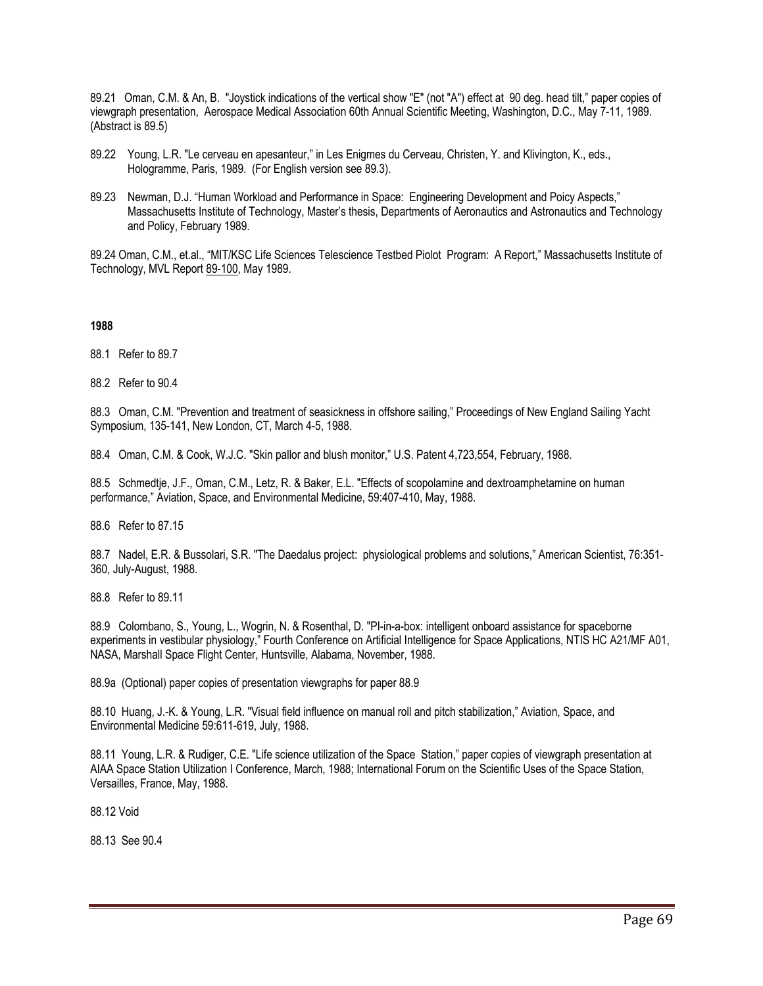89.21 Oman, C.M. & An, B. "Joystick indications of the vertical show "E" (not "A") effect at 90 deg. head tilt," paper copies of viewgraph presentation, Aerospace Medical Association 60th Annual Scientific Meeting, Washington, D.C., May 7-11, 1989. (Abstract is 89.5)

- 89.22 Young, L.R. "Le cerveau en apesanteur," in Les Enigmes du Cerveau, Christen, Y. and Klivington, K., eds., Hologramme, Paris, 1989. (For English version see 89.3).
- 89.23 Newman, D.J. "Human Workload and Performance in Space: Engineering Development and Poicy Aspects," Massachusetts Institute of Technology, Master's thesis, Departments of Aeronautics and Astronautics and Technology and Policy, February 1989.

89.24 Oman, C.M., et.al., "MIT/KSC Life Sciences Telescience Testbed Piolot Program: A Report," Massachusetts Institute of Technology, MVL Report 89-100, May 1989.

**1988** 

88.1 Refer to 89.7

88.2 Refer to 90.4

88.3 Oman, C.M. "Prevention and treatment of seasickness in offshore sailing," Proceedings of New England Sailing Yacht Symposium, 135-141, New London, CT, March 4-5, 1988.

88.4 Oman, C.M. & Cook, W.J.C. "Skin pallor and blush monitor," U.S. Patent 4,723,554, February, 1988.

88.5 Schmedtje, J.F., Oman, C.M., Letz, R. & Baker, E.L. "Effects of scopolamine and dextroamphetamine on human performance," Aviation, Space, and Environmental Medicine, 59:407-410, May, 1988.

88.6 Refer to 87.15

88.7 Nadel, E.R. & Bussolari, S.R. "The Daedalus project: physiological problems and solutions," American Scientist, 76:351- 360, July-August, 1988.

88.8 Refer to 89.11

88.9 Colombano, S., Young, L., Wogrin, N. & Rosenthal, D. "PI-in-a-box: intelligent onboard assistance for spaceborne experiments in vestibular physiology," Fourth Conference on Artificial Intelligence for Space Applications, NTIS HC A21/MF A01, NASA, Marshall Space Flight Center, Huntsville, Alabama, November, 1988.

88.9a (Optional) paper copies of presentation viewgraphs for paper 88.9

88.10 Huang, J.-K. & Young, L.R. "Visual field influence on manual roll and pitch stabilization," Aviation, Space, and Environmental Medicine 59:611-619, July, 1988.

88.11 Young, L.R. & Rudiger, C.E. "Life science utilization of the Space Station," paper copies of viewgraph presentation at AIAA Space Station Utilization I Conference, March, 1988; International Forum on the Scientific Uses of the Space Station, Versailles, France, May, 1988.

88.12 Void

88.13 See 90.4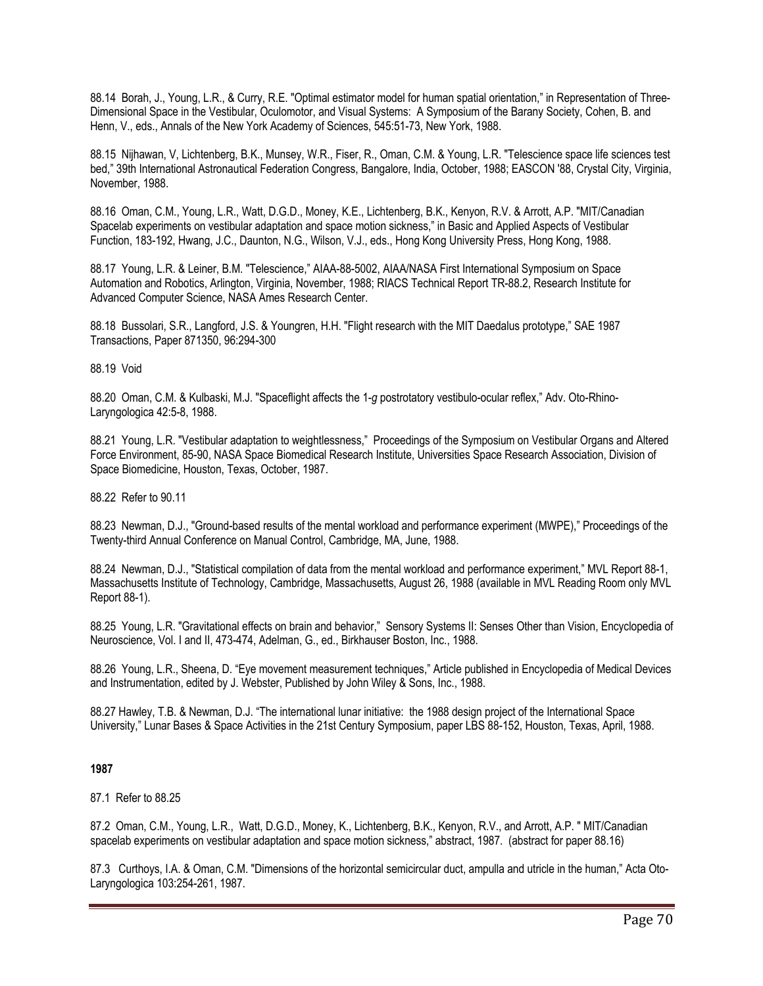88.14 Borah, J., Young, L.R., & Curry, R.E. "Optimal estimator model for human spatial orientation," in Representation of Three-Dimensional Space in the Vestibular, Oculomotor, and Visual Systems: A Symposium of the Barany Society, Cohen, B. and Henn, V., eds., Annals of the New York Academy of Sciences, 545:51-73, New York, 1988.

88.15 Nijhawan, V, Lichtenberg, B.K., Munsey, W.R., Fiser, R., Oman, C.M. & Young, L.R. "Telescience space life sciences test bed," 39th International Astronautical Federation Congress, Bangalore, India, October, 1988; EASCON '88, Crystal City, Virginia, November, 1988.

88.16 Oman, C.M., Young, L.R., Watt, D.G.D., Money, K.E., Lichtenberg, B.K., Kenyon, R.V. & Arrott, A.P. "MIT/Canadian Spacelab experiments on vestibular adaptation and space motion sickness," in Basic and Applied Aspects of Vestibular Function, 183-192, Hwang, J.C., Daunton, N.G., Wilson, V.J., eds., Hong Kong University Press, Hong Kong, 1988.

88.17 Young, L.R. & Leiner, B.M. "Telescience," AIAA-88-5002, AIAA/NASA First International Symposium on Space Automation and Robotics, Arlington, Virginia, November, 1988; RIACS Technical Report TR-88.2, Research Institute for Advanced Computer Science, NASA Ames Research Center.

88.18 Bussolari, S.R., Langford, J.S. & Youngren, H.H. "Flight research with the MIT Daedalus prototype," SAE 1987 Transactions, Paper 871350, 96:294-300

## 88.19 Void

88.20 Oman, C.M. & Kulbaski, M.J. "Spaceflight affects the 1-*g* postrotatory vestibulo-ocular reflex," Adv. Oto-Rhino-Laryngologica 42:5-8, 1988.

88.21 Young, L.R. "Vestibular adaptation to weightlessness," Proceedings of the Symposium on Vestibular Organs and Altered Force Environment, 85-90, NASA Space Biomedical Research Institute, Universities Space Research Association, Division of Space Biomedicine, Houston, Texas, October, 1987.

88.22 Refer to 90.11

88.23 Newman, D.J., "Ground-based results of the mental workload and performance experiment (MWPE)," Proceedings of the Twenty-third Annual Conference on Manual Control, Cambridge, MA, June, 1988.

88.24 Newman, D.J., "Statistical compilation of data from the mental workload and performance experiment," MVL Report 88-1, Massachusetts Institute of Technology, Cambridge, Massachusetts, August 26, 1988 (available in MVL Reading Room only MVL Report 88-1).

88.25 Young, L.R. "Gravitational effects on brain and behavior," Sensory Systems II: Senses Other than Vision, Encyclopedia of Neuroscience, Vol. I and II, 473-474, Adelman, G., ed., Birkhauser Boston, Inc., 1988.

88.26 Young, L.R., Sheena, D. "Eye movement measurement techniques," Article published in Encyclopedia of Medical Devices and Instrumentation, edited by J. Webster, Published by John Wiley & Sons, Inc., 1988.

88.27 Hawley, T.B. & Newman, D.J. "The international lunar initiative: the 1988 design project of the International Space University," Lunar Bases & Space Activities in the 21st Century Symposium, paper LBS 88-152, Houston, Texas, April, 1988.

# **1987**

87.1 Refer to 88.25

87.2 Oman, C.M., Young, L.R., Watt, D.G.D., Money, K., Lichtenberg, B.K., Kenyon, R.V., and Arrott, A.P. " MIT/Canadian spacelab experiments on vestibular adaptation and space motion sickness," abstract, 1987. (abstract for paper 88.16)

87.3 Curthoys, I.A. & Oman, C.M. "Dimensions of the horizontal semicircular duct, ampulla and utricle in the human," Acta Oto-Laryngologica 103:254-261, 1987.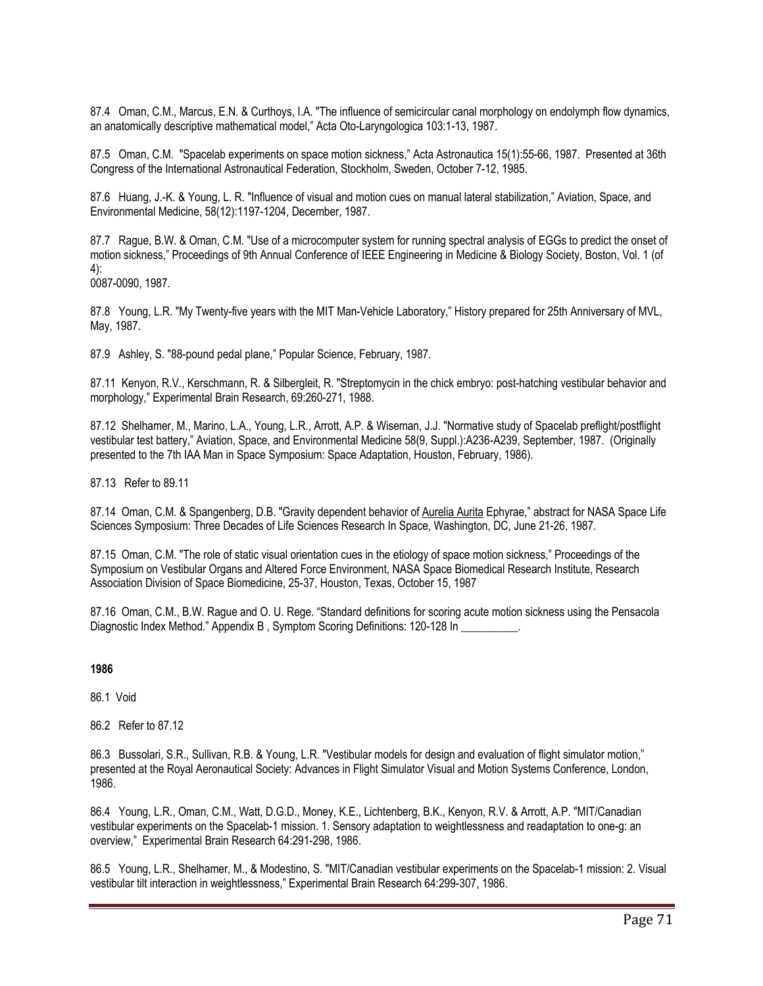87.4 Oman, C.M., Marcus, E.N. & Curthoys, I.A. "The influence of semicircular canal morphology on endolymph flow dynamics, an anatomically descriptive mathematical model," Acta Oto-Laryngologica 103:1-13, 1987.

87.5 Oman, C.M. "Spacelab experiments on space motion sickness," Acta Astronautica 15(1):55-66, 1987. Presented at 36th Congress of the International Astronautical Federation, Stockholm, Sweden, October 7-12, 1985.

87.6 Huang, J.-K. & Young, L. R. "Influence of visual and motion cues on manual lateral stabilization," Aviation, Space, and Environmental Medicine, 58(12):1197-1204, December, 1987.

87.7 Rague, B.W. & Oman, C.M. "Use of a microcomputer system for running spectral analysis of EGGs to predict the onset of motion sickness," Proceedings of 9th Annual Conference of IEEE Engineering in Medicine & Biology Society, Boston, Vol. 1 (of 4):

0087-0090, 1987.

87.8 Young, L.R. "My Twenty-five years with the MIT Man-Vehicle Laboratory," History prepared for 25th Anniversary of MVL, May, 1987.

87.9 Ashley, S. "88-pound pedal plane," Popular Science, February, 1987.

87.11 Kenyon, R.V., Kerschmann, R. & Silbergleit, R. "Streptomycin in the chick embryo: post-hatching vestibular behavior and morphology," Experimental Brain Research, 69:260-271, 1988.

87.12 Shelhamer, M., Marino, L.A., Young, L.R., Arrott, A.P. & Wiseman, J.J. "Normative study of Spacelab preflight/postflight vestibular test battery," Aviation, Space, and Environmental Medicine 58(9, Suppl.):A236-A239, September, 1987. (Originally presented to the 7th IAA Man in Space Symposium: Space Adaptation, Houston, February, 1986).

87.13 Refer to 89.11

87.14 Oman, C.M. & Spangenberg, D.B. "Gravity dependent behavior of Aurelia Aurita Ephyrae," abstract for NASA Space Life Sciences Symposium: Three Decades of Life Sciences Research In Space, Washington, DC, June 21-26, 1987.

87.15 Oman, C.M. "The role of static visual orientation cues in the etiology of space motion sickness," Proceedings of the Symposium on Vestibular Organs and Altered Force Environment, NASA Space Biomedical Research Institute, Research Association Division of Space Biomedicine, 25-37, Houston, Texas, October 15, 1987

87.16 Oman, C.M., B.W. Rague and O. U. Rege. "Standard definitions for scoring acute motion sickness using the Pensacola Diagnostic Index Method." Appendix B, Symptom Scoring Definitions: 120-128 In

#### **1986**

86.1 Void

86.2 Refer to 87.12

86.3 Bussolari, S.R., Sullivan, R.B. & Young, L.R. "Vestibular models for design and evaluation of flight simulator motion," presented at the Royal Aeronautical Society: Advances in Flight Simulator Visual and Motion Systems Conference, London, 1986.

86.4 Young, L.R., Oman, C.M., Watt, D.G.D., Money, K.E., Lichtenberg, B.K., Kenyon, R.V. & Arrott, A.P. "MIT/Canadian vestibular experiments on the Spacelab-1 mission. 1. Sensory adaptation to weightlessness and readaptation to one-g: an overview," Experimental Brain Research 64:291-298, 1986.

86.5 Young, L.R., Shelhamer, M., & Modestino, S. "MIT/Canadian vestibular experiments on the Spacelab-1 mission: 2. Visual vestibular tilt interaction in weightlessness," Experimental Brain Research 64:299-307, 1986.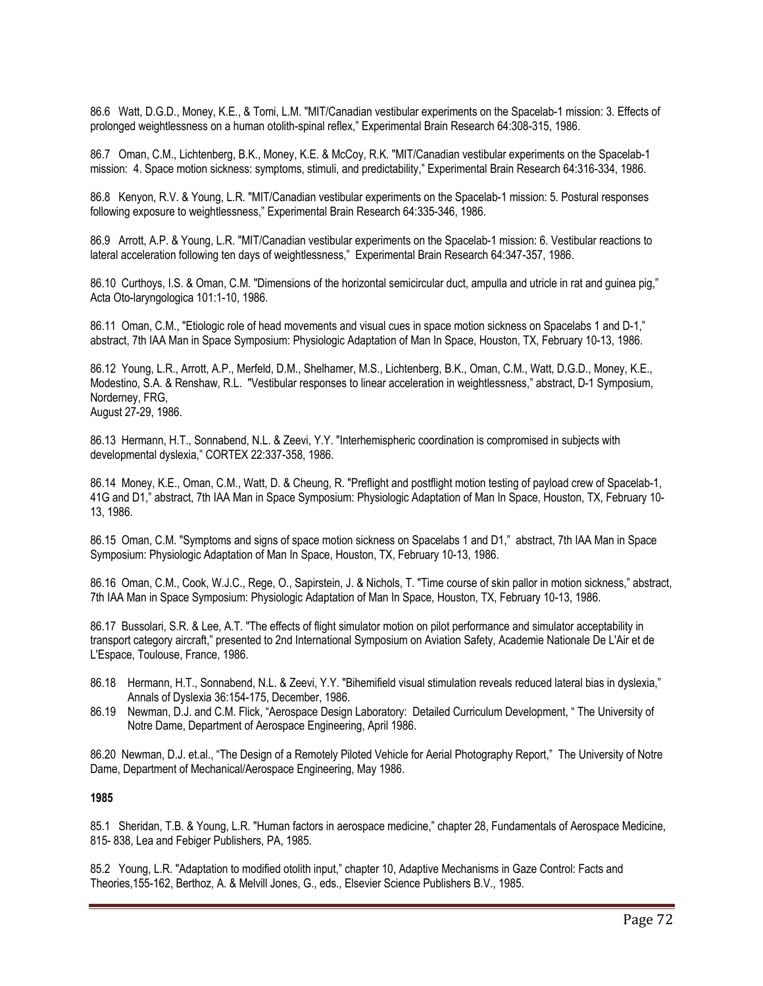86.6 Watt, D.G.D., Money, K.E., & Tomi, L.M. "MIT/Canadian vestibular experiments on the Spacelab-1 mission: 3. Effects of prolonged weightlessness on a human otolith-spinal reflex," Experimental Brain Research 64:308-315, 1986.

86.7 Oman, C.M., Lichtenberg, B.K., Money, K.E. & McCoy, R.K. "MIT/Canadian vestibular experiments on the Spacelab-1 mission: 4. Space motion sickness: symptoms, stimuli, and predictability," Experimental Brain Research 64:316-334, 1986.

86.8 Kenyon, R.V. & Young, L.R. "MIT/Canadian vestibular experiments on the Spacelab-1 mission: 5. Postural responses following exposure to weightlessness," Experimental Brain Research 64:335-346, 1986.

86.9 Arrott, A.P. & Young, L.R. "MIT/Canadian vestibular experiments on the Spacelab-1 mission: 6. Vestibular reactions to lateral acceleration following ten days of weightlessness," Experimental Brain Research 64:347-357, 1986.

86.10 Curthoys, I.S. & Oman, C.M. "Dimensions of the horizontal semicircular duct, ampulla and utricle in rat and guinea pig," Acta Oto-laryngologica 101:1-10, 1986.

86.11 Oman, C.M., "Etiologic role of head movements and visual cues in space motion sickness on Spacelabs 1 and D-1," abstract, 7th IAA Man in Space Symposium: Physiologic Adaptation of Man In Space, Houston, TX, February 10-13, 1986.

86.12 Young, L.R., Arrott, A.P., Merfeld, D.M., Shelhamer, M.S., Lichtenberg, B.K., Oman, C.M., Watt, D.G.D., Money, K.E., Modestino, S.A. & Renshaw, R.L. "Vestibular responses to linear acceleration in weightlessness," abstract, D-1 Symposium, Norderney, FRG,

August 27-29, 1986.

86.13 Hermann, H.T., Sonnabend, N.L. & Zeevi, Y.Y. "Interhemispheric coordination is compromised in subjects with developmental dyslexia," CORTEX 22:337-358, 1986.

86.14 Money, K.E., Oman, C.M., Watt, D. & Cheung, R. "Preflight and postflight motion testing of payload crew of Spacelab-1, 41G and D1," abstract, 7th IAA Man in Space Symposium: Physiologic Adaptation of Man In Space, Houston, TX, February 10- 13, 1986.

86.15 Oman, C.M. "Symptoms and signs of space motion sickness on Spacelabs 1 and D1," abstract, 7th IAA Man in Space Symposium: Physiologic Adaptation of Man In Space, Houston, TX, February 10-13, 1986.

86.16 Oman, C.M., Cook, W.J.C., Rege, O., Sapirstein, J. & Nichols, T. "Time course of skin pallor in motion sickness," abstract, 7th IAA Man in Space Symposium: Physiologic Adaptation of Man In Space, Houston, TX, February 10-13, 1986.

86.17 Bussolari, S.R. & Lee, A.T. "The effects of flight simulator motion on pilot performance and simulator acceptability in transport category aircraft," presented to 2nd International Symposium on Aviation Safety, Academie Nationale De L'Air et de L'Espace, Toulouse, France, 1986.

- 86.18 Hermann, H.T., Sonnabend, N.L. & Zeevi, Y.Y. "Bihemifield visual stimulation reveals reduced lateral bias in dyslexia," Annals of Dyslexia 36:154-175, December, 1986.
- 86.19 Newman, D.J. and C.M. Flick, "Aerospace Design Laboratory: Detailed Curriculum Development, "The University of Notre Dame, Department of Aerospace Engineering, April 1986.

86.20 Newman, D.J. et.al., "The Design of a Remotely Piloted Vehicle for Aerial Photography Report," The University of Notre Dame, Department of Mechanical/Aerospace Engineering, May 1986.

#### **1985**

85.1 Sheridan, T.B. & Young, L.R. "Human factors in aerospace medicine," chapter 28, Fundamentals of Aerospace Medicine, 815- 838, Lea and Febiger Publishers, PA, 1985.

85.2 Young, L.R. "Adaptation to modified otolith input," chapter 10, Adaptive Mechanisms in Gaze Control: Facts and Theories,155-162, Berthoz, A. & Melvill Jones, G., eds., Elsevier Science Publishers B.V., 1985.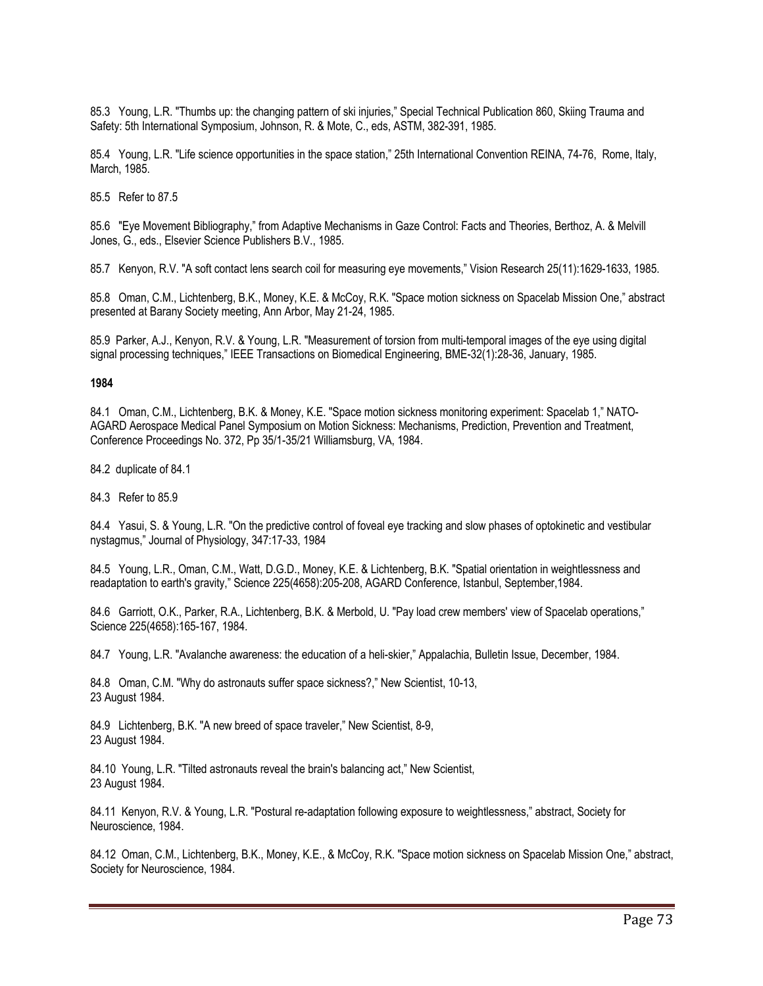85.3 Young, L.R. "Thumbs up: the changing pattern of ski injuries," Special Technical Publication 860, Skiing Trauma and Safety: 5th International Symposium, Johnson, R. & Mote, C., eds, ASTM, 382-391, 1985.

85.4 Young, L.R. "Life science opportunities in the space station," 25th International Convention REINA, 74-76, Rome, Italy, March, 1985.

85.5 Refer to 87.5

85.6 "Eye Movement Bibliography," from Adaptive Mechanisms in Gaze Control: Facts and Theories, Berthoz, A. & Melvill Jones, G., eds., Elsevier Science Publishers B.V., 1985.

85.7 Kenyon, R.V. "A soft contact lens search coil for measuring eye movements," Vision Research 25(11):1629-1633, 1985.

85.8 Oman, C.M., Lichtenberg, B.K., Money, K.E. & McCoy, R.K. "Space motion sickness on Spacelab Mission One," abstract presented at Barany Society meeting, Ann Arbor, May 21-24, 1985.

85.9 Parker, A.J., Kenyon, R.V. & Young, L.R. "Measurement of torsion from multi-temporal images of the eye using digital signal processing techniques," IEEE Transactions on Biomedical Engineering, BME-32(1):28-36, January, 1985.

## **1984**

84.1 Oman, C.M., Lichtenberg, B.K. & Money, K.E. "Space motion sickness monitoring experiment: Spacelab 1," NATO-AGARD Aerospace Medical Panel Symposium on Motion Sickness: Mechanisms, Prediction, Prevention and Treatment, Conference Proceedings No. 372, Pp 35/1-35/21 Williamsburg, VA, 1984.

84.2 duplicate of 84.1

84.3 Refer to 85.9

84.4 Yasui, S. & Young, L.R. "On the predictive control of foveal eye tracking and slow phases of optokinetic and vestibular nystagmus," Journal of Physiology, 347:17-33, 1984

84.5 Young, L.R., Oman, C.M., Watt, D.G.D., Money, K.E. & Lichtenberg, B.K. "Spatial orientation in weightlessness and readaptation to earth's gravity," Science 225(4658):205-208, AGARD Conference, Istanbul, September,1984.

84.6 Garriott, O.K., Parker, R.A., Lichtenberg, B.K. & Merbold, U. "Pay load crew members' view of Spacelab operations," Science 225(4658):165-167, 1984.

84.7 Young, L.R. "Avalanche awareness: the education of a heli-skier," Appalachia, Bulletin Issue, December, 1984.

84.8 Oman, C.M. "Why do astronauts suffer space sickness?," New Scientist, 10-13, 23 August 1984.

84.9 Lichtenberg, B.K. "A new breed of space traveler," New Scientist, 8-9, 23 August 1984.

84.10 Young, L.R. "Tilted astronauts reveal the brain's balancing act," New Scientist, 23 August 1984.

84.11 Kenyon, R.V. & Young, L.R. "Postural re-adaptation following exposure to weightlessness," abstract, Society for Neuroscience, 1984.

84.12 Oman, C.M., Lichtenberg, B.K., Money, K.E., & McCoy, R.K. "Space motion sickness on Spacelab Mission One," abstract, Society for Neuroscience, 1984.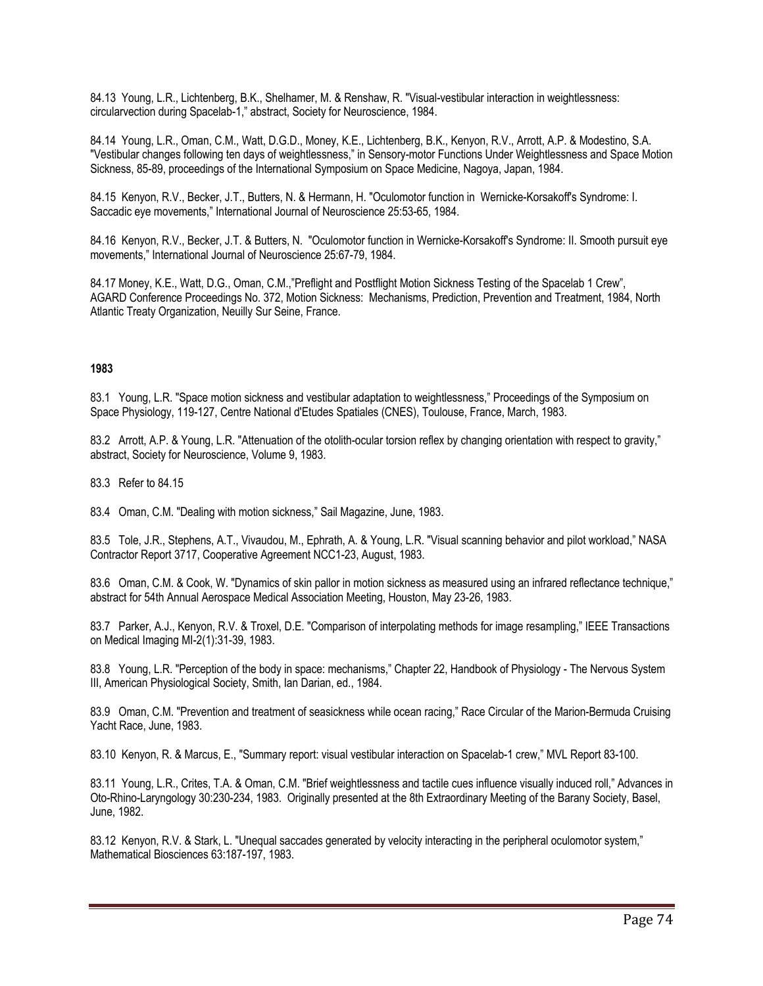84.13 Young, L.R., Lichtenberg, B.K., Shelhamer, M. & Renshaw, R. "Visual-vestibular interaction in weightlessness: circularvection during Spacelab-1," abstract, Society for Neuroscience, 1984.

84.14 Young, L.R., Oman, C.M., Watt, D.G.D., Money, K.E., Lichtenberg, B.K., Kenyon, R.V., Arrott, A.P. & Modestino, S.A. "Vestibular changes following ten days of weightlessness," in Sensory-motor Functions Under Weightlessness and Space Motion Sickness, 85-89, proceedings of the International Symposium on Space Medicine, Nagoya, Japan, 1984.

84.15 Kenyon, R.V., Becker, J.T., Butters, N. & Hermann, H. "Oculomotor function in Wernicke-Korsakoff's Syndrome: I. Saccadic eye movements," International Journal of Neuroscience 25:53-65, 1984.

84.16 Kenyon, R.V., Becker, J.T. & Butters, N. "Oculomotor function in Wernicke-Korsakoff's Syndrome: II. Smooth pursuit eye movements," International Journal of Neuroscience 25:67-79, 1984.

84.17 Money, K.E., Watt, D.G., Oman, C.M.,"Preflight and Postflight Motion Sickness Testing of the Spacelab 1 Crew", AGARD Conference Proceedings No. 372, Motion Sickness: Mechanisms, Prediction, Prevention and Treatment, 1984, North Atlantic Treaty Organization, Neuilly Sur Seine, France.

## **1983**

83.1 Young, L.R. "Space motion sickness and vestibular adaptation to weightlessness," Proceedings of the Symposium on Space Physiology, 119-127, Centre National d'Etudes Spatiales (CNES), Toulouse, France, March, 1983.

83.2 Arrott, A.P. & Young, L.R. "Attenuation of the otolith-ocular torsion reflex by changing orientation with respect to gravity," abstract, Society for Neuroscience, Volume 9, 1983.

83.3 Refer to 84.15

83.4 Oman, C.M. "Dealing with motion sickness," Sail Magazine, June, 1983.

83.5 Tole, J.R., Stephens, A.T., Vivaudou, M., Ephrath, A. & Young, L.R. "Visual scanning behavior and pilot workload," NASA Contractor Report 3717, Cooperative Agreement NCC1-23, August, 1983.

83.6 Oman, C.M. & Cook, W. "Dynamics of skin pallor in motion sickness as measured using an infrared reflectance technique," abstract for 54th Annual Aerospace Medical Association Meeting, Houston, May 23-26, 1983.

83.7 Parker, A.J., Kenyon, R.V. & Troxel, D.E. "Comparison of interpolating methods for image resampling," IEEE Transactions on Medical Imaging MI-2(1):31-39, 1983.

83.8 Young, L.R. "Perception of the body in space: mechanisms," Chapter 22, Handbook of Physiology - The Nervous System III, American Physiological Society, Smith, Ian Darian, ed., 1984.

83.9 Oman, C.M. "Prevention and treatment of seasickness while ocean racing," Race Circular of the Marion-Bermuda Cruising Yacht Race, June, 1983.

83.10 Kenyon, R. & Marcus, E., "Summary report: visual vestibular interaction on Spacelab-1 crew," MVL Report 83-100.

83.11 Young, L.R., Crites, T.A. & Oman, C.M. "Brief weightlessness and tactile cues influence visually induced roll," Advances in Oto-Rhino-Laryngology 30:230-234, 1983. Originally presented at the 8th Extraordinary Meeting of the Barany Society, Basel, June, 1982.

83.12 Kenyon, R.V. & Stark, L. "Unequal saccades generated by velocity interacting in the peripheral oculomotor system," Mathematical Biosciences 63:187-197, 1983.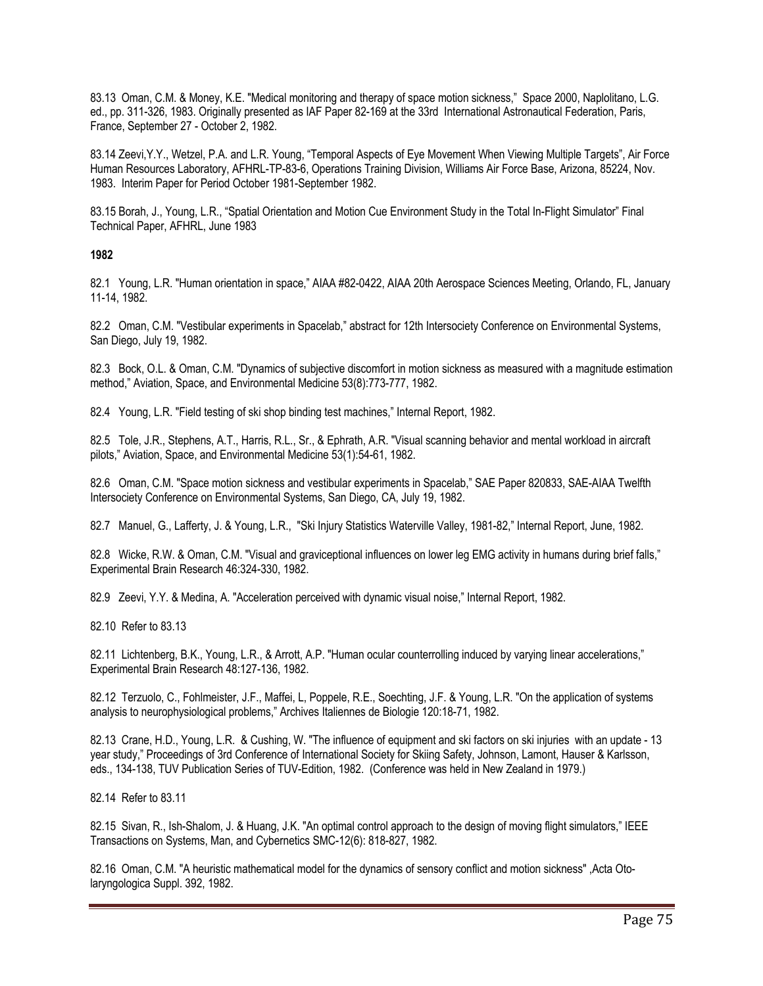83.13 Oman, C.M. & Money, K.E. "Medical monitoring and therapy of space motion sickness," Space 2000, Naplolitano, L.G. ed., pp. 311-326, 1983. Originally presented as IAF Paper 82-169 at the 33rd International Astronautical Federation, Paris, France, September 27 - October 2, 1982.

83.14 Zeevi,Y.Y., Wetzel, P.A. and L.R. Young, "Temporal Aspects of Eye Movement When Viewing Multiple Targets", Air Force Human Resources Laboratory, AFHRL-TP-83-6, Operations Training Division, Williams Air Force Base, Arizona, 85224, Nov. 1983. Interim Paper for Period October 1981-September 1982.

83.15 Borah, J., Young, L.R., "Spatial Orientation and Motion Cue Environment Study in the Total In-Flight Simulator" Final Technical Paper, AFHRL, June 1983

## **1982**

82.1 Young, L.R. "Human orientation in space," AIAA #82-0422, AIAA 20th Aerospace Sciences Meeting, Orlando, FL, January 11-14, 1982.

82.2 Oman, C.M. "Vestibular experiments in Spacelab," abstract for 12th Intersociety Conference on Environmental Systems, San Diego, July 19, 1982.

82.3 Bock, O.L. & Oman, C.M. "Dynamics of subjective discomfort in motion sickness as measured with a magnitude estimation method," Aviation, Space, and Environmental Medicine 53(8):773-777, 1982.

82.4 Young, L.R. "Field testing of ski shop binding test machines," Internal Report, 1982.

82.5 Tole, J.R., Stephens, A.T., Harris, R.L., Sr., & Ephrath, A.R. "Visual scanning behavior and mental workload in aircraft pilots," Aviation, Space, and Environmental Medicine 53(1):54-61, 1982.

82.6 Oman, C.M. "Space motion sickness and vestibular experiments in Spacelab," SAE Paper 820833, SAE-AIAA Twelfth Intersociety Conference on Environmental Systems, San Diego, CA, July 19, 1982.

82.7 Manuel, G., Lafferty, J. & Young, L.R., "Ski Injury Statistics Waterville Valley, 1981-82," Internal Report, June, 1982.

82.8 Wicke, R.W. & Oman, C.M. "Visual and graviceptional influences on lower leg EMG activity in humans during brief falls," Experimental Brain Research 46:324-330, 1982.

82.9 Zeevi, Y.Y. & Medina, A. "Acceleration perceived with dynamic visual noise," Internal Report, 1982.

82.10 Refer to 83.13

82.11 Lichtenberg, B.K., Young, L.R., & Arrott, A.P. "Human ocular counterrolling induced by varying linear accelerations," Experimental Brain Research 48:127-136, 1982.

82.12 Terzuolo, C., Fohlmeister, J.F., Maffei, L, Poppele, R.E., Soechting, J.F. & Young, L.R. "On the application of systems analysis to neurophysiological problems," Archives Italiennes de Biologie 120:18-71, 1982.

82.13 Crane, H.D., Young, L.R. & Cushing, W. "The influence of equipment and ski factors on ski injuries with an update - 13 year study," Proceedings of 3rd Conference of International Society for Skiing Safety, Johnson, Lamont, Hauser & Karlsson, eds., 134-138, TUV Publication Series of TUV-Edition, 1982. (Conference was held in New Zealand in 1979.)

82.14 Refer to 83.11

82.15 Sivan, R., Ish-Shalom, J. & Huang, J.K. "An optimal control approach to the design of moving flight simulators," IEEE Transactions on Systems, Man, and Cybernetics SMC-12(6): 818-827, 1982.

82.16 Oman, C.M. "A heuristic mathematical model for the dynamics of sensory conflict and motion sickness" ,Acta Otolaryngologica Suppl. 392, 1982.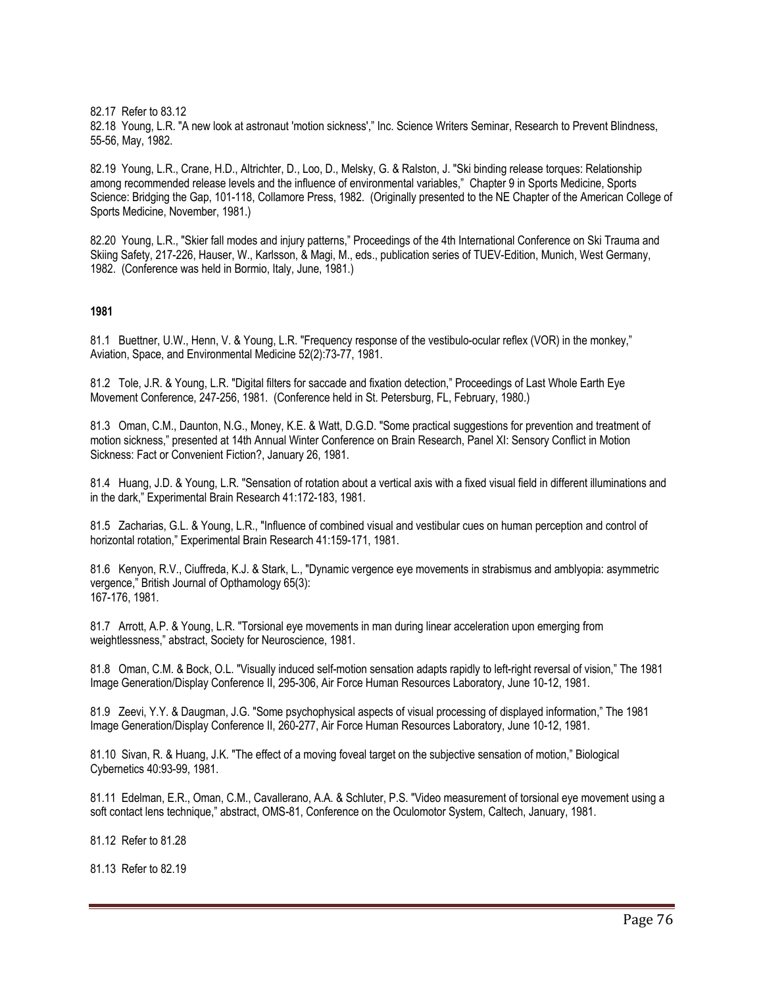82.17 Refer to 83.12

82.18 Young, L.R. "A new look at astronaut 'motion sickness'," Inc. Science Writers Seminar, Research to Prevent Blindness, 55-56, May, 1982.

82.19 Young, L.R., Crane, H.D., Altrichter, D., Loo, D., Melsky, G. & Ralston, J. "Ski binding release torques: Relationship among recommended release levels and the influence of environmental variables," Chapter 9 in Sports Medicine, Sports Science: Bridging the Gap, 101-118, Collamore Press, 1982. (Originally presented to the NE Chapter of the American College of Sports Medicine, November, 1981.)

82.20 Young, L.R., "Skier fall modes and injury patterns," Proceedings of the 4th International Conference on Ski Trauma and Skiing Safety, 217-226, Hauser, W., Karlsson, & Magi, M., eds., publication series of TUEV-Edition, Munich, West Germany, 1982. (Conference was held in Bormio, Italy, June, 1981.)

## **1981**

81.1 Buettner, U.W., Henn, V. & Young, L.R. "Frequency response of the vestibulo-ocular reflex (VOR) in the monkey," Aviation, Space, and Environmental Medicine 52(2):73-77, 1981.

81.2 Tole, J.R. & Young, L.R. "Digital filters for saccade and fixation detection," Proceedings of Last Whole Earth Eye Movement Conference, 247-256, 1981. (Conference held in St. Petersburg, FL, February, 1980.)

81.3 Oman, C.M., Daunton, N.G., Money, K.E. & Watt, D.G.D. "Some practical suggestions for prevention and treatment of motion sickness," presented at 14th Annual Winter Conference on Brain Research, Panel XI: Sensory Conflict in Motion Sickness: Fact or Convenient Fiction?, January 26, 1981.

81.4 Huang, J.D. & Young, L.R. "Sensation of rotation about a vertical axis with a fixed visual field in different illuminations and in the dark," Experimental Brain Research 41:172-183, 1981.

81.5 Zacharias, G.L. & Young, L.R., "Influence of combined visual and vestibular cues on human perception and control of horizontal rotation," Experimental Brain Research 41:159-171, 1981.

81.6 Kenyon, R.V., Ciuffreda, K.J. & Stark, L., "Dynamic vergence eye movements in strabismus and amblyopia: asymmetric vergence," British Journal of Opthamology 65(3): 167-176, 1981.

81.7 Arrott, A.P. & Young, L.R. "Torsional eye movements in man during linear acceleration upon emerging from weightlessness," abstract, Society for Neuroscience, 1981.

81.8 Oman, C.M. & Bock, O.L. "Visually induced self-motion sensation adapts rapidly to left-right reversal of vision," The 1981 Image Generation/Display Conference II, 295-306, Air Force Human Resources Laboratory, June 10-12, 1981.

81.9 Zeevi, Y.Y. & Daugman, J.G. "Some psychophysical aspects of visual processing of displayed information," The 1981 Image Generation/Display Conference II, 260-277, Air Force Human Resources Laboratory, June 10-12, 1981.

81.10 Sivan, R. & Huang, J.K. "The effect of a moving foveal target on the subjective sensation of motion," Biological Cybernetics 40:93-99, 1981.

81.11 Edelman, E.R., Oman, C.M., Cavallerano, A.A. & Schluter, P.S. "Video measurement of torsional eye movement using a soft contact lens technique," abstract, OMS-81, Conference on the Oculomotor System, Caltech, January, 1981.

81.12 Refer to 81.28

81.13 Refer to 82.19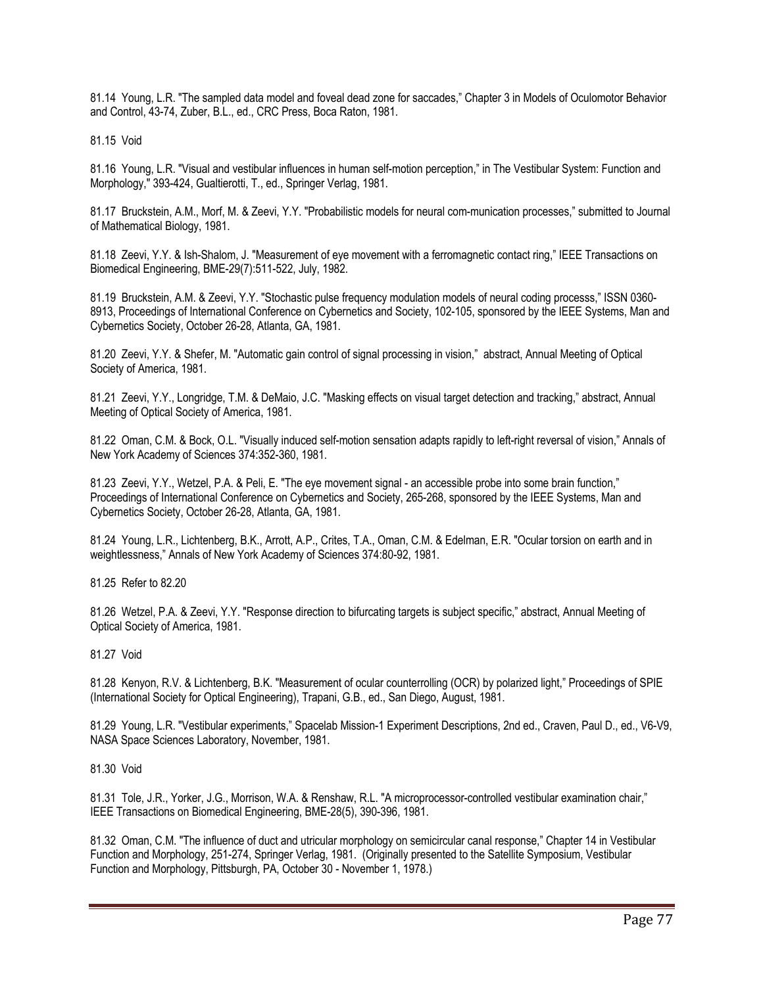81.14 Young, L.R. "The sampled data model and foveal dead zone for saccades," Chapter 3 in Models of Oculomotor Behavior and Control, 43-74, Zuber, B.L., ed., CRC Press, Boca Raton, 1981.

81.15 Void

81.16 Young, L.R. "Visual and vestibular influences in human self-motion perception," in The Vestibular System: Function and Morphology," 393-424, Gualtierotti, T., ed., Springer Verlag, 1981.

81.17 Bruckstein, A.M., Morf, M. & Zeevi, Y.Y. "Probabilistic models for neural com-munication processes," submitted to Journal of Mathematical Biology, 1981.

81.18 Zeevi, Y.Y. & Ish-Shalom, J. "Measurement of eye movement with a ferromagnetic contact ring," IEEE Transactions on Biomedical Engineering, BME-29(7):511-522, July, 1982.

81.19 Bruckstein, A.M. & Zeevi, Y.Y. "Stochastic pulse frequency modulation models of neural coding processs," ISSN 0360- 8913, Proceedings of International Conference on Cybernetics and Society, 102-105, sponsored by the IEEE Systems, Man and Cybernetics Society, October 26-28, Atlanta, GA, 1981.

81.20 Zeevi, Y.Y. & Shefer, M. "Automatic gain control of signal processing in vision," abstract, Annual Meeting of Optical Society of America, 1981.

81.21 Zeevi, Y.Y., Longridge, T.M. & DeMaio, J.C. "Masking effects on visual target detection and tracking," abstract, Annual Meeting of Optical Society of America, 1981.

81.22 Oman, C.M. & Bock, O.L. "Visually induced self-motion sensation adapts rapidly to left-right reversal of vision," Annals of New York Academy of Sciences 374:352-360, 1981.

81.23 Zeevi, Y.Y., Wetzel, P.A. & Peli, E. "The eye movement signal - an accessible probe into some brain function," Proceedings of International Conference on Cybernetics and Society, 265-268, sponsored by the IEEE Systems, Man and Cybernetics Society, October 26-28, Atlanta, GA, 1981.

81.24 Young, L.R., Lichtenberg, B.K., Arrott, A.P., Crites, T.A., Oman, C.M. & Edelman, E.R. "Ocular torsion on earth and in weightlessness," Annals of New York Academy of Sciences 374:80-92, 1981.

81.25 Refer to 82.20

81.26 Wetzel, P.A. & Zeevi, Y.Y. "Response direction to bifurcating targets is subject specific," abstract, Annual Meeting of Optical Society of America, 1981.

81.27 Void

81.28 Kenyon, R.V. & Lichtenberg, B.K. "Measurement of ocular counterrolling (OCR) by polarized light," Proceedings of SPIE (International Society for Optical Engineering), Trapani, G.B., ed., San Diego, August, 1981.

81.29 Young, L.R. "Vestibular experiments," Spacelab Mission-1 Experiment Descriptions, 2nd ed., Craven, Paul D., ed., V6-V9, NASA Space Sciences Laboratory, November, 1981.

81.30 Void

81.31 Tole, J.R., Yorker, J.G., Morrison, W.A. & Renshaw, R.L. "A microprocessor-controlled vestibular examination chair," IEEE Transactions on Biomedical Engineering, BME-28(5), 390-396, 1981.

81.32 Oman, C.M. "The influence of duct and utricular morphology on semicircular canal response," Chapter 14 in Vestibular Function and Morphology, 251-274, Springer Verlag, 1981. (Originally presented to the Satellite Symposium, Vestibular Function and Morphology, Pittsburgh, PA, October 30 - November 1, 1978.)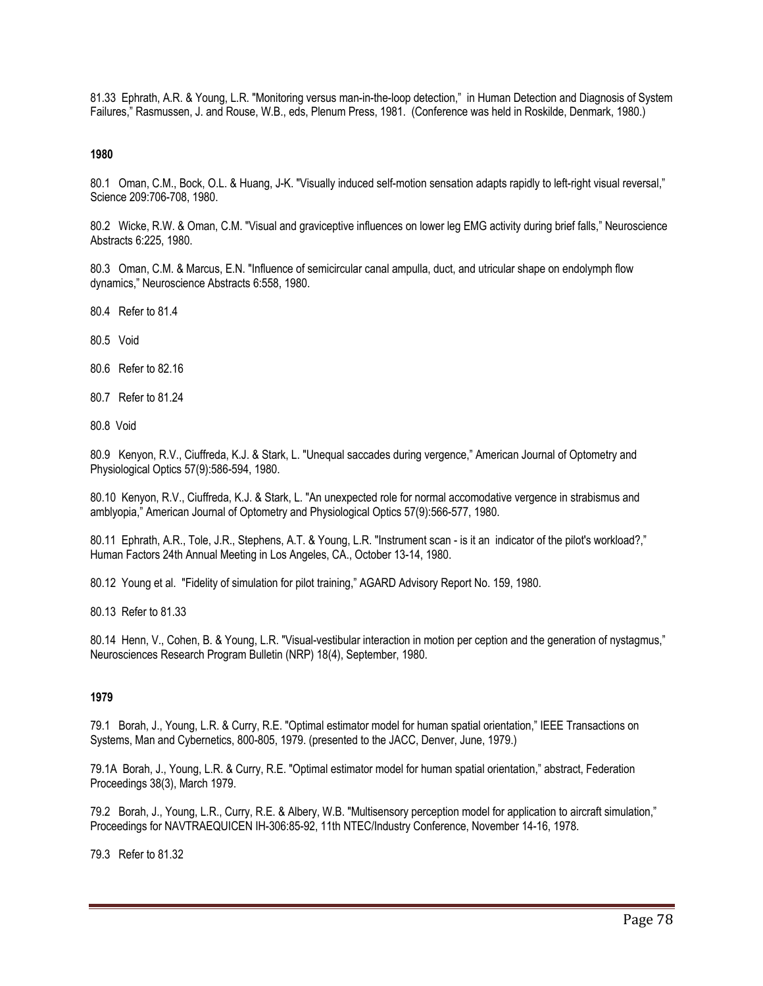81.33 Ephrath, A.R. & Young, L.R. "Monitoring versus man-in-the-loop detection," in Human Detection and Diagnosis of System Failures," Rasmussen, J. and Rouse, W.B., eds, Plenum Press, 1981. (Conference was held in Roskilde, Denmark, 1980.)

**1980** 

80.1 Oman, C.M., Bock, O.L. & Huang, J-K. "Visually induced self-motion sensation adapts rapidly to left-right visual reversal," Science 209:706-708, 1980.

80.2 Wicke, R.W. & Oman, C.M. "Visual and graviceptive influences on lower leg EMG activity during brief falls," Neuroscience Abstracts 6:225, 1980.

80.3 Oman, C.M. & Marcus, E.N. "Influence of semicircular canal ampulla, duct, and utricular shape on endolymph flow dynamics," Neuroscience Abstracts 6:558, 1980.

80.4 Refer to 81.4

80.5 Void

80.6 Refer to 82.16

80.7 Refer to 81.24

80.8 Void

80.9 Kenyon, R.V., Ciuffreda, K.J. & Stark, L. "Unequal saccades during vergence," American Journal of Optometry and Physiological Optics 57(9):586-594, 1980.

80.10 Kenyon, R.V., Ciuffreda, K.J. & Stark, L. "An unexpected role for normal accomodative vergence in strabismus and amblyopia," American Journal of Optometry and Physiological Optics 57(9):566-577, 1980.

80.11 Ephrath, A.R., Tole, J.R., Stephens, A.T. & Young, L.R. "Instrument scan - is it an indicator of the pilot's workload?," Human Factors 24th Annual Meeting in Los Angeles, CA., October 13-14, 1980.

80.12 Young et al. "Fidelity of simulation for pilot training," AGARD Advisory Report No. 159, 1980.

80.13 Refer to 81.33

80.14 Henn, V., Cohen, B. & Young, L.R. "Visual-vestibular interaction in motion per ception and the generation of nystagmus," Neurosciences Research Program Bulletin (NRP) 18(4), September, 1980.

### **1979**

79.1 Borah, J., Young, L.R. & Curry, R.E. "Optimal estimator model for human spatial orientation," IEEE Transactions on Systems, Man and Cybernetics, 800-805, 1979. (presented to the JACC, Denver, June, 1979.)

79.1A Borah, J., Young, L.R. & Curry, R.E. "Optimal estimator model for human spatial orientation," abstract, Federation Proceedings 38(3), March 1979.

79.2 Borah, J., Young, L.R., Curry, R.E. & Albery, W.B. "Multisensory perception model for application to aircraft simulation," Proceedings for NAVTRAEQUICEN IH-306:85-92, 11th NTEC/Industry Conference, November 14-16, 1978.

79.3 Refer to 81.32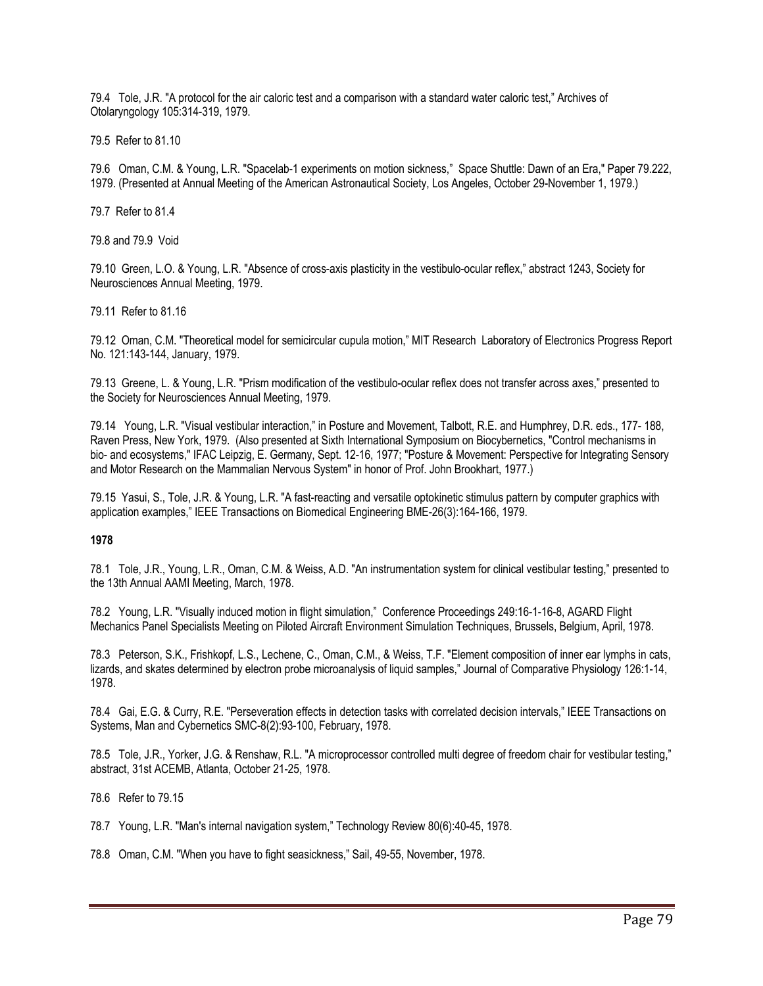79.4 Tole, J.R. "A protocol for the air caloric test and a comparison with a standard water caloric test," Archives of Otolaryngology 105:314-319, 1979.

79.5 Refer to 81.10

79.6 Oman, C.M. & Young, L.R. "Spacelab-1 experiments on motion sickness," Space Shuttle: Dawn of an Era," Paper 79.222, 1979. (Presented at Annual Meeting of the American Astronautical Society, Los Angeles, October 29-November 1, 1979.)

79.7 Refer to 81.4

79.8 and 79.9 Void

79.10 Green, L.O. & Young, L.R. "Absence of cross-axis plasticity in the vestibulo-ocular reflex," abstract 1243, Society for Neurosciences Annual Meeting, 1979.

79.11 Refer to 81.16

79.12 Oman, C.M. "Theoretical model for semicircular cupula motion," MIT Research Laboratory of Electronics Progress Report No. 121:143-144, January, 1979.

79.13 Greene, L. & Young, L.R. "Prism modification of the vestibulo-ocular reflex does not transfer across axes," presented to the Society for Neurosciences Annual Meeting, 1979.

79.14 Young, L.R. "Visual vestibular interaction," in Posture and Movement, Talbott, R.E. and Humphrey, D.R. eds., 177- 188, Raven Press, New York, 1979. (Also presented at Sixth International Symposium on Biocybernetics, "Control mechanisms in bio- and ecosystems," IFAC Leipzig, E. Germany, Sept. 12-16, 1977; "Posture & Movement: Perspective for Integrating Sensory and Motor Research on the Mammalian Nervous System" in honor of Prof. John Brookhart, 1977.)

79.15 Yasui, S., Tole, J.R. & Young, L.R. "A fast-reacting and versatile optokinetic stimulus pattern by computer graphics with application examples," IEEE Transactions on Biomedical Engineering BME-26(3):164-166, 1979.

# **1978**

78.1 Tole, J.R., Young, L.R., Oman, C.M. & Weiss, A.D. "An instrumentation system for clinical vestibular testing," presented to the 13th Annual AAMI Meeting, March, 1978.

78.2 Young, L.R. "Visually induced motion in flight simulation," Conference Proceedings 249:16-1-16-8, AGARD Flight Mechanics Panel Specialists Meeting on Piloted Aircraft Environment Simulation Techniques, Brussels, Belgium, April, 1978.

78.3 Peterson, S.K., Frishkopf, L.S., Lechene, C., Oman, C.M., & Weiss, T.F. "Element composition of inner ear lymphs in cats, lizards, and skates determined by electron probe microanalysis of liquid samples," Journal of Comparative Physiology 126:1-14, 1978.

78.4 Gai, E.G. & Curry, R.E. "Perseveration effects in detection tasks with correlated decision intervals," IEEE Transactions on Systems, Man and Cybernetics SMC-8(2):93-100, February, 1978.

78.5 Tole, J.R., Yorker, J.G. & Renshaw, R.L. "A microprocessor controlled multi degree of freedom chair for vestibular testing," abstract, 31st ACEMB, Atlanta, October 21-25, 1978.

78.6 Refer to 79.15

78.7 Young, L.R. "Man's internal navigation system," Technology Review 80(6):40-45, 1978.

78.8 Oman, C.M. "When you have to fight seasickness," Sail, 49-55, November, 1978.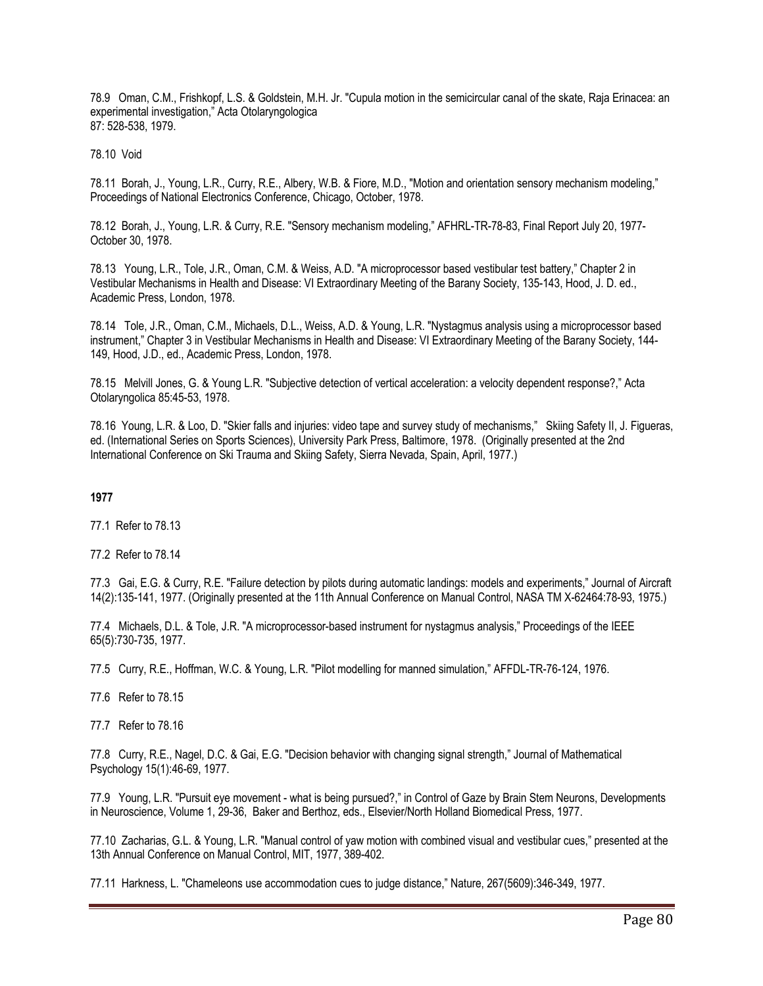78.9 Oman, C.M., Frishkopf, L.S. & Goldstein, M.H. Jr. "Cupula motion in the semicircular canal of the skate, Raja Erinacea: an experimental investigation," Acta Otolaryngologica 87: 528-538, 1979.

78.10 Void

78.11 Borah, J., Young, L.R., Curry, R.E., Albery, W.B. & Fiore, M.D., "Motion and orientation sensory mechanism modeling," Proceedings of National Electronics Conference, Chicago, October, 1978.

78.12 Borah, J., Young, L.R. & Curry, R.E. "Sensory mechanism modeling," AFHRL-TR-78-83, Final Report July 20, 1977- October 30, 1978.

78.13 Young, L.R., Tole, J.R., Oman, C.M. & Weiss, A.D. "A microprocessor based vestibular test battery," Chapter 2 in Vestibular Mechanisms in Health and Disease: VI Extraordinary Meeting of the Barany Society, 135-143, Hood, J. D. ed., Academic Press, London, 1978.

78.14 Tole, J.R., Oman, C.M., Michaels, D.L., Weiss, A.D. & Young, L.R. "Nystagmus analysis using a microprocessor based instrument," Chapter 3 in Vestibular Mechanisms in Health and Disease: VI Extraordinary Meeting of the Barany Society, 144- 149, Hood, J.D., ed., Academic Press, London, 1978.

78.15 Melvill Jones, G. & Young L.R. "Subjective detection of vertical acceleration: a velocity dependent response?," Acta Otolaryngolica 85:45-53, 1978.

78.16 Young, L.R. & Loo, D. "Skier falls and injuries: video tape and survey study of mechanisms," Skiing Safety II, J. Figueras, ed. (International Series on Sports Sciences), University Park Press, Baltimore, 1978. (Originally presented at the 2nd International Conference on Ski Trauma and Skiing Safety, Sierra Nevada, Spain, April, 1977.)

### **1977**

77.1 Refer to 78.13

77.2 Refer to 78.14

77.3 Gai, E.G. & Curry, R.E. "Failure detection by pilots during automatic landings: models and experiments," Journal of Aircraft 14(2):135-141, 1977. (Originally presented at the 11th Annual Conference on Manual Control, NASA TM X-62464:78-93, 1975.)

77.4 Michaels, D.L. & Tole, J.R. "A microprocessor-based instrument for nystagmus analysis," Proceedings of the IEEE 65(5):730-735, 1977.

77.5 Curry, R.E., Hoffman, W.C. & Young, L.R. "Pilot modelling for manned simulation," AFFDL-TR-76-124, 1976.

77.6 Refer to 78.15

77.7 Refer to 78.16

77.8 Curry, R.E., Nagel, D.C. & Gai, E.G. "Decision behavior with changing signal strength," Journal of Mathematical Psychology 15(1):46-69, 1977.

77.9 Young, L.R. "Pursuit eye movement - what is being pursued?," in Control of Gaze by Brain Stem Neurons, Developments in Neuroscience, Volume 1, 29-36, Baker and Berthoz, eds., Elsevier/North Holland Biomedical Press, 1977.

77.10 Zacharias, G.L. & Young, L.R. "Manual control of yaw motion with combined visual and vestibular cues," presented at the 13th Annual Conference on Manual Control, MIT, 1977, 389-402.

77.11 Harkness, L. "Chameleons use accommodation cues to judge distance," Nature, 267(5609):346-349, 1977.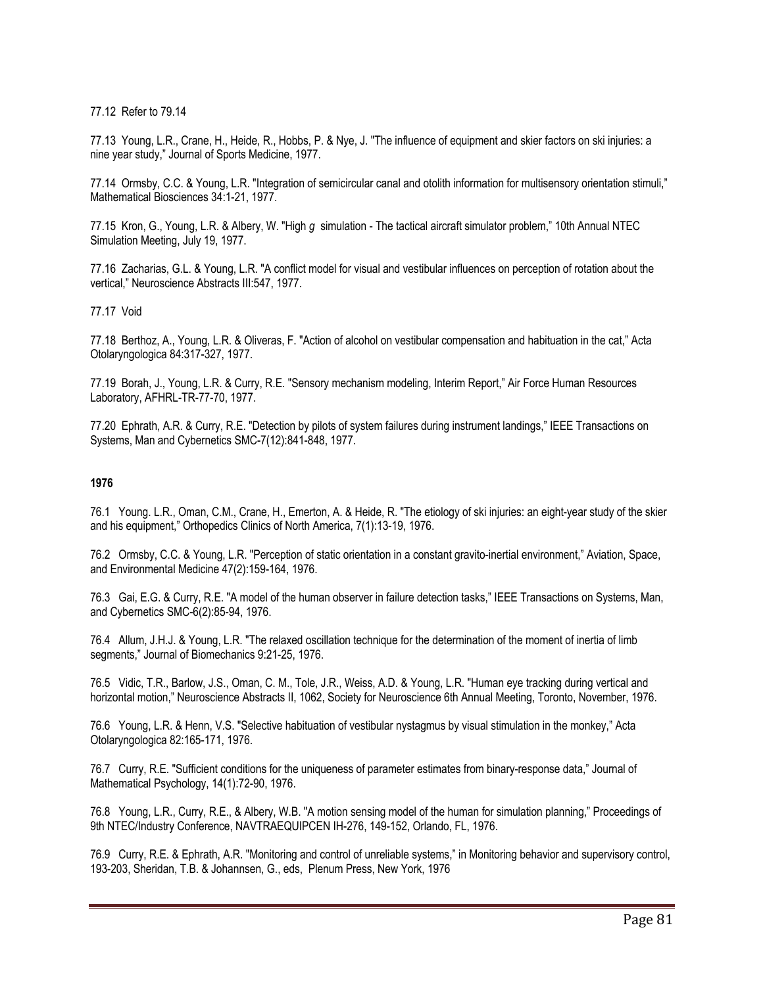77.12 Refer to 79.14

77.13 Young, L.R., Crane, H., Heide, R., Hobbs, P. & Nye, J. "The influence of equipment and skier factors on ski injuries: a nine year study," Journal of Sports Medicine, 1977.

77.14 Ormsby, C.C. & Young, L.R. "Integration of semicircular canal and otolith information for multisensory orientation stimuli," Mathematical Biosciences 34:1-21, 1977.

77.15 Kron, G., Young, L.R. & Albery, W. "High *g* simulation - The tactical aircraft simulator problem," 10th Annual NTEC Simulation Meeting, July 19, 1977.

77.16 Zacharias, G.L. & Young, L.R. "A conflict model for visual and vestibular influences on perception of rotation about the vertical," Neuroscience Abstracts III:547, 1977.

### 77.17 Void

77.18 Berthoz, A., Young, L.R. & Oliveras, F. "Action of alcohol on vestibular compensation and habituation in the cat," Acta Otolaryngologica 84:317-327, 1977.

77.19 Borah, J., Young, L.R. & Curry, R.E. "Sensory mechanism modeling, Interim Report," Air Force Human Resources Laboratory, AFHRL-TR-77-70, 1977.

77.20 Ephrath, A.R. & Curry, R.E. "Detection by pilots of system failures during instrument landings," IEEE Transactions on Systems, Man and Cybernetics SMC-7(12):841-848, 1977.

### **1976**

76.1 Young. L.R., Oman, C.M., Crane, H., Emerton, A. & Heide, R. "The etiology of ski injuries: an eight-year study of the skier and his equipment," Orthopedics Clinics of North America, 7(1):13-19, 1976.

76.2 Ormsby, C.C. & Young, L.R. "Perception of static orientation in a constant gravito-inertial environment," Aviation, Space, and Environmental Medicine 47(2):159-164, 1976.

76.3 Gai, E.G. & Curry, R.E. "A model of the human observer in failure detection tasks," IEEE Transactions on Systems, Man, and Cybernetics SMC-6(2):85-94, 1976.

76.4 Allum, J.H.J. & Young, L.R. "The relaxed oscillation technique for the determination of the moment of inertia of limb segments," Journal of Biomechanics 9:21-25, 1976.

76.5 Vidic, T.R., Barlow, J.S., Oman, C. M., Tole, J.R., Weiss, A.D. & Young, L.R. "Human eye tracking during vertical and horizontal motion," Neuroscience Abstracts II, 1062, Society for Neuroscience 6th Annual Meeting, Toronto, November, 1976.

76.6 Young, L.R. & Henn, V.S. "Selective habituation of vestibular nystagmus by visual stimulation in the monkey," Acta Otolaryngologica 82:165-171, 1976.

76.7 Curry, R.E. "Sufficient conditions for the uniqueness of parameter estimates from binary-response data," Journal of Mathematical Psychology, 14(1):72-90, 1976.

76.8 Young, L.R., Curry, R.E., & Albery, W.B. "A motion sensing model of the human for simulation planning," Proceedings of 9th NTEC/Industry Conference, NAVTRAEQUIPCEN IH-276, 149-152, Orlando, FL, 1976.

76.9 Curry, R.E. & Ephrath, A.R. "Monitoring and control of unreliable systems," in Monitoring behavior and supervisory control, 193-203, Sheridan, T.B. & Johannsen, G., eds, Plenum Press, New York, 1976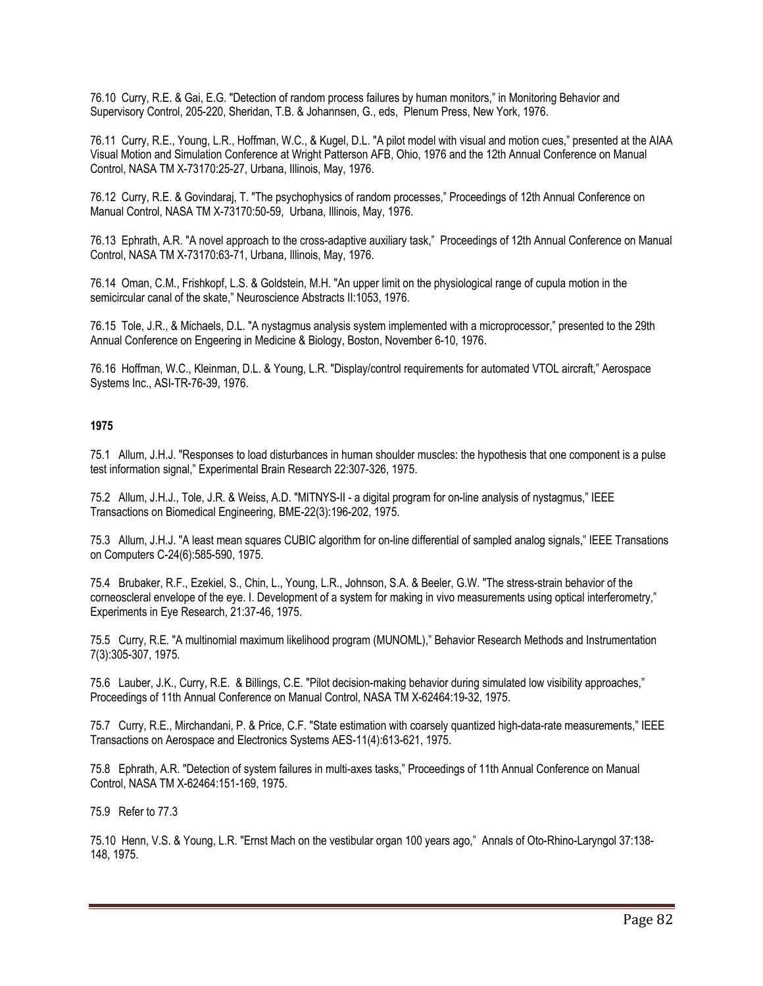76.10 Curry, R.E. & Gai, E.G. "Detection of random process failures by human monitors," in Monitoring Behavior and Supervisory Control, 205-220, Sheridan, T.B. & Johannsen, G., eds, Plenum Press, New York, 1976.

76.11 Curry, R.E., Young, L.R., Hoffman, W.C., & Kugel, D.L. "A pilot model with visual and motion cues," presented at the AIAA Visual Motion and Simulation Conference at Wright Patterson AFB, Ohio, 1976 and the 12th Annual Conference on Manual Control, NASA TM X-73170:25-27, Urbana, Illinois, May, 1976.

76.12 Curry, R.E. & Govindaraj, T. "The psychophysics of random processes," Proceedings of 12th Annual Conference on Manual Control, NASA TM X-73170:50-59, Urbana, Illinois, May, 1976.

76.13 Ephrath, A.R. "A novel approach to the cross-adaptive auxiliary task," Proceedings of 12th Annual Conference on Manual Control, NASA TM X-73170:63-71, Urbana, Illinois, May, 1976.

76.14 Oman, C.M., Frishkopf, L.S. & Goldstein, M.H. "An upper limit on the physiological range of cupula motion in the semicircular canal of the skate," Neuroscience Abstracts II:1053, 1976.

76.15 Tole, J.R., & Michaels, D.L. "A nystagmus analysis system implemented with a microprocessor," presented to the 29th Annual Conference on Engeering in Medicine & Biology, Boston, November 6-10, 1976.

76.16 Hoffman, W.C., Kleinman, D.L. & Young, L.R. "Display/control requirements for automated VTOL aircraft," Aerospace Systems Inc., ASI-TR-76-39, 1976.

## **1975**

75.1 Allum, J.H.J. "Responses to load disturbances in human shoulder muscles: the hypothesis that one component is a pulse test information signal," Experimental Brain Research 22:307-326, 1975.

75.2 Allum, J.H.J., Tole, J.R. & Weiss, A.D. "MITNYS-II - a digital program for on-line analysis of nystagmus," IEEE Transactions on Biomedical Engineering, BME-22(3):196-202, 1975.

75.3 Allum, J.H.J. "A least mean squares CUBIC algorithm for on-line differential of sampled analog signals," IEEE Transations on Computers C-24(6):585-590, 1975.

75.4 Brubaker, R.F., Ezekiel, S., Chin, L., Young, L.R., Johnson, S.A. & Beeler, G.W. "The stress-strain behavior of the corneoscleral envelope of the eye. I. Development of a system for making in vivo measurements using optical interferometry," Experiments in Eye Research, 21:37-46, 1975.

75.5 Curry, R.E. "A multinomial maximum likelihood program (MUNOML)," Behavior Research Methods and Instrumentation 7(3):305-307, 1975.

75.6 Lauber, J.K., Curry, R.E. & Billings, C.E. "Pilot decision-making behavior during simulated low visibility approaches," Proceedings of 11th Annual Conference on Manual Control, NASA TM X-62464:19-32, 1975.

75.7 Curry, R.E., Mirchandani, P. & Price, C.F. "State estimation with coarsely quantized high-data-rate measurements," IEEE Transactions on Aerospace and Electronics Systems AES-11(4):613-621, 1975.

75.8 Ephrath, A.R. "Detection of system failures in multi-axes tasks," Proceedings of 11th Annual Conference on Manual Control, NASA TM X-62464:151-169, 1975.

75.9 Refer to 77.3

75.10 Henn, V.S. & Young, L.R. "Ernst Mach on the vestibular organ 100 years ago," Annals of Oto-Rhino-Laryngol 37:138- 148, 1975.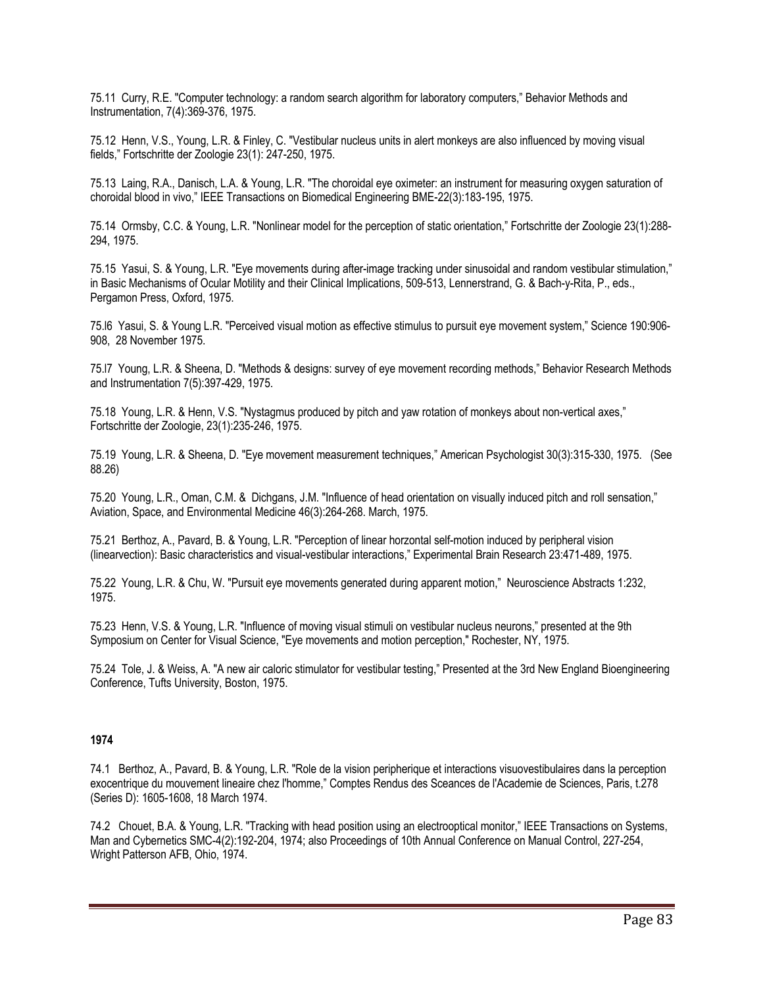75.11 Curry, R.E. "Computer technology: a random search algorithm for laboratory computers," Behavior Methods and Instrumentation, 7(4):369-376, 1975.

75.12 Henn, V.S., Young, L.R. & Finley, C. "Vestibular nucleus units in alert monkeys are also influenced by moving visual fields," Fortschritte der Zoologie 23(1): 247-250, 1975.

75.13 Laing, R.A., Danisch, L.A. & Young, L.R. "The choroidal eye oximeter: an instrument for measuring oxygen saturation of choroidal blood in vivo," IEEE Transactions on Biomedical Engineering BME-22(3):183-195, 1975.

75.14 Ormsby, C.C. & Young, L.R. "Nonlinear model for the perception of static orientation," Fortschritte der Zoologie 23(1):288- 294, 1975.

75.15 Yasui, S. & Young, L.R. "Eye movements during after-image tracking under sinusoidal and random vestibular stimulation," in Basic Mechanisms of Ocular Motility and their Clinical Implications, 509-513, Lennerstrand, G. & Bach-y-Rita, P., eds., Pergamon Press, Oxford, 1975.

75.l6 Yasui, S. & Young L.R. "Perceived visual motion as effective stimulus to pursuit eye movement system," Science 190:906- 908, 28 November 1975.

75.l7 Young, L.R. & Sheena, D. "Methods & designs: survey of eye movement recording methods," Behavior Research Methods and Instrumentation 7(5):397-429, 1975.

75.18 Young, L.R. & Henn, V.S. "Nystagmus produced by pitch and yaw rotation of monkeys about non-vertical axes," Fortschritte der Zoologie, 23(1):235-246, 1975.

75.19 Young, L.R. & Sheena, D. "Eye movement measurement techniques," American Psychologist 30(3):315-330, 1975. (See 88.26)

75.20 Young, L.R., Oman, C.M. & Dichgans, J.M. "Influence of head orientation on visually induced pitch and roll sensation," Aviation, Space, and Environmental Medicine 46(3):264-268. March, 1975.

75.21 Berthoz, A., Pavard, B. & Young, L.R. "Perception of linear horzontal self-motion induced by peripheral vision (linearvection): Basic characteristics and visual-vestibular interactions," Experimental Brain Research 23:471-489, 1975.

75.22 Young, L.R. & Chu, W. "Pursuit eye movements generated during apparent motion," Neuroscience Abstracts 1:232, 1975.

75.23 Henn, V.S. & Young, L.R. "Influence of moving visual stimuli on vestibular nucleus neurons," presented at the 9th Symposium on Center for Visual Science, "Eye movements and motion perception," Rochester, NY, 1975.

75.24 Tole, J. & Weiss, A. "A new air caloric stimulator for vestibular testing," Presented at the 3rd New England Bioengineering Conference, Tufts University, Boston, 1975.

### **1974**

74.1 Berthoz, A., Pavard, B. & Young, L.R. "Role de la vision peripherique et interactions visuovestibulaires dans la perception exocentrique du mouvement lineaire chez l'homme," Comptes Rendus des Sceances de l'Academie de Sciences, Paris, t.278 (Series D): 1605-1608, 18 March 1974.

74.2 Chouet, B.A. & Young, L.R. "Tracking with head position using an electrooptical monitor," IEEE Transactions on Systems, Man and Cybernetics SMC-4(2):192-204, 1974; also Proceedings of 10th Annual Conference on Manual Control, 227-254, Wright Patterson AFB, Ohio, 1974.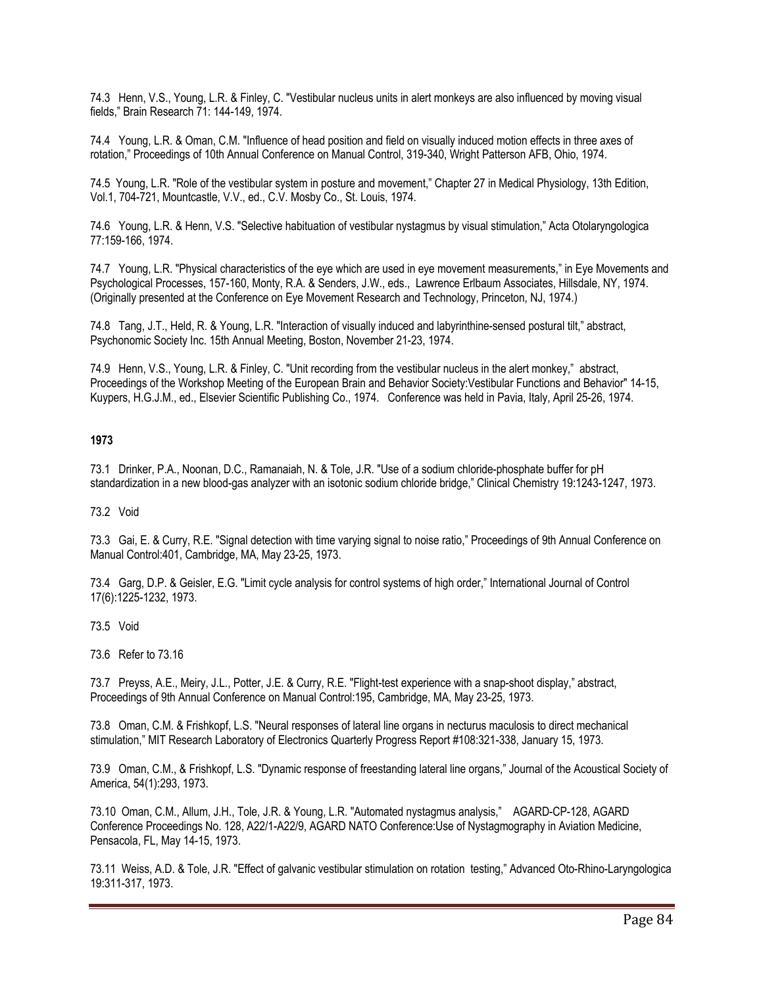74.3 Henn, V.S., Young, L.R. & Finley, C. "Vestibular nucleus units in alert monkeys are also influenced by moving visual fields," Brain Research 71: 144-149, 1974.

74.4 Young, L.R. & Oman, C.M. "Influence of head position and field on visually induced motion effects in three axes of rotation," Proceedings of 10th Annual Conference on Manual Control, 319-340, Wright Patterson AFB, Ohio, 1974.

74.5 Young, L.R. "Role of the vestibular system in posture and movement," Chapter 27 in Medical Physiology, 13th Edition, Vol.1, 704-721, Mountcastle, V.V., ed., C.V. Mosby Co., St. Louis, 1974.

74.6 Young, L.R. & Henn, V.S. "Selective habituation of vestibular nystagmus by visual stimulation," Acta Otolaryngologica 77:159-166, 1974.

74.7 Young, L.R. "Physical characteristics of the eye which are used in eye movement measurements," in Eye Movements and Psychological Processes, 157-160, Monty, R.A. & Senders, J.W., eds., Lawrence Erlbaum Associates, Hillsdale, NY, 1974. (Originally presented at the Conference on Eye Movement Research and Technology, Princeton, NJ, 1974.)

74.8 Tang, J.T., Held, R. & Young, L.R. "Interaction of visually induced and labyrinthine-sensed postural tilt," abstract, Psychonomic Society Inc. 15th Annual Meeting, Boston, November 21-23, 1974.

74.9 Henn, V.S., Young, L.R. & Finley, C. "Unit recording from the vestibular nucleus in the alert monkey," abstract, Proceedings of the Workshop Meeting of the European Brain and Behavior Society:Vestibular Functions and Behavior" 14-15, Kuypers, H.G.J.M., ed., Elsevier Scientific Publishing Co., 1974. Conference was held in Pavia, Italy, April 25-26, 1974.

# **1973**

73.1 Drinker, P.A., Noonan, D.C., Ramanaiah, N. & Tole, J.R. "Use of a sodium chloride-phosphate buffer for pH standardization in a new blood-gas analyzer with an isotonic sodium chloride bridge," Clinical Chemistry 19:1243-1247, 1973.

73.2 Void

73.3 Gai, E. & Curry, R.E. "Signal detection with time varying signal to noise ratio," Proceedings of 9th Annual Conference on Manual Control:401, Cambridge, MA, May 23-25, 1973.

73.4 Garg, D.P. & Geisler, E.G. "Limit cycle analysis for control systems of high order," International Journal of Control 17(6):1225-1232, 1973.

73.5 Void

73.6 Refer to 73.16

73.7 Preyss, A.E., Meiry, J.L., Potter, J.E. & Curry, R.E. "Flight-test experience with a snap-shoot display," abstract, Proceedings of 9th Annual Conference on Manual Control:195, Cambridge, MA, May 23-25, 1973.

73.8 Oman, C.M. & Frishkopf, L.S. "Neural responses of lateral line organs in necturus maculosis to direct mechanical stimulation," MIT Research Laboratory of Electronics Quarterly Progress Report #108:321-338, January 15, 1973.

73.9 Oman, C.M., & Frishkopf, L.S. "Dynamic response of freestanding lateral line organs," Journal of the Acoustical Society of America, 54(1):293, 1973.

73.10 Oman, C.M., Allum, J.H., Tole, J.R. & Young, L.R. "Automated nystagmus analysis," AGARD-CP-128, AGARD Conference Proceedings No. 128, A22/1-A22/9, AGARD NATO Conference:Use of Nystagmography in Aviation Medicine, Pensacola, FL, May 14-15, 1973.

73.11 Weiss, A.D. & Tole, J.R. "Effect of galvanic vestibular stimulation on rotation testing," Advanced Oto-Rhino-Laryngologica 19:311-317, 1973.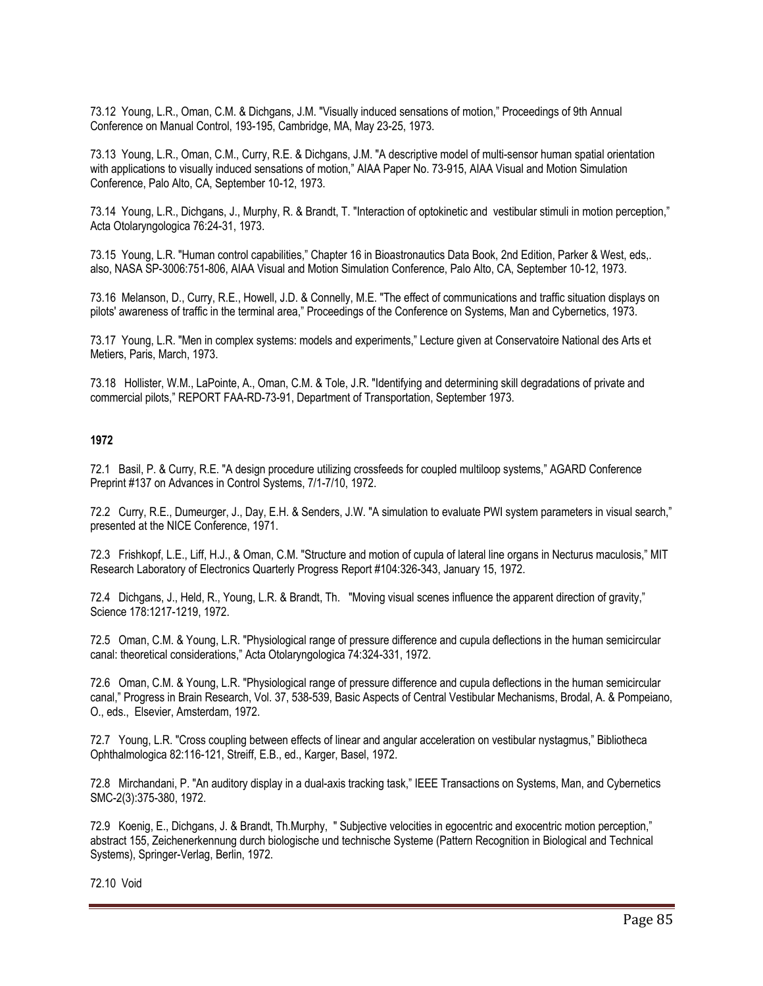73.12 Young, L.R., Oman, C.M. & Dichgans, J.M. "Visually induced sensations of motion," Proceedings of 9th Annual Conference on Manual Control, 193-195, Cambridge, MA, May 23-25, 1973.

73.13 Young, L.R., Oman, C.M., Curry, R.E. & Dichgans, J.M. "A descriptive model of multi-sensor human spatial orientation with applications to visually induced sensations of motion," AIAA Paper No. 73-915, AIAA Visual and Motion Simulation Conference, Palo Alto, CA, September 10-12, 1973.

73.14 Young, L.R., Dichgans, J., Murphy, R. & Brandt, T. "Interaction of optokinetic and vestibular stimuli in motion perception," Acta Otolaryngologica 76:24-31, 1973.

73.15 Young, L.R. "Human control capabilities," Chapter 16 in Bioastronautics Data Book, 2nd Edition, Parker & West, eds,. also, NASA SP-3006:751-806, AIAA Visual and Motion Simulation Conference, Palo Alto, CA, September 10-12, 1973.

73.16 Melanson, D., Curry, R.E., Howell, J.D. & Connelly, M.E. "The effect of communications and traffic situation displays on pilots' awareness of traffic in the terminal area," Proceedings of the Conference on Systems, Man and Cybernetics, 1973.

73.17 Young, L.R. "Men in complex systems: models and experiments," Lecture given at Conservatoire National des Arts et Metiers, Paris, March, 1973.

73.18 Hollister, W.M., LaPointe, A., Oman, C.M. & Tole, J.R. "Identifying and determining skill degradations of private and commercial pilots," REPORT FAA-RD-73-91, Department of Transportation, September 1973.

# **1972**

72.1 Basil, P. & Curry, R.E. "A design procedure utilizing crossfeeds for coupled multiloop systems," AGARD Conference Preprint #137 on Advances in Control Systems, 7/1-7/10, 1972.

72.2 Curry, R.E., Dumeurger, J., Day, E.H. & Senders, J.W. "A simulation to evaluate PWI system parameters in visual search," presented at the NICE Conference, 1971.

72.3 Frishkopf, L.E., Liff, H.J., & Oman, C.M. "Structure and motion of cupula of lateral line organs in Necturus maculosis," MIT Research Laboratory of Electronics Quarterly Progress Report #104:326-343, January 15, 1972.

72.4 Dichgans, J., Held, R., Young, L.R. & Brandt, Th. "Moving visual scenes influence the apparent direction of gravity," Science 178:1217-1219, 1972.

72.5 Oman, C.M. & Young, L.R. "Physiological range of pressure difference and cupula deflections in the human semicircular canal: theoretical considerations," Acta Otolaryngologica 74:324-331, 1972.

72.6 Oman, C.M. & Young, L.R. "Physiological range of pressure difference and cupula deflections in the human semicircular canal," Progress in Brain Research, Vol. 37, 538-539, Basic Aspects of Central Vestibular Mechanisms, Brodal, A. & Pompeiano, O., eds., Elsevier, Amsterdam, 1972.

72.7 Young, L.R. "Cross coupling between effects of linear and angular acceleration on vestibular nystagmus," Bibliotheca Ophthalmologica 82:116-121, Streiff, E.B., ed., Karger, Basel, 1972.

72.8 Mirchandani, P. "An auditory display in a dual-axis tracking task," IEEE Transactions on Systems, Man, and Cybernetics SMC-2(3):375-380, 1972.

72.9 Koenig, E., Dichgans, J. & Brandt, Th.Murphy, " Subjective velocities in egocentric and exocentric motion perception," abstract 155, Zeichenerkennung durch biologische und technische Systeme (Pattern Recognition in Biological and Technical Systems), Springer-Verlag, Berlin, 1972.

72.10 Void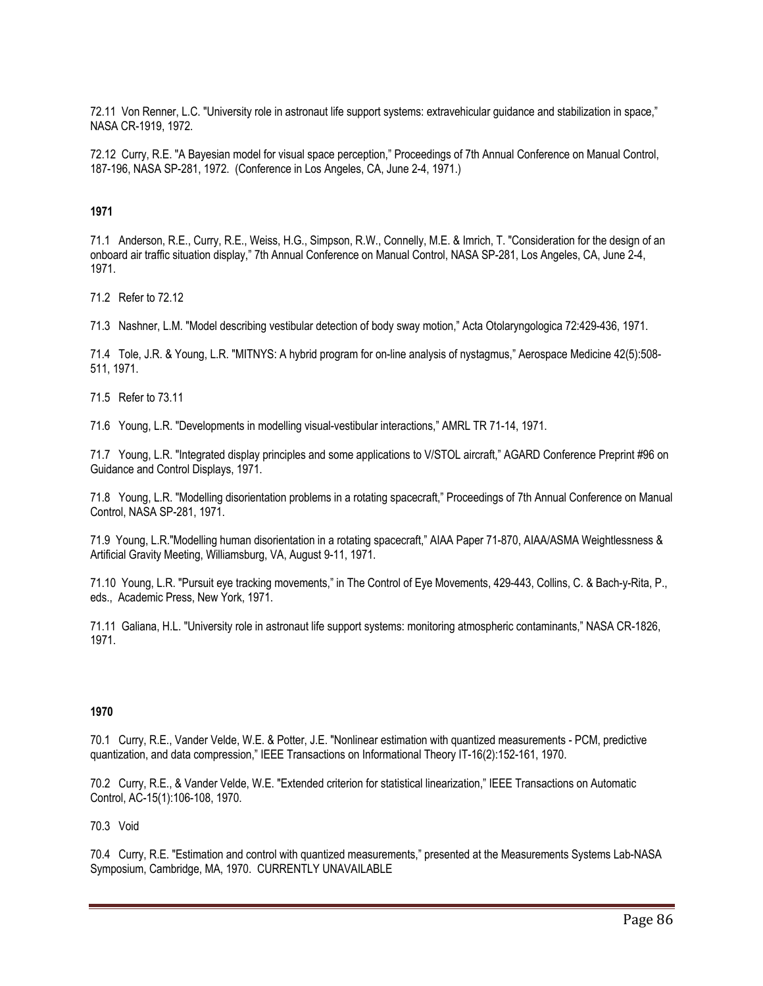72.11 Von Renner, L.C. "University role in astronaut life support systems: extravehicular guidance and stabilization in space," NASA CR-1919, 1972.

72.12 Curry, R.E. "A Bayesian model for visual space perception," Proceedings of 7th Annual Conference on Manual Control, 187-196, NASA SP-281, 1972. (Conference in Los Angeles, CA, June 2-4, 1971.)

# **1971**

71.1 Anderson, R.E., Curry, R.E., Weiss, H.G., Simpson, R.W., Connelly, M.E. & Imrich, T. "Consideration for the design of an onboard air traffic situation display," 7th Annual Conference on Manual Control, NASA SP-281, Los Angeles, CA, June 2-4, 1971.

71.2 Refer to 72.12

71.3 Nashner, L.M. "Model describing vestibular detection of body sway motion," Acta Otolaryngologica 72:429-436, 1971.

71.4 Tole, J.R. & Young, L.R. "MITNYS: A hybrid program for on-line analysis of nystagmus," Aerospace Medicine 42(5):508- 511, 1971.

71.5 Refer to 73.11

71.6 Young, L.R. "Developments in modelling visual-vestibular interactions," AMRL TR 71-14, 1971.

71.7 Young, L.R. "Integrated display principles and some applications to V/STOL aircraft," AGARD Conference Preprint #96 on Guidance and Control Displays, 1971.

71.8 Young, L.R. "Modelling disorientation problems in a rotating spacecraft," Proceedings of 7th Annual Conference on Manual Control, NASA SP-281, 1971.

71.9 Young, L.R."Modelling human disorientation in a rotating spacecraft," AIAA Paper 71-870, AIAA/ASMA Weightlessness & Artificial Gravity Meeting, Williamsburg, VA, August 9-11, 1971.

71.10 Young, L.R. "Pursuit eye tracking movements," in The Control of Eye Movements, 429-443, Collins, C. & Bach-y-Rita, P., eds., Academic Press, New York, 1971.

71.11 Galiana, H.L. "University role in astronaut life support systems: monitoring atmospheric contaminants," NASA CR-1826, 1971.

# **1970**

70.1 Curry, R.E., Vander Velde, W.E. & Potter, J.E. "Nonlinear estimation with quantized measurements - PCM, predictive quantization, and data compression," IEEE Transactions on Informational Theory IT-16(2):152-161, 1970.

70.2 Curry, R.E., & Vander Velde, W.E. "Extended criterion for statistical linearization," IEEE Transactions on Automatic Control, AC-15(1):106-108, 1970.

## 70.3 Void

70.4 Curry, R.E. "Estimation and control with quantized measurements," presented at the Measurements Systems Lab-NASA Symposium, Cambridge, MA, 1970. CURRENTLY UNAVAILABLE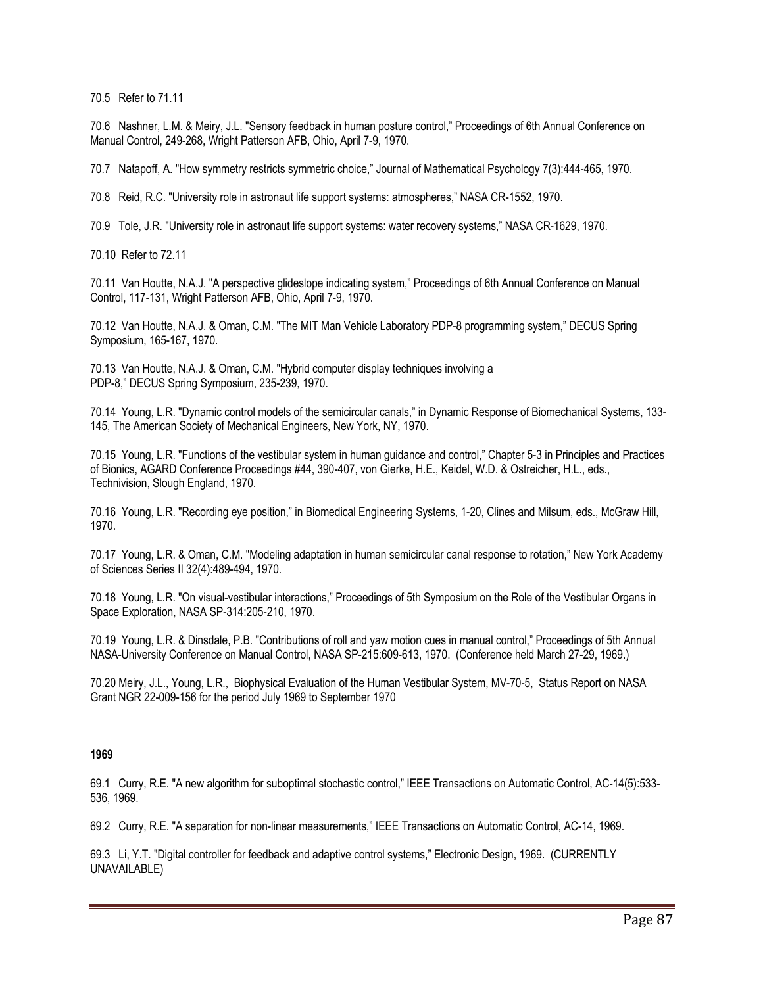70.5 Refer to 71.11

70.6 Nashner, L.M. & Meiry, J.L. "Sensory feedback in human posture control," Proceedings of 6th Annual Conference on Manual Control, 249-268, Wright Patterson AFB, Ohio, April 7-9, 1970.

70.7 Natapoff, A. "How symmetry restricts symmetric choice," Journal of Mathematical Psychology 7(3):444-465, 1970.

70.8 Reid, R.C. "University role in astronaut life support systems: atmospheres," NASA CR-1552, 1970.

70.9 Tole, J.R. "University role in astronaut life support systems: water recovery systems," NASA CR-1629, 1970.

70.10 Refer to 72.11

70.11 Van Houtte, N.A.J. "A perspective glideslope indicating system," Proceedings of 6th Annual Conference on Manual Control, 117-131, Wright Patterson AFB, Ohio, April 7-9, 1970.

70.12 Van Houtte, N.A.J. & Oman, C.M. "The MIT Man Vehicle Laboratory PDP-8 programming system," DECUS Spring Symposium, 165-167, 1970.

70.13 Van Houtte, N.A.J. & Oman, C.M. "Hybrid computer display techniques involving a PDP-8," DECUS Spring Symposium, 235-239, 1970.

70.14 Young, L.R. "Dynamic control models of the semicircular canals," in Dynamic Response of Biomechanical Systems, 133- 145, The American Society of Mechanical Engineers, New York, NY, 1970.

70.15 Young, L.R. "Functions of the vestibular system in human guidance and control," Chapter 5-3 in Principles and Practices of Bionics, AGARD Conference Proceedings #44, 390-407, von Gierke, H.E., Keidel, W.D. & Ostreicher, H.L., eds., Technivision, Slough England, 1970.

70.16 Young, L.R. "Recording eye position," in Biomedical Engineering Systems, 1-20, Clines and Milsum, eds., McGraw Hill, 1970.

70.17 Young, L.R. & Oman, C.M. "Modeling adaptation in human semicircular canal response to rotation," New York Academy of Sciences Series II 32(4):489-494, 1970.

70.18 Young, L.R. "On visual-vestibular interactions," Proceedings of 5th Symposium on the Role of the Vestibular Organs in Space Exploration, NASA SP-314:205-210, 1970.

70.19 Young, L.R. & Dinsdale, P.B. "Contributions of roll and yaw motion cues in manual control," Proceedings of 5th Annual NASA-University Conference on Manual Control, NASA SP-215:609-613, 1970. (Conference held March 27-29, 1969.)

70.20 Meiry, J.L., Young, L.R., Biophysical Evaluation of the Human Vestibular System, MV-70-5, Status Report on NASA Grant NGR 22-009-156 for the period July 1969 to September 1970

### **1969**

69.1 Curry, R.E. "A new algorithm for suboptimal stochastic control," IEEE Transactions on Automatic Control, AC-14(5):533- 536, 1969.

69.2 Curry, R.E. "A separation for non-linear measurements," IEEE Transactions on Automatic Control, AC-14, 1969.

69.3 Li, Y.T. "Digital controller for feedback and adaptive control systems," Electronic Design, 1969. (CURRENTLY UNAVAILABLE)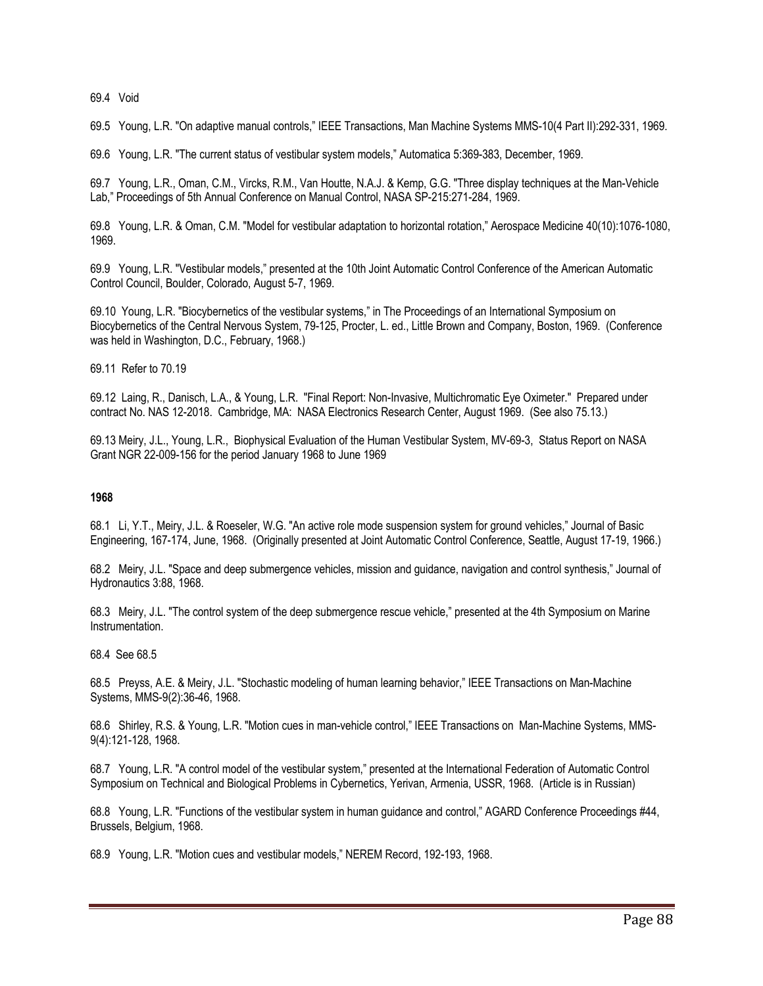69.4 Void

69.5 Young, L.R. "On adaptive manual controls," IEEE Transactions, Man Machine Systems MMS-10(4 Part II):292-331, 1969.

69.6 Young, L.R. "The current status of vestibular system models," Automatica 5:369-383, December, 1969.

69.7 Young, L.R., Oman, C.M., Vircks, R.M., Van Houtte, N.A.J. & Kemp, G.G. "Three display techniques at the Man-Vehicle Lab," Proceedings of 5th Annual Conference on Manual Control, NASA SP-215:271-284, 1969.

69.8 Young, L.R. & Oman, C.M. "Model for vestibular adaptation to horizontal rotation," Aerospace Medicine 40(10):1076-1080, 1969.

69.9 Young, L.R. "Vestibular models," presented at the 10th Joint Automatic Control Conference of the American Automatic Control Council, Boulder, Colorado, August 5-7, 1969.

69.10 Young, L.R. "Biocybernetics of the vestibular systems," in The Proceedings of an International Symposium on Biocybernetics of the Central Nervous System, 79-125, Procter, L. ed., Little Brown and Company, Boston, 1969. (Conference was held in Washington, D.C., February, 1968.)

69.11 Refer to 70.19

69.12 Laing, R., Danisch, L.A., & Young, L.R. "Final Report: Non-Invasive, Multichromatic Eye Oximeter." Prepared under contract No. NAS 12-2018. Cambridge, MA: NASA Electronics Research Center, August 1969. (See also 75.13.)

69.13 Meiry, J.L., Young, L.R., Biophysical Evaluation of the Human Vestibular System, MV-69-3, Status Report on NASA Grant NGR 22-009-156 for the period January 1968 to June 1969

### **1968**

68.1 Li, Y.T., Meiry, J.L. & Roeseler, W.G. "An active role mode suspension system for ground vehicles," Journal of Basic Engineering, 167-174, June, 1968. (Originally presented at Joint Automatic Control Conference, Seattle, August 17-19, 1966.)

68.2 Meiry, J.L. "Space and deep submergence vehicles, mission and guidance, navigation and control synthesis," Journal of Hydronautics 3:88, 1968.

68.3 Meiry, J.L. "The control system of the deep submergence rescue vehicle," presented at the 4th Symposium on Marine Instrumentation.

68.4 See 68.5

68.5 Preyss, A.E. & Meiry, J.L. "Stochastic modeling of human learning behavior," IEEE Transactions on Man-Machine Systems, MMS-9(2):36-46, 1968.

68.6 Shirley, R.S. & Young, L.R. "Motion cues in man-vehicle control," IEEE Transactions on Man-Machine Systems, MMS-9(4):121-128, 1968.

68.7 Young, L.R. "A control model of the vestibular system," presented at the International Federation of Automatic Control Symposium on Technical and Biological Problems in Cybernetics, Yerivan, Armenia, USSR, 1968. (Article is in Russian)

68.8 Young, L.R. "Functions of the vestibular system in human guidance and control," AGARD Conference Proceedings #44, Brussels, Belgium, 1968.

68.9 Young, L.R. "Motion cues and vestibular models," NEREM Record, 192-193, 1968.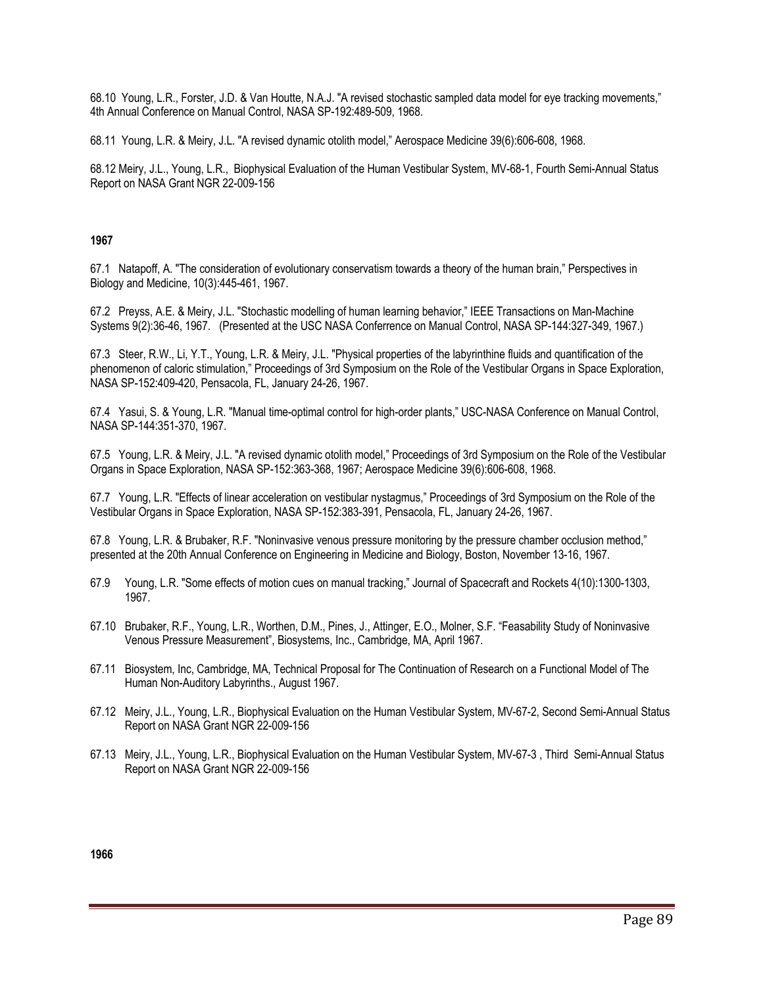68.10 Young, L.R., Forster, J.D. & Van Houtte, N.A.J. "A revised stochastic sampled data model for eye tracking movements," 4th Annual Conference on Manual Control, NASA SP-192:489-509, 1968.

68.11 Young, L.R. & Meiry, J.L. "A revised dynamic otolith model," Aerospace Medicine 39(6):606-608, 1968.

68.12 Meiry, J.L., Young, L.R., Biophysical Evaluation of the Human Vestibular System, MV-68-1, Fourth Semi-Annual Status Report on NASA Grant NGR 22-009-156

## **1967**

67.1 Natapoff, A. "The consideration of evolutionary conservatism towards a theory of the human brain," Perspectives in Biology and Medicine, 10(3):445-461, 1967.

67.2 Preyss, A.E. & Meiry, J.L. "Stochastic modelling of human learning behavior," IEEE Transactions on Man-Machine Systems 9(2):36-46, 1967. (Presented at the USC NASA Conferrence on Manual Control, NASA SP-144:327-349, 1967.)

67.3 Steer, R.W., Li, Y.T., Young, L.R. & Meiry, J.L. "Physical properties of the labyrinthine fluids and quantification of the phenomenon of caloric stimulation," Proceedings of 3rd Symposium on the Role of the Vestibular Organs in Space Exploration, NASA SP-152:409-420, Pensacola, FL, January 24-26, 1967.

67.4 Yasui, S. & Young, L.R. "Manual time-optimal control for high-order plants," USC-NASA Conference on Manual Control, NASA SP-144:351-370, 1967.

67.5 Young, L.R. & Meiry, J.L. "A revised dynamic otolith model," Proceedings of 3rd Symposium on the Role of the Vestibular Organs in Space Exploration, NASA SP-152:363-368, 1967; Aerospace Medicine 39(6):606-608, 1968.

67.7 Young, L.R. "Effects of linear acceleration on vestibular nystagmus," Proceedings of 3rd Symposium on the Role of the Vestibular Organs in Space Exploration, NASA SP-152:383-391, Pensacola, FL, January 24-26, 1967.

67.8 Young, L.R. & Brubaker, R.F. "Noninvasive venous pressure monitoring by the pressure chamber occlusion method," presented at the 20th Annual Conference on Engineering in Medicine and Biology, Boston, November 13-16, 1967.

- 67.9 Young, L.R. "Some effects of motion cues on manual tracking," Journal of Spacecraft and Rockets 4(10):1300-1303, 1967.
- 67.10 Brubaker, R.F., Young, L.R., Worthen, D.M., Pines, J., Attinger, E.O., Molner, S.F. "Feasability Study of Noninvasive Venous Pressure Measurement", Biosystems, Inc., Cambridge, MA, April 1967.
- 67.11 Biosystem, Inc, Cambridge, MA, Technical Proposal for The Continuation of Research on a Functional Model of The Human Non-Auditory Labyrinths., August 1967.
- 67.12 Meiry, J.L., Young, L.R., Biophysical Evaluation on the Human Vestibular System, MV-67-2, Second Semi-Annual Status Report on NASA Grant NGR 22-009-156
- 67.13 Meiry, J.L., Young, L.R., Biophysical Evaluation on the Human Vestibular System, MV-67-3 , Third Semi-Annual Status Report on NASA Grant NGR 22-009-156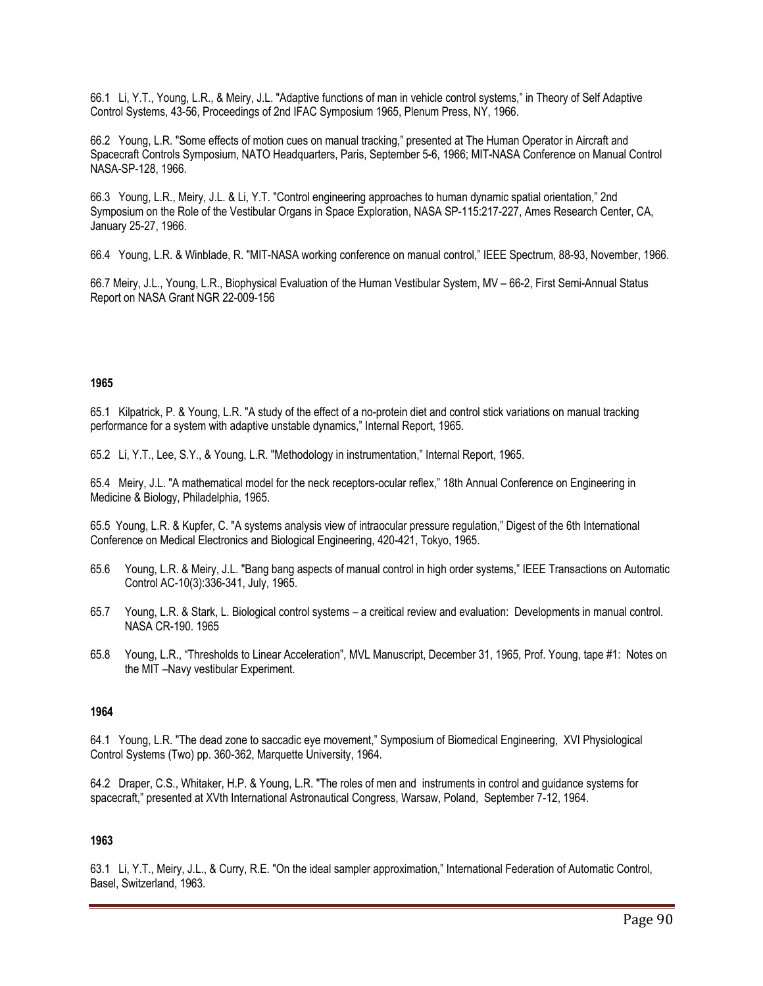66.1 Li, Y.T., Young, L.R., & Meiry, J.L. "Adaptive functions of man in vehicle control systems," in Theory of Self Adaptive Control Systems, 43-56, Proceedings of 2nd IFAC Symposium 1965, Plenum Press, NY, 1966.

66.2 Young, L.R. "Some effects of motion cues on manual tracking," presented at The Human Operator in Aircraft and Spacecraft Controls Symposium, NATO Headquarters, Paris, September 5-6, 1966; MIT-NASA Conference on Manual Control NASA-SP-128, 1966.

66.3 Young, L.R., Meiry, J.L. & Li, Y.T. "Control engineering approaches to human dynamic spatial orientation," 2nd Symposium on the Role of the Vestibular Organs in Space Exploration, NASA SP-115:217-227, Ames Research Center, CA, January 25-27, 1966.

66.4 Young, L.R. & Winblade, R. "MIT-NASA working conference on manual control," IEEE Spectrum, 88-93, November, 1966.

66.7 Meiry, J.L., Young, L.R., Biophysical Evaluation of the Human Vestibular System, MV – 66-2, First Semi-Annual Status Report on NASA Grant NGR 22-009-156

# **1965**

65.1 Kilpatrick, P. & Young, L.R. "A study of the effect of a no-protein diet and control stick variations on manual tracking performance for a system with adaptive unstable dynamics," Internal Report, 1965.

65.2 Li, Y.T., Lee, S.Y., & Young, L.R. "Methodology in instrumentation," Internal Report, 1965.

65.4 Meiry, J.L. "A mathematical model for the neck receptors-ocular reflex," 18th Annual Conference on Engineering in Medicine & Biology, Philadelphia, 1965.

65.5 Young, L.R. & Kupfer, C. "A systems analysis view of intraocular pressure regulation," Digest of the 6th International Conference on Medical Electronics and Biological Engineering, 420-421, Tokyo, 1965.

- 65.6 Young, L.R. & Meiry, J.L. "Bang bang aspects of manual control in high order systems," IEEE Transactions on Automatic Control AC-10(3):336-341, July, 1965.
- 65.7 Young, L.R. & Stark, L. Biological control systems a creitical review and evaluation: Developments in manual control. NASA CR-190. 1965
- 65.8 Young, L.R., "Thresholds to Linear Acceleration", MVL Manuscript, December 31, 1965, Prof. Young, tape #1: Notes on the MIT –Navy vestibular Experiment.

# **1964**

64.1 Young, L.R. "The dead zone to saccadic eye movement," Symposium of Biomedical Engineering, XVI Physiological Control Systems (Two) pp. 360-362, Marquette University, 1964.

64.2 Draper, C.S., Whitaker, H.P. & Young, L.R. "The roles of men and instruments in control and guidance systems for spacecraft," presented at XVth International Astronautical Congress, Warsaw, Poland, September 7-12, 1964.

# **1963**

63.1 Li, Y.T., Meiry, J.L., & Curry, R.E. "On the ideal sampler approximation," International Federation of Automatic Control, Basel, Switzerland, 1963.